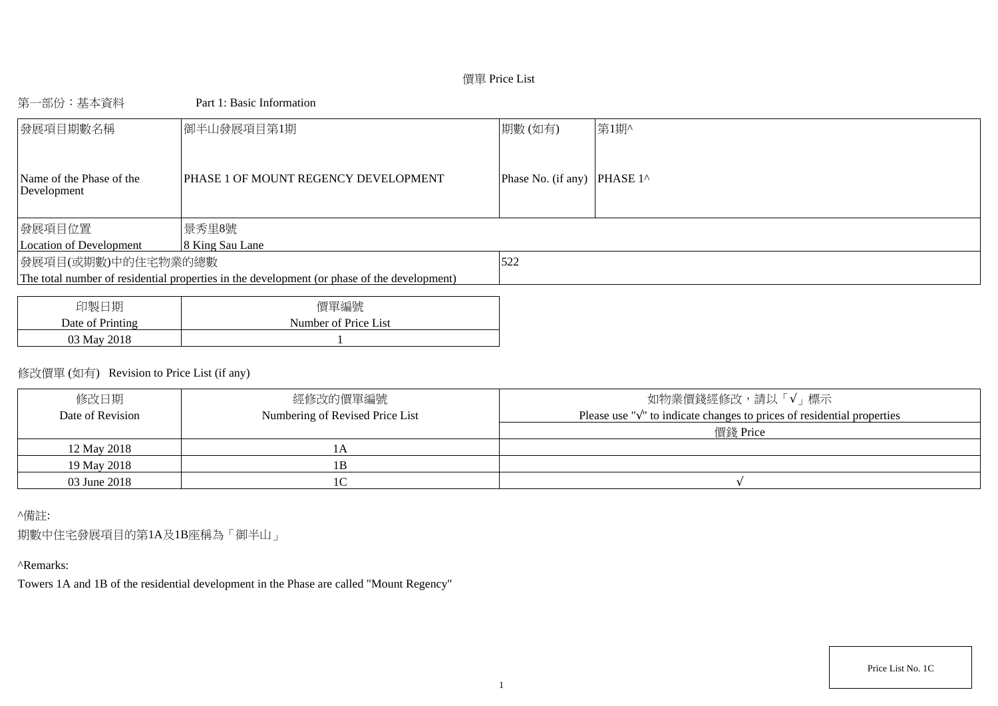# 價單 Price List

## 第一部份:基本資料 Part 1: Basic Information

| 發展項目期數名稱                                | 御半山發展項目第1期                                                                                  | 期數(如有)                      | 第1期^ |
|-----------------------------------------|---------------------------------------------------------------------------------------------|-----------------------------|------|
| Name of the Phase of the<br>Development | PHASE 1 OF MOUNT REGENCY DEVELOPMENT                                                        | Phase No. (if any) PHASE 1^ |      |
| 發展項目位置                                  | 景秀里8號                                                                                       |                             |      |
| Location of Development                 | 8 King Sau Lane                                                                             |                             |      |
| 發展項目(或期數)中的住宅物業的總數                      |                                                                                             | 522                         |      |
|                                         | The total number of residential properties in the development (or phase of the development) |                             |      |
|                                         |                                                                                             |                             |      |
|                                         |                                                                                             |                             |      |

| 印製日期             | 價單編號                 |
|------------------|----------------------|
| Date of Printing | Number of Price List |
| 03 May 2018      |                      |

# 修改價單 (如有) Revision to Price List (if any)

| 修改日期             | 經修改的價單編號                        | 如物業價錢經修改,請以「√」標示                                                                  |
|------------------|---------------------------------|-----------------------------------------------------------------------------------|
| Date of Revision | Numbering of Revised Price List | Please use " $\sqrt{ }$ " to indicate changes to prices of residential properties |
|                  |                                 | 價錢 Price                                                                          |
| 12 May 2018      |                                 |                                                                                   |
| 19 May 2018      |                                 |                                                                                   |
| 03 June 2018     |                                 |                                                                                   |

## ^備註:

期數中住宅發展項目的第1A及1B座稱為「御半山」

# ^Remarks:

Towers 1A and 1B of the residential development in the Phase are called "Mount Regency"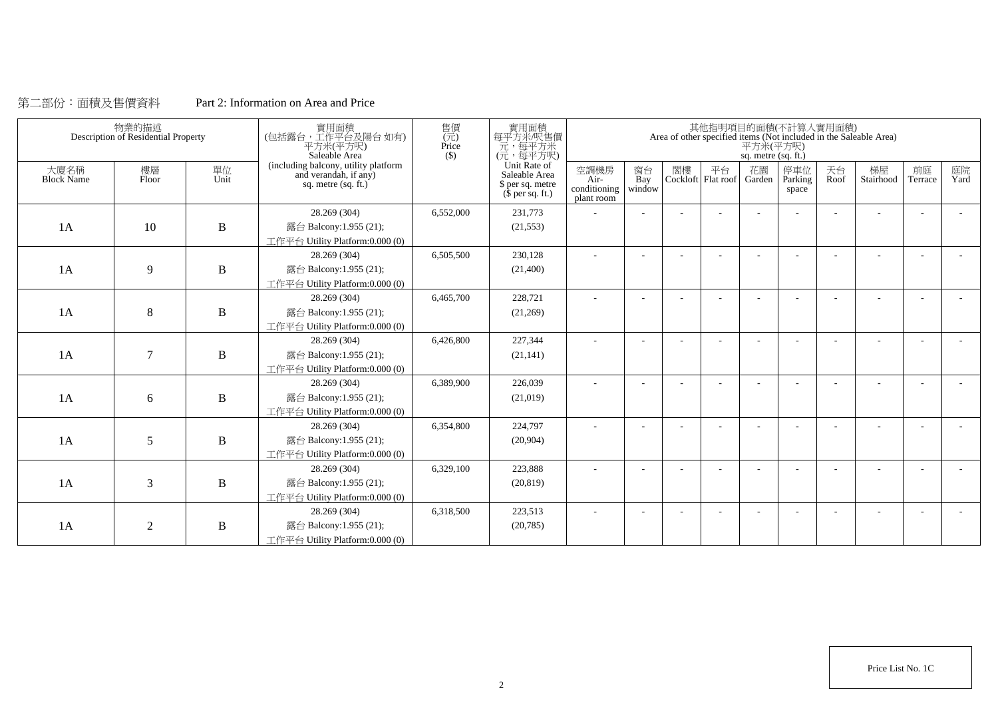## 第二部份:面積及售價資料 Part 2: Information on Area and Price

|                           | 物業的描述<br>Description of Residential Property |              | 實用面積<br>(包括露台,工作平台及陽台如有)<br>平方米(平方呎)<br>Saleable Area                                | 售價<br>$(\vec{\pi})$<br>Price<br>$($)$ | 實用面積<br>每平方米/呎售價<br>元,每平方米<br>(元,每平方呎)                                        |                                              |                          |    |    | 平方米(平方呎)<br>sq. metre (sq. ft.) | 其他指明項目的面積(不計算入實用面積)     |            | Area of other specified items (Not included in the Saleable Area) |                          |            |
|---------------------------|----------------------------------------------|--------------|--------------------------------------------------------------------------------------|---------------------------------------|-------------------------------------------------------------------------------|----------------------------------------------|--------------------------|----|----|---------------------------------|-------------------------|------------|-------------------------------------------------------------------|--------------------------|------------|
| 大廈名稱<br><b>Block Name</b> | 樓層<br>Floor                                  | 單位<br>Unit   | (including balcony, utility platform<br>and verandah, if any)<br>sq. metre (sq. ft.) |                                       | Unit Rate of<br>Saleable Area<br>\$ per sq. metre<br>$(\bar{\S}$ per sq. ft.) | 空調機房<br>$Air-$<br>conditioning<br>plant room | 窗台<br>Bay<br>window      | 閣樓 | 平台 | 花園<br>Cockloft Flat roof Garden | 停車位<br>Parking<br>space | 天台<br>Roof | 梯屋<br>Stairhood                                                   | 前庭<br>Terrace            | 庭院<br>Yard |
|                           |                                              |              | 28.269 (304)                                                                         | 6,552,000                             | 231,773                                                                       |                                              |                          |    |    |                                 |                         |            |                                                                   |                          |            |
| 1A                        | 10                                           | $\bf{B}$     | 露台 Balcony:1.955 (21);                                                               |                                       | (21, 553)                                                                     |                                              |                          |    |    |                                 |                         |            |                                                                   |                          |            |
|                           |                                              |              | 工作平台 Utility Platform:0.000 (0)                                                      |                                       |                                                                               |                                              |                          |    |    |                                 |                         |            |                                                                   |                          |            |
|                           |                                              |              | 28.269 (304)                                                                         | 6,505,500                             | 230,128                                                                       | $\sim$                                       | $\overline{\phantom{a}}$ |    |    |                                 |                         | ÷          |                                                                   | $\overline{\phantom{a}}$ |            |
| 1A                        | 9                                            | $\, {\bf B}$ | 露台 Balcony:1.955 (21);                                                               |                                       | (21,400)                                                                      |                                              |                          |    |    |                                 |                         |            |                                                                   |                          |            |
|                           |                                              |              | 工作平台 Utility Platform:0.000 (0)                                                      |                                       |                                                                               |                                              |                          |    |    |                                 |                         |            |                                                                   |                          |            |
|                           |                                              |              | 28.269 (304)                                                                         | 6,465,700                             | 228,721                                                                       |                                              |                          |    |    |                                 |                         |            |                                                                   |                          |            |
| 1A                        | 8                                            | $\, {\bf B}$ | 露台 Balcony:1.955 (21);                                                               |                                       | (21,269)                                                                      |                                              |                          |    |    |                                 |                         |            |                                                                   |                          |            |
|                           |                                              |              | 工作平台 Utility Platform:0.000 (0)                                                      |                                       |                                                                               |                                              |                          |    |    |                                 |                         |            |                                                                   |                          |            |
|                           |                                              |              | 28.269 (304)                                                                         | 6,426,800                             | 227,344                                                                       |                                              |                          |    |    |                                 |                         |            |                                                                   |                          |            |
| 1A                        | $\overline{7}$                               | $\, {\bf B}$ | 露台 Balcony:1.955 (21);                                                               |                                       | (21, 141)                                                                     |                                              |                          |    |    |                                 |                         |            |                                                                   |                          |            |
|                           |                                              |              | 工作平台 Utility Platform:0.000 (0)                                                      |                                       |                                                                               |                                              |                          |    |    |                                 |                         |            |                                                                   |                          |            |
|                           |                                              |              | 28.269 (304)                                                                         | 6,389,900                             | 226,039                                                                       | $\overline{\phantom{a}}$                     |                          |    |    |                                 |                         |            |                                                                   |                          |            |
| 1A                        | 6                                            | $\, {\bf B}$ | 露台 Balcony:1.955 (21);                                                               |                                       | (21,019)                                                                      |                                              |                          |    |    |                                 |                         |            |                                                                   |                          |            |
|                           |                                              |              | 工作平台 Utility Platform:0.000 (0)                                                      |                                       |                                                                               |                                              |                          |    |    |                                 |                         |            |                                                                   |                          |            |
|                           |                                              |              | 28.269 (304)                                                                         | 6,354,800                             | 224,797                                                                       |                                              |                          |    |    |                                 |                         |            |                                                                   |                          |            |
| 1A                        | 5                                            | $\, {\bf B}$ | 露台 Balcony:1.955 (21);                                                               |                                       | (20,904)                                                                      |                                              |                          |    |    |                                 |                         |            |                                                                   |                          |            |
|                           |                                              |              | 工作平台 Utility Platform:0.000 (0)                                                      |                                       |                                                                               |                                              |                          |    |    |                                 |                         |            |                                                                   |                          |            |
|                           |                                              |              | 28.269 (304)                                                                         | 6,329,100                             | 223,888                                                                       |                                              |                          |    |    |                                 |                         |            |                                                                   |                          |            |
| 1A                        | 3                                            | $\, {\bf B}$ | 露台 Balcony:1.955 (21);                                                               |                                       | (20, 819)                                                                     |                                              |                          |    |    |                                 |                         |            |                                                                   |                          |            |
|                           |                                              |              | 工作平台 Utility Platform:0.000 (0)                                                      |                                       |                                                                               |                                              |                          |    |    |                                 |                         |            |                                                                   |                          |            |
|                           |                                              |              | 28.269 (304)                                                                         | 6,318,500                             | 223,513                                                                       |                                              |                          |    |    |                                 |                         |            |                                                                   |                          |            |
| 1A                        | $\overline{2}$                               | B            | 露台 Balcony:1.955 (21);                                                               |                                       | (20, 785)                                                                     |                                              |                          |    |    |                                 |                         |            |                                                                   |                          |            |
|                           |                                              |              | 工作平台 Utility Platform:0.000 (0)                                                      |                                       |                                                                               |                                              |                          |    |    |                                 |                         |            |                                                                   |                          |            |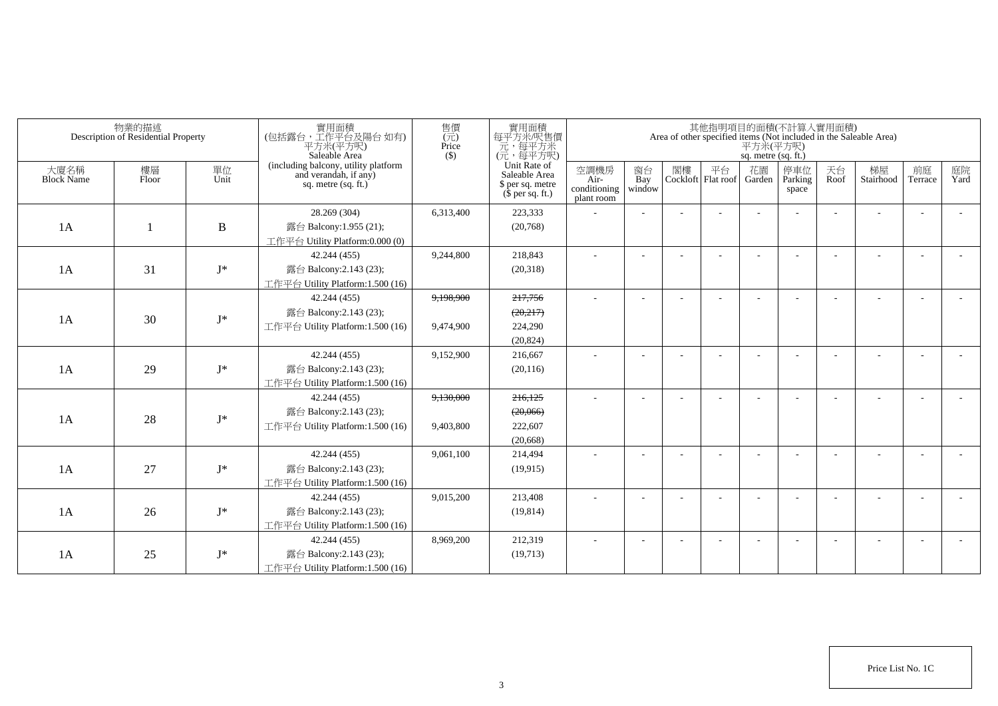|                           | 物業的描述<br>Description of Residential Property |                | 實用面積<br>(包括露台,工作平台及陽台如有)<br>平方米(平方呎)<br>Saleable Area                                  | 售價<br>(元)<br>Price<br>$($ \$) | 實用面積<br>每平方米/呎售價<br>元,每平方米<br>(元,每平方呎)                                |                                            |                       |    |                            | sq. metre (sq. ft.) | 其他指明項目的面積(不計算入實用面積)      |            | Area of other specified items (Not included in the Saleable Area)<br>$\overline{P}$ $\overline{\mathcal{H}}$ $\mathcal{H}(\overline{P})$ |                          |            |
|---------------------------|----------------------------------------------|----------------|----------------------------------------------------------------------------------------|-------------------------------|-----------------------------------------------------------------------|--------------------------------------------|-----------------------|----|----------------------------|---------------------|--------------------------|------------|------------------------------------------------------------------------------------------------------------------------------------------|--------------------------|------------|
| 大廈名稱<br><b>Block Name</b> | 樓層<br>Floor                                  | 單位<br>Unit     | (including balcony, utility platform<br>and verandah, if any)<br>sq. metre $(sq. ft.)$ |                               | Unit Rate of<br>Saleable Area<br>\$ per sq. metre<br>$$$ per sq. ft.) | 空調機房<br>Air-<br>conditioning<br>plant room | 窗台<br>Bay<br>window   | 閣樓 | 平台<br>Cockloft   Flat roof | 花園<br>Garden        | 停車位<br>Parking<br>space  | 天台<br>Roof | 梯屋<br>Stairhood                                                                                                                          | 前庭<br>Terrace            | 庭院<br>Yard |
|                           |                                              |                | 28.269 (304)                                                                           | 6,313,400                     | 223,333                                                               |                                            |                       |    |                            |                     |                          |            |                                                                                                                                          |                          |            |
| 1A                        |                                              | $\, {\bf B}$   | 露台 Balcony:1.955 (21);                                                                 |                               | (20,768)                                                              |                                            |                       |    |                            |                     |                          |            |                                                                                                                                          |                          |            |
|                           |                                              |                | 工作平台 Utility Platform:0.000 (0)                                                        |                               |                                                                       |                                            |                       |    |                            |                     |                          |            |                                                                                                                                          |                          |            |
|                           |                                              |                | 42.244 (455)                                                                           | 9.244.800                     | 218,843                                                               | ÷                                          |                       |    |                            |                     |                          |            |                                                                                                                                          |                          |            |
| 1A                        | 31                                           | $\mathbf{J}^*$ | 露台 Balcony:2.143 (23);                                                                 |                               | (20,318)                                                              |                                            |                       |    |                            |                     |                          |            |                                                                                                                                          |                          |            |
|                           |                                              |                | 工作平台 Utility Platform:1.500 (16)                                                       |                               |                                                                       |                                            |                       |    |                            |                     |                          |            |                                                                                                                                          |                          |            |
|                           |                                              |                | 42.244 (455)                                                                           | 9,198,900                     | 217,756                                                               | $\sim$                                     |                       |    |                            |                     |                          |            |                                                                                                                                          |                          |            |
| 1A                        | 30                                           | $J^*$          | 露台 Balcony:2.143 (23);                                                                 |                               | (20,217)                                                              |                                            |                       |    |                            |                     |                          |            |                                                                                                                                          |                          |            |
|                           |                                              |                | 工作平台 Utility Platform:1.500 (16)                                                       | 9,474,900                     | 224,290                                                               |                                            |                       |    |                            |                     |                          |            |                                                                                                                                          |                          |            |
|                           |                                              |                |                                                                                        |                               | (20, 824)                                                             |                                            |                       |    |                            |                     |                          |            |                                                                                                                                          |                          |            |
|                           |                                              |                | 42.244 (455)                                                                           | 9,152,900                     | 216,667                                                               |                                            |                       |    |                            |                     |                          |            |                                                                                                                                          |                          |            |
| 1A                        | 29                                           | $J^*$          | 露台 Balcony:2.143 (23);                                                                 |                               | (20, 116)                                                             |                                            |                       |    |                            |                     |                          |            |                                                                                                                                          |                          |            |
|                           |                                              |                | 工作平台 Utility Platform: 1.500 (16)                                                      |                               |                                                                       |                                            |                       |    |                            |                     |                          |            |                                                                                                                                          |                          |            |
|                           |                                              |                | 42.244 (455)                                                                           | 9,130,000                     | 216,125                                                               | ٠                                          |                       |    |                            |                     |                          |            |                                                                                                                                          |                          |            |
| 1A                        | 28                                           | $\mathbf{J}^*$ | 露台 Balcony:2.143 (23);                                                                 |                               | (20,066)                                                              |                                            |                       |    |                            |                     |                          |            |                                                                                                                                          |                          |            |
|                           |                                              |                | 工作平台 Utility Platform:1.500 (16)                                                       | 9,403,800                     | 222,607                                                               |                                            |                       |    |                            |                     |                          |            |                                                                                                                                          |                          |            |
|                           |                                              |                |                                                                                        |                               | (20,668)                                                              |                                            |                       |    |                            |                     |                          |            |                                                                                                                                          |                          |            |
|                           |                                              |                | 42.244 (455)                                                                           | 9,061,100                     | 214,494                                                               |                                            |                       |    |                            |                     |                          |            |                                                                                                                                          | $\overline{\phantom{a}}$ |            |
| 1A                        | 27                                           | $J^*$          | 露台 Balcony:2.143 (23);                                                                 |                               | (19.915)                                                              |                                            |                       |    |                            |                     |                          |            |                                                                                                                                          |                          |            |
|                           |                                              |                | 工作平台 Utility Platform:1.500 (16)                                                       |                               |                                                                       |                                            |                       |    |                            |                     |                          |            |                                                                                                                                          |                          |            |
|                           |                                              |                | 42.244 (455)                                                                           | 9,015,200                     | 213,408                                                               | $\sim$                                     | $\tilde{\phantom{a}}$ |    |                            |                     | <b>1</b>                 |            | $\sim$                                                                                                                                   | $\sim$                   |            |
| 1A                        | 26                                           | $J^*$          | 露台 Balcony:2.143 (23);                                                                 |                               | (19, 814)                                                             |                                            |                       |    |                            |                     |                          |            |                                                                                                                                          |                          |            |
|                           |                                              |                | 工作平台 Utility Platform:1.500 (16)                                                       |                               |                                                                       |                                            |                       |    |                            |                     |                          |            |                                                                                                                                          |                          |            |
|                           |                                              |                | 42.244 (455)                                                                           | 8,969,200                     | 212,319                                                               | $\sim$                                     |                       |    |                            |                     | $\overline{\phantom{a}}$ |            |                                                                                                                                          | $\overline{\phantom{a}}$ |            |
| 1A                        | 25                                           | $J^*$          | 露台 Balcony:2.143 (23);                                                                 |                               | (19,713)                                                              |                                            |                       |    |                            |                     |                          |            |                                                                                                                                          |                          |            |
|                           |                                              |                | 工作平台 Utility Platform:1.500 (16)                                                       |                               |                                                                       |                                            |                       |    |                            |                     |                          |            |                                                                                                                                          |                          |            |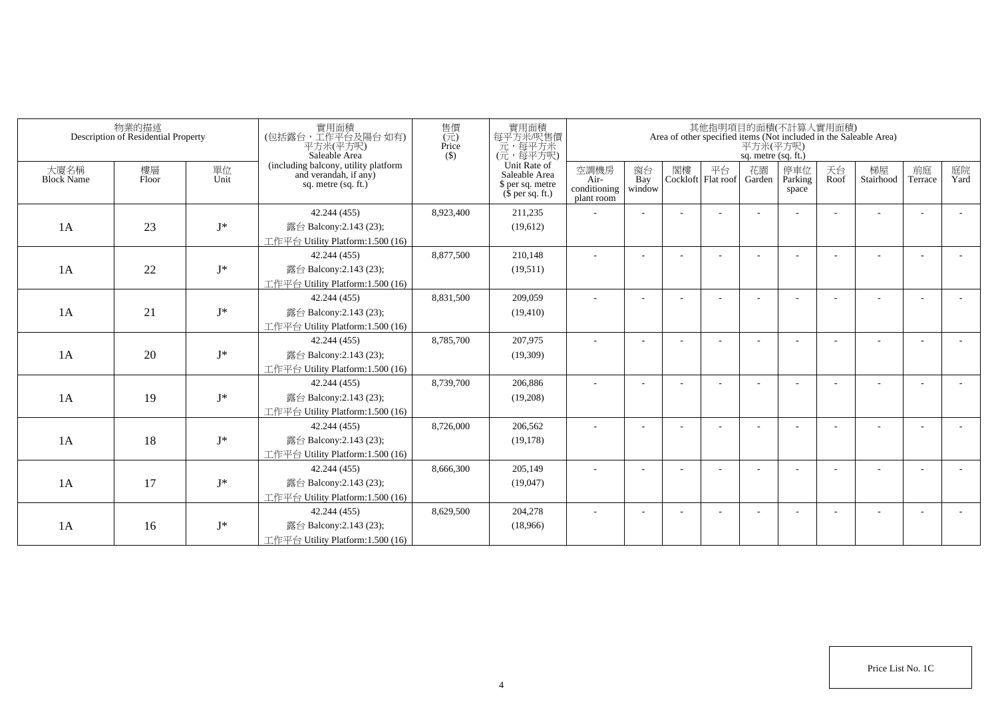|                           | 物業的描述<br>Description of Residential Property |            | 實用面積<br>(包括露台,工作平台及陽台如有)<br>平方米(平方呎)<br>Saleable Area                                  | 售價<br>$(\vec{\pi})$<br>Price<br>$($ \$) | 實用面積<br>每平方米/呎售價<br>一元,每平方米<br>(元,每平方呎)                               |                                            |                          |    |                          | 平方米(平方呎)<br>sq. metre (sq. ft.) | 其他指明項目的面積(不計算入實用面積)     |            | Area of other specified items (Not included in the Saleable Area) |                          |            |
|---------------------------|----------------------------------------------|------------|----------------------------------------------------------------------------------------|-----------------------------------------|-----------------------------------------------------------------------|--------------------------------------------|--------------------------|----|--------------------------|---------------------------------|-------------------------|------------|-------------------------------------------------------------------|--------------------------|------------|
| 大廈名稱<br><b>Block Name</b> | 樓層<br>Floor                                  | 單位<br>Unit | (including balcony, utility platform<br>and verandah, if any)<br>sq. metre $(sq, ft.)$ |                                         | Unit Rate of<br>Saleable Area<br>\$ per sq. metre<br>$$$ per sq. ft.) | 空調機房<br>Air-<br>conditioning<br>plant room | 窗台<br>Bay<br>window      | 閣樓 | 平台<br>Cockloft Flat roof | 花園<br>Garden                    | 停車位<br>Parking<br>space | 天台<br>Roof | 梯屋<br>Stairhood                                                   | 前庭<br>Terrace            | 庭院<br>Yard |
|                           |                                              |            | 42.244 (455)                                                                           | 8,923,400                               | 211,235                                                               |                                            |                          |    |                          |                                 |                         |            |                                                                   |                          |            |
| 1A                        | 23                                           | $I^*$      | 露台 Balcony:2.143 (23);                                                                 |                                         | (19,612)                                                              |                                            |                          |    |                          |                                 |                         |            |                                                                   |                          |            |
|                           |                                              |            | 工作平台 Utility Platform:1.500 (16)                                                       |                                         |                                                                       |                                            |                          |    |                          |                                 |                         |            |                                                                   |                          |            |
|                           |                                              |            | 42.244 (455)                                                                           | 8,877,500                               | 210,148                                                               |                                            |                          |    |                          |                                 |                         |            |                                                                   |                          |            |
| 1A                        | 22                                           | $I^*$      | 露台 Balcony:2.143 (23);                                                                 |                                         | (19,511)                                                              |                                            |                          |    |                          |                                 |                         |            |                                                                   |                          |            |
|                           |                                              |            | 工作平台 Utility Platform:1.500 (16)                                                       |                                         |                                                                       |                                            |                          |    |                          |                                 |                         |            |                                                                   |                          |            |
|                           |                                              |            | 42.244 (455)                                                                           | 8,831,500                               | 209,059                                                               | ٠                                          | $\overline{\phantom{a}}$ |    |                          |                                 |                         |            |                                                                   |                          |            |
| 1A                        | 21                                           | $J^*$      | 露台 Balcony:2.143 (23);                                                                 |                                         | (19, 410)                                                             |                                            |                          |    |                          |                                 |                         |            |                                                                   |                          |            |
|                           |                                              |            | 工作平台 Utility Platform: 1.500 (16)                                                      |                                         |                                                                       |                                            |                          |    |                          |                                 |                         |            |                                                                   |                          |            |
|                           |                                              |            | 42.244 (455)                                                                           | 8,785,700                               | 207,975                                                               |                                            |                          |    |                          |                                 |                         |            |                                                                   |                          |            |
| 1A                        | 20                                           | $J^*$      | 露台 Balcony:2.143 (23);                                                                 |                                         | (19,309)                                                              |                                            |                          |    |                          |                                 |                         |            |                                                                   |                          |            |
|                           |                                              |            | 工作平台 Utility Platform:1.500 (16)                                                       |                                         |                                                                       |                                            |                          |    |                          |                                 |                         |            |                                                                   |                          |            |
|                           |                                              |            | 42.244 (455)                                                                           | 8,739,700                               | 206,886                                                               |                                            |                          |    |                          |                                 |                         |            |                                                                   |                          |            |
| 1A                        | 19                                           | $J^*$      | 露台 Balcony:2.143 (23);                                                                 |                                         | (19,208)                                                              |                                            |                          |    |                          |                                 |                         |            |                                                                   |                          |            |
|                           |                                              |            | 工作平台 Utility Platform: 1.500 (16)                                                      |                                         |                                                                       |                                            |                          |    |                          |                                 |                         |            |                                                                   |                          |            |
|                           |                                              |            | 42.244 (455)                                                                           | 8,726,000                               | 206,562                                                               |                                            |                          |    |                          |                                 |                         |            |                                                                   |                          |            |
| 1A                        | 18                                           | $J^*$      | 露台 Balcony:2.143 (23);                                                                 |                                         | (19, 178)                                                             |                                            |                          |    |                          |                                 |                         |            |                                                                   |                          |            |
|                           |                                              |            | 工作平台 Utility Platform:1.500 (16)                                                       |                                         |                                                                       |                                            |                          |    |                          |                                 |                         |            |                                                                   |                          |            |
|                           |                                              |            | 42.244 (455)                                                                           | 8,666,300                               | 205,149                                                               |                                            |                          |    |                          |                                 |                         |            |                                                                   | $\overline{\phantom{a}}$ |            |
| 1A                        | 17                                           | $J^*$      | 露台 Balcony:2.143 (23);                                                                 |                                         | (19,047)                                                              |                                            |                          |    |                          |                                 |                         |            |                                                                   |                          |            |
|                           |                                              |            | 工作平台 Utility Platform:1.500 (16)                                                       |                                         |                                                                       |                                            |                          |    |                          |                                 |                         |            |                                                                   |                          |            |
|                           |                                              |            | 42.244 (455)                                                                           | 8,629,500                               | 204,278                                                               |                                            |                          |    |                          |                                 |                         |            |                                                                   | <b>.</b>                 |            |
| 1A                        | 16                                           | $J^*$      | 露台 Balcony:2.143 (23);                                                                 |                                         | (18,966)                                                              |                                            |                          |    |                          |                                 |                         |            |                                                                   |                          |            |
|                           |                                              |            | 工作平台 Utility Platform:1.500 (16)                                                       |                                         |                                                                       |                                            |                          |    |                          |                                 |                         |            |                                                                   |                          |            |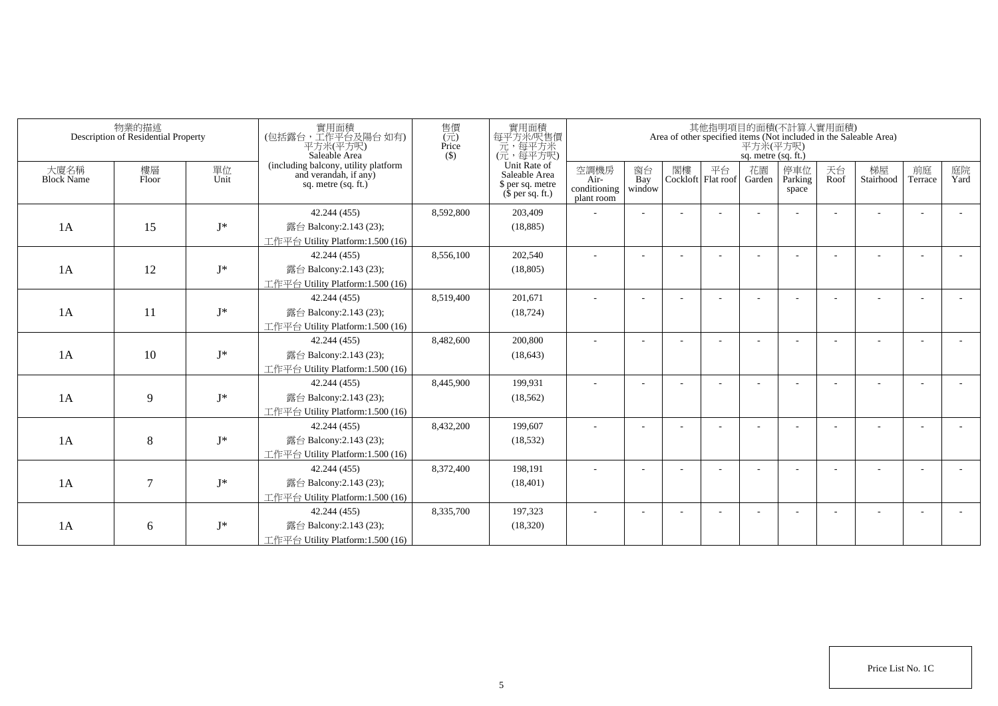|                           | 物業的描述<br>Description of Residential Property |            | 實用面積<br>(包括露台,工作平台及陽台 如有)<br>平方米(平方呎)<br>Saleable Area                                 | 售價<br>$(\vec{\pi})$<br>Price<br>$($ \$) | 實用面積<br>每平方米/呎售價<br>一元,每平方米<br>(元,每平方呎)                               |                                            |                          |    |                          | 平方米(平方呎)<br>sq. metre (sq. ft.) | 其他指明項目的面積(不計算入實用面積)     |            | Area of other specified items (Not included in the Saleable Area) |                          |            |
|---------------------------|----------------------------------------------|------------|----------------------------------------------------------------------------------------|-----------------------------------------|-----------------------------------------------------------------------|--------------------------------------------|--------------------------|----|--------------------------|---------------------------------|-------------------------|------------|-------------------------------------------------------------------|--------------------------|------------|
| 大廈名稱<br><b>Block Name</b> | 樓層<br>Floor                                  | 單位<br>Unit | (including balcony, utility platform<br>and verandah, if any)<br>sq. metre $(sq, ft.)$ |                                         | Unit Rate of<br>Saleable Area<br>\$ per sq. metre<br>$$$ per sq. ft.) | 空調機房<br>Air-<br>conditioning<br>plant room | 窗台<br>Bay<br>window      | 閣樓 | 平台<br>Cockloft Flat roof | 花園<br>Garden                    | 停車位<br>Parking<br>space | 天台<br>Roof | 梯屋<br>Stairhood                                                   | 前庭<br>Terrace            | 庭院<br>Yard |
|                           |                                              |            | 42.244 (455)                                                                           | 8,592,800                               | 203,409                                                               |                                            |                          |    |                          |                                 |                         |            |                                                                   |                          |            |
| 1A                        | 15                                           | $I^*$      | 露台 Balcony:2.143 (23);                                                                 |                                         | (18, 885)                                                             |                                            |                          |    |                          |                                 |                         |            |                                                                   |                          |            |
|                           |                                              |            | 工作平台 Utility Platform:1.500 (16)                                                       |                                         |                                                                       |                                            |                          |    |                          |                                 |                         |            |                                                                   |                          |            |
|                           |                                              |            | 42.244 (455)                                                                           | 8,556,100                               | 202,540                                                               |                                            |                          |    |                          |                                 |                         |            |                                                                   |                          |            |
| 1A                        | 12                                           | $I^*$      | 露台 Balcony:2.143 (23);                                                                 |                                         | (18, 805)                                                             |                                            |                          |    |                          |                                 |                         |            |                                                                   |                          |            |
|                           |                                              |            | 工作平台 Utility Platform:1.500 (16)                                                       |                                         |                                                                       |                                            |                          |    |                          |                                 |                         |            |                                                                   |                          |            |
|                           |                                              |            | 42.244 (455)                                                                           | 8,519,400                               | 201,671                                                               | ٠                                          | $\overline{\phantom{a}}$ |    |                          |                                 |                         |            |                                                                   |                          |            |
| 1A                        | 11                                           | $J^*$      | 露台 Balcony:2.143 (23);                                                                 |                                         | (18, 724)                                                             |                                            |                          |    |                          |                                 |                         |            |                                                                   |                          |            |
|                           |                                              |            | 工作平台 Utility Platform: 1.500 (16)                                                      |                                         |                                                                       |                                            |                          |    |                          |                                 |                         |            |                                                                   |                          |            |
|                           |                                              |            | 42.244 (455)                                                                           | 8,482,600                               | 200,800                                                               |                                            |                          |    |                          |                                 |                         |            |                                                                   |                          |            |
| 1A                        | 10                                           | $J^*$      | 露台 Balcony:2.143 (23);                                                                 |                                         | (18, 643)                                                             |                                            |                          |    |                          |                                 |                         |            |                                                                   |                          |            |
|                           |                                              |            | 工作平台 Utility Platform:1.500 (16)                                                       |                                         |                                                                       |                                            |                          |    |                          |                                 |                         |            |                                                                   |                          |            |
|                           |                                              |            | 42.244 (455)                                                                           | 8,445,900                               | 199,931                                                               |                                            |                          |    |                          |                                 |                         |            |                                                                   |                          |            |
| 1A                        | 9                                            | $J^*$      | 露台 Balcony:2.143 (23);                                                                 |                                         | (18, 562)                                                             |                                            |                          |    |                          |                                 |                         |            |                                                                   |                          |            |
|                           |                                              |            | 工作平台 Utility Platform: 1.500 (16)                                                      |                                         |                                                                       |                                            |                          |    |                          |                                 |                         |            |                                                                   |                          |            |
|                           |                                              |            | 42.244 (455)                                                                           | 8,432,200                               | 199,607                                                               |                                            |                          |    |                          |                                 |                         |            |                                                                   |                          |            |
| 1A                        | 8                                            | $J^*$      | 露台 Balcony:2.143 (23);                                                                 |                                         | (18, 532)                                                             |                                            |                          |    |                          |                                 |                         |            |                                                                   |                          |            |
|                           |                                              |            | 工作平台 Utility Platform:1.500 (16)                                                       |                                         |                                                                       |                                            |                          |    |                          |                                 |                         |            |                                                                   |                          |            |
|                           |                                              |            | 42.244 (455)                                                                           | 8,372,400                               | 198,191                                                               |                                            |                          |    |                          |                                 |                         |            |                                                                   | $\overline{\phantom{a}}$ |            |
| 1A                        | 7                                            | $J^*$      | 露台 Balcony:2.143 (23);                                                                 |                                         | (18, 401)                                                             |                                            |                          |    |                          |                                 |                         |            |                                                                   |                          |            |
|                           |                                              |            | 工作平台 Utility Platform: 1.500 (16)                                                      |                                         |                                                                       |                                            |                          |    |                          |                                 |                         |            |                                                                   |                          |            |
|                           |                                              |            | 42.244 (455)                                                                           | 8,335,700                               | 197,323                                                               |                                            |                          |    |                          |                                 |                         |            |                                                                   |                          |            |
| 1A                        | 6                                            | $J^*$      | 露台 Balcony:2.143 (23);                                                                 |                                         | (18,320)                                                              |                                            |                          |    |                          |                                 |                         |            |                                                                   |                          |            |
|                           |                                              |            | 工作平台 Utility Platform:1.500 (16)                                                       |                                         |                                                                       |                                            |                          |    |                          |                                 |                         |            |                                                                   |                          |            |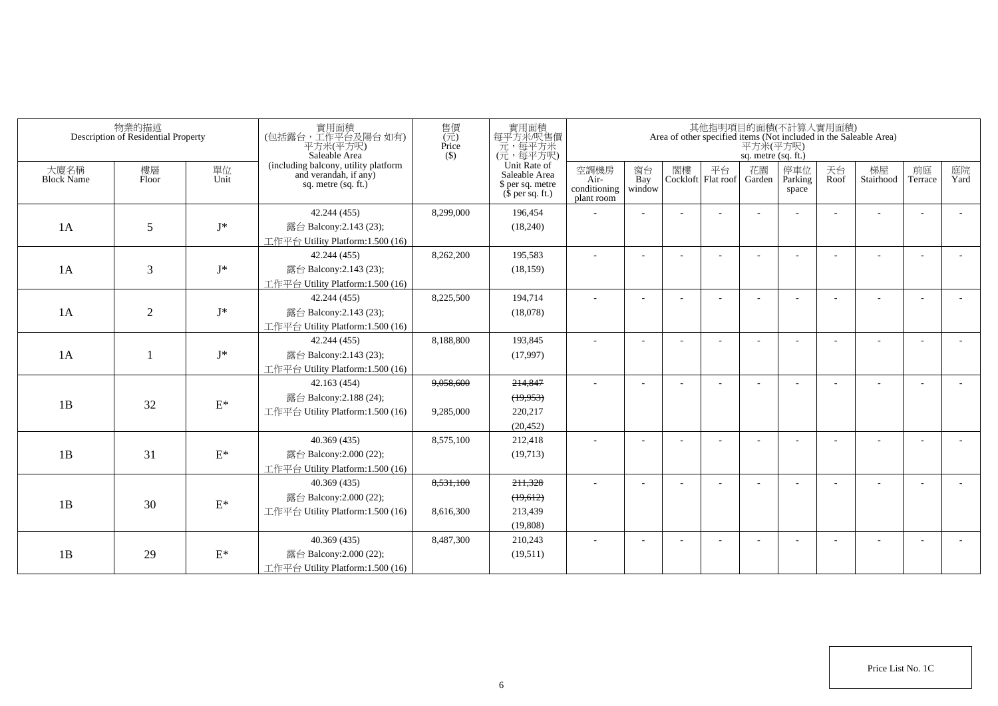|                           | 物業的描述<br>Description of Residential Property |                 | 實用面積<br>(包括露台,工作平台及陽台如有)<br>平方米(平方呎)<br>Saleable Area                                | 售價<br>(元)<br>Price<br>$($ \$) | 實用面積<br>每平方米/呎售價<br>元,每平方米<br>(元,每平方呎)                                |                                            |                     |                             | 平方米(平方呎)<br>sq. metre (sq. ft.) | 其他指明項目的面積(不計算入實用面積)      |            | Area of other specified items (Not included in the Saleable Area) |                          |            |
|---------------------------|----------------------------------------------|-----------------|--------------------------------------------------------------------------------------|-------------------------------|-----------------------------------------------------------------------|--------------------------------------------|---------------------|-----------------------------|---------------------------------|--------------------------|------------|-------------------------------------------------------------------|--------------------------|------------|
| 大廈名稱<br><b>Block Name</b> | 樓層<br>Floor                                  | 單位<br>Unit      | (including balcony, utility platform<br>and verandah, if any)<br>sq. metre (sq. ft.) |                               | Unit Rate of<br>Saleable Area<br>\$ per sq. metre<br>$$$ per sq. ft.) | 空調機房<br>Air-<br>conditioning<br>plant room | 窗台<br>Bay<br>window | 閣樓 平台<br>Cockloft Flat roof | 花園<br>Garden                    | 停車位<br>Parking<br>space  | 天台<br>Roof | 梯屋<br>Stairhood                                                   | 前庭<br>Terrace            | 庭院<br>Yard |
|                           |                                              |                 | 42.244 (455)                                                                         | 8,299,000                     | 196,454                                                               |                                            |                     |                             |                                 |                          |            |                                                                   | $\overline{a}$           |            |
| 1A                        | 5                                            | $\mathbf{J}^*$  | 露台 Balcony:2.143 (23);                                                               |                               | (18,240)                                                              |                                            |                     |                             |                                 |                          |            |                                                                   |                          |            |
|                           |                                              |                 | 工作平台 Utility Platform: 1.500 (16)                                                    |                               |                                                                       |                                            |                     |                             |                                 |                          |            |                                                                   |                          |            |
|                           |                                              |                 | 42.244 (455)                                                                         | 8,262,200                     | 195,583                                                               | $\sim$                                     |                     |                             |                                 |                          |            |                                                                   |                          |            |
| 1A                        | 3                                            | $\mathbf{J}^*$  | 露台 Balcony:2.143 (23);                                                               |                               | (18, 159)                                                             |                                            |                     |                             |                                 |                          |            |                                                                   |                          |            |
|                           |                                              |                 | 工作平台 Utility Platform:1.500 (16)                                                     |                               |                                                                       |                                            |                     |                             |                                 |                          |            |                                                                   |                          |            |
|                           |                                              |                 | 42.244 (455)                                                                         | 8,225,500                     | 194,714                                                               | $\sim$                                     |                     |                             |                                 |                          |            |                                                                   |                          |            |
| 1A                        | $\overline{2}$                               | $\mathbf{J}^*$  | 露台 Balcony:2.143 (23);                                                               |                               | (18,078)                                                              |                                            |                     |                             |                                 |                          |            |                                                                   |                          |            |
|                           |                                              |                 | 工作平台 Utility Platform:1.500 (16)                                                     |                               |                                                                       |                                            |                     |                             |                                 |                          |            |                                                                   |                          |            |
|                           |                                              |                 | 42.244 (455)                                                                         | 8,188,800                     | 193,845                                                               | $\sim$                                     |                     |                             |                                 |                          |            |                                                                   |                          |            |
| 1A                        |                                              | $J^*$           | 露台 Balcony:2.143 (23);                                                               |                               | (17,997)                                                              |                                            |                     |                             |                                 |                          |            |                                                                   |                          |            |
|                           |                                              |                 | 工作平台 Utility Platform: 1.500 (16)                                                    |                               |                                                                       |                                            |                     |                             |                                 |                          |            |                                                                   |                          |            |
|                           |                                              |                 | 42.163(454)                                                                          | 9,058,600                     | 214,847                                                               | ٠                                          |                     |                             |                                 |                          |            |                                                                   |                          |            |
| 1B                        | 32                                           | $\mathcal{E}^*$ | 露台 Balcony: 2.188 (24);                                                              |                               | (19,953)                                                              |                                            |                     |                             |                                 |                          |            |                                                                   |                          |            |
|                           |                                              |                 | 工作平台 Utility Platform: 1.500 (16)                                                    | 9,285,000                     | 220,217                                                               |                                            |                     |                             |                                 |                          |            |                                                                   |                          |            |
|                           |                                              |                 |                                                                                      |                               | (20, 452)                                                             |                                            |                     |                             |                                 |                          |            |                                                                   |                          |            |
|                           |                                              |                 | 40.369(435)                                                                          | 8,575,100                     | 212,418                                                               |                                            |                     |                             |                                 |                          |            |                                                                   |                          |            |
| 1B                        | 31                                           | $\mathcal{E}^*$ | 露台 Balcony:2.000 (22);                                                               |                               | (19,713)                                                              |                                            |                     |                             |                                 |                          |            |                                                                   |                          |            |
|                           |                                              |                 | 工作平台 Utility Platform: 1.500 (16)                                                    |                               |                                                                       |                                            |                     |                             |                                 |                          |            |                                                                   |                          |            |
|                           |                                              |                 | 40.369(435)                                                                          | 8,531,100                     | 211,328                                                               |                                            |                     |                             |                                 |                          |            |                                                                   |                          |            |
| 1B                        | 30                                           | $\mathcal{E}^*$ | 露台 Balcony:2.000 (22);                                                               |                               | (19,612)                                                              |                                            |                     |                             |                                 |                          |            |                                                                   |                          |            |
|                           |                                              |                 | 工作平台 Utility Platform: 1.500 (16)                                                    | 8,616,300                     | 213,439                                                               |                                            |                     |                             |                                 |                          |            |                                                                   |                          |            |
|                           |                                              |                 |                                                                                      |                               | (19,808)                                                              |                                            |                     |                             |                                 |                          |            |                                                                   |                          |            |
|                           |                                              |                 | 40.369(435)                                                                          | 8,487,300                     | 210,243                                                               | $\overline{\phantom{a}}$                   |                     |                             |                                 | $\overline{\phantom{a}}$ |            |                                                                   | $\overline{\phantom{a}}$ |            |
| 1B                        | 29                                           | $\mathcal{E}^*$ | 露台 Balcony:2.000 (22);                                                               |                               | (19,511)                                                              |                                            |                     |                             |                                 |                          |            |                                                                   |                          |            |
|                           |                                              |                 | 工作平台 Utility Platform:1.500 (16)                                                     |                               |                                                                       |                                            |                     |                             |                                 |                          |            |                                                                   |                          |            |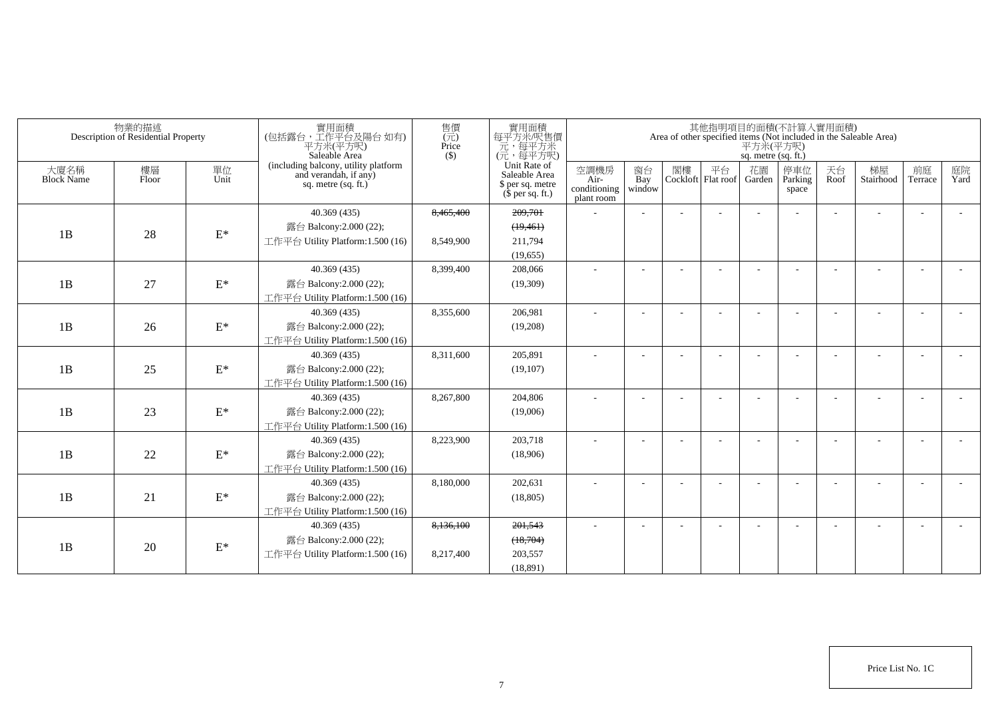|                           | 物業的描述<br>Description of Residential Property |                 | 實用面積<br>(包括露台,工作平台及陽台如有)<br>平方米(平方呎)<br>Saleable Area                                  | 售價<br>(元)<br>Price<br>(S) | 實用面積<br>每平方米/呎售價<br>元,每平方米<br>(元,每平方呎)                                |                                            |                     |    |                          | sq. metre (sq. ft.) | 其他指明項目的面積(不計算入實用面積)     |            | Area of other specified items (Not included in the Saleable Area)<br>$\overline{P} \overline{\jmath}$ $\mathcal{H}(\overline{P})$ |               |            |
|---------------------------|----------------------------------------------|-----------------|----------------------------------------------------------------------------------------|---------------------------|-----------------------------------------------------------------------|--------------------------------------------|---------------------|----|--------------------------|---------------------|-------------------------|------------|-----------------------------------------------------------------------------------------------------------------------------------|---------------|------------|
| 大廈名稱<br><b>Block Name</b> | 樓層<br>Floor                                  | 單位<br>Unit      | (including balcony, utility platform<br>and verandah, if any)<br>sq. metre $(sq. ft.)$ |                           | Unit Rate of<br>Saleable Area<br>\$ per sq. metre<br>$$$ per sq. ft.) | 空調機房<br>Air-<br>conditioning<br>plant room | 窗台<br>Bay<br>window | 閣樓 | 平台<br>Cockloft Flat roof | 花園<br>Garden        | 停車位<br>Parking<br>space | 天台<br>Roof | 梯屋<br>Stairhood                                                                                                                   | 前庭<br>Terrace | 庭院<br>Yard |
|                           |                                              |                 | 40.369(435)                                                                            | 8,465,400                 | 209,701                                                               |                                            |                     |    |                          |                     |                         |            |                                                                                                                                   |               |            |
| 1B                        | 28                                           | $\mathrm{E}^*$  | 露台 Balcony:2.000 (22);                                                                 |                           | (19, 461)                                                             |                                            |                     |    |                          |                     |                         |            |                                                                                                                                   |               |            |
|                           |                                              |                 | 工作平台 Utility Platform:1.500 (16)                                                       | 8,549,900                 | 211.794                                                               |                                            |                     |    |                          |                     |                         |            |                                                                                                                                   |               |            |
|                           |                                              |                 |                                                                                        |                           | (19,655)                                                              |                                            |                     |    |                          |                     |                         |            |                                                                                                                                   |               |            |
|                           |                                              |                 | 40.369(435)                                                                            | 8,399,400                 | 208,066                                                               | ÷                                          |                     |    |                          |                     |                         |            |                                                                                                                                   |               |            |
| 1B                        | 27                                           | $\mathcal{E}^*$ | 露台 Balcony: 2.000 (22);                                                                |                           | (19,309)                                                              |                                            |                     |    |                          |                     |                         |            |                                                                                                                                   |               |            |
|                           |                                              |                 | 工作平台 Utility Platform:1.500 (16)                                                       |                           |                                                                       |                                            |                     |    |                          |                     |                         |            |                                                                                                                                   |               |            |
|                           |                                              |                 | 40.369(435)                                                                            | 8,355,600                 | 206,981                                                               | ÷.                                         |                     |    |                          |                     |                         |            |                                                                                                                                   |               |            |
| 1B                        | 26                                           | $\mathrm{E}^*$  | 露台 Balcony:2.000 (22);                                                                 |                           | (19,208)                                                              |                                            |                     |    |                          |                     |                         |            |                                                                                                                                   |               |            |
|                           |                                              |                 | 工作平台 Utility Platform:1.500 (16)                                                       |                           |                                                                       |                                            |                     |    |                          |                     |                         |            |                                                                                                                                   |               |            |
|                           |                                              |                 | 40.369(435)                                                                            | 8,311,600                 | 205.891                                                               |                                            |                     |    |                          |                     |                         |            |                                                                                                                                   |               |            |
| 1B                        | 25                                           | $\mathcal{E}^*$ | 露台 Balcony:2.000 (22);                                                                 |                           | (19,107)                                                              |                                            |                     |    |                          |                     |                         |            |                                                                                                                                   |               |            |
|                           |                                              |                 | 工作平台 Utility Platform:1.500 (16)                                                       |                           |                                                                       |                                            |                     |    |                          |                     |                         |            |                                                                                                                                   |               |            |
|                           |                                              |                 | 40.369(435)                                                                            | 8,267,800                 | 204.806                                                               |                                            |                     |    |                          |                     |                         |            |                                                                                                                                   |               |            |
| 1B                        | 23                                           | $\mathcal{E}^*$ | 露台 Balcony:2.000 (22);                                                                 |                           | (19,006)                                                              |                                            |                     |    |                          |                     |                         |            |                                                                                                                                   |               |            |
|                           |                                              |                 | 工作平台 Utility Platform: 1.500 (16)                                                      |                           |                                                                       |                                            |                     |    |                          |                     |                         |            |                                                                                                                                   |               |            |
|                           |                                              |                 | 40.369(435)                                                                            | 8.223.900                 | 203,718                                                               |                                            |                     |    |                          |                     |                         |            |                                                                                                                                   |               |            |
| 1B                        | 22                                           | $\mathcal{E}^*$ | 露台 Balcony:2.000 (22);                                                                 |                           | (18,906)                                                              |                                            |                     |    |                          |                     |                         |            |                                                                                                                                   |               |            |
|                           |                                              |                 | 工作平台 Utility Platform:1.500 (16)                                                       |                           |                                                                       |                                            |                     |    |                          |                     |                         |            |                                                                                                                                   |               |            |
|                           |                                              |                 | 40.369(435)                                                                            | 8,180,000                 | 202.631                                                               | ٠                                          |                     |    |                          |                     |                         |            |                                                                                                                                   |               |            |
| 1B                        | 21                                           | $\mathcal{E}^*$ | 露台 Balcony:2.000 (22);                                                                 |                           | (18, 805)                                                             |                                            |                     |    |                          |                     |                         |            |                                                                                                                                   |               |            |
|                           |                                              |                 | 工作平台 Utility Platform:1.500 (16)                                                       |                           |                                                                       |                                            |                     |    |                          |                     |                         |            |                                                                                                                                   |               |            |
|                           |                                              |                 | 40.369(435)                                                                            | 8,136,100                 | 201,543                                                               |                                            |                     |    |                          |                     |                         |            |                                                                                                                                   |               |            |
| 1B                        | 20                                           | $\mathcal{E}^*$ | 露台 Balcony:2.000 (22);                                                                 |                           | (18,704)                                                              |                                            |                     |    |                          |                     |                         |            |                                                                                                                                   |               |            |
|                           |                                              |                 | 工作平台 Utility Platform: 1.500 (16)                                                      | 8,217,400                 | 203,557                                                               |                                            |                     |    |                          |                     |                         |            |                                                                                                                                   |               |            |
|                           |                                              |                 |                                                                                        |                           | (18.891)                                                              |                                            |                     |    |                          |                     |                         |            |                                                                                                                                   |               |            |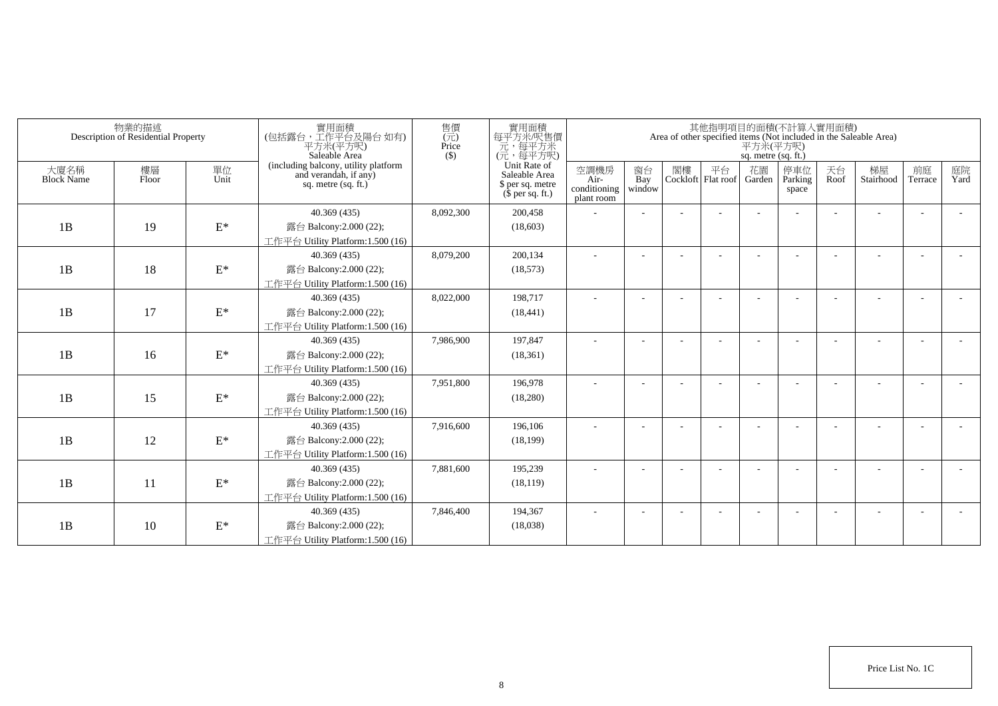|                           | 物業的描述<br>Description of Residential Property |                 | 實用面積<br>(包括露台,工作平台及陽台如有)<br>平方米(平方呎)<br>Saleable Area                                  | 售價<br>$(\vec{\pi})$<br>Price<br>$($ \$) | 實用面積<br>每平方米/呎售價<br>元,每平方米<br>(元,每平方呎)                                |                                            |                          |    |                          | 平方米(平方呎)<br>sq. metre (sq. ft.) | 其他指明項目的面積(不計算入實用面積)     |            | Area of other specified items (Not included in the Saleable Area) |                          |            |
|---------------------------|----------------------------------------------|-----------------|----------------------------------------------------------------------------------------|-----------------------------------------|-----------------------------------------------------------------------|--------------------------------------------|--------------------------|----|--------------------------|---------------------------------|-------------------------|------------|-------------------------------------------------------------------|--------------------------|------------|
| 大廈名稱<br><b>Block Name</b> | 樓層<br>Floor                                  | 單位<br>Unit      | (including balcony, utility platform<br>and verandah, if any)<br>sq. metre $(sq, ft.)$ |                                         | Unit Rate of<br>Saleable Area<br>\$ per sq. metre<br>$$$ per sq. ft.) | 空調機房<br>Air-<br>conditioning<br>plant room | 窗台<br>Bay<br>window      | 閣樓 | 平台<br>Cockloft Flat roof | 花園<br>Garden                    | 停車位<br>Parking<br>space | 天台<br>Roof | 梯屋<br>Stairhood                                                   | 前庭<br>Terrace            | 庭院<br>Yard |
|                           |                                              |                 | 40.369 (435)                                                                           | 8,092,300                               | 200,458                                                               |                                            |                          |    |                          |                                 |                         |            |                                                                   |                          |            |
| 1B                        | 19                                           | $\mathcal{E}^*$ | 露台 Balcony:2.000 (22);                                                                 |                                         | (18,603)                                                              |                                            |                          |    |                          |                                 |                         |            |                                                                   |                          |            |
|                           |                                              |                 | 工作平台 Utility Platform:1.500 (16)                                                       |                                         |                                                                       |                                            |                          |    |                          |                                 |                         |            |                                                                   |                          |            |
|                           |                                              |                 | 40.369(435)                                                                            | 8,079,200                               | 200,134                                                               |                                            |                          |    |                          |                                 |                         |            |                                                                   |                          |            |
| 1B                        | 18                                           | $\mathbf{E}^*$  | 露台 Balcony:2.000 (22);                                                                 |                                         | (18, 573)                                                             |                                            |                          |    |                          |                                 |                         |            |                                                                   |                          |            |
|                           |                                              |                 | 工作平台 Utility Platform:1.500 (16)                                                       |                                         |                                                                       |                                            |                          |    |                          |                                 |                         |            |                                                                   |                          |            |
|                           |                                              |                 | 40.369 (435)                                                                           | 8,022,000                               | 198,717                                                               | ٠                                          | $\overline{\phantom{a}}$ |    |                          |                                 |                         |            |                                                                   | $\overline{\phantom{a}}$ |            |
| 1B                        | 17                                           | $\mathcal{E}^*$ | 露台 Balcony:2.000 (22);                                                                 |                                         | (18, 441)                                                             |                                            |                          |    |                          |                                 |                         |            |                                                                   |                          |            |
|                           |                                              |                 | 工作平台 Utility Platform: 1.500 (16)                                                      |                                         |                                                                       |                                            |                          |    |                          |                                 |                         |            |                                                                   |                          |            |
|                           |                                              |                 | 40.369(435)                                                                            | 7,986,900                               | 197,847                                                               |                                            |                          |    |                          |                                 |                         |            |                                                                   |                          |            |
| 1B                        | 16                                           | $\mathbf{E}^*$  | 露台 Balcony: 2.000 (22);                                                                |                                         | (18, 361)                                                             |                                            |                          |    |                          |                                 |                         |            |                                                                   |                          |            |
|                           |                                              |                 | 工作平台 Utility Platform:1.500 (16)                                                       |                                         |                                                                       |                                            |                          |    |                          |                                 |                         |            |                                                                   |                          |            |
|                           |                                              |                 | 40.369 (435)                                                                           | 7,951,800                               | 196,978                                                               |                                            |                          |    |                          |                                 |                         |            |                                                                   |                          |            |
| 1B                        | 15                                           | $\mathcal{E}^*$ | 露台 Balcony: 2.000 (22);                                                                |                                         | (18,280)                                                              |                                            |                          |    |                          |                                 |                         |            |                                                                   |                          |            |
|                           |                                              |                 | 工作平台 Utility Platform: 1.500 (16)                                                      |                                         |                                                                       |                                            |                          |    |                          |                                 |                         |            |                                                                   |                          |            |
|                           |                                              |                 | 40.369 (435)                                                                           | 7,916,600                               | 196,106                                                               |                                            |                          |    |                          |                                 |                         |            |                                                                   |                          |            |
| 1B                        | 12                                           | $\mathcal{E}^*$ | 露台 Balcony: 2.000 (22);                                                                |                                         | (18, 199)                                                             |                                            |                          |    |                          |                                 |                         |            |                                                                   |                          |            |
|                           |                                              |                 | 工作平台 Utility Platform:1.500 (16)                                                       |                                         |                                                                       |                                            |                          |    |                          |                                 |                         |            |                                                                   |                          |            |
|                           |                                              |                 | 40.369 (435)                                                                           | 7,881,600                               | 195,239                                                               |                                            |                          |    |                          |                                 |                         |            |                                                                   | $\overline{\phantom{a}}$ |            |
| 1B                        | 11                                           | $\mathcal{E}^*$ | 露台 Balcony: 2.000 (22);                                                                |                                         | (18, 119)                                                             |                                            |                          |    |                          |                                 |                         |            |                                                                   |                          |            |
|                           |                                              |                 | 工作平台 Utility Platform: 1.500 (16)                                                      |                                         |                                                                       |                                            |                          |    |                          |                                 |                         |            |                                                                   |                          |            |
|                           |                                              |                 | 40.369 (435)                                                                           | 7,846,400                               | 194,367                                                               |                                            |                          |    |                          |                                 |                         |            |                                                                   |                          |            |
| 1B                        | 10                                           | $\mathcal{E}^*$ | 露台 Balcony: 2.000 (22);                                                                |                                         | (18,038)                                                              |                                            |                          |    |                          |                                 |                         |            |                                                                   |                          |            |
|                           |                                              |                 | 工作平台 Utility Platform:1.500 (16)                                                       |                                         |                                                                       |                                            |                          |    |                          |                                 |                         |            |                                                                   |                          |            |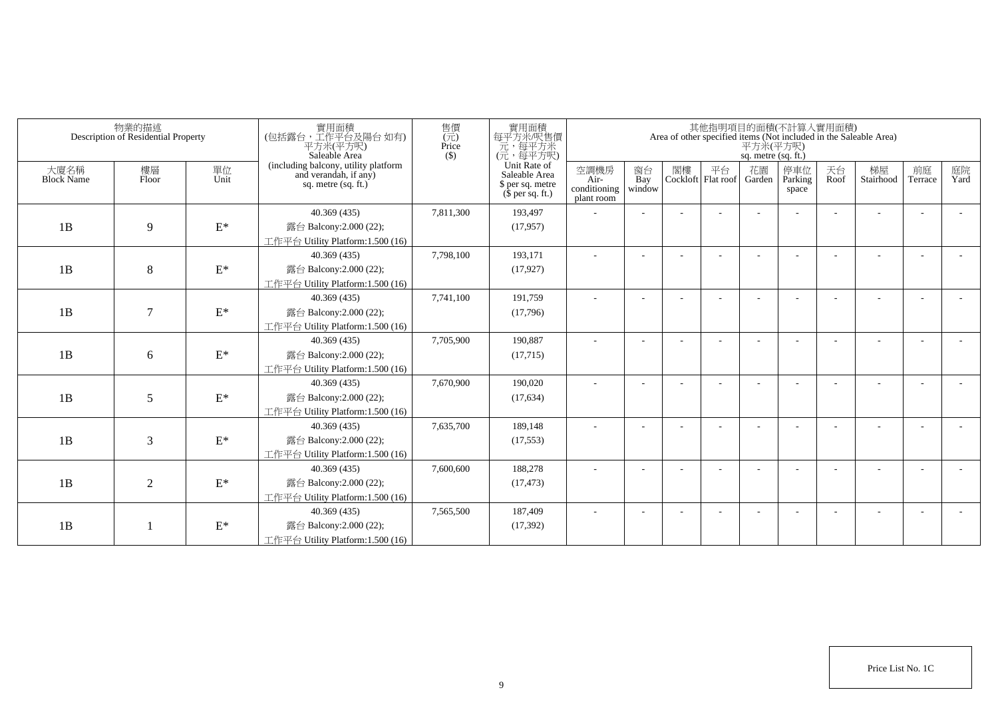|                           | 物業的描述<br>Description of Residential Property |                 | 實用面積<br>(包括露台,工作平台及陽台如有)<br>平方米(平方呎)<br>Saleable Area                                  | 售價<br>(元)<br>Price<br>$($ \$) | 實用面積<br>每平方米吧售價<br>元,每平方米<br>(元,每平方呎)                                 |                                            |                          |    |                          | 平方米(平方呎)<br>sq. metre (sq. ft.) | 其他指明項目的面積(不計算入實用面積)     |            | Area of other specified items (Not included in the Saleable Area) |               |            |
|---------------------------|----------------------------------------------|-----------------|----------------------------------------------------------------------------------------|-------------------------------|-----------------------------------------------------------------------|--------------------------------------------|--------------------------|----|--------------------------|---------------------------------|-------------------------|------------|-------------------------------------------------------------------|---------------|------------|
| 大廈名稱<br><b>Block Name</b> | 樓層<br>Floor                                  | 單位<br>Unit      | (including balcony, utility platform<br>and verandah, if any)<br>sq. metre $(sq, ft.)$ |                               | Unit Rate of<br>Saleable Area<br>\$ per sq. metre<br>$$$ per sq. ft.) | 空調機房<br>Air-<br>conditioning<br>plant room | 窗台<br>Bay<br>window      | 閣樓 | 平台<br>Cockloft Flat roof | 花園<br>Garden                    | 停車位<br>Parking<br>space | 天台<br>Roof | 梯屋<br>Stairhood                                                   | 前庭<br>Terrace | 庭院<br>Yard |
|                           |                                              |                 | 40.369 (435)                                                                           | 7,811,300                     | 193,497                                                               |                                            |                          |    |                          |                                 |                         |            |                                                                   |               |            |
| 1B                        | 9                                            | $\mathcal{E}^*$ | 露台 Balcony:2.000 (22);                                                                 |                               | (17, 957)                                                             |                                            |                          |    |                          |                                 |                         |            |                                                                   |               |            |
|                           |                                              |                 | 工作平台 Utility Platform:1.500 (16)                                                       |                               |                                                                       |                                            |                          |    |                          |                                 |                         |            |                                                                   |               |            |
|                           |                                              |                 | 40.369 (435)                                                                           | 7,798,100                     | 193,171                                                               |                                            |                          |    |                          |                                 |                         |            |                                                                   |               |            |
| 1B                        | 8                                            | $\mathbf{E}^*$  | 露台 Balcony:2.000 (22);                                                                 |                               | (17, 927)                                                             |                                            |                          |    |                          |                                 |                         |            |                                                                   |               |            |
|                           |                                              |                 | 工作平台 Utility Platform:1.500 (16)                                                       |                               |                                                                       |                                            |                          |    |                          |                                 |                         |            |                                                                   |               |            |
|                           |                                              |                 | 40.369 (435)                                                                           | 7,741,100                     | 191,759                                                               | $\sim$                                     | $\overline{\phantom{a}}$ |    |                          |                                 |                         |            |                                                                   |               |            |
| 1B                        | $\tau$                                       | $\mathcal{E}^*$ | 露台 Balcony: 2.000 (22);                                                                |                               | (17,796)                                                              |                                            |                          |    |                          |                                 |                         |            |                                                                   |               |            |
|                           |                                              |                 | 工作平台 Utility Platform: 1.500 (16)                                                      |                               |                                                                       |                                            |                          |    |                          |                                 |                         |            |                                                                   |               |            |
|                           |                                              |                 | 40.369 (435)                                                                           | 7,705,900                     | 190,887                                                               |                                            |                          |    |                          |                                 |                         |            |                                                                   |               |            |
| 1B                        | 6                                            | $\mathbf{E}^*$  | 露台 Balcony: 2.000 (22);                                                                |                               | (17,715)                                                              |                                            |                          |    |                          |                                 |                         |            |                                                                   |               |            |
|                           |                                              |                 | 工作平台 Utility Platform:1.500 (16)                                                       |                               |                                                                       |                                            |                          |    |                          |                                 |                         |            |                                                                   |               |            |
|                           |                                              |                 | 40.369 (435)                                                                           | 7,670,900                     | 190,020                                                               |                                            |                          |    |                          |                                 |                         |            |                                                                   |               |            |
| 1B                        | 5                                            | $\mathcal{E}^*$ | 露台 Balcony: 2.000 (22);                                                                |                               | (17, 634)                                                             |                                            |                          |    |                          |                                 |                         |            |                                                                   |               |            |
|                           |                                              |                 | 工作平台 Utility Platform: 1.500 (16)                                                      |                               |                                                                       |                                            |                          |    |                          |                                 |                         |            |                                                                   |               |            |
|                           |                                              |                 | 40.369 (435)                                                                           | 7,635,700                     | 189,148                                                               |                                            |                          |    |                          |                                 |                         |            |                                                                   |               |            |
| 1B                        | 3                                            | $\mathcal{E}^*$ | 露台 Balcony: 2.000 (22);                                                                |                               | (17, 553)                                                             |                                            |                          |    |                          |                                 |                         |            |                                                                   |               |            |
|                           |                                              |                 | 工作平台 Utility Platform:1.500 (16)                                                       |                               |                                                                       |                                            |                          |    |                          |                                 |                         |            |                                                                   |               |            |
|                           |                                              |                 | 40.369 (435)                                                                           | 7,600,600                     | 188,278                                                               |                                            |                          |    |                          |                                 |                         |            |                                                                   |               |            |
| 1B                        | $\overline{2}$                               | $\mathcal{E}^*$ | 露台 Balcony: 2.000 (22);                                                                |                               | (17, 473)                                                             |                                            |                          |    |                          |                                 |                         |            |                                                                   |               |            |
|                           |                                              |                 | 工作平台 Utility Platform: 1.500 (16)                                                      |                               |                                                                       |                                            |                          |    |                          |                                 |                         |            |                                                                   |               |            |
|                           |                                              |                 | 40.369 (435)                                                                           | 7,565,500                     | 187,409                                                               |                                            |                          |    |                          |                                 |                         |            |                                                                   |               |            |
| 1B                        |                                              | $\mathbf{E}^*$  | 露台 Balcony: 2.000 (22);                                                                |                               | (17, 392)                                                             |                                            |                          |    |                          |                                 |                         |            |                                                                   |               |            |
|                           |                                              |                 | 工作平台 Utility Platform:1.500 (16)                                                       |                               |                                                                       |                                            |                          |    |                          |                                 |                         |            |                                                                   |               |            |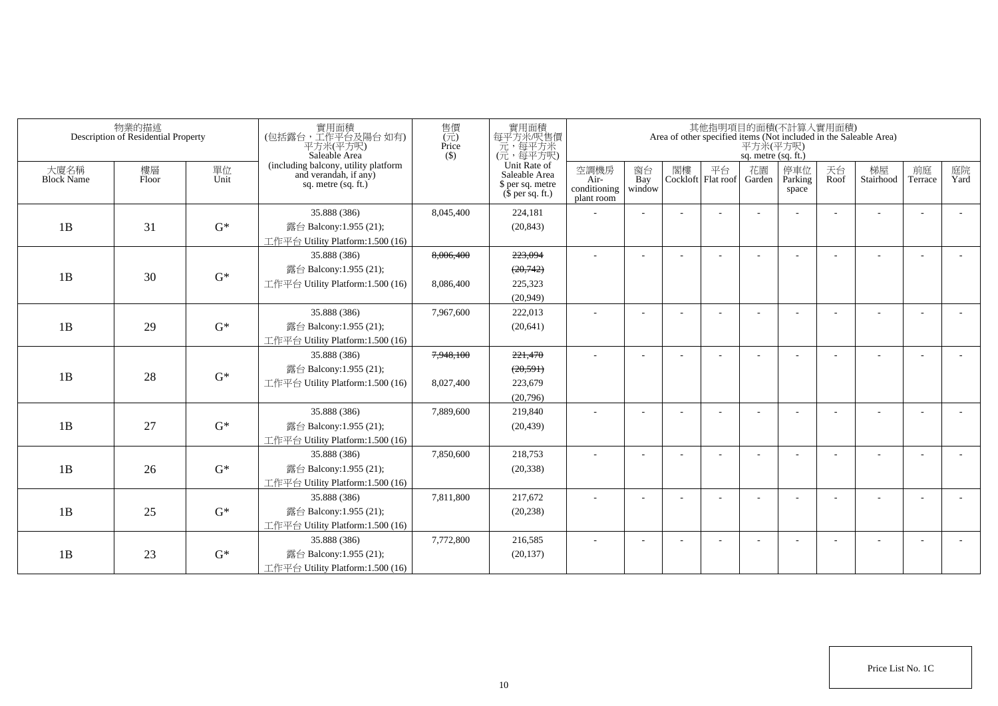|                           | 物業的描述<br>Description of Residential Property |            | 實用面積<br>(包括露台,工作平台及陽台如有)<br>平方米(平方呎)<br>Saleable Area                                | 售價<br>(元)<br>Price<br>$($ \$) | 實用面積<br>每平方米/呎售價<br>元,每平方米<br>(元,每平方呎)                                |                                            |                     |                             | 平方米(平方呎)<br>sq. metre (sq. ft.) | 其他指明項目的面積(不計算入實用面積)     |            | Area of other specified items (Not included in the Saleable Area) |                          |            |
|---------------------------|----------------------------------------------|------------|--------------------------------------------------------------------------------------|-------------------------------|-----------------------------------------------------------------------|--------------------------------------------|---------------------|-----------------------------|---------------------------------|-------------------------|------------|-------------------------------------------------------------------|--------------------------|------------|
| 大廈名稱<br><b>Block Name</b> | 樓層<br>Floor                                  | 單位<br>Unit | (including balcony, utility platform<br>and verandah, if any)<br>sq. metre (sq. ft.) |                               | Unit Rate of<br>Saleable Area<br>\$ per sq. metre<br>$$$ per sq. ft.) | 空調機房<br>Air-<br>conditioning<br>plant room | 窗台<br>Bay<br>window | 閣樓 平台<br>Cockloft Flat roof | 花園<br>Garden                    | 停車位<br>Parking<br>space | 天台<br>Roof | 梯屋<br>Stairhood                                                   | 前庭<br>Terrace            | 庭院<br>Yard |
|                           |                                              |            | 35.888 (386)                                                                         | 8,045,400                     | 224,181                                                               |                                            |                     |                             |                                 |                         |            |                                                                   | $\overline{a}$           |            |
| 1B                        | 31                                           | $G^*$      | 露台 Balcony:1.955 (21);                                                               |                               | (20, 843)                                                             |                                            |                     |                             |                                 |                         |            |                                                                   |                          |            |
|                           |                                              |            | 工作平台 Utility Platform:1.500 (16)                                                     |                               |                                                                       |                                            |                     |                             |                                 |                         |            |                                                                   |                          |            |
|                           |                                              |            | 35.888 (386)                                                                         | 8,006,400                     | 223,094                                                               | $\sim$                                     |                     |                             |                                 |                         |            |                                                                   | L,                       |            |
| 1B                        | 30                                           | $G^*$      | 露台 Balcony:1.955 (21);                                                               |                               | (20,742)                                                              |                                            |                     |                             |                                 |                         |            |                                                                   |                          |            |
|                           |                                              |            | 工作平台 Utility Platform: 1.500 (16)                                                    | 8,086,400                     | 225,323                                                               |                                            |                     |                             |                                 |                         |            |                                                                   |                          |            |
|                           |                                              |            |                                                                                      |                               | (20,949)                                                              |                                            |                     |                             |                                 |                         |            |                                                                   |                          |            |
|                           |                                              |            | 35.888 (386)                                                                         | 7,967,600                     | 222,013                                                               | ä,                                         |                     |                             |                                 |                         |            |                                                                   |                          |            |
| 1B                        | 29                                           | $G^*$      | 露台 Balcony:1.955 (21);                                                               |                               | (20, 641)                                                             |                                            |                     |                             |                                 |                         |            |                                                                   |                          |            |
|                           |                                              |            | 工作平台 Utility Platform:1.500 (16)                                                     |                               |                                                                       |                                            |                     |                             |                                 |                         |            |                                                                   |                          |            |
|                           |                                              |            | 35.888 (386)                                                                         | 7,948,100                     | 221,470                                                               |                                            |                     |                             |                                 |                         |            |                                                                   |                          |            |
| 1B                        | 28                                           | $G^*$      | 露台 Balcony:1.955 (21);                                                               |                               | (20, 591)                                                             |                                            |                     |                             |                                 |                         |            |                                                                   |                          |            |
|                           |                                              |            | 工作平台 Utility Platform:1.500 (16)                                                     | 8,027,400                     | 223,679                                                               |                                            |                     |                             |                                 |                         |            |                                                                   |                          |            |
|                           |                                              |            |                                                                                      |                               | (20,796)                                                              |                                            |                     |                             |                                 |                         |            |                                                                   |                          |            |
|                           |                                              |            | 35.888 (386)                                                                         | 7,889,600                     | 219,840                                                               | $\sim$                                     |                     |                             |                                 |                         |            |                                                                   | $\overline{\phantom{a}}$ |            |
| 1B                        | 27                                           | $G^*$      | 露台 Balcony:1.955 (21);                                                               |                               | (20, 439)                                                             |                                            |                     |                             |                                 |                         |            |                                                                   |                          |            |
|                           |                                              |            | 工作平台 Utility Platform:1.500 (16)                                                     |                               |                                                                       |                                            |                     |                             |                                 |                         |            |                                                                   |                          |            |
|                           |                                              |            | 35.888 (386)                                                                         | 7,850,600                     | 218,753                                                               | ٠                                          |                     |                             |                                 |                         |            |                                                                   | $\overline{\phantom{a}}$ |            |
| 1B                        | 26                                           | $G^*$      | 露台 Balcony:1.955 (21);                                                               |                               | (20, 338)                                                             |                                            |                     |                             |                                 |                         |            |                                                                   |                          |            |
|                           |                                              |            | 工作平台 Utility Platform:1.500 (16)                                                     |                               |                                                                       |                                            |                     |                             |                                 |                         |            |                                                                   |                          |            |
|                           |                                              |            | 35.888 (386)                                                                         | 7,811,800                     | 217,672                                                               | $\sim$                                     |                     |                             |                                 |                         |            |                                                                   | $\sim$                   |            |
| 1B                        | 25                                           | $G^*$      | 露台 Balcony:1.955 (21);                                                               |                               | (20, 238)                                                             |                                            |                     |                             |                                 |                         |            |                                                                   |                          |            |
|                           |                                              |            | 工作平台 Utility Platform:1.500 (16)                                                     |                               |                                                                       |                                            |                     |                             |                                 |                         |            |                                                                   |                          |            |
|                           |                                              |            | 35.888 (386)                                                                         | 7,772,800                     | 216,585                                                               | $\sim$                                     |                     |                             |                                 |                         |            |                                                                   | $\overline{\phantom{a}}$ |            |
| 1B                        | 23                                           | $G^*$      | 露台 Balcony:1.955 (21);                                                               |                               | (20, 137)                                                             |                                            |                     |                             |                                 |                         |            |                                                                   |                          |            |
|                           |                                              |            | 工作平台 Utility Platform: 1.500 (16)                                                    |                               |                                                                       |                                            |                     |                             |                                 |                         |            |                                                                   |                          |            |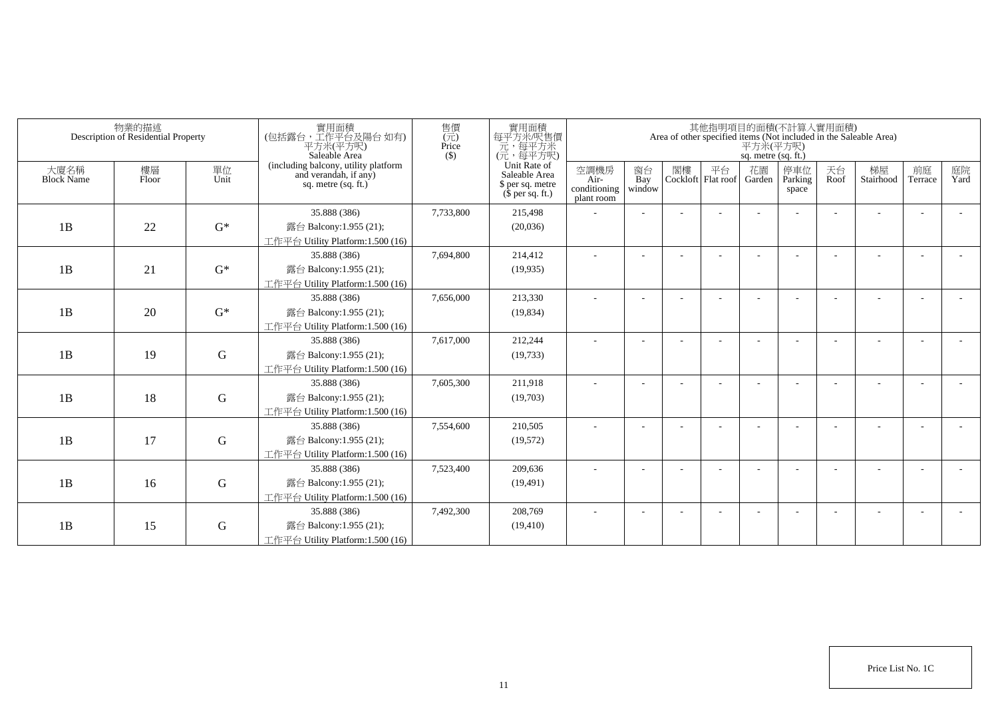|                           | 物業的描述<br>Description of Residential Property |             | 實用面積<br>(包括露台,工作平台及陽台 如有)<br>平方米(平方呎)<br>Saleable Area                                 | 售價<br>(元)<br>Price<br>$($ \$) | 實用面積<br>每平方米/呎售價<br>一元,每平方米<br>(元,每平方呎)                               |                                            |                          |    |                          | 平方米(平方呎)<br>sq. metre (sq. ft.) | 其他指明項目的面積(不計算入實用面積)     |            | Area of other specified items (Not included in the Saleable Area) |                          |            |
|---------------------------|----------------------------------------------|-------------|----------------------------------------------------------------------------------------|-------------------------------|-----------------------------------------------------------------------|--------------------------------------------|--------------------------|----|--------------------------|---------------------------------|-------------------------|------------|-------------------------------------------------------------------|--------------------------|------------|
| 大廈名稱<br><b>Block Name</b> | 樓層<br>Floor                                  | 單位<br>Unit  | (including balcony, utility platform<br>and verandah, if any)<br>sq. metre $(sq, ft.)$ |                               | Unit Rate of<br>Saleable Area<br>\$ per sq. metre<br>$$$ per sq. ft.) | 空調機房<br>Air-<br>conditioning<br>plant room | 窗台<br>Bay<br>window      | 閣樓 | 平台<br>Cockloft Flat roof | 花園<br>Garden                    | 停車位<br>Parking<br>space | 天台<br>Roof | 梯屋<br>Stairhood                                                   | 前庭<br>Terrace            | 庭院<br>Yard |
|                           |                                              |             | 35.888 (386)                                                                           | 7,733,800                     | 215,498                                                               |                                            |                          |    |                          |                                 |                         |            |                                                                   |                          |            |
| 1B                        | 22                                           | $G^*$       | 露台 Balcony:1.955 (21);                                                                 |                               | (20,036)                                                              |                                            |                          |    |                          |                                 |                         |            |                                                                   |                          |            |
|                           |                                              |             | 工作平台 Utility Platform:1.500 (16)                                                       |                               |                                                                       |                                            |                          |    |                          |                                 |                         |            |                                                                   |                          |            |
|                           |                                              |             | 35.888 (386)                                                                           | 7,694,800                     | 214,412                                                               |                                            |                          |    |                          |                                 |                         |            |                                                                   |                          |            |
| 1B                        | 21                                           | $G^*$       | 露台 Balcony:1.955 (21);                                                                 |                               | (19,935)                                                              |                                            |                          |    |                          |                                 |                         |            |                                                                   |                          |            |
|                           |                                              |             | 工作平台 Utility Platform:1.500 (16)                                                       |                               |                                                                       |                                            |                          |    |                          |                                 |                         |            |                                                                   |                          |            |
|                           |                                              |             | 35.888 (386)                                                                           | 7,656,000                     | 213,330                                                               | ٠                                          | $\overline{\phantom{a}}$ |    |                          |                                 |                         |            |                                                                   |                          |            |
| 1B                        | 20                                           | $G^*$       | 露台 Balcony:1.955 (21);                                                                 |                               | (19, 834)                                                             |                                            |                          |    |                          |                                 |                         |            |                                                                   |                          |            |
|                           |                                              |             | 工作平台 Utility Platform: 1.500 (16)                                                      |                               |                                                                       |                                            |                          |    |                          |                                 |                         |            |                                                                   |                          |            |
|                           |                                              |             | 35.888 (386)                                                                           | 7,617,000                     | 212,244                                                               |                                            |                          |    |                          |                                 |                         |            |                                                                   |                          |            |
| 1B                        | 19                                           | G           | 露台 Balcony:1.955 (21);                                                                 |                               | (19, 733)                                                             |                                            |                          |    |                          |                                 |                         |            |                                                                   |                          |            |
|                           |                                              |             | 工作平台 Utility Platform:1.500 (16)                                                       |                               |                                                                       |                                            |                          |    |                          |                                 |                         |            |                                                                   |                          |            |
|                           |                                              |             | 35.888 (386)                                                                           | 7,605,300                     | 211,918                                                               |                                            |                          |    |                          |                                 |                         |            |                                                                   |                          |            |
| 1B                        | 18                                           | $\mathbf G$ | 露台 Balcony:1.955 (21);                                                                 |                               | (19,703)                                                              |                                            |                          |    |                          |                                 |                         |            |                                                                   |                          |            |
|                           |                                              |             | 工作平台 Utility Platform: 1.500 (16)                                                      |                               |                                                                       |                                            |                          |    |                          |                                 |                         |            |                                                                   |                          |            |
|                           |                                              |             | 35.888 (386)                                                                           | 7,554,600                     | 210,505                                                               |                                            |                          |    |                          |                                 |                         |            |                                                                   |                          |            |
| 1B                        | 17                                           | G           | 露台 Balcony:1.955 (21);                                                                 |                               | (19,572)                                                              |                                            |                          |    |                          |                                 |                         |            |                                                                   |                          |            |
|                           |                                              |             | 工作平台 Utility Platform: 1.500 (16)                                                      |                               |                                                                       |                                            |                          |    |                          |                                 |                         |            |                                                                   |                          |            |
|                           |                                              |             | 35.888 (386)                                                                           | 7,523,400                     | 209,636                                                               |                                            |                          |    |                          |                                 |                         |            |                                                                   | $\overline{\phantom{a}}$ |            |
| 1B                        | 16                                           | ${\bf G}$   | 露台 Balcony:1.955 (21);                                                                 |                               | (19, 491)                                                             |                                            |                          |    |                          |                                 |                         |            |                                                                   |                          |            |
|                           |                                              |             | 工作平台 Utility Platform: 1.500 (16)<br>35.888 (386)                                      | 7,492,300                     | 208,769                                                               |                                            |                          |    |                          |                                 |                         |            |                                                                   |                          |            |
| 1B                        | 15                                           | G           | 露台 Balcony:1.955 (21);                                                                 |                               | (19, 410)                                                             |                                            |                          |    |                          |                                 |                         |            |                                                                   |                          |            |
|                           |                                              |             | 工作平台 Utility Platform:1.500 (16)                                                       |                               |                                                                       |                                            |                          |    |                          |                                 |                         |            |                                                                   |                          |            |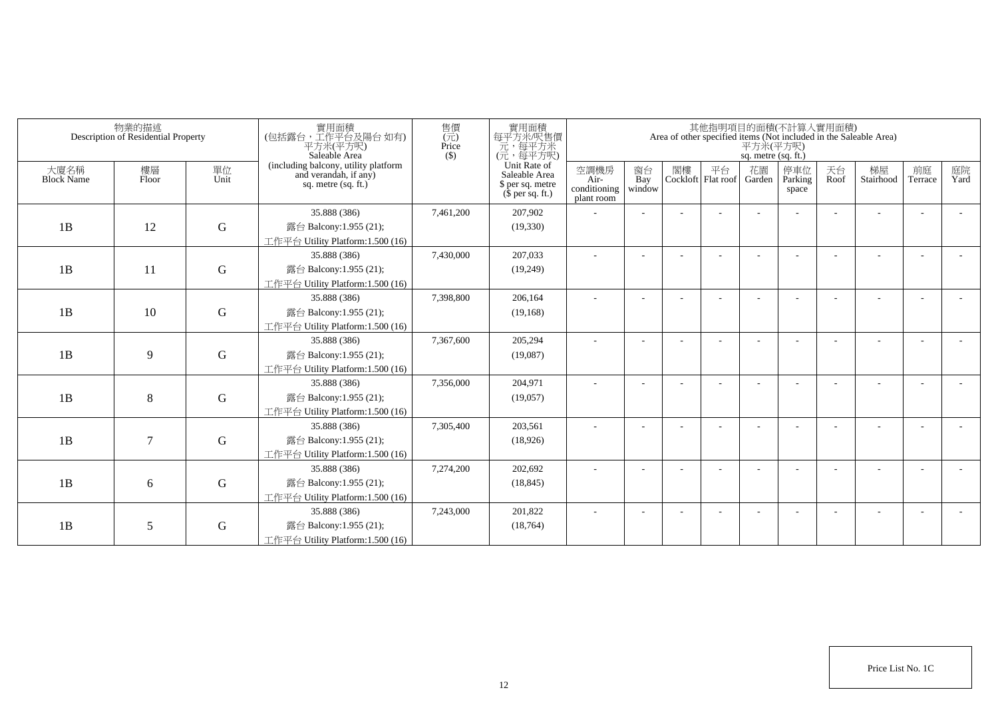|                           | 物業的描述<br>Description of Residential Property |             | 實用面積<br>(包括露台,工作平台及陽台 如有)<br>平方米(平方呎)<br>Saleable Area                                 | 售價<br>(元)<br>Price<br>$($ \$) | 實用面積<br>每平方米/呎售價<br>一元,每平方米<br>(元,每平方呎)                               |                                            |                          |    |                          | 平方米(平方呎)<br>sq. metre (sq. ft.) | 其他指明項目的面積(不計算入實用面積)     |            | Area of other specified items (Not included in the Saleable Area) |               |            |
|---------------------------|----------------------------------------------|-------------|----------------------------------------------------------------------------------------|-------------------------------|-----------------------------------------------------------------------|--------------------------------------------|--------------------------|----|--------------------------|---------------------------------|-------------------------|------------|-------------------------------------------------------------------|---------------|------------|
| 大廈名稱<br><b>Block Name</b> | 樓層<br>Floor                                  | 單位<br>Unit  | (including balcony, utility platform<br>and verandah, if any)<br>sq. metre $(sq, ft.)$ |                               | Unit Rate of<br>Saleable Area<br>\$ per sq. metre<br>$$$ per sq. ft.) | 空調機房<br>Air-<br>conditioning<br>plant room | 窗台<br>Bay<br>window      | 閣樓 | 平台<br>Cockloft Flat roof | 花園<br>Garden                    | 停車位<br>Parking<br>space | 天台<br>Roof | 梯屋<br>Stairhood                                                   | 前庭<br>Terrace | 庭院<br>Yard |
|                           |                                              |             | 35.888 (386)                                                                           | 7,461,200                     | 207,902                                                               |                                            |                          |    |                          |                                 |                         |            |                                                                   |               |            |
| 1B                        | 12                                           | $\mathbf G$ | 露台 Balcony:1.955 (21);                                                                 |                               | (19,330)                                                              |                                            |                          |    |                          |                                 |                         |            |                                                                   |               |            |
|                           |                                              |             | 工作平台 Utility Platform:1.500 (16)                                                       |                               |                                                                       |                                            |                          |    |                          |                                 |                         |            |                                                                   |               |            |
|                           |                                              |             | 35.888 (386)                                                                           | 7,430,000                     | 207,033                                                               |                                            |                          |    |                          |                                 |                         |            |                                                                   |               |            |
| 1B                        | 11                                           | $\mathbf G$ | 露台 Balcony:1.955 (21);                                                                 |                               | (19,249)                                                              |                                            |                          |    |                          |                                 |                         |            |                                                                   |               |            |
|                           |                                              |             | 工作平台 Utility Platform:1.500 (16)                                                       |                               |                                                                       |                                            |                          |    |                          |                                 |                         |            |                                                                   |               |            |
|                           |                                              |             | 35.888 (386)                                                                           | 7,398,800                     | 206,164                                                               | ٠                                          | $\overline{\phantom{a}}$ |    |                          |                                 |                         |            |                                                                   |               |            |
| 1B                        | 10                                           | $\mathbf G$ | 露台 Balcony:1.955 (21);                                                                 |                               | (19, 168)                                                             |                                            |                          |    |                          |                                 |                         |            |                                                                   |               |            |
|                           |                                              |             | 工作平台 Utility Platform: 1.500 (16)                                                      |                               |                                                                       |                                            |                          |    |                          |                                 |                         |            |                                                                   |               |            |
|                           |                                              |             | 35.888 (386)                                                                           | 7,367,600                     | 205,294                                                               |                                            |                          |    |                          |                                 |                         |            |                                                                   |               |            |
| 1B                        | 9                                            | G           | 露台 Balcony:1.955 (21);                                                                 |                               | (19,087)                                                              |                                            |                          |    |                          |                                 |                         |            |                                                                   |               |            |
|                           |                                              |             | 工作平台 Utility Platform:1.500 (16)                                                       |                               |                                                                       |                                            |                          |    |                          |                                 |                         |            |                                                                   |               |            |
|                           |                                              |             | 35.888 (386)                                                                           | 7,356,000                     | 204,971                                                               |                                            |                          |    |                          |                                 |                         |            |                                                                   |               |            |
| 1B                        | 8                                            | G           | 露台 Balcony:1.955 (21);                                                                 |                               | (19,057)                                                              |                                            |                          |    |                          |                                 |                         |            |                                                                   |               |            |
|                           |                                              |             | 工作平台 Utility Platform: 1.500 (16)<br>35.888 (386)                                      | 7,305,400                     | 203,561                                                               |                                            |                          |    |                          |                                 |                         |            |                                                                   |               |            |
| 1B                        | 7                                            | G           | 露台 Balcony:1.955 (21);                                                                 |                               | (18,926)                                                              |                                            |                          |    |                          |                                 |                         |            |                                                                   |               |            |
|                           |                                              |             | 工作平台 Utility Platform:1.500 (16)                                                       |                               |                                                                       |                                            |                          |    |                          |                                 |                         |            |                                                                   |               |            |
|                           |                                              |             | 35.888 (386)                                                                           | 7,274,200                     | 202,692                                                               |                                            |                          |    |                          |                                 |                         |            |                                                                   |               |            |
| 1B                        | 6                                            | ${\bf G}$   | 露台 Balcony:1.955 (21);                                                                 |                               | (18, 845)                                                             |                                            |                          |    |                          |                                 |                         |            |                                                                   |               |            |
|                           |                                              |             | 工作平台 Utility Platform: 1.500 (16)                                                      |                               |                                                                       |                                            |                          |    |                          |                                 |                         |            |                                                                   |               |            |
|                           |                                              |             | 35.888 (386)                                                                           | 7,243,000                     | 201,822                                                               |                                            |                          |    |                          |                                 |                         |            |                                                                   |               |            |
| 1B                        | 5                                            | G           | 露台 Balcony:1.955 (21);                                                                 |                               | (18, 764)                                                             |                                            |                          |    |                          |                                 |                         |            |                                                                   |               |            |
|                           |                                              |             | 工作平台 Utility Platform:1.500 (16)                                                       |                               |                                                                       |                                            |                          |    |                          |                                 |                         |            |                                                                   |               |            |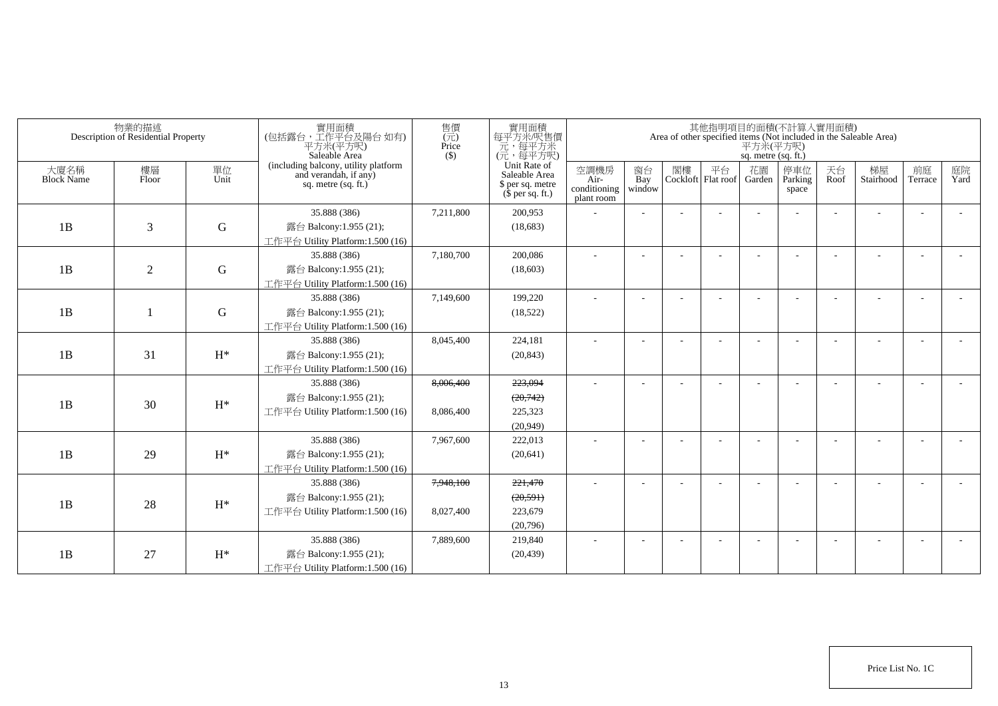| 物業的描述<br>Description of Residential Property |                |                | 實用面積<br>(包括露台,工作平台及陽台如有)<br>平方米(平方呎)<br>Saleable Area                                  | 售價<br>(元)<br>Price<br>$($ \$) | 實用面積<br>每平方米/呎售價<br>元,每平方米<br>(元,每平方呎)                                |                                            |                     | 其他指明項目的面積(不計算入實用面積)<br>Area of other specified items (Not included in the Saleable Area)<br>$\overline{P}$ $\overline{\mathcal{H}}$ $\mathcal{H}(\overline{P})$<br>sq. metre (sq. ft.) |                            |              |                         |            |                 |                          |            |
|----------------------------------------------|----------------|----------------|----------------------------------------------------------------------------------------|-------------------------------|-----------------------------------------------------------------------|--------------------------------------------|---------------------|----------------------------------------------------------------------------------------------------------------------------------------------------------------------------------------|----------------------------|--------------|-------------------------|------------|-----------------|--------------------------|------------|
| 大廈名稱<br><b>Block Name</b>                    | 樓層<br>Floor    | 單位<br>Unit     | (including balcony, utility platform<br>and verandah, if any)<br>sq. metre $(sq. ft.)$ |                               | Unit Rate of<br>Saleable Area<br>\$ per sq. metre<br>$$$ per sq. ft.) | 空調機房<br>Air-<br>conditioning<br>plant room | 窗台<br>Bay<br>window | 閣樓                                                                                                                                                                                     | 平台<br>Cockloft   Flat roof | 花園<br>Garden | 停車位<br>Parking<br>space | 天台<br>Roof | 梯屋<br>Stairhood | 前庭<br>Terrace            | 庭院<br>Yard |
|                                              |                |                | 35.888 (386)                                                                           | 7,211,800                     | 200,953                                                               |                                            |                     |                                                                                                                                                                                        |                            |              |                         |            |                 |                          |            |
| 1B                                           | 3              | ${\bf G}$      | 露台 Balcony:1.955 (21);                                                                 |                               | (18,683)                                                              |                                            |                     |                                                                                                                                                                                        |                            |              |                         |            |                 |                          |            |
|                                              |                |                | 工作平台 Utility Platform:1.500 (16)                                                       |                               |                                                                       |                                            |                     |                                                                                                                                                                                        |                            |              |                         |            |                 |                          |            |
|                                              |                |                | 35.888 (386)                                                                           | 7,180,700                     | 200,086                                                               | ÷                                          |                     |                                                                                                                                                                                        |                            |              |                         |            |                 |                          |            |
| 1B                                           | $\overline{2}$ | ${\bf G}$      | 露台 Balcony:1.955 (21);                                                                 |                               | (18,603)                                                              |                                            |                     |                                                                                                                                                                                        |                            |              |                         |            |                 |                          |            |
|                                              |                |                | 工作平台 Utility Platform:1.500 (16)                                                       |                               |                                                                       |                                            |                     |                                                                                                                                                                                        |                            |              |                         |            |                 |                          |            |
|                                              |                |                | 35.888 (386)                                                                           | 7,149,600                     | 199,220                                                               | $\sim$                                     |                     |                                                                                                                                                                                        |                            |              |                         |            |                 |                          |            |
| 1B                                           |                | ${\bf G}$      | 露台 Balcony:1.955 (21);                                                                 |                               | (18, 522)                                                             |                                            |                     |                                                                                                                                                                                        |                            |              |                         |            |                 |                          |            |
|                                              |                |                | 工作平台 Utility Platform:1.500 (16)                                                       |                               |                                                                       |                                            |                     |                                                                                                                                                                                        |                            |              |                         |            |                 |                          |            |
|                                              |                |                | 35.888 (386)                                                                           | 8,045,400                     | 224,181                                                               | $\sim$                                     |                     |                                                                                                                                                                                        |                            |              |                         |            |                 |                          |            |
| 1B                                           | 31             | $H^*$          | 露台 Balcony:1.955 (21);                                                                 |                               | (20, 843)                                                             |                                            |                     |                                                                                                                                                                                        |                            |              |                         |            |                 |                          |            |
|                                              |                |                | 工作平台 Utility Platform:1.500 (16)                                                       |                               |                                                                       |                                            |                     |                                                                                                                                                                                        |                            |              |                         |            |                 |                          |            |
|                                              |                |                | 35.888 (386)                                                                           | 8.006.400                     | 223,094                                                               |                                            |                     |                                                                                                                                                                                        |                            |              |                         |            |                 |                          |            |
| 1B                                           | 30             | $H^*$          | 露台 Balcony:1.955 (21);                                                                 |                               | (20,742)                                                              |                                            |                     |                                                                                                                                                                                        |                            |              |                         |            |                 |                          |            |
|                                              |                |                | 工作平台 Utility Platform: 1.500 (16)                                                      | 8,086,400                     | 225,323                                                               |                                            |                     |                                                                                                                                                                                        |                            |              |                         |            |                 |                          |            |
|                                              |                |                |                                                                                        |                               | (20,949)                                                              |                                            |                     |                                                                                                                                                                                        |                            |              |                         |            |                 |                          |            |
|                                              |                |                | 35.888 (386)                                                                           | 7,967,600                     | 222,013                                                               |                                            |                     |                                                                                                                                                                                        |                            |              |                         |            |                 |                          |            |
| 1B                                           | 29             | $H^*$          | 露台 Balcony:1.955 (21);                                                                 |                               | (20, 641)                                                             |                                            |                     |                                                                                                                                                                                        |                            |              |                         |            |                 |                          |            |
|                                              |                |                | 工作平台 Utility Platform:1.500 (16)                                                       |                               |                                                                       |                                            |                     |                                                                                                                                                                                        |                            |              |                         |            |                 |                          |            |
|                                              |                |                | 35.888 (386)                                                                           | 7,948,100                     | 221,470                                                               |                                            |                     |                                                                                                                                                                                        |                            |              |                         |            |                 |                          |            |
| 1B                                           | 28             | $\mathrm{H}^*$ | 露台 Balcony:1.955 (21);                                                                 |                               | (20, 591)                                                             |                                            |                     |                                                                                                                                                                                        |                            |              |                         |            |                 |                          |            |
|                                              |                |                | 工作平台 Utility Platform:1.500 (16)                                                       | 8,027,400                     | 223,679                                                               |                                            |                     |                                                                                                                                                                                        |                            |              |                         |            |                 |                          |            |
|                                              |                |                |                                                                                        |                               | (20,796)                                                              |                                            |                     |                                                                                                                                                                                        |                            |              |                         |            |                 |                          |            |
|                                              |                |                | 35.888 (386)                                                                           | 7,889,600                     | 219,840                                                               | $\sim$                                     |                     |                                                                                                                                                                                        |                            |              | <b>1</b>                |            |                 | $\overline{\phantom{a}}$ |            |
| 1B                                           | 27             | $H^*$          | 露台 Balcony:1.955 (21);                                                                 |                               | (20, 439)                                                             |                                            |                     |                                                                                                                                                                                        |                            |              |                         |            |                 |                          |            |
|                                              |                |                | 工作平台 Utility Platform:1.500 (16)                                                       |                               |                                                                       |                                            |                     |                                                                                                                                                                                        |                            |              |                         |            |                 |                          |            |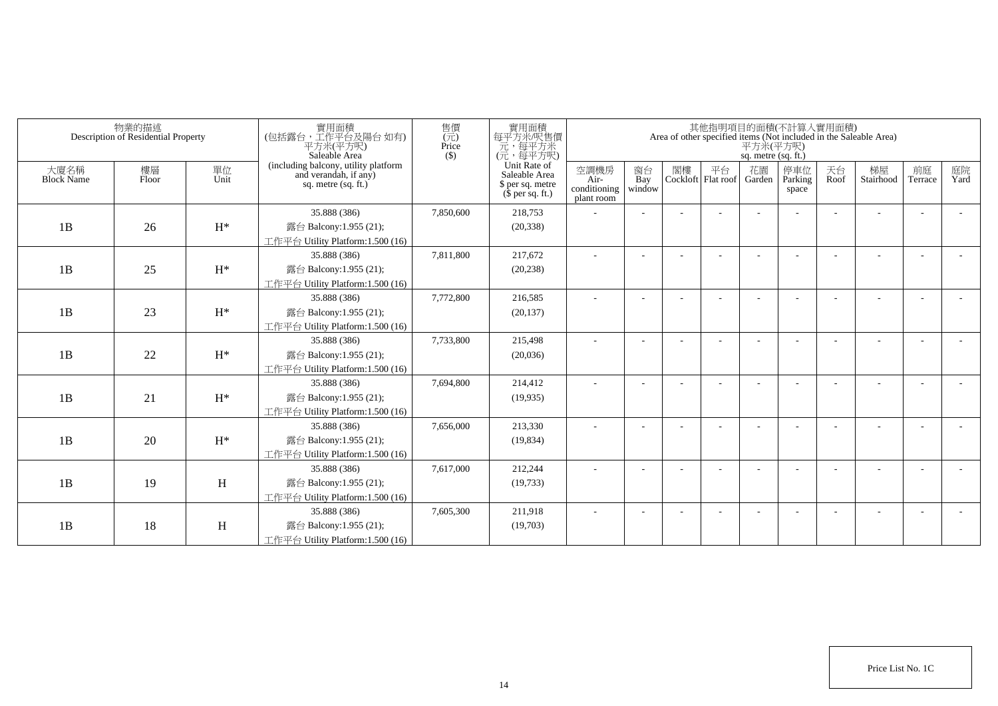|                           | 物業的描述<br>Description of Residential Property |                | 實用面積<br>(包括露台,工作平台及陽台如有)<br>平方米(平方呎)<br>Saleable Area                                  | 售價<br>$(\vec{\pi})$<br>Price<br>$($ \$) | 實用面積<br>每平方米/呎售價<br>一元,每平方米<br>(元,每平方呎)                               |                                            |                          |    |                          | 平方米(平方呎)<br>sq. metre (sq. ft.) | 其他指明項目的面積(不計算入實用面積)     |            | Area of other specified items (Not included in the Saleable Area) |                          |            |
|---------------------------|----------------------------------------------|----------------|----------------------------------------------------------------------------------------|-----------------------------------------|-----------------------------------------------------------------------|--------------------------------------------|--------------------------|----|--------------------------|---------------------------------|-------------------------|------------|-------------------------------------------------------------------|--------------------------|------------|
| 大廈名稱<br><b>Block Name</b> | 樓層<br>Floor                                  | 單位<br>Unit     | (including balcony, utility platform<br>and verandah, if any)<br>sq. metre $(sq, ft.)$ |                                         | Unit Rate of<br>Saleable Area<br>\$ per sq. metre<br>$$$ per sq. ft.) | 空調機房<br>Air-<br>conditioning<br>plant room | 窗台<br>Bay<br>window      | 閣樓 | 平台<br>Cockloft Flat roof | 花園<br>Garden                    | 停車位<br>Parking<br>space | 天台<br>Roof | 梯屋<br>Stairhood                                                   | 前庭<br>Terrace            | 庭院<br>Yard |
|                           |                                              |                | 35.888 (386)                                                                           | 7,850,600                               | 218,753                                                               |                                            |                          |    |                          |                                 |                         |            |                                                                   |                          |            |
| 1B                        | 26                                           | $\mathrm{H}^*$ | 露台 Balcony:1.955 (21);                                                                 |                                         | (20, 338)                                                             |                                            |                          |    |                          |                                 |                         |            |                                                                   |                          |            |
|                           |                                              |                | 工作平台 Utility Platform:1.500 (16)                                                       |                                         |                                                                       |                                            |                          |    |                          |                                 |                         |            |                                                                   |                          |            |
|                           |                                              |                | 35.888 (386)                                                                           | 7,811,800                               | 217,672                                                               |                                            |                          |    |                          |                                 |                         |            |                                                                   |                          |            |
| 1B                        | 25                                           | $H^*$          | 露台 Balcony:1.955 (21);                                                                 |                                         | (20, 238)                                                             |                                            |                          |    |                          |                                 |                         |            |                                                                   |                          |            |
|                           |                                              |                | 工作平台 Utility Platform:1.500 (16)                                                       |                                         |                                                                       |                                            |                          |    |                          |                                 |                         |            |                                                                   |                          |            |
|                           |                                              |                | 35.888 (386)                                                                           | 7,772,800                               | 216,585                                                               | ٠                                          | $\overline{\phantom{a}}$ |    |                          |                                 |                         |            |                                                                   | $\overline{\phantom{a}}$ |            |
| 1B                        | 23                                           | $H^*$          | 露台 Balcony:1.955 (21);                                                                 |                                         | (20, 137)                                                             |                                            |                          |    |                          |                                 |                         |            |                                                                   |                          |            |
|                           |                                              |                | 工作平台 Utility Platform:1.500 (16)                                                       |                                         |                                                                       |                                            |                          |    |                          |                                 |                         |            |                                                                   |                          |            |
|                           |                                              |                | 35.888 (386)                                                                           | 7,733,800                               | 215,498                                                               |                                            |                          |    |                          |                                 |                         |            |                                                                   |                          |            |
| 1B                        | 22                                           | $H^*$          | 露台 Balcony:1.955 (21);                                                                 |                                         | (20,036)                                                              |                                            |                          |    |                          |                                 |                         |            |                                                                   |                          |            |
|                           |                                              |                | 工作平台 Utility Platform:1.500 (16)                                                       |                                         |                                                                       |                                            |                          |    |                          |                                 |                         |            |                                                                   |                          |            |
|                           |                                              |                | 35.888 (386)                                                                           | 7,694,800                               | 214,412                                                               | ä,                                         |                          |    |                          |                                 |                         |            |                                                                   |                          |            |
| 1B                        | 21                                           | $H^*$          | 露台 Balcony:1.955 (21);                                                                 |                                         | (19, 935)                                                             |                                            |                          |    |                          |                                 |                         |            |                                                                   |                          |            |
|                           |                                              |                | 工作平台 Utility Platform: 1.500 (16)                                                      |                                         |                                                                       |                                            |                          |    |                          |                                 |                         |            |                                                                   |                          |            |
|                           |                                              |                | 35.888 (386)                                                                           | 7,656,000                               | 213,330                                                               |                                            |                          |    |                          |                                 |                         |            |                                                                   |                          |            |
| 1B                        | 20                                           | $H^*$          | 露台 Balcony:1.955 (21);                                                                 |                                         | (19, 834)                                                             |                                            |                          |    |                          |                                 |                         |            |                                                                   |                          |            |
|                           |                                              |                | 工作平台 Utility Platform:1.500 (16)                                                       |                                         |                                                                       |                                            |                          |    |                          |                                 |                         |            |                                                                   |                          |            |
|                           |                                              |                | 35.888 (386)                                                                           | 7,617,000                               | 212,244                                                               |                                            |                          |    |                          |                                 |                         |            |                                                                   | $\overline{\phantom{a}}$ |            |
| 1B                        | 19                                           | H              | 露台 Balcony:1.955 (21);                                                                 |                                         | (19, 733)                                                             |                                            |                          |    |                          |                                 |                         |            |                                                                   |                          |            |
|                           |                                              |                | 工作平台 Utility Platform: 1.500 (16)                                                      |                                         |                                                                       |                                            |                          |    |                          |                                 |                         |            |                                                                   |                          |            |
|                           |                                              |                | 35.888 (386)                                                                           | 7,605,300                               | 211,918                                                               |                                            |                          |    |                          |                                 |                         |            |                                                                   | <b>.</b>                 |            |
| 1B                        | 18                                           | H              | 露台 Balcony:1.955 (21);<br>工作平台 Utility Platform:1.500 (16)                             |                                         | (19,703)                                                              |                                            |                          |    |                          |                                 |                         |            |                                                                   |                          |            |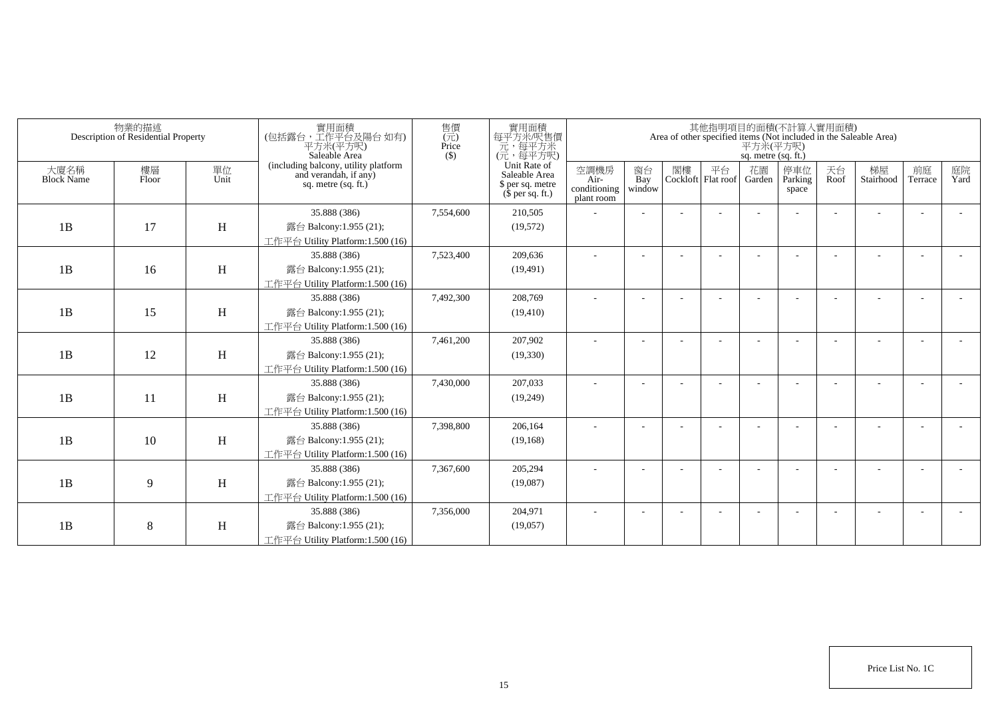| Area of other specified items (Not included in the Saleable Area) | 平方米(平方呎)<br>sq. metre (sq. ft.) | 其他指明項目的面積(不計算入實用面積)      |    |                          |                                            | 實用面積<br>每平方米/呎售價                                                                                                                                         | 售價<br>$(\vec{\pi})$<br>Price<br>$($ \$)                       | 實用面積<br>(包括露台,工作平台及陽台 如有)<br>平方米(平方呎)<br>Saleable Area                                                                                                                                                                                                                                                                                                                                                                                                                                                                                        |                            | 物業的描述<br>Description of Residential Property |                                        |
|-------------------------------------------------------------------|---------------------------------|--------------------------|----|--------------------------|--------------------------------------------|----------------------------------------------------------------------------------------------------------------------------------------------------------|---------------------------------------------------------------|-----------------------------------------------------------------------------------------------------------------------------------------------------------------------------------------------------------------------------------------------------------------------------------------------------------------------------------------------------------------------------------------------------------------------------------------------------------------------------------------------------------------------------------------------|----------------------------|----------------------------------------------|----------------------------------------|
| 天台<br>停車位<br>Parking<br>Roof<br>space                             | 花園<br>Garden                    | 平台<br>Cockloft Flat roof | 閣樓 | 窗台<br>Bay<br>window      | 空調機房<br>Air-<br>conditioning<br>plant room | Saleable Area<br>\$ per sq. metre<br>$$$ per sq. ft.)                                                                                                    |                                                               | sq. metre $(sq, ft.)$                                                                                                                                                                                                                                                                                                                                                                                                                                                                                                                         | 單位<br>Unit                 | 樓層<br>Floor                                  | 大廈名稱<br><b>Block Name</b>              |
|                                                                   |                                 |                          |    |                          |                                            | 210,505                                                                                                                                                  | 7,554,600                                                     | 35.888 (386)                                                                                                                                                                                                                                                                                                                                                                                                                                                                                                                                  |                            |                                              |                                        |
|                                                                   |                                 |                          |    |                          |                                            | (19, 572)                                                                                                                                                |                                                               | 露台 Balcony:1.955 (21);                                                                                                                                                                                                                                                                                                                                                                                                                                                                                                                        | H                          | 17                                           | 1B                                     |
|                                                                   |                                 |                          |    |                          |                                            |                                                                                                                                                          |                                                               | 工作平台 Utility Platform:1.500 (16)                                                                                                                                                                                                                                                                                                                                                                                                                                                                                                              |                            |                                              |                                        |
|                                                                   |                                 |                          |    |                          |                                            | 209,636                                                                                                                                                  | 7,523,400                                                     | 35.888 (386)                                                                                                                                                                                                                                                                                                                                                                                                                                                                                                                                  |                            |                                              |                                        |
|                                                                   |                                 |                          |    |                          |                                            | (19, 491)                                                                                                                                                |                                                               | 露台 Balcony:1.955 (21);                                                                                                                                                                                                                                                                                                                                                                                                                                                                                                                        | H                          | 16                                           |                                        |
|                                                                   |                                 |                          |    |                          |                                            |                                                                                                                                                          |                                                               |                                                                                                                                                                                                                                                                                                                                                                                                                                                                                                                                               |                            |                                              |                                        |
|                                                                   |                                 |                          |    | $\overline{\phantom{a}}$ | ٠                                          | 208,769                                                                                                                                                  | 7,492,300                                                     | 35.888 (386)                                                                                                                                                                                                                                                                                                                                                                                                                                                                                                                                  |                            |                                              |                                        |
|                                                                   |                                 |                          |    |                          |                                            | (19, 410)                                                                                                                                                |                                                               | 露台 Balcony:1.955 (21);                                                                                                                                                                                                                                                                                                                                                                                                                                                                                                                        |                            |                                              |                                        |
|                                                                   |                                 |                          |    |                          |                                            |                                                                                                                                                          |                                                               |                                                                                                                                                                                                                                                                                                                                                                                                                                                                                                                                               |                            |                                              |                                        |
|                                                                   |                                 |                          |    |                          |                                            |                                                                                                                                                          |                                                               |                                                                                                                                                                                                                                                                                                                                                                                                                                                                                                                                               |                            |                                              |                                        |
|                                                                   |                                 |                          |    |                          |                                            |                                                                                                                                                          |                                                               |                                                                                                                                                                                                                                                                                                                                                                                                                                                                                                                                               |                            |                                              |                                        |
|                                                                   |                                 |                          |    |                          |                                            |                                                                                                                                                          |                                                               |                                                                                                                                                                                                                                                                                                                                                                                                                                                                                                                                               |                            |                                              |                                        |
|                                                                   |                                 |                          |    |                          |                                            |                                                                                                                                                          |                                                               |                                                                                                                                                                                                                                                                                                                                                                                                                                                                                                                                               |                            |                                              |                                        |
|                                                                   |                                 |                          |    |                          |                                            |                                                                                                                                                          |                                                               |                                                                                                                                                                                                                                                                                                                                                                                                                                                                                                                                               |                            |                                              |                                        |
|                                                                   |                                 |                          |    |                          |                                            |                                                                                                                                                          |                                                               |                                                                                                                                                                                                                                                                                                                                                                                                                                                                                                                                               |                            |                                              |                                        |
|                                                                   |                                 |                          |    |                          |                                            |                                                                                                                                                          |                                                               |                                                                                                                                                                                                                                                                                                                                                                                                                                                                                                                                               |                            |                                              |                                        |
|                                                                   |                                 |                          |    |                          |                                            |                                                                                                                                                          |                                                               |                                                                                                                                                                                                                                                                                                                                                                                                                                                                                                                                               |                            |                                              |                                        |
|                                                                   |                                 |                          |    |                          |                                            |                                                                                                                                                          |                                                               |                                                                                                                                                                                                                                                                                                                                                                                                                                                                                                                                               |                            |                                              |                                        |
|                                                                   |                                 |                          |    |                          |                                            |                                                                                                                                                          |                                                               |                                                                                                                                                                                                                                                                                                                                                                                                                                                                                                                                               |                            |                                              |                                        |
|                                                                   |                                 |                          |    |                          |                                            |                                                                                                                                                          |                                                               |                                                                                                                                                                                                                                                                                                                                                                                                                                                                                                                                               |                            |                                              |                                        |
|                                                                   |                                 |                          |    |                          |                                            |                                                                                                                                                          |                                                               |                                                                                                                                                                                                                                                                                                                                                                                                                                                                                                                                               |                            |                                              |                                        |
|                                                                   |                                 |                          |    |                          |                                            |                                                                                                                                                          |                                                               |                                                                                                                                                                                                                                                                                                                                                                                                                                                                                                                                               |                            |                                              |                                        |
|                                                                   |                                 |                          |    |                          |                                            |                                                                                                                                                          |                                                               |                                                                                                                                                                                                                                                                                                                                                                                                                                                                                                                                               |                            |                                              |                                        |
|                                                                   |                                 |                          |    |                          |                                            | 一元,每平方米<br>(元,每平方呎)<br>Unit Rate of<br>207,902<br>(19, 330)<br>207,033<br>(19,249)<br>206,164<br>(19, 168)<br>205,294<br>(19,087)<br>204,971<br>(19,057) | 7,461,200<br>7,430,000<br>7,398,800<br>7,367,600<br>7,356,000 | (including balcony, utility platform<br>and verandah, if any)<br>工作平台 Utility Platform:1.500 (16)<br>工作平台 Utility Platform:1.500 (16)<br>35.888 (386)<br>露台 Balcony:1.955 (21);<br>工作平台 Utility Platform:1.500 (16)<br>35.888 (386)<br>露台 Balcony:1.955 (21);<br>工作平台 Utility Platform: 1.500 (16)<br>35.888 (386)<br>露台 Balcony:1.955 (21);<br>工作平台 Utility Platform:1.500 (16)<br>35.888 (386)<br>露台 Balcony:1.955 (21);<br>工作平台 Utility Platform: 1.500 (16)<br>35.888 (386)<br>露台 Balcony:1.955 (21);<br>工作平台 Utility Platform:1.500 (16) | H<br>H<br>H<br>H<br>H<br>H | 15<br>12<br>11<br>10<br>9<br>8               | 1B<br>1B<br>1B<br>1B<br>1B<br>1B<br>1B |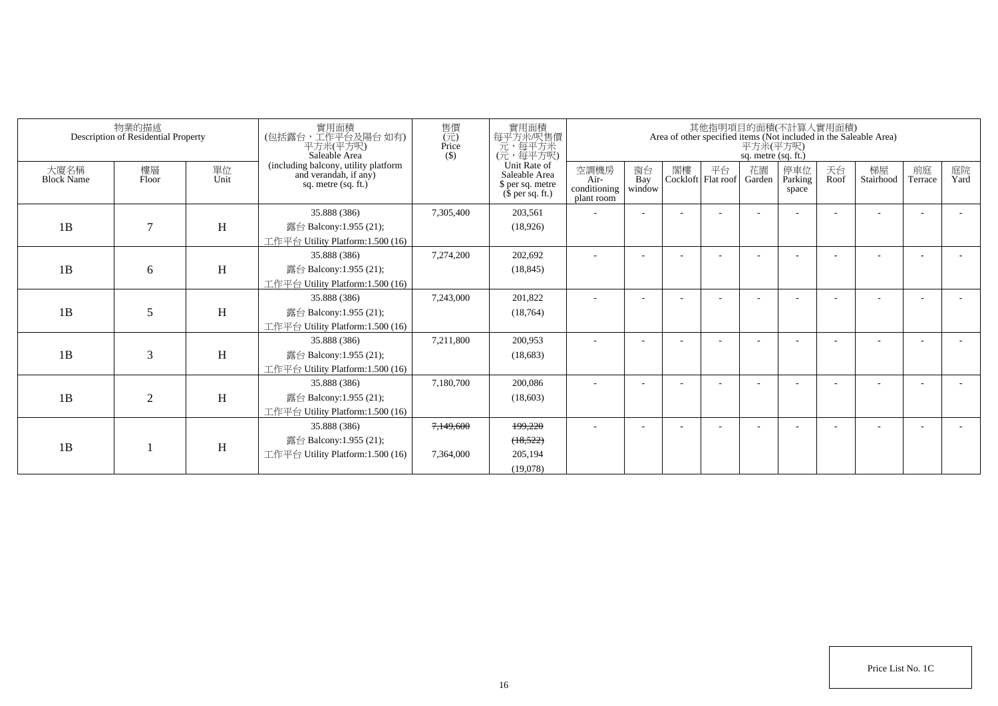|                           | 物業的描述<br>Description of Residential Property |            | 實用面積<br>(包括露台,工作平台及陽台如有)<br>平方米(平方呎)<br>Saleable Area                                | 實用面積<br>售價<br>每平方米/呎售價<br>$(\vec{\pi})$<br>元,每平方米<br>Price<br>(元,每平方呎)<br>$($ \$) |                                                                       |                                            |                          |    |                          |              | 其他指明項目的面積(不計算入實用面積)<br>Area of other specified items (Not included in the Saleable Area)<br>平方米(平方呎)<br>sq. metre (sq. ft.) |            |                 |               |            |  |  |  |  |  |  |  |
|---------------------------|----------------------------------------------|------------|--------------------------------------------------------------------------------------|-----------------------------------------------------------------------------------|-----------------------------------------------------------------------|--------------------------------------------|--------------------------|----|--------------------------|--------------|-----------------------------------------------------------------------------------------------------------------------------|------------|-----------------|---------------|------------|--|--|--|--|--|--|--|
| 大廈名稱<br><b>Block Name</b> | 樓層<br>Floor                                  | 單位<br>Unit | (including balcony, utility platform<br>and verandah, if any)<br>sq. metre (sq. ft.) |                                                                                   | Unit Rate of<br>Saleable Area<br>\$ per sq. metre<br>$$$ per sq. ft.) | 空調機房<br>Air-<br>conditioning<br>plant room | 窗台<br>Bay<br>window      | 閣樓 | 平台<br>Cockloft Flat roof | 花園<br>Garden | 停車位<br>Parking<br>space                                                                                                     | 天台<br>Roof | 梯屋<br>Stairhood | 前庭<br>Terrace | 庭院<br>Yard |  |  |  |  |  |  |  |
| 1B                        | $\tau$                                       | H          | 35.888 (386)<br>露台 Balcony:1.955 (21);<br>工作平台 Utility Platform:1.500 (16)           | 7,305,400                                                                         | 203,561<br>(18,926)                                                   |                                            |                          |    |                          |              |                                                                                                                             |            |                 |               |            |  |  |  |  |  |  |  |
| 1B                        | 6                                            | H          | 35.888 (386)<br>露台 Balcony:1.955 (21);<br>工作平台 Utility Platform:1.500 (16)           | 7,274,200                                                                         | 202,692<br>(18, 845)                                                  |                                            |                          |    |                          |              |                                                                                                                             |            |                 |               |            |  |  |  |  |  |  |  |
| 1B                        | 5                                            | H          | 35.888 (386)<br>露台 Balcony:1.955 (21);<br>工作平台 Utility Platform:1.500 (16)           | 7,243,000                                                                         | 201,822<br>(18, 764)                                                  |                                            |                          |    |                          |              |                                                                                                                             |            |                 |               |            |  |  |  |  |  |  |  |
| 1B                        | 3                                            | H          | 35.888 (386)<br>露台 Balcony:1.955 (21);<br>工作平台 Utility Platform:1.500 (16)           | 7,211,800                                                                         | 200,953<br>(18,683)                                                   |                                            |                          |    |                          |              |                                                                                                                             |            |                 |               |            |  |  |  |  |  |  |  |
| 1B                        | $\overline{2}$                               | H          | 35.888 (386)<br>露台 Balcony:1.955 (21);<br>工作平台 Utility Platform:1.500 (16)           | 7,180,700                                                                         | 200,086<br>(18,603)                                                   |                                            |                          |    |                          |              |                                                                                                                             |            |                 |               |            |  |  |  |  |  |  |  |
| 1B                        |                                              | H          | 35.888 (386)<br>露台 Balcony:1.955 (21);<br>工作平台 Utility Platform:1.500 (16)           | 7,149,600<br>7.364,000                                                            | 199.220<br>(18, 522)<br>205.194<br>(19,078)                           | $\sim$                                     | $\overline{\phantom{a}}$ |    |                          |              |                                                                                                                             |            |                 |               |            |  |  |  |  |  |  |  |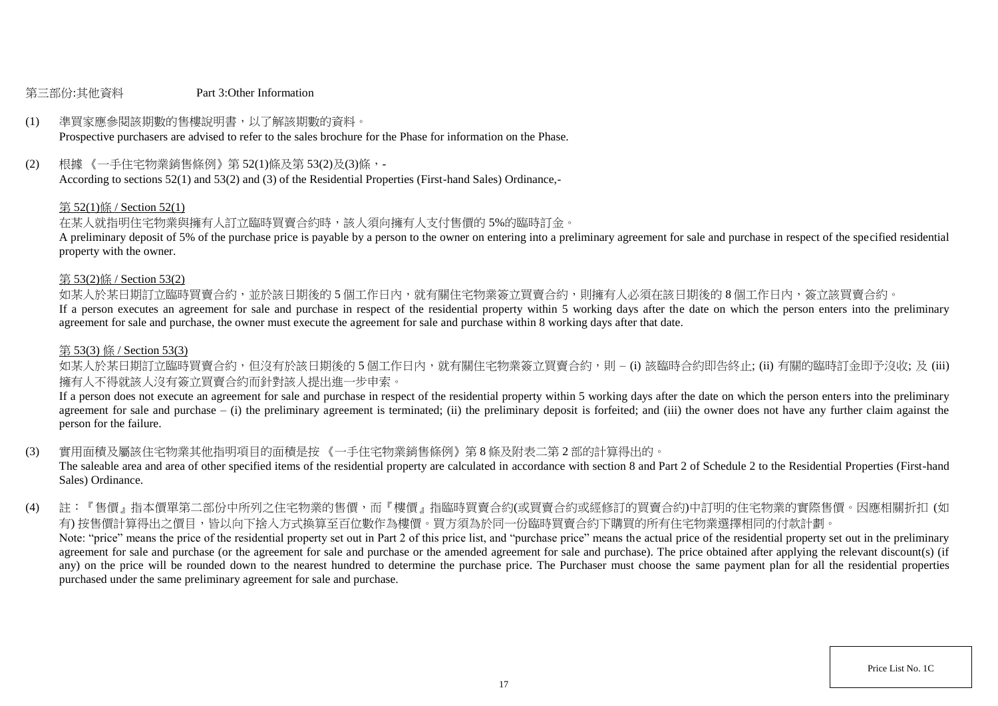### 第三部份:其他資料 Part 3:Other Information

# (1) 準買家應參閱該期數的售樓說明書,以了解該期數的資料。

Prospective purchasers are advised to refer to the sales brochure for the Phase for information on the Phase.

(2) 根據 《一手住宅物業銷售條例》第 52(1)條及第 53(2)及(3)條,-

According to sections 52(1) and 53(2) and (3) of the Residential Properties (First-hand Sales) Ordinance,-

### 第 52(1)條 / Section 52(1)

在某人就指明住宅物業與擁有人訂立臨時買賣合約時,該人須向擁有人支付售價的 5%的臨時訂金。

A preliminary deposit of 5% of the purchase price is payable by a person to the owner on entering into a preliminary agreement for sale and purchase in respect of the specified residential property with the owner.

### 第 53(2)條 / Section 53(2)

如某人於某日期訂立臨時買賣合約,並於該日期後的5個工作日內,就有關住宅物業簽立買賣合約,則擁有人必須在該日期後的8個工作日內,簽立該買賣合約。

If a person executes an agreement for sale and purchase in respect of the residential property within 5 working days after the date on which the person enters into the preliminary agreement for sale and purchase, the owner must execute the agreement for sale and purchase within 8 working days after that date.

### 第 53(3) 條 / Section 53(3)

如某人於某日期訂立臨時買賣合約,但沒有於該日期後的 5 個工作日内,就有關住宅物業簽立買賣合約,則 – (i) 該臨時合約即告終止; (ii) 有關的臨時訂金即予沒收; 及 (iii) 擁有人不得就該人沒有簽立買賣合約而針對該人提出進一步申索。

If a person does not execute an agreement for sale and purchase in respect of the residential property within 5 working days after the date on which the person enters into the preliminary agreement for sale and purchase  $-$  (i) the preliminary agreement is terminated; (ii) the preliminary deposit is forfeited; and (iii) the owner does not have any further claim against the person for the failure.

(3) 實用面積及屬該住宅物業其他指明項目的面積是按 《一手住宅物業銷售條例》第 8 條及附表二第 2 部的計算得出的。

The saleable area and area of other specified items of the residential property are calculated in accordance with section 8 and Part 2 of Schedule 2 to the Residential Properties (First-hand Sales) Ordinance.

(4) 註:『售價』指本價單第二部份中所列之住宅物業的售價,而『樓價』指臨時買賣合約(或買賣合約或經修訂的買賣合約)中訂明的住宅物業的實際售價。因應相關折扣 (如 有) 按售價計算得出之價目,皆以向下捨入方式換算至百位數作為樓價。買方須為於同一份臨時買賣合約下購買的所有住宅物業選擇相同的付款計劃。 Note: "price" means the price of the residential property set out in Part 2 of this price list, and "purchase price" means the actual price of the residential property set out in the preliminary agreement for sale and purchase (or the agreement for sale and purchase or the amended agreement for sale and purchase). The price obtained after applying the relevant discount(s) (if any) on the price will be rounded down to the nearest hundred to determine the purchase price. The Purchaser must choose the same payment plan for all the residential properties purchased under the same preliminary agreement for sale and purchase.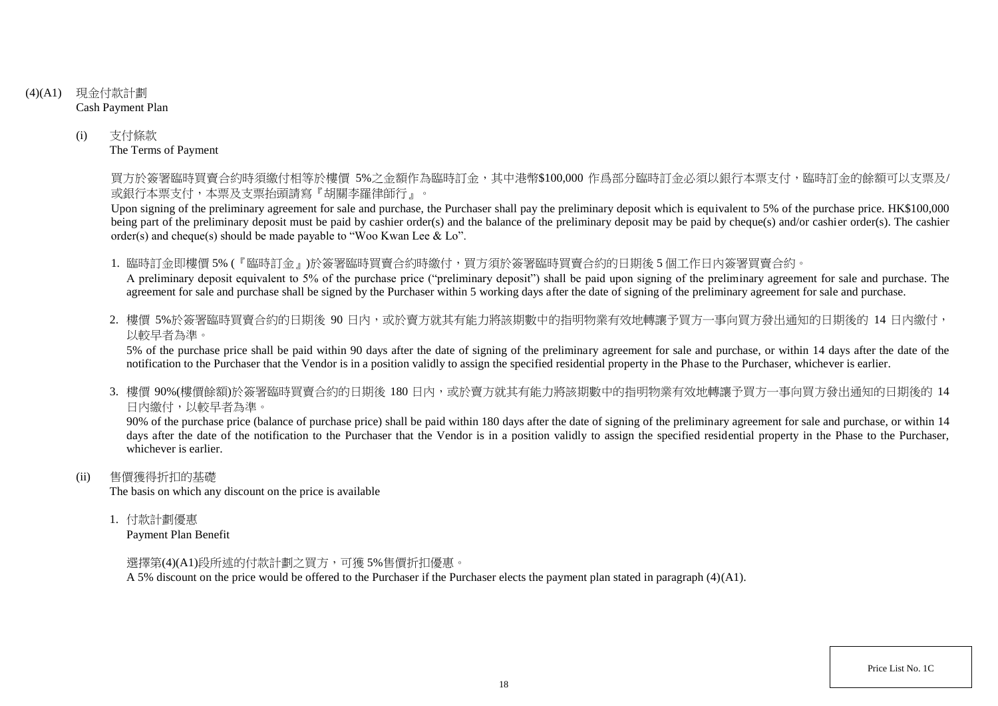- (4)(A1) 現金付款計劃 Cash Payment Plan
	- (i) 支付條款 The Terms of Payment

買方於簽署臨時買賣合約時須繳付相等於樓價 5%之金額作為臨時訂金,其中港幣\$100,000 作爲部分臨時訂金必須以銀行本票支付,臨時訂金的餘額可以支票及/ 或銀行本票支付,本票及支票抬頭請寫『胡關李羅律師行』。

Upon signing of the preliminary agreement for sale and purchase, the Purchaser shall pay the preliminary deposit which is equivalent to 5% of the purchase price. HK\$100,000 being part of the preliminary deposit must be paid by cashier order(s) and the balance of the preliminary deposit may be paid by cheque(s) and/or cashier order(s). The cashier order(s) and cheque(s) should be made payable to "Woo Kwan Lee & Lo".

1. 臨時訂金即樓價 5% (『臨時訂金』)於簽署臨時買賣合約時繳付,買方須於簽署臨時買賣合約的日期後 5 個工作日內簽署買賣合約。

A preliminary deposit equivalent to 5% of the purchase price ("preliminary deposit") shall be paid upon signing of the preliminary agreement for sale and purchase. The agreement for sale and purchase shall be signed by the Purchaser within 5 working days after the date of signing of the preliminary agreement for sale and purchase.

2. 樓價 5%於簽署臨時買賣合約的日期後 90 日内,或於賣方就其有能力將該期數中的指明物業有效地轉讓予買方一事向買方發出通知的日期後的 14 日內繳付, 以較早者為準。

5% of the purchase price shall be paid within 90 days after the date of signing of the preliminary agreement for sale and purchase, or within 14 days after the date of the notification to the Purchaser that the Vendor is in a position validly to assign the specified residential property in the Phase to the Purchaser, whichever is earlier.

3. 樓價 90%(樓價餘額)於簽署臨時買賣合約的日期後 180 日内,或於賣方就其有能力將該期數中的指明物業有效地轉讓予買方一事向買方發出涌知的日期後的 14 日內繳付,以較早者為準。

90% of the purchase price (balance of purchase price) shall be paid within 180 days after the date of signing of the preliminary agreement for sale and purchase, or within 14 days after the date of the notification to the Purchaser that the Vendor is in a position validly to assign the specified residential property in the Phase to the Purchaser. whichever is earlier.

(ii) 售價獲得折扣的基礎

The basis on which any discount on the price is available

1. 付款計劃優惠

Payment Plan Benefit

選擇第(4)(A1)段所述的付款計劃之買方,可獲 5%售價折扣優惠。

A 5% discount on the price would be offered to the Purchaser if the Purchaser elects the payment plan stated in paragraph (4)(A1).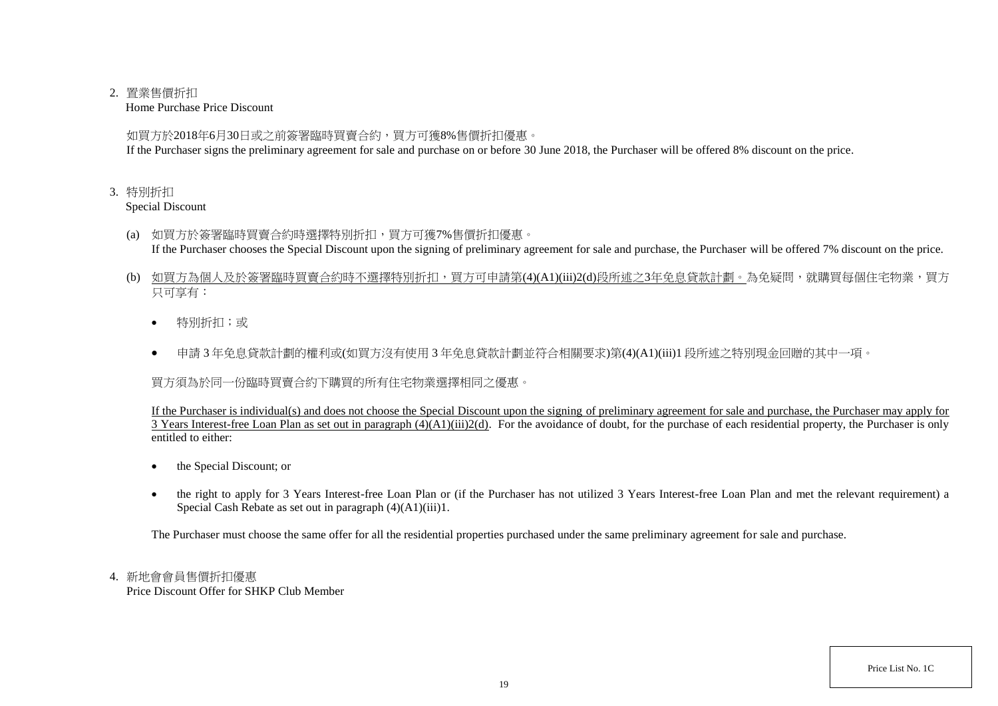## 2. 置業售價折扣

Home Purchase Price Discount

如買方於2018年6月30日或之前簽署臨時買賣合約,買方可獲8%售價折扣優惠。

If the Purchaser signs the preliminary agreement for sale and purchase on or before 30 June 2018, the Purchaser will be offered 8% discount on the price.

## 3. 特別折扣

Special Discount

- (a) 如買方於簽署臨時買賣合約時選擇特別折扣,買方可獲7%售價折扣優惠。 If the Purchaser chooses the Special Discount upon the signing of preliminary agreement for sale and purchase, the Purchaser will be offered 7% discount on the price.
- (b) 如買方為個人及於簽署臨時買賣合約時不選擇特別折扣,買方可申請第(4)(A1)(iii)2(d)段所述之3年免息貸款計劃。為免疑問,就購買每個住宅物業,買方 只可享有:
	- 特別折扣;或
	- 申請 3 年免息貸款計劃的權利或(如買方沒有使用 3 年免息貸款計劃並符合相關要求)第(4)(A1)(iii)1 段所述之特別現金回贈的其中一項。

買方須為於同一份臨時買賣合約下購買的所有住宅物業選擇相同之優惠。

If the Purchaser is individual(s) and does not choose the Special Discount upon the signing of preliminary agreement for sale and purchase, the Purchaser may apply for 3 Years Interest-free Loan Plan as set out in paragraph (4)(A1)(iii)2(d). For the avoidance of doubt, for the purchase of each residential property, the Purchaser is only entitled to either:

- the Special Discount; or
- the right to apply for 3 Years Interest-free Loan Plan or (if the Purchaser has not utilized 3 Years Interest-free Loan Plan and met the relevant requirement) a Special Cash Rebate as set out in paragraph (4)(A1)(iii)1.

The Purchaser must choose the same offer for all the residential properties purchased under the same preliminary agreement for sale and purchase.

# 4. 新地會會員售價折扣優惠

Price Discount Offer for SHKP Club Member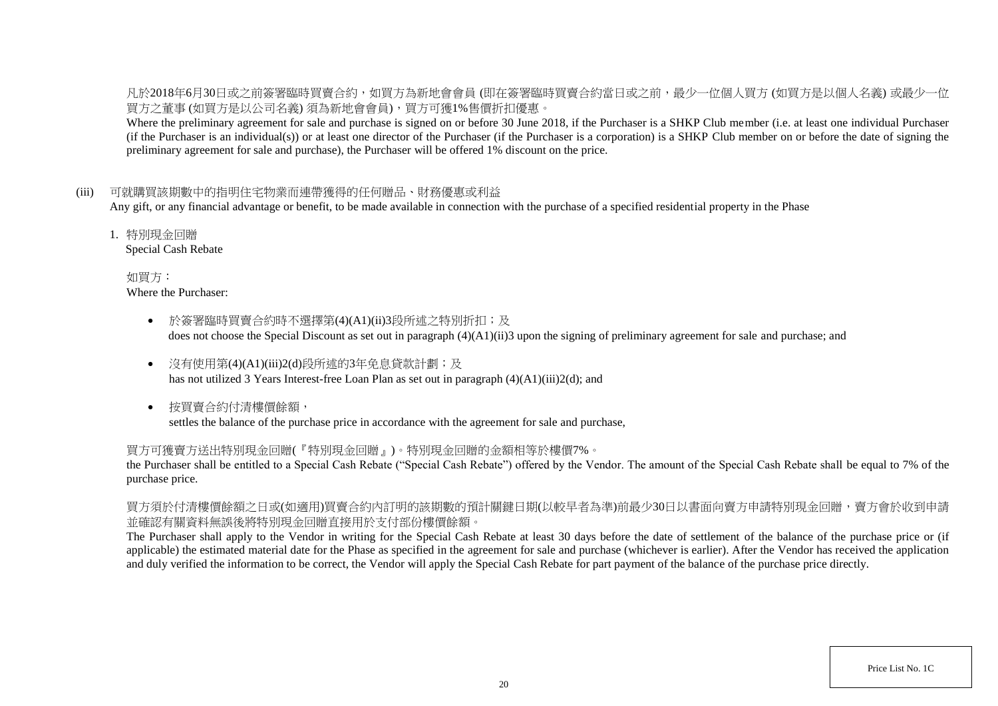凡於2018年6月30日或之前簽署臨時買賣合約,如買方為新地會會員 (即在簽署臨時買賣合約當日或之前,最少一位個人買方 (如買方是以個人名義) 或最少一位 買方之董事 (如買方是以公司名義) 須為新地會會員),買方可獲1%售價折扣優惠。

Where the preliminary agreement for sale and purchase is signed on or before 30 June 2018, if the Purchaser is a SHKP Club member (i.e. at least one individual Purchaser (if the Purchaser is an individual(s)) or at least one director of the Purchaser (if the Purchaser is a corporation) is a SHKP Club member on or before the date of signing the preliminary agreement for sale and purchase), the Purchaser will be offered 1% discount on the price.

## (iii) 可就購買該期數中的指明住宅物業而連帶獲得的任何贈品、財務優惠或利益

Any gift, or any financial advantage or benefit, to be made available in connection with the purchase of a specified residential property in the Phase

1. 特別現金回贈

Special Cash Rebate

如買方: Where the Purchaser:

- 於簽署臨時買賣合約時不選擇第(4)(A1)(ii)3段所述之特別折扣;及 does not choose the Special Discount as set out in paragraph (4)(A1)(ii)3 upon the signing of preliminary agreement for sale and purchase; and
- 沒有使用第(4)(A1)(iii)2(d)段所述的3年免息貸款計劃;及 has not utilized 3 Years Interest-free Loan Plan as set out in paragraph (4)(A1)(iii)2(d); and
- 按買賣合約付清樓價餘額, settles the balance of the purchase price in accordance with the agreement for sale and purchase,

### 買方可獲賣方送出特別現金回贈(『特別現金回贈』)。特別現金回贈的金額相等於樓價7%。

the Purchaser shall be entitled to a Special Cash Rebate ("Special Cash Rebate") offered by the Vendor. The amount of the Special Cash Rebate shall be equal to 7% of the purchase price.

買方須於付清樓價餘額之日或(如適用)買賣合約內訂明的該期數的預計關鍵日期(以較早者為準)前最少30日以書面向賣方申請特別現金回贈,賣方會於收到申請 並確認有關資料無誤後將特別現金回贈直接用於支付部份樓價餘額。

The Purchaser shall apply to the Vendor in writing for the Special Cash Rebate at least 30 days before the date of settlement of the balance of the purchase price or (if applicable) the estimated material date for the Phase as specified in the agreement for sale and purchase (whichever is earlier). After the Vendor has received the application and duly verified the information to be correct, the Vendor will apply the Special Cash Rebate for part payment of the balance of the purchase price directly.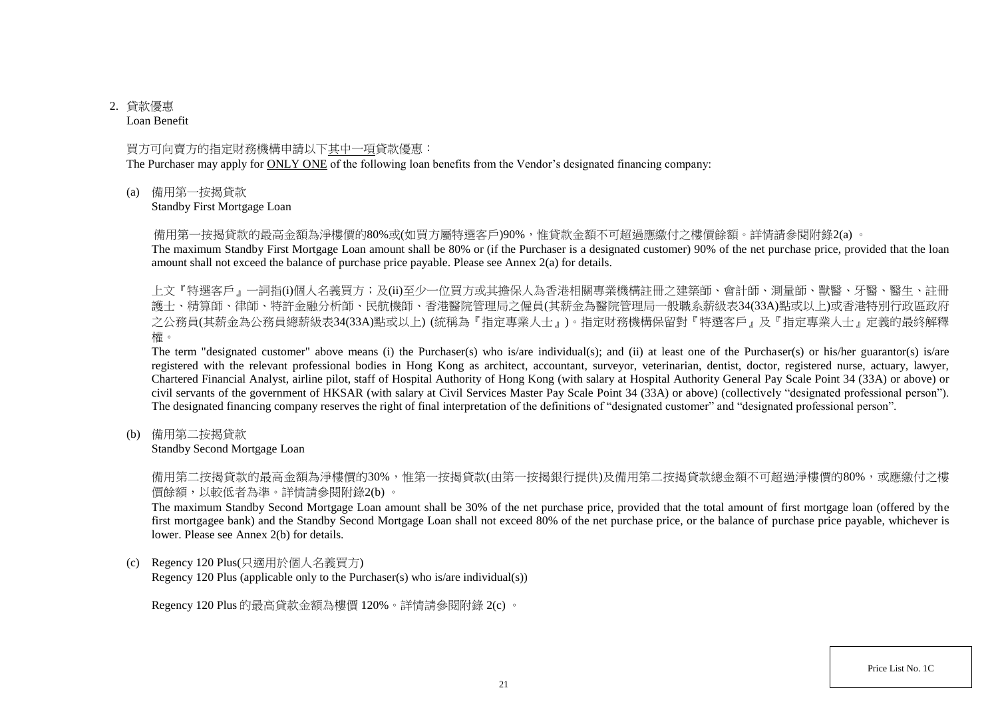# 2. 貸款優惠

Loan Benefit

### 買方可向賣方的指定財務機構申請以下其中一項貸款優惠:

The Purchaser may apply for ONLY ONE of the following loan benefits from the Vendor's designated financing company:

(a) 備用第一按揭貸款

Standby First Mortgage Loan

備用第一按揭貸款的最高金額為淨樓價的80%或(如買方屬特選客戶)90%,惟貸款金額不可超過應繳付之樓價餘額。詳情請參閱附錄2(a) 。

The maximum Standby First Mortgage Loan amount shall be 80% or (if the Purchaser is a designated customer) 90% of the net purchase price, provided that the loan amount shall not exceed the balance of purchase price payable. Please see Annex 2(a) for details.

上文『特選客戶』一詞指(i)個人名義買方;及(ii)至少一位買方或其擔保人為香港相關專業機構註冊之建築師、會計師、測量師、獸醫、牙醫、醫生、註冊 護士、精算師、律師、特許金融分析師、民航機師、香港醫院管理局之僱員(其薪金為醫院管理局一般職系薪級表34(33A)點或以上)或香港特別行政區政府 之公務員(其薪金為公務員總薪級表34(33A)點或以上) (統稱為『指定專業人士』)。指定財務機構保留對『特選客戶』及『指定專業人士』定義的最終解釋 權。

The term "designated customer" above means (i) the Purchaser(s) who is/are individual(s); and (ii) at least one of the Purchaser(s) or his/her guarantor(s) is/are registered with the relevant professional bodies in Hong Kong as architect, accountant, surveyor, veterinarian, dentist, doctor, registered nurse, actuary, lawyer, Chartered Financial Analyst, airline pilot, staff of Hospital Authority of Hong Kong (with salary at Hospital Authority General Pay Scale Point 34 (33A) or above) or civil servants of the government of HKSAR (with salary at Civil Services Master Pay Scale Point 34 (33A) or above) (collectively "designated professional person"). The designated financing company reserves the right of final interpretation of the definitions of "designated customer" and "designated professional person".

(b) 備用第二按揭貸款

Standby Second Mortgage Loan

備用第二按揭貸款的最高金額為淨樓價的30%,惟第一按揭貸款(由第一按揭銀行提供)及備用第二按揭貸款總金額不可超過淨樓價的80%,或應繳付之樓 價餘額,以較低者為準。詳情請參閱附錄2(b) 。

The maximum Standby Second Mortgage Loan amount shall be 30% of the net purchase price, provided that the total amount of first mortgage loan (offered by the first mortgagee bank) and the Standby Second Mortgage Loan shall not exceed 80% of the net purchase price, or the balance of purchase price payable, whichever is lower. Please see Annex 2(b) for details.

(c) Regency 120 Plus(只適用於個人名義買方)

Regency 120 Plus (applicable only to the Purchaser(s) who is/are individual(s))

Regency 120 Plus 的最高貸款金額為樓價 120%。詳情請參閱附錄 2(c) 。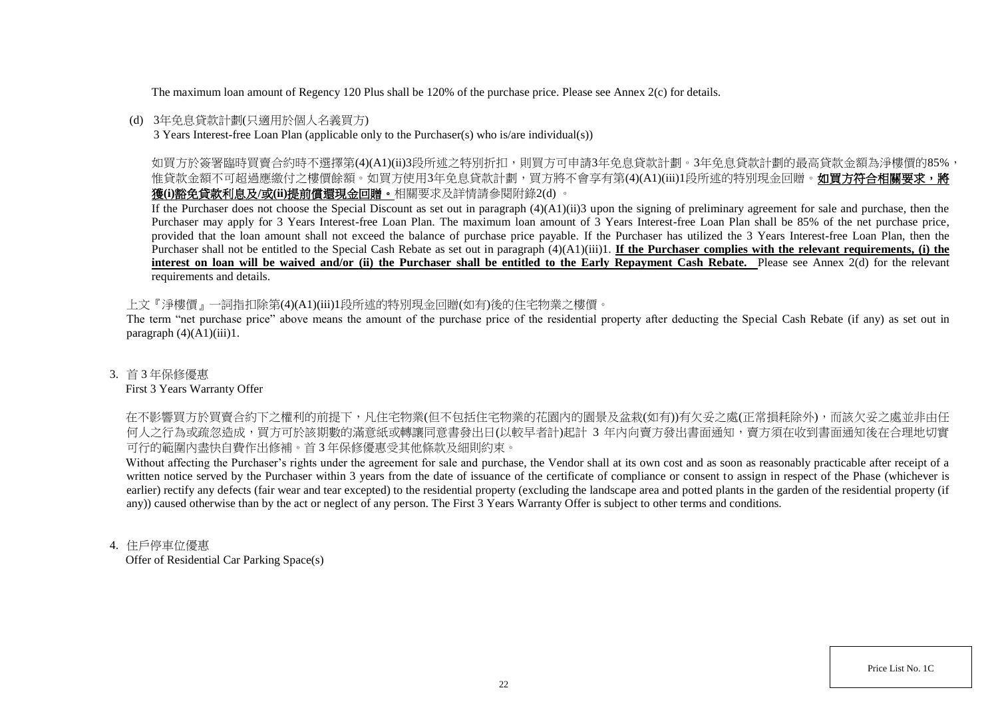The maximum loan amount of Regency 120 Plus shall be 120% of the purchase price. Please see Annex 2(c) for details.

## (d) 3年免息貸款計劃(只適用於個人名義買方)

3 Years Interest-free Loan Plan (applicable only to the Purchaser(s) who is/are individual(s))

如買方於簽署臨時買賣合約時不選擇第(4)(A1)(ii)3段所述之特別折扣,則買方可申請3年免息貸款計劃。3年免息貸款計劃的最高貸款金額為淨樓價的85%, 惟貸款金額不可超過應繳付之樓價餘額。如買方使用3年免息貸款計劃,買方將不會享有第(4)(A1)(iii)1段所述的特別現金回贈。如買方符合相關要求,將 獲**(i)**豁免貸款利息及**/**或**(ii)**提前償還現金回贈。相關要求及詳情請參閱附錄2(d) 。

If the Purchaser does not choose the Special Discount as set out in paragraph (4)(A1)(ii)3 upon the signing of preliminary agreement for sale and purchase, then the Purchaser may apply for 3 Years Interest-free Loan Plan. The maximum loan amount of 3 Years Interest-free Loan Plan shall be 85% of the net purchase price, provided that the loan amount shall not exceed the balance of purchase price payable. If the Purchaser has utilized the 3 Years Interest-free Loan Plan, then the Purchaser shall not be entitled to the Special Cash Rebate as set out in paragraph (4)(A1)(iii)1. **If the Purchaser complies with the relevant requirements, (i) the** interest on loan will be waived and/or (ii) the Purchaser shall be entitled to the Early Repayment Cash Rebate. Please see Annex 2(d) for the relevant requirements and details.

上文『淨樓價』一詞指扣除第(4)(A1)(iii)1段所述的特別現金回贈(如有)後的住宅物業之樓價。

The term "net purchase price" above means the amount of the purchase price of the residential property after deducting the Special Cash Rebate (if any) as set out in paragraph  $(4)(A1)(iii)1$ .

## 3. 首 3 年保修優惠

### First 3 Years Warranty Offer

在不影響買方於買賣合約下之權利的前提下,凡住宅物業(但不包括住宅物業的花園内的園景及盆栽(如有))有欠妥之處(正常損耗除外),而該欠妥之處並非由任 何人之行為或疏忽造成,買方可於該期數的滿意紙或轉讓同意書發出日(以較早者計)起計 3 年内向賣方發出書面通知,賣方須在收到書面通知後在合理地切實 可行的範圍內盡快自費作出修補。首 3 年保修優惠受其他條款及細則約束。

Without affecting the Purchaser's rights under the agreement for sale and purchase, the Vendor shall at its own cost and as soon as reasonably practicable after receipt of a written notice served by the Purchaser within 3 years from the date of issuance of the certificate of compliance or consent to assign in respect of the Phase (whichever is earlier) rectify any defects (fair wear and tear excepted) to the residential property (excluding the landscape area and potted plants in the garden of the residential property (if any)) caused otherwise than by the act or neglect of any person. The First 3 Years Warranty Offer is subject to other terms and conditions.

## 4. 住戶停車位優惠

Offer of Residential Car Parking Space(s)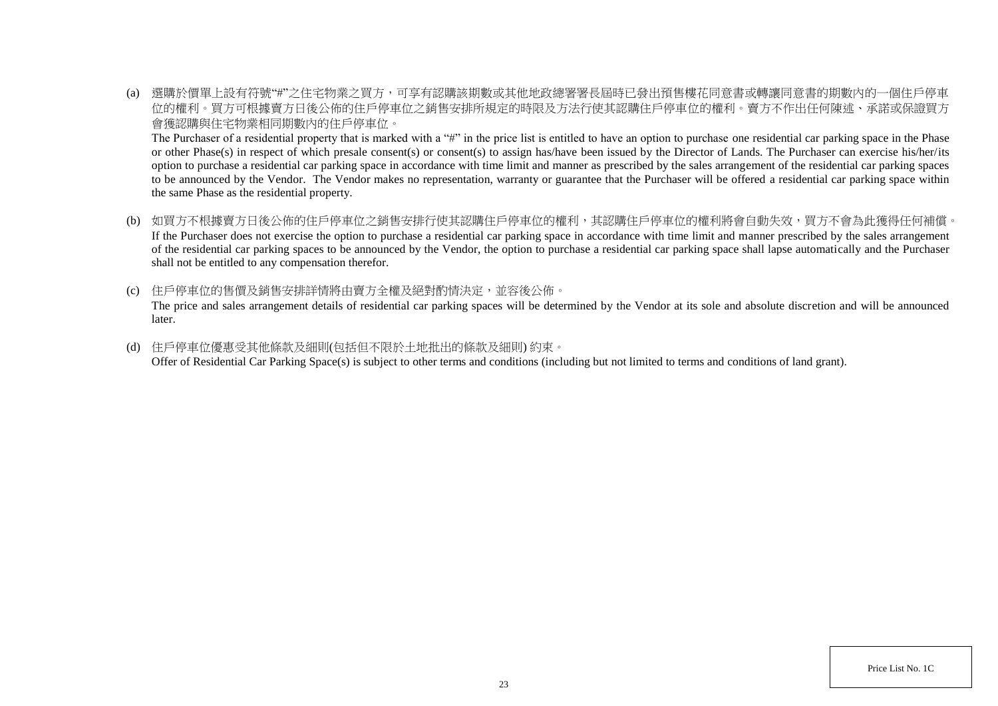(a) 選購於價單上設有符號"#"之住宅物業之買方,可享有認購該期數或其他地政總署署長屆時已發出預售樓花同意書或轉讓同意書的期數內的一個住戶停車 位的權利。買方可根據賣方日後公佈的住戶停車位之銷售安排所規定的時限及方法行使其認購住戶停車位的權利。賣方不作出任何陳述、承諾或保證買方 會獲認購與住宅物業相同期數內的住戶停車位。

The Purchaser of a residential property that is marked with a "#" in the price list is entitled to have an option to purchase one residential car parking space in the Phase or other Phase(s) in respect of which presale consent(s) or consent(s) to assign has/have been issued by the Director of Lands. The Purchaser can exercise his/her/its option to purchase a residential car parking space in accordance with time limit and manner as prescribed by the sales arrangement of the residential car parking spaces to be announced by the Vendor. The Vendor makes no representation, warranty or guarantee that the Purchaser will be offered a residential car parking space within the same Phase as the residential property.

- (b) 如買方不根據賣方日後公佈的住戶停車位之銷售安排行使其認購住戶停車位的權利,其認購住戶停車位的權利將會自動失效,買方不會為此獲得任何補償。 If the Purchaser does not exercise the option to purchase a residential car parking space in accordance with time limit and manner prescribed by the sales arrangement of the residential car parking spaces to be announced by the Vendor, the option to purchase a residential car parking space shall lapse automatically and the Purchaser shall not be entitled to any compensation therefor.
- (c) 住戶停車位的售價及銷售安排詳情將由賣方全權及絕對酌情決定,並容後公佈。 The price and sales arrangement details of residential car parking spaces will be determined by the Vendor at its sole and absolute discretion and will be announced later.
- (d) 住戶停車位優惠受其他條款及細則(包括但不限於土地批出的條款及細則) 約束。 Offer of Residential Car Parking Space(s) is subject to other terms and conditions (including but not limited to terms and conditions of land grant).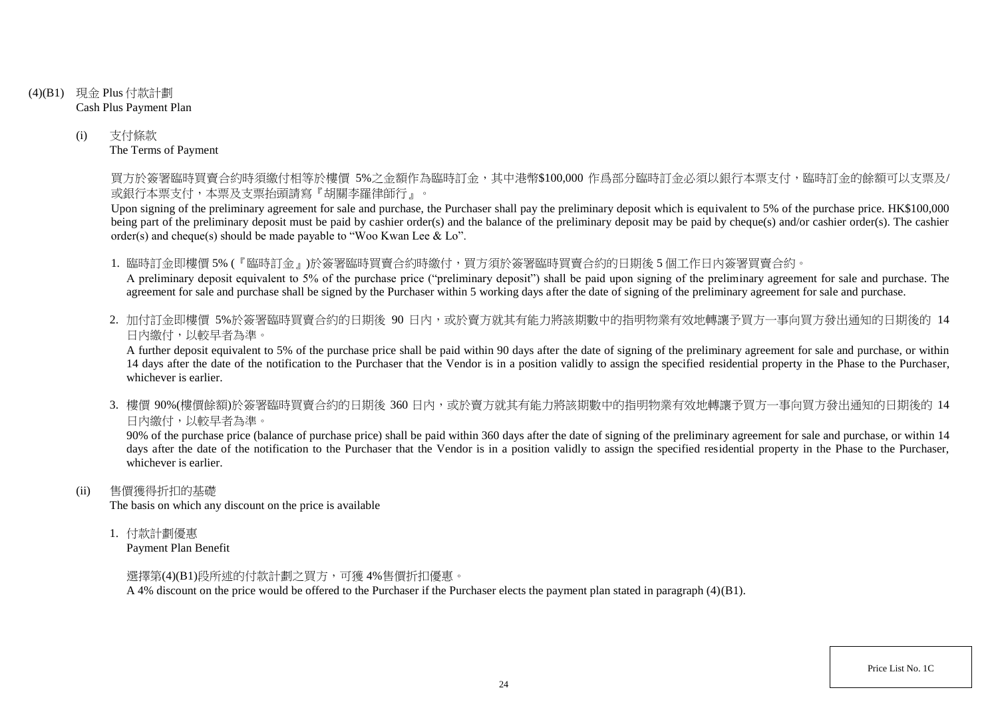- (4)(B1) 現金 Plus 付款計劃 Cash Plus Payment Plan
	- (i) 支付條款 The Terms of Payment

買方於簽署臨時買賣合約時須繳付相等於樓價 5%之金額作為臨時訂金,其中港幣\$100,000 作爲部分臨時訂金必須以銀行本票支付,臨時訂金的餘額可以支票及/ 或銀行本票支付,本票及支票抬頭請寫『胡關李羅律師行』。

Upon signing of the preliminary agreement for sale and purchase, the Purchaser shall pay the preliminary deposit which is equivalent to 5% of the purchase price. HK\$100,000 being part of the preliminary deposit must be paid by cashier order(s) and the balance of the preliminary deposit may be paid by cheque(s) and/or cashier order(s). The cashier order(s) and cheque(s) should be made payable to "Woo Kwan Lee & Lo".

1. 臨時訂金即樓價 5% (『臨時訂金』)於簽署臨時買賣合約時繳付,買方須於簽署臨時買賣合約的日期後 5 個工作日內簽署買賣合約。

A preliminary deposit equivalent to 5% of the purchase price ("preliminary deposit") shall be paid upon signing of the preliminary agreement for sale and purchase. The agreement for sale and purchase shall be signed by the Purchaser within 5 working days after the date of signing of the preliminary agreement for sale and purchase.

2. 加付訂金即樓價 5%於簽署臨時買賣合約的日期後 90 日内,或於賣方就其有能力將該期數中的指明物業有效地轉讓予買方一事向買方發出通知的日期後的 14 日內繳付,以較早者為準。

A further deposit equivalent to 5% of the purchase price shall be paid within 90 days after the date of signing of the preliminary agreement for sale and purchase, or within 14 days after the date of the notification to the Purchaser that the Vendor is in a position validly to assign the specified residential property in the Phase to the Purchaser, whichever is earlier.

3. 樓價 90%(樓價餘額)於簽署臨時買賣合約的日期後 360 日內,或於賣方就其有能力將該期數中的指明物業有效地轉讓予買方一事向買方發出通知的日期後的 14 日內繳付,以較早者為準。

90% of the purchase price (balance of purchase price) shall be paid within 360 days after the date of signing of the preliminary agreement for sale and purchase, or within 14 days after the date of the notification to the Purchaser that the Vendor is in a position validly to assign the specified residential property in the Phase to the Purchaser, whichever is earlier.

(ii) 售價獲得折扣的基礎

The basis on which any discount on the price is available

1. 付款計劃優惠

Payment Plan Benefit

選擇第(4)(B1)段所述的付款計劃之買方,可獲 4%售價折扣優惠。

A 4% discount on the price would be offered to the Purchaser if the Purchaser elects the payment plan stated in paragraph (4)(B1).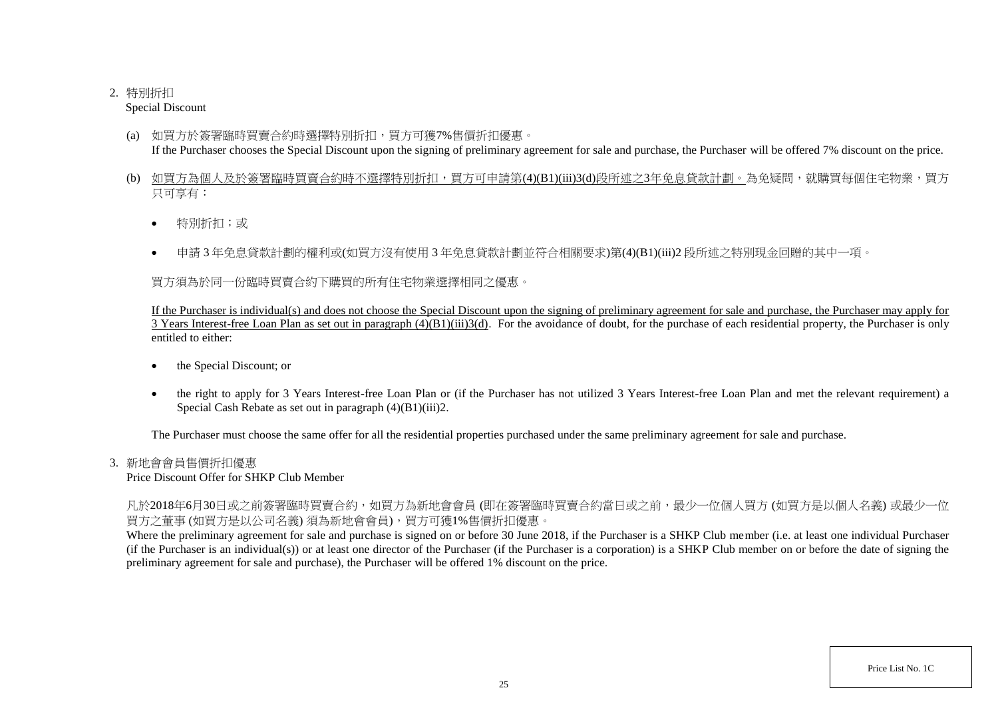# 2. 特別折扣

Special Discount

- (a) 如買方於簽署臨時買賣合約時選擇特別折扣,買方可獲7%售價折扣優惠。 If the Purchaser chooses the Special Discount upon the signing of preliminary agreement for sale and purchase, the Purchaser will be offered 7% discount on the price.
- (b) 如買方為個人及於簽署臨時買賣合約時不選擇特別折扣,買方可申請第(4)(B1)(iii)3(d)段所述之3年免息貸款計劃。為免疑問,就購買每個住宅物業,買方 只可享有:
	- 特別折扣;或
	- 申請 3 年免息貸款計劃的權利或(如買方沒有使用 3 年免息貸款計劃並符合相關要求)第(4)(B1)(iii)2 段所述之特別現金回贈的其中一項。

買方須為於同一份臨時買賣合約下購買的所有住宅物業選擇相同之優惠。

If the Purchaser is individual(s) and does not choose the Special Discount upon the signing of preliminary agreement for sale and purchase, the Purchaser may apply for  $\overline{3}$  Years Interest-free Loan Plan as set out in paragraph  $(4)(B1)(iii)3(d)$ . For the avoidance of doubt, for the purchase of each residential property, the Purchaser is only entitled to either:

- the Special Discount; or
- the right to apply for 3 Years Interest-free Loan Plan or (if the Purchaser has not utilized 3 Years Interest-free Loan Plan and met the relevant requirement) a Special Cash Rebate as set out in paragraph (4)(B1)(iii)2.

The Purchaser must choose the same offer for all the residential properties purchased under the same preliminary agreement for sale and purchase.

# 3. 新地會會員售價折扣優惠

Price Discount Offer for SHKP Club Member

凡於2018年6月30日或之前簽署臨時買賣合約,如買方為新地會會員 (即在簽署臨時買賣合約當日或之前,最少一位個人買方 (如買方是以個人名義) 或最少一位 買方之董事 (如買方是以公司名義) 須為新地會會員),買方可獲1%售價折扣優惠。

Where the preliminary agreement for sale and purchase is signed on or before 30 June 2018, if the Purchaser is a SHKP Club member (i.e. at least one individual Purchaser (if the Purchaser is an individual(s)) or at least one director of the Purchaser (if the Purchaser is a corporation) is a SHKP Club member on or before the date of signing the preliminary agreement for sale and purchase), the Purchaser will be offered 1% discount on the price.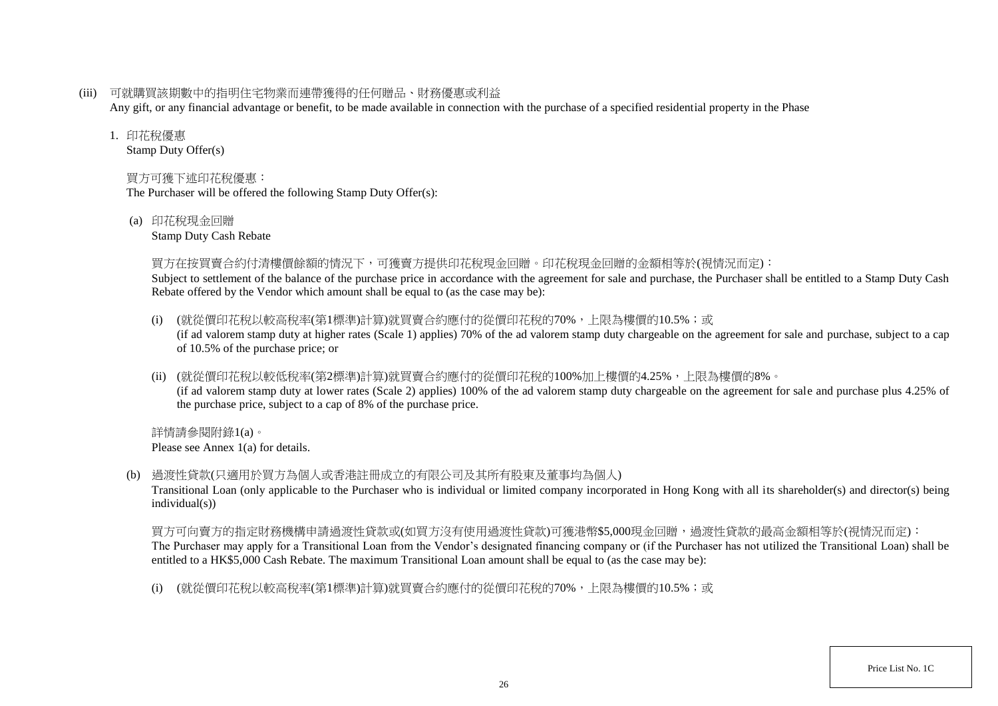(iii) 可就購買該期數中的指明住宅物業而連帶獲得的任何贈品、財務優惠或利益

Any gift, or any financial advantage or benefit, to be made available in connection with the purchase of a specified residential property in the Phase

### 1. 印花稅優惠

Stamp Duty Offer(s)

# 買方可獲下述印花稅優惠:

The Purchaser will be offered the following Stamp Duty Offer(s):

(a) 印花稅現金回贈

Stamp Duty Cash Rebate

## 買方在按買賣合約付清樓價餘額的情況下,可獲賣方提供印花稅現金回贈。印花稅現金回贈的金額相等於(視情況而定):

Subject to settlement of the balance of the purchase price in accordance with the agreement for sale and purchase, the Purchaser shall be entitled to a Stamp Duty Cash Rebate offered by the Vendor which amount shall be equal to (as the case may be):

- (i) (就從價印花稅以較高稅率(第1標準)計算)就買賣合約應付的從價印花稅的70%,上限為樓價的10.5%;或 (if ad valorem stamp duty at higher rates (Scale 1) applies) 70% of the ad valorem stamp duty chargeable on the agreement for sale and purchase, subject to a cap of 10.5% of the purchase price; or
- (ii) (就從價印花稅以較低稅率(第2標準)計算)就買賣合約應付的從價印花稅的100%加上樓價的4.25%,上限為樓價的8%。 (if ad valorem stamp duty at lower rates (Scale 2) applies) 100% of the ad valorem stamp duty chargeable on the agreement for sale and purchase plus 4.25% of the purchase price, subject to a cap of 8% of the purchase price.

詳情請參閱附錄1(a)。 Please see Annex 1(a) for details.

(b) 過渡性貸款(只適用於買方為個人或香港註冊成立的有限公司及其所有股東及董事均為個人)

Transitional Loan (only applicable to the Purchaser who is individual or limited company incorporated in Hong Kong with all its shareholder(s) and director(s) being individual(s))

買方可向賣方的指定財務機構申請過渡性貸款或(如買方沒有使用過渡性貸款)可獲港幣\$5,000現金回贈,過渡性貸款的最高金額相等於(視情況而定): The Purchaser may apply for a Transitional Loan from the Vendor's designated financing company or (if the Purchaser has not utilized the Transitional Loan) shall be entitled to a HK\$5,000 Cash Rebate. The maximum Transitional Loan amount shall be equal to (as the case may be):

(i) (就從價印花稅以較高稅率(第1標準)計算)就買賣合約應付的從價印花稅的70%,上限為樓價的10.5%;或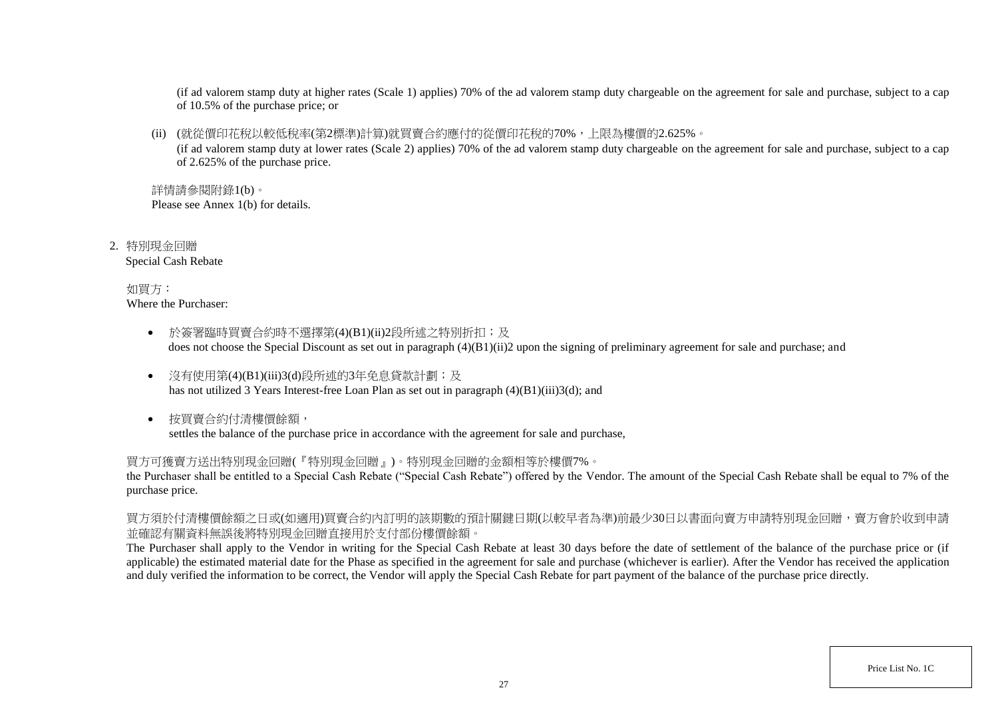(if ad valorem stamp duty at higher rates (Scale 1) applies) 70% of the ad valorem stamp duty chargeable on the agreement for sale and purchase, subject to a cap of 10.5% of the purchase price; or

(ii) (就從價印花稅以較低稅率(第2標準)計算)就買賣合約應付的從價印花稅的70%,上限為樓價的2.625%。

(if ad valorem stamp duty at lower rates (Scale 2) applies) 70% of the ad valorem stamp duty chargeable on the agreement for sale and purchase, subject to a cap of 2.625% of the purchase price.

詳情請參閱附錄1(b)。 Please see Annex 1(b) for details.

2. 特別現金回贈 Special Cash Rebate

> 如買方: Where the Purchaser:

- 於簽署臨時買賣合約時不選擇第(4)(B1)(ii)2段所述之特別折扣;及 does not choose the Special Discount as set out in paragraph (4)(B1)(ii)2 upon the signing of preliminary agreement for sale and purchase; and
- 沒有使用第(4)(B1)(iii)3(d)段所述的3年免息貸款計劃;及 has not utilized 3 Years Interest-free Loan Plan as set out in paragraph (4)(B1)(iii)3(d); and
- 按買賣合約付清樓價餘額, settles the balance of the purchase price in accordance with the agreement for sale and purchase,

買方可獲賣方送出特別現金回贈(『特別現金回贈』)。特別現金回贈的金額相等於樓價7%。

the Purchaser shall be entitled to a Special Cash Rebate ("Special Cash Rebate") offered by the Vendor. The amount of the Special Cash Rebate shall be equal to 7% of the purchase price.

買方須於付清樓價餘額之日或(如適用)買賣合約內訂明的該期數的預計關鍵日期(以較早者為準)前最少30日以書面向賣方申請特別現金回贈,賣方會於收到申請 並確認有關資料無誤後將特別現金回贈直接用於支付部份樓價餘額。

The Purchaser shall apply to the Vendor in writing for the Special Cash Rebate at least 30 days before the date of settlement of the balance of the purchase price or (if applicable) the estimated material date for the Phase as specified in the agreement for sale and purchase (whichever is earlier). After the Vendor has received the application and duly verified the information to be correct, the Vendor will apply the Special Cash Rebate for part payment of the balance of the purchase price directly.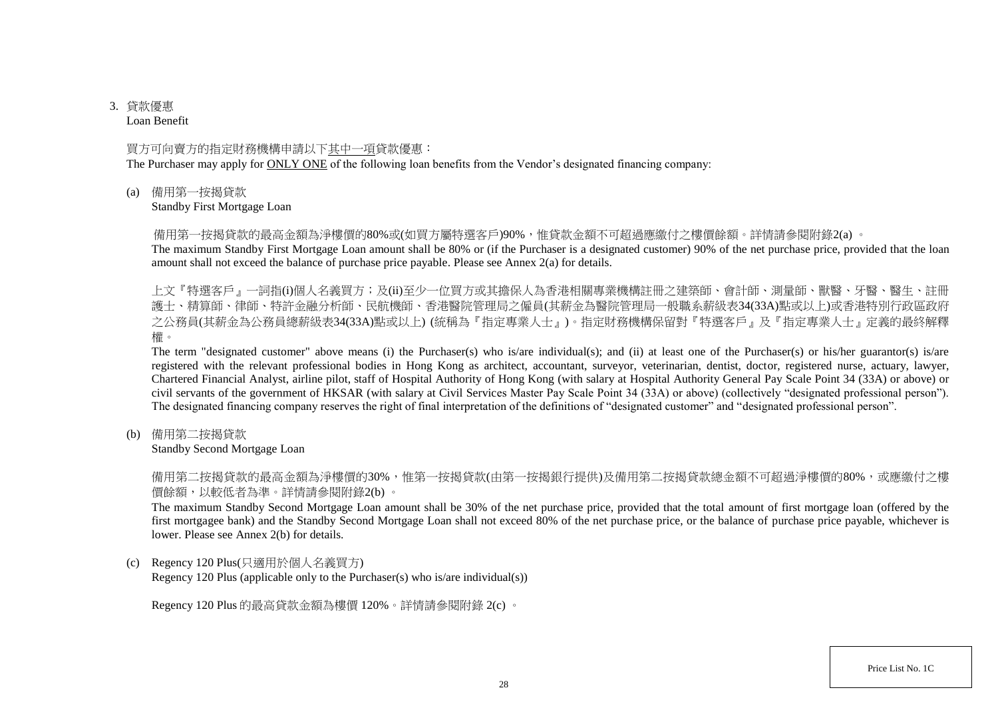# 3. 貸款優惠

Loan Benefit

## 買方可向賣方的指定財務機構申請以下其中一項貸款優惠:

The Purchaser may apply for ONLY ONE of the following loan benefits from the Vendor's designated financing company:

(a) 備用第一按揭貸款

Standby First Mortgage Loan

備用第一按揭貸款的最高金額為淨樓價的80%或(如買方屬特選客戶)90%,惟貸款金額不可超過應繳付之樓價餘額。詳情請參閱附錄2(a) 。

The maximum Standby First Mortgage Loan amount shall be 80% or (if the Purchaser is a designated customer) 90% of the net purchase price, provided that the loan amount shall not exceed the balance of purchase price payable. Please see Annex 2(a) for details.

上文『特選客戶』一詞指(i)個人名義買方;及(ii)至少一位買方或其擔保人為香港相關專業機構註冊之建築師、會計師、測量師、獸醫、牙醫、醫生、註冊 護士、精算師、律師、特許金融分析師、民航機師、香港醫院管理局之僱員(其薪金為醫院管理局一般職系薪級表34(33A)點或以上)或香港特別行政區政府 之公務員(其薪金為公務員總薪級表34(33A)點或以上) (統稱為『指定專業人士』)。指定財務機構保留對『特選客戶』及『指定專業人士』定義的最終解釋 權。

The term "designated customer" above means (i) the Purchaser(s) who is/are individual(s); and (ii) at least one of the Purchaser(s) or his/her guarantor(s) is/are registered with the relevant professional bodies in Hong Kong as architect, accountant, surveyor, veterinarian, dentist, doctor, registered nurse, actuary, lawyer, Chartered Financial Analyst, airline pilot, staff of Hospital Authority of Hong Kong (with salary at Hospital Authority General Pay Scale Point 34 (33A) or above) or civil servants of the government of HKSAR (with salary at Civil Services Master Pay Scale Point 34 (33A) or above) (collectively "designated professional person"). The designated financing company reserves the right of final interpretation of the definitions of "designated customer" and "designated professional person".

(b) 備用第二按揭貸款

Standby Second Mortgage Loan

備用第二按揭貸款的最高金額為淨樓價的30%,惟第一按揭貸款(由第一按揭銀行提供)及備用第二按揭貸款總金額不可超過淨樓價的80%,或應繳付之樓 價餘額,以較低者為準。詳情請參閱附錄2(b) 。

The maximum Standby Second Mortgage Loan amount shall be 30% of the net purchase price, provided that the total amount of first mortgage loan (offered by the first mortgagee bank) and the Standby Second Mortgage Loan shall not exceed 80% of the net purchase price, or the balance of purchase price payable, whichever is lower. Please see Annex 2(b) for details.

(c) Regency 120 Plus(只適用於個人名義買方)

Regency 120 Plus (applicable only to the Purchaser(s) who is/are individual(s))

Regency 120 Plus 的最高貸款金額為樓價 120%。詳情請參閱附錄 2(c) 。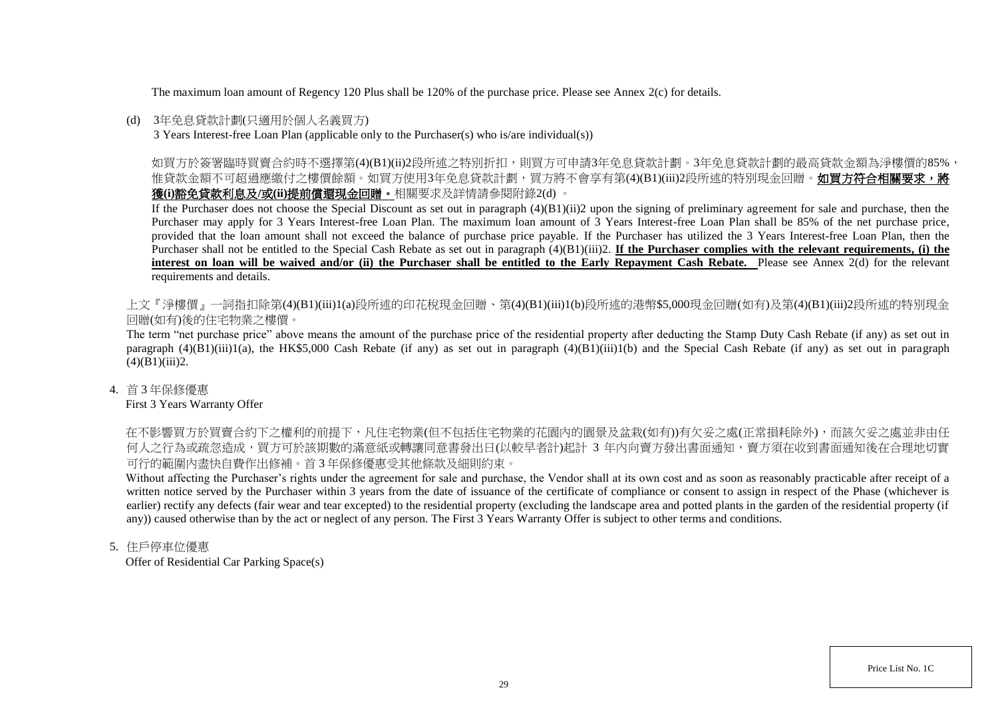The maximum loan amount of Regency 120 Plus shall be 120% of the purchase price. Please see Annex 2(c) for details.

### (d) 3年免息貸款計劃(只適用於個人名義買方)

3 Years Interest-free Loan Plan (applicable only to the Purchaser(s) who is/are individual(s))

如買方於簽署臨時買賣合約時不選擇第(4)(B1)(ii)2段所述之特別折扣,則買方可申請3年免息貸款計劃。3年免息貸款計劃的最高貸款金額為淨樓價的85%, 惟貸款金額不可超過應繳付之樓價餘額。如買方使用3年免息貸款計劃,買方將不會享有第(4)(B1)(iii)2段所述的特別現金回贈。**如買方符合相關要求,將** 獲**(i)**豁免貸款利息及**/**或**(ii)**提前償還現金回贈。相關要求及詳情請參閱附錄2(d) 。

If the Purchaser does not choose the Special Discount as set out in paragraph  $(4)(B1)(ii)2$  upon the signing of preliminary agreement for sale and purchase, then the Purchaser may apply for 3 Years Interest-free Loan Plan. The maximum loan amount of 3 Years Interest-free Loan Plan shall be 85% of the net purchase price, provided that the loan amount shall not exceed the balance of purchase price payable. If the Purchaser has utilized the 3 Years Interest-free Loan Plan, then the Purchaser shall not be entitled to the Special Cash Rebate as set out in paragraph (4)(B1)(iii)2. **If the Purchaser complies with the relevant requirements, (i) the**  interest on loan will be waived and/or (ii) the Purchaser shall be entitled to the Early Repayment Cash Rebate. Please see Annex 2(d) for the relevant requirements and details.

上文『淨樓價』一詞指扣除第(4)(B1)(iii)1(a)段所述的印花稅現金回贈、第(4)(B1)(iii)1(b)段所述的港幣\$5,000現金回贈(如有)及第(4)(B1)(iii)2段所述的特別現金 回贈(如有)後的住宅物業之樓價。

The term "net purchase price" above means the amount of the purchase price of the residential property after deducting the Stamp Duty Cash Rebate (if any) as set out in paragraph  $(4)(B1)(iii)1(a)$ , the HK\$5,000 Cash Rebate (if any) as set out in paragraph  $(4)(B1)(iii)1(b)$  and the Special Cash Rebate (if any) as set out in paragraph  $(4)(B1)(iii)2.$ 

4. 首 3 年保修優惠

First 3 Years Warranty Offer

在不影響買方於買賣合約下之權利的前提下,凡住宅物業(但不包括住宅物業的花園內的園景及盆栽(如有))有欠妥之處(正常損耗除外),而該欠妥之處並非由任 何人之行為或疏忽造成,買方可於該期數的滿意紙或轉讓同意書發出日(以較早者計)起計 3 年内向賣方發出書面通知,賣方須在收到書面通知後在合理地切實 可行的範圍內盡快自費作出修補。首 3 年保修優惠受其他條款及細則約束。

Without affecting the Purchaser's rights under the agreement for sale and purchase, the Vendor shall at its own cost and as soon as reasonably practicable after receipt of a written notice served by the Purchaser within 3 years from the date of issuance of the certificate of compliance or consent to assign in respect of the Phase (whichever is earlier) rectify any defects (fair wear and tear excepted) to the residential property (excluding the landscape area and potted plants in the garden of the residential property (if any)) caused otherwise than by the act or neglect of any person. The First 3 Years Warranty Offer is subject to other terms and conditions.

5. 住戶停車位優惠

Offer of Residential Car Parking Space(s)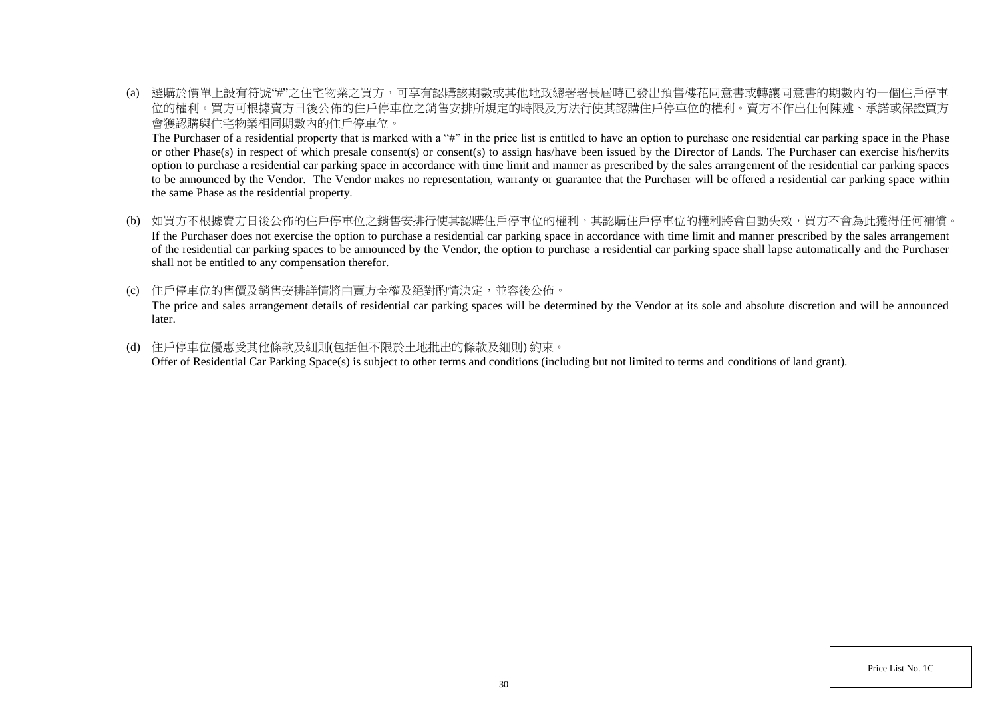(a) 選購於價單上設有符號"#"之住宅物業之買方,可享有認購該期數或其他地政總署署長屆時已發出預售樓花同意書或轉讓同意書的期數內的一個住戶停車 位的權利。買方可根據賣方日後公佈的住戶停車位之銷售安排所規定的時限及方法行使其認購住戶停車位的權利。賣方不作出任何陳述、承諾或保證買方 會獲認購與住宅物業相同期數內的住戶停車位。

The Purchaser of a residential property that is marked with a "#" in the price list is entitled to have an option to purchase one residential car parking space in the Phase or other Phase(s) in respect of which presale consent(s) or consent(s) to assign has/have been issued by the Director of Lands. The Purchaser can exercise his/her/its option to purchase a residential car parking space in accordance with time limit and manner as prescribed by the sales arrangement of the residential car parking spaces to be announced by the Vendor. The Vendor makes no representation, warranty or guarantee that the Purchaser will be offered a residential car parking space within the same Phase as the residential property.

- (b) 如買方不根據賣方日後公佈的住戶停車位之銷售安排行使其認購住戶停車位的權利,其認購住戶停車位的權利將會自動失效,買方不會為此獲得任何補償。 If the Purchaser does not exercise the option to purchase a residential car parking space in accordance with time limit and manner prescribed by the sales arrangement of the residential car parking spaces to be announced by the Vendor, the option to purchase a residential car parking space shall lapse automatically and the Purchaser shall not be entitled to any compensation therefor.
- (c) 住戶停車位的售價及銷售安排詳情將由賣方全權及絕對酌情決定,並容後公佈。 The price and sales arrangement details of residential car parking spaces will be determined by the Vendor at its sole and absolute discretion and will be announced later.
- (d) 住戶停車位優惠受其他條款及細則(包括但不限於土地批出的條款及細則) 約束。 Offer of Residential Car Parking Space(s) is subject to other terms and conditions (including but not limited to terms and conditions of land grant).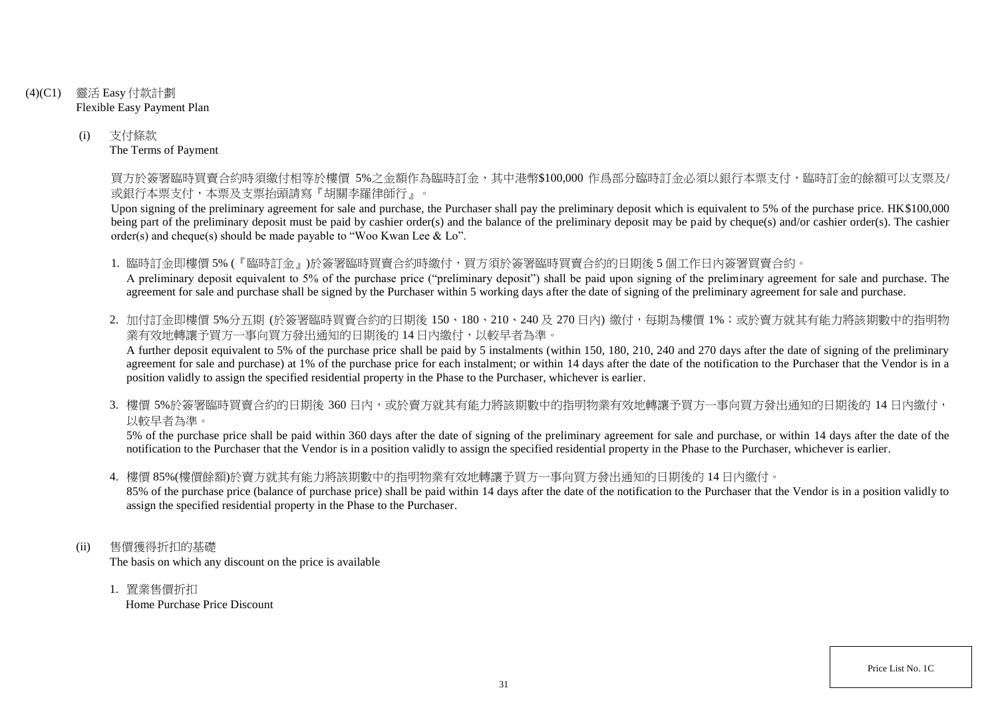- (4)(C1) 靈活 Easy 付款計劃 Flexible Easy Payment Plan
	- (i) 支付條款 The Terms of Payment

買方於簽署臨時買賣合約時須繳付相等於樓價 5%之金額作為臨時訂金,其中港幣\$100,000 作爲部分臨時訂金必須以銀行本票支付,臨時訂金的餘額可以支票及/ 或銀行本票支付,本票及支票抬頭請寫『胡關李羅律師行』。

Upon signing of the preliminary agreement for sale and purchase, the Purchaser shall pay the preliminary deposit which is equivalent to 5% of the purchase price. HK\$100,000 being part of the preliminary deposit must be paid by cashier order(s) and the balance of the preliminary deposit may be paid by cheque(s) and/or cashier order(s). The cashier order(s) and cheque(s) should be made payable to "Woo Kwan Lee & Lo".

1. 臨時訂金即樓價 5% (『臨時訂金』)於簽署臨時買賣合約時繳付,買方須於簽署臨時買賣合約的日期後 5 個工作日內簽署買賣合約。 A preliminary deposit equivalent to 5% of the purchase price ("preliminary deposit") shall be paid upon signing of the preliminary agreement for sale and purchase. The agreement for sale and purchase shall be signed by the Purchaser within 5 working days after the date of signing of the preliminary agreement for sale and purchase.

2. 加付訂金即樓價 5%分五期 (於簽署臨時買賣合約的日期後 150、180、210、240及 270日內) 繳付, 每期為樓價 1%; 或於賣方就其有能力將該期數中的指明物 業有效地轉讓予買方一事向買方發出通知的日期後的14日內繳付,以較早者為準。

A further deposit equivalent to 5% of the purchase price shall be paid by 5 instalments (within 150, 180, 210, 240 and 270 days after the date of signing of the preliminary agreement for sale and purchase) at 1% of the purchase price for each instalment; or within 14 days after the date of the notification to the Purchaser that the Vendor is in a position validly to assign the specified residential property in the Phase to the Purchaser, whichever is earlier.

3. 樓價 5%於簽署臨時買賣合約的日期後 360 日内,或於賣方就其有能力將該期數中的指明物業有效地轉讓予買方一事向買方發出通知的日期後的 14 日內繳付, 以較早者為準。

5% of the purchase price shall be paid within 360 days after the date of signing of the preliminary agreement for sale and purchase, or within 14 days after the date of the notification to the Purchaser that the Vendor is in a position validly to assign the specified residential property in the Phase to the Purchaser, whichever is earlier.

4. 樓價 85%(樓價餘額)於賣方就其有能力將該期數中的指明物業有效地轉讓予買方一事向買方發出通知的日期後的 14 日內繳付。

85% of the purchase price (balance of purchase price) shall be paid within 14 days after the date of the notification to the Purchaser that the Vendor is in a position validly to assign the specified residential property in the Phase to the Purchaser.

- (ii) 售價獲得折扣的基礎 The basis on which any discount on the price is available
	- 1. 置業售價折扣 Home Purchase Price Discount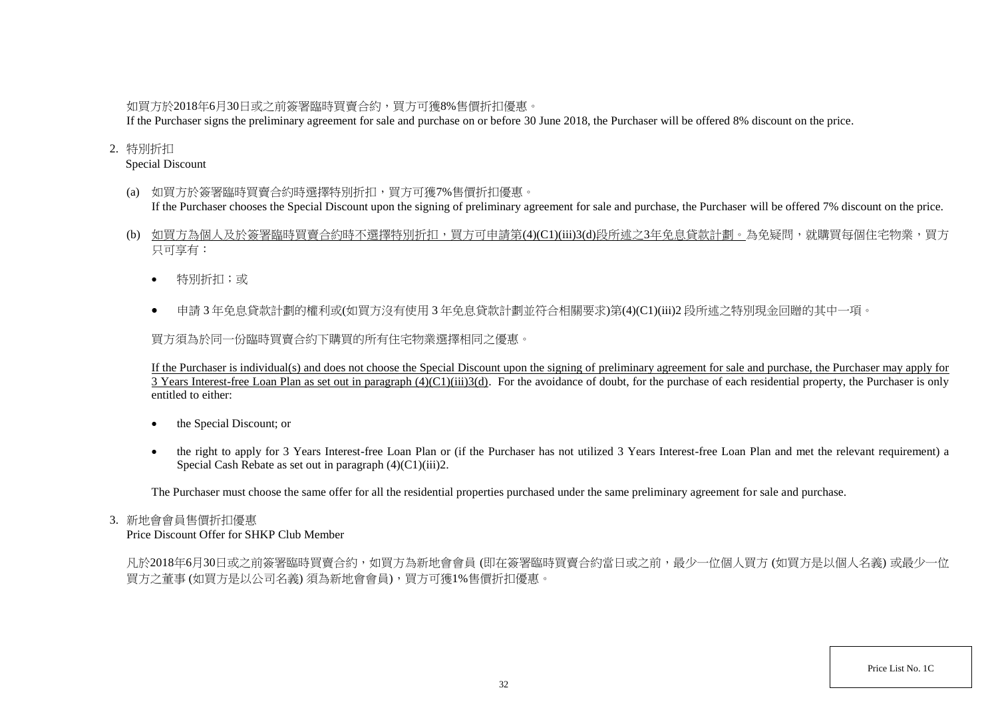## 如買方於2018年6月30日或之前簽署臨時買賣合約,買方可獲8%售價折扣優惠。

If the Purchaser signs the preliminary agreement for sale and purchase on or before 30 June 2018, the Purchaser will be offered 8% discount on the price.

## 2. 特別折扣

Special Discount

- (a) 如買方於簽署臨時買賣合約時選擇特別折扣,買方可獲7%售價折扣優惠。 If the Purchaser chooses the Special Discount upon the signing of preliminary agreement for sale and purchase, the Purchaser will be offered 7% discount on the price.
- (b) 如買方為個人及於簽署臨時買賣合約時不選擇特別折扣,買方可申請第(4)(C1)(iii)3(d)段所述之3年免息貸款計劃。為免疑問,就購買每個住宅物業,買方 只可享有:
	- 特別折扣;或
	- 申請 3 年免息貸款計劃的權利或(如買方沒有使用 3 年免息貸款計劃並符合相關要求)第(4)(C1)(iii)2 段所述之特別現金回贈的其中一項。

買方須為於同一份臨時買賣合約下購買的所有住宅物業選擇相同之優惠。

If the Purchaser is individual(s) and does not choose the Special Discount upon the signing of preliminary agreement for sale and purchase, the Purchaser may apply for 3 Years Interest-free Loan Plan as set out in paragraph  $(4)(C1)(iii)3(d)$ . For the avoidance of doubt, for the purchase of each residential property, the Purchaser is only entitled to either:

- the Special Discount; or
- the right to apply for 3 Years Interest-free Loan Plan or (if the Purchaser has not utilized 3 Years Interest-free Loan Plan and met the relevant requirement) a Special Cash Rebate as set out in paragraph (4)(C1)(iii)2.

The Purchaser must choose the same offer for all the residential properties purchased under the same preliminary agreement for sale and purchase.

## 3. 新地會會員售價折扣優惠

Price Discount Offer for SHKP Club Member

凡於2018年6月30日或之前簽署臨時買賣合約,如買方為新地會會員 (即在簽署臨時買賣合約當日或之前,最少一位個人買方 (如買方是以個人名義) 或最少一位 買方之董事 (如買方是以公司名義) 須為新地會會員),買方可獲1%售價折扣優惠。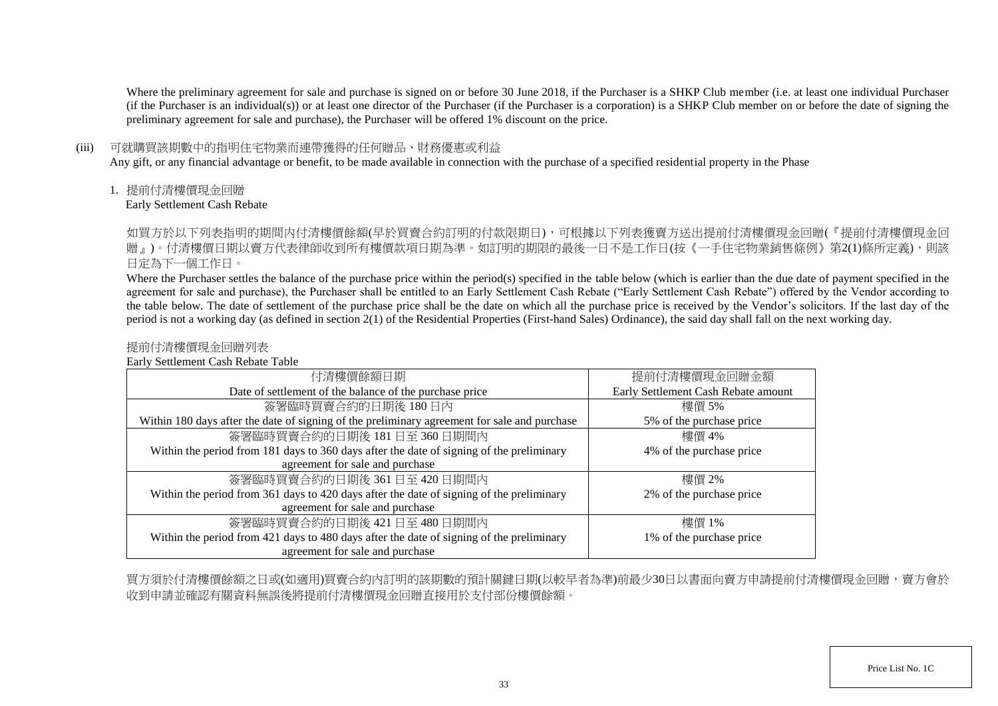Where the preliminary agreement for sale and purchase is signed on or before 30 June 2018, if the Purchaser is a SHKP Club member (i.e. at least one individual Purchaser (if the Purchaser is an individual(s)) or at least one director of the Purchaser (if the Purchaser is a corporation) is a SHKP Club member on or before the date of signing the preliminary agreement for sale and purchase), the Purchaser will be offered 1% discount on the price.

### (iii) 可就購買該期數中的指明住宅物業而連帶獲得的任何贈品、財務優惠或利益

Any gift, or any financial advantage or benefit, to be made available in connection with the purchase of a specified residential property in the Phase

1. 提前付清樓價現金回贈

Early Settlement Cash Rebate

如買方於以下列表指明的期間内付清樓價餘額(早於買賣合約訂明的付款限期日),可根據以下列表獲賣方送出提前付清樓價現金回贈(『提前付清樓價現金回 贈」)。付清樓價日期以賣方代表律師收到所有樓價款項日期為準。如訂明的期限的最後一日不是工作日(按《一手住宅物業銷售條例》第2(1)條所定義),則該 日定為下一個工作日。

Where the Purchaser settles the balance of the purchase price within the period(s) specified in the table below (which is earlier than the due date of payment specified in the agreement for sale and purchase), the Purchaser shall be entitled to an Early Settlement Cash Rebate ("Early Settlement Cash Rebate") offered by the Vendor according to the table below. The date of settlement of the purchase price shall be the date on which all the purchase price is received by the Vendor's solicitors. If the last day of the period is not a working day (as defined in section 2(1) of the Residential Properties (First-hand Sales) Ordinance), the said day shall fall on the next working day.

## 提前付清樓價現金回贈列表

Early Settlement Cash Rebate Table

| 付清樓價餘額日期                                                                                     | 提前付清樓價現金回贈金額                        |
|----------------------------------------------------------------------------------------------|-------------------------------------|
| Date of settlement of the balance of the purchase price                                      | Early Settlement Cash Rebate amount |
| 簽署臨時買賣合約的日期後180日內                                                                            | 樓價 5%                               |
| Within 180 days after the date of signing of the preliminary agreement for sale and purchase | 5% of the purchase price            |
| 簽署臨時買賣合約的日期後 181日至 360日期間內                                                                   | 樓價 4%                               |
| Within the period from 181 days to 360 days after the date of signing of the preliminary     | 4% of the purchase price            |
| agreement for sale and purchase                                                              |                                     |
| 簽署臨時買賣合約的日期後 361日至 420日期間內                                                                   | 樓價 2%                               |
| Within the period from 361 days to 420 days after the date of signing of the preliminary     | 2% of the purchase price            |
| agreement for sale and purchase                                                              |                                     |
| 簽署臨時買賣合約的日期後 421日至 480日期間內                                                                   | 樓價 1%                               |
| Within the period from 421 days to 480 days after the date of signing of the preliminary     | 1% of the purchase price            |
| agreement for sale and purchase                                                              |                                     |

買方須於付清樓價餘額之日或(如適用)買賣合約內訂明的該期數的預計關鍵日期(以較早者為準)前最少30日以書面向賣方申請提前付清樓價現金回贈,賣方會於 收到申請並確認有關資料無誤後將提前付清樓價現金回贈直接用於支付部份樓價餘額。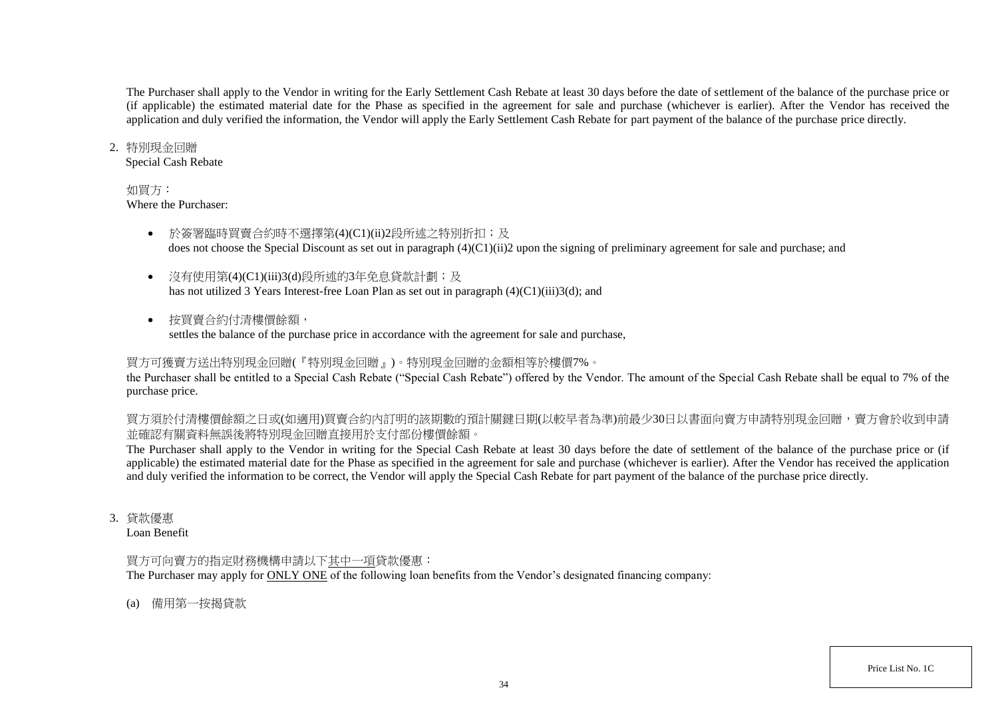The Purchaser shall apply to the Vendor in writing for the Early Settlement Cash Rebate at least 30 days before the date of settlement of the balance of the purchase price or (if applicable) the estimated material date for the Phase as specified in the agreement for sale and purchase (whichever is earlier). After the Vendor has received the application and duly verified the information, the Vendor will apply the Early Settlement Cash Rebate for part payment of the balance of the purchase price directly.

### 2. 特別現金回贈

Special Cash Rebate

## 如買方:

Where the Purchaser:

- 於簽署臨時買賣合約時不選擇第(4)(C1)(ii)2段所述之特別折扣;及 does not choose the Special Discount as set out in paragraph (4)(C1)(ii)2 upon the signing of preliminary agreement for sale and purchase; and
- 沒有使用第(4)(C1)(iii)3(d)段所述的3年免息貸款計劃;及 has not utilized 3 Years Interest-free Loan Plan as set out in paragraph (4)(C1)(iii)3(d); and
- 按買賣合約付清樓價餘額, settles the balance of the purchase price in accordance with the agreement for sale and purchase,

# 買方可獲賣方送出特別現金回贈(『特別現金回贈』)。特別現金回贈的金額相等於樓價7%。

the Purchaser shall be entitled to a Special Cash Rebate ("Special Cash Rebate") offered by the Vendor. The amount of the Special Cash Rebate shall be equal to 7% of the purchase price.

買方須於付清樓價餘額之日或(如適用)買賣合約內訂明的該期數的預計關鍵日期(以較早者為準)前最少30日以書面向賣方申請特別現金回贈,賣方會於收到申請 並確認有關資料無誤後將特別現金回贈直接用於支付部份樓價餘額。

The Purchaser shall apply to the Vendor in writing for the Special Cash Rebate at least 30 days before the date of settlement of the balance of the purchase price or (if applicable) the estimated material date for the Phase as specified in the agreement for sale and purchase (whichever is earlier). After the Vendor has received the application and duly verified the information to be correct, the Vendor will apply the Special Cash Rebate for part payment of the balance of the purchase price directly.

3. 貸款優惠

Loan Benefit

## 買方可向賣方的指定財務機構申請以下其中一項貸款優惠:

The Purchaser may apply for ONLY ONE of the following loan benefits from the Vendor's designated financing company:

(a) 備用第一按揭貸款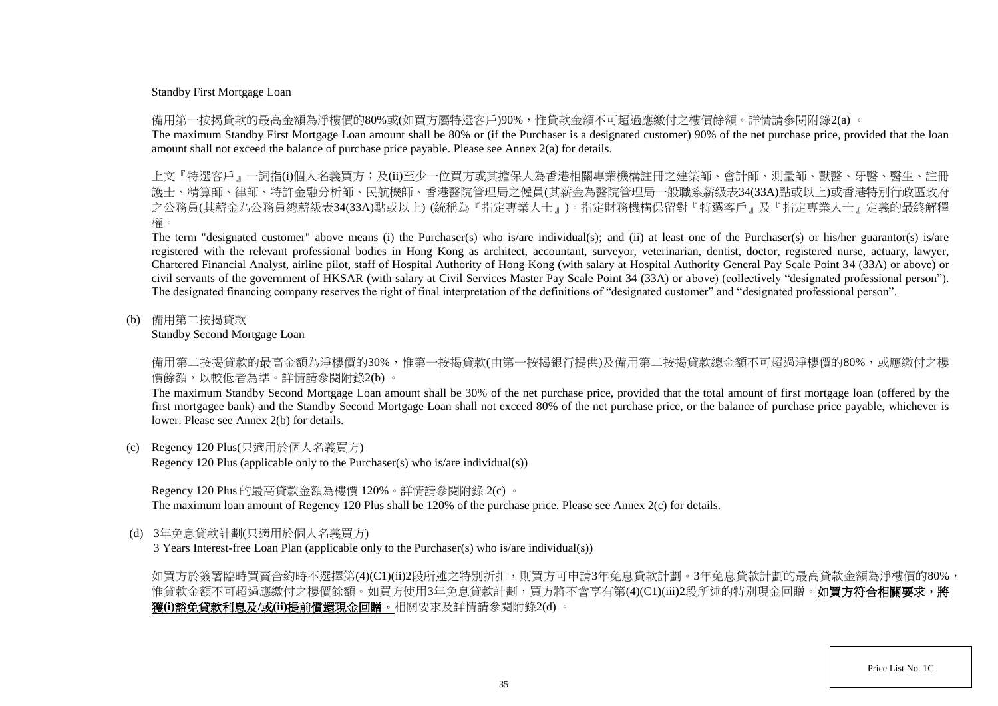### Standby First Mortgage Loan

備用第一按揭貸款的最高金額為淨樓價的80%或(如買方屬特選客戶)90%,惟貸款金額不可超過應繳付之樓價餘額。詳情請參閱附錄2(a) 。

The maximum Standby First Mortgage Loan amount shall be 80% or (if the Purchaser is a designated customer) 90% of the net purchase price, provided that the loan amount shall not exceed the balance of purchase price payable. Please see Annex 2(a) for details.

上文『特選客戶』一詞指(i)個人名義買方;及(ii)至少一位買方或其擔保人為香港相關專業機構註冊之建築師、會計師、測量師、獸醫、牙醫、醫生、 護士、精算師、律師、特許金融分析師、民航機師、香港醫院管理局之僱員(其薪金為醫院管理局一般職系薪級表34(33A)點或以上)或香港特別行政區政府 之公務員(其薪金為公務員總薪級表34(33A)點或以上) (統稱為『指定專業人士』)。指定財務機構保留對『特選客戶』及『指定專業人士』定義的最終解釋 權。

The term "designated customer" above means (i) the Purchaser(s) who is/are individual(s); and (ii) at least one of the Purchaser(s) or his/her guarantor(s) is/are registered with the relevant professional bodies in Hong Kong as architect, accountant, surveyor, veterinarian, dentist, doctor, registered nurse, actuary, lawyer, Chartered Financial Analyst, airline pilot, staff of Hospital Authority of Hong Kong (with salary at Hospital Authority General Pay Scale Point 34 (33A) or above) or civil servants of the government of HKSAR (with salary at Civil Services Master Pay Scale Point 34 (33A) or above) (collectively "designated professional person"). The designated financing company reserves the right of final interpretation of the definitions of "designated customer" and "designated professional person".

(b) 備用第二按揭貸款

Standby Second Mortgage Loan

備用第二按揭貸款的最高金額為淨樓價的30%,惟第一按揭貸款(由第一按揭銀行提供)及備用第二按揭貸款總金額不可超過淨樓價的80%,或應繳付之樓 價餘額,以較低者為準。詳情請參閱附錄2(b) 。

The maximum Standby Second Mortgage Loan amount shall be 30% of the net purchase price, provided that the total amount of first mortgage loan (offered by the first mortgagee bank) and the Standby Second Mortgage Loan shall not exceed 80% of the net purchase price, or the balance of purchase price payable, whichever is lower. Please see Annex 2(b) for details.

(c) Regency 120 Plus(只適用於個人名義買方)

Regency 120 Plus (applicable only to the Purchaser(s) who is/are individual(s))

Regency 120 Plus 的最高貸款金額為樓價 120%。詳情請參閱附錄 2(c) 。 The maximum loan amount of Regency 120 Plus shall be 120% of the purchase price. Please see Annex 2(c) for details.

(d) 3年免息貸款計劃(只適用於個人名義買方)

3 Years Interest-free Loan Plan (applicable only to the Purchaser(s) who is/are individual(s))

如買方於簽署臨時買賣合約時不選擇第(4)(C1)(ii)2段所述之特別折扣,則買方可申請3年免息貸款計劃。3年免息貸款計劃的最高貸款金額為淨樓價的80%, 惟貸款金額不可超過應繳付之樓價餘額。如買方使用3年免息貸款計劃,買方將不會享有第(4)(C1)(iii)2段所述的特別現金回贈。**如買方符合相關要求,將** 獲**(i)**豁免貸款利息及**/**或**(ii)**提前償還現金回贈。相關要求及詳情請參閱附錄2(d) 。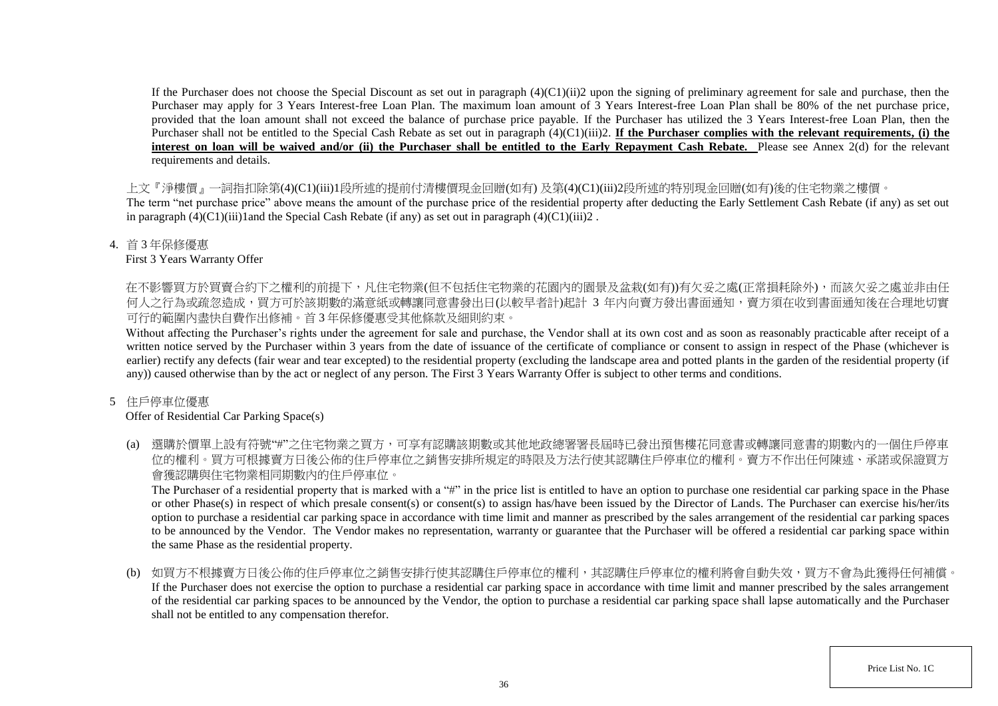If the Purchaser does not choose the Special Discount as set out in paragraph  $(4)(C1)(ii)$  upon the signing of preliminary agreement for sale and purchase, then the Purchaser may apply for 3 Years Interest-free Loan Plan. The maximum loan amount of 3 Years Interest-free Loan Plan shall be 80% of the net purchase price, provided that the loan amount shall not exceed the balance of purchase price payable. If the Purchaser has utilized the 3 Years Interest-free Loan Plan, then the Purchaser shall not be entitled to the Special Cash Rebate as set out in paragraph (4)(C1)(iii)2. **If the Purchaser complies with the relevant requirements, (i) the** interest on loan will be waived and/or (ii) the Purchaser shall be entitled to the Early Repayment Cash Rebate. Please see Annex 2(d) for the relevant requirements and details.

上文『淨樓價』一詞指扣除第(4)(C1)(iii)1段所述的提前付清樓價現金回贈(如有) 及第(4)(C1)(iii)2段所述的特別現金回贈(如有)後的住宅物業之樓價。

The term "net purchase price" above means the amount of the purchase price of the residential property after deducting the Early Settlement Cash Rebate (if any) as set out in paragraph  $(4)(C1)(iii)1$  and the Special Cash Rebate (if any) as set out in paragraph  $(4)(C1)(iii)2$ .

4. 首 3 年保修優惠

First 3 Years Warranty Offer

在不影響買方於買賣合約下之權利的前提下,凡住宅物業(但不包括住宅物業的花園内的園景及盆栽(如有))有欠妥之處(正常損耗除外),而該欠妥之處並非由任 何人之行為或疏忽造成,買方可於該期數的滿意紙或轉讓同意書發出日(以較早者計)起計 3 年内向賣方發出書面通知,賣方須在收到書面通知後在合理地切實 可行的範圍內盡快自費作出修補。首 3 年保修優惠受其他條款及細則約束。

Without affecting the Purchaser's rights under the agreement for sale and purchase, the Vendor shall at its own cost and as soon as reasonably practicable after receipt of a written notice served by the Purchaser within 3 years from the date of issuance of the certificate of compliance or consent to assign in respect of the Phase (whichever is earlier) rectify any defects (fair wear and tear excepted) to the residential property (excluding the landscape area and potted plants in the garden of the residential property (if any)) caused otherwise than by the act or neglect of any person. The First 3 Years Warranty Offer is subject to other terms and conditions.

## 5 住戶停車位優惠

## Offer of Residential Car Parking Space(s)

(a) 選購於價單上設有符號"#"之住宅物業之買方,可享有認購該期數或其他地政總署署長屆時已發出預售樓花同意書或轉讓同意書的期數內的一個住戶停車 位的權利。買方可根據賣方日後公佈的住戶停車位之銷售安排所規定的時限及方法行使其認購住戶停車位的權利。賣方不作出任何陳述、承諾或保證買方 會獲認購與住宅物業相同期數內的住戶停車位。

The Purchaser of a residential property that is marked with a "#" in the price list is entitled to have an option to purchase one residential car parking space in the Phase or other Phase(s) in respect of which presale consent(s) or consent(s) to assign has/have been issued by the Director of Lands. The Purchaser can exercise his/her/its option to purchase a residential car parking space in accordance with time limit and manner as prescribed by the sales arrangement of the residential car parking spaces to be announced by the Vendor. The Vendor makes no representation, warranty or guarantee that the Purchaser will be offered a residential car parking space within the same Phase as the residential property.

(b) 如買方不根據賣方日後公佈的住戶停車位之銷售安排行使其認購住戶停車位的權利,其認購住戶停車位的權利將會自動失效,買方不會為此獲得任何補償。 If the Purchaser does not exercise the option to purchase a residential car parking space in accordance with time limit and manner prescribed by the sales arrangement of the residential car parking spaces to be announced by the Vendor, the option to purchase a residential car parking space shall lapse automatically and the Purchaser shall not be entitled to any compensation therefor.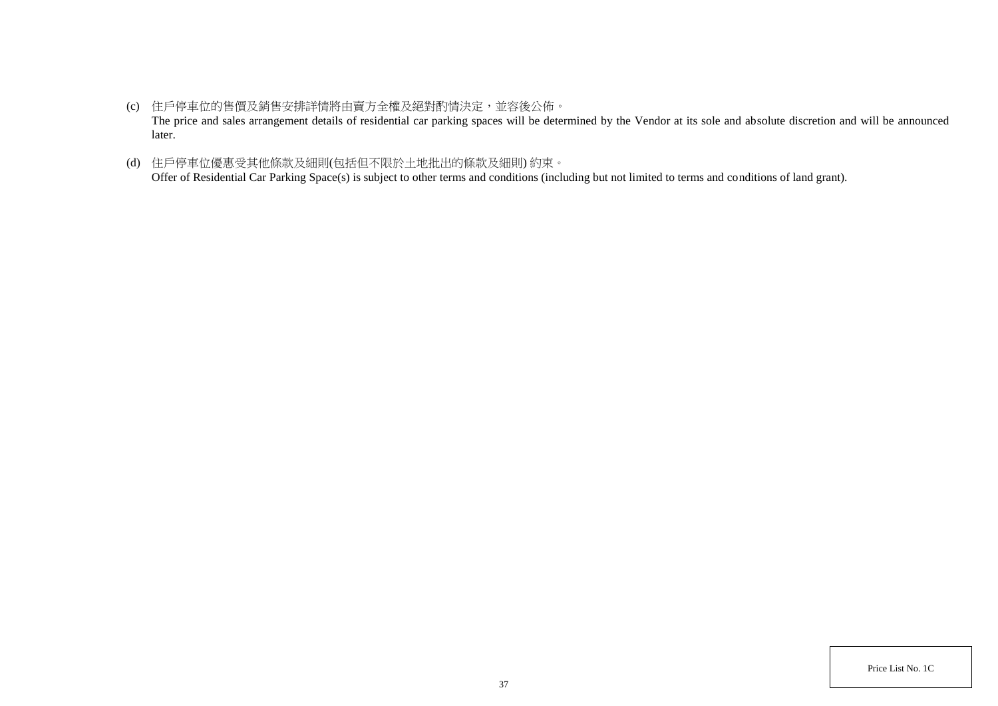- (c) 住戶停車位的售價及銷售安排詳情將由賣方全權及絕對酌情決定,並容後公佈。 The price and sales arrangement details of residential car parking spaces will be determined by the Vendor at its sole and absolute discretion and will be announced later.
- (d) 住戶停車位優惠受其他條款及細則(包括但不限於土地批出的條款及細則) 約束。 Offer of Residential Car Parking Space(s) is subject to other terms and conditions (including but not limited to terms and conditions of land grant).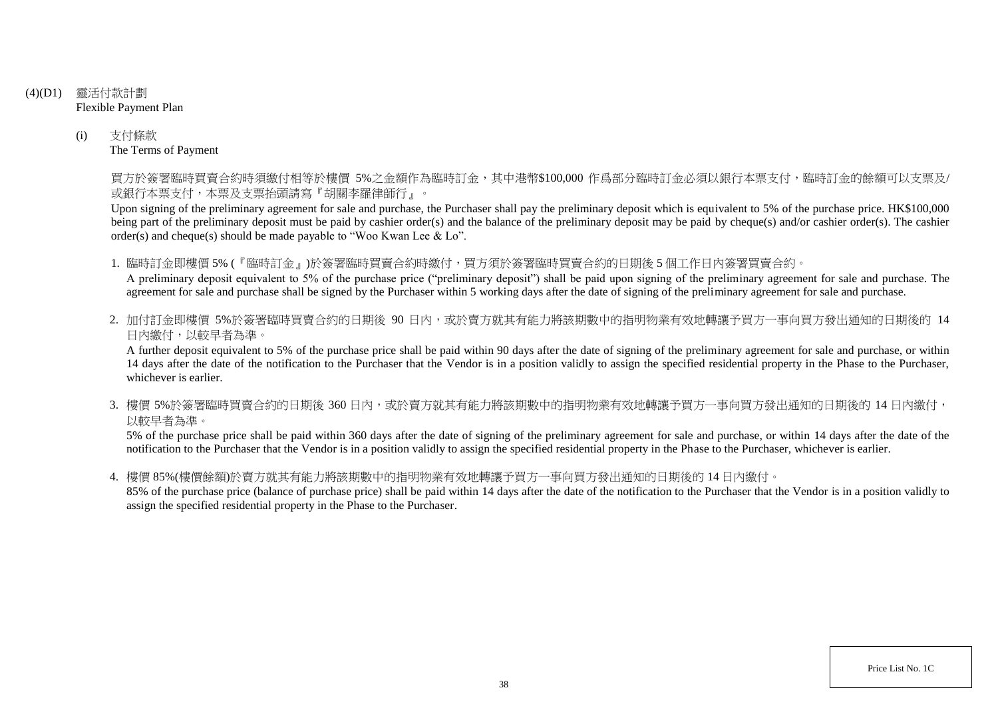- (4)(D1) 靈活付款計劃 Flexible Payment Plan
	- (i) 支付條款 The Terms of Payment

買方於簽署臨時買賣合約時須繳付相等於樓價 5%之金額作為臨時訂金,其中港幣\$100,000 作爲部分臨時訂金必須以銀行本票支付,臨時訂金的餘額可以支票及/ 或銀行本票支付,本票及支票抬頭請寫『胡關李羅律師行』。

Upon signing of the preliminary agreement for sale and purchase, the Purchaser shall pay the preliminary deposit which is equivalent to 5% of the purchase price. HK\$100,000 being part of the preliminary deposit must be paid by cashier order(s) and the balance of the preliminary deposit may be paid by cheque(s) and/or cashier order(s). The cashier order(s) and cheque(s) should be made payable to "Woo Kwan Lee & Lo".

1. 臨時訂金即樓價 5% (『臨時訂金』)於簽署臨時買賣合約時繳付,買方須於簽署臨時買賣合約的日期後 5 個工作日內簽署買賣合約。

A preliminary deposit equivalent to 5% of the purchase price ("preliminary deposit") shall be paid upon signing of the preliminary agreement for sale and purchase. The agreement for sale and purchase shall be signed by the Purchaser within 5 working days after the date of signing of the preliminary agreement for sale and purchase.

2. 加付訂金即樓價 5%於簽署臨時買賣合約的日期後 90 日内,或於賣方就其有能力將該期數中的指明物業有效地轉讓予買方一事向買方發出通知的日期後的 14 日內繳付,以較早者為準。

A further deposit equivalent to 5% of the purchase price shall be paid within 90 days after the date of signing of the preliminary agreement for sale and purchase, or within 14 days after the date of the notification to the Purchaser that the Vendor is in a position validly to assign the specified residential property in the Phase to the Purchaser, whichever is earlier.

3. 樓價 5%於簽署臨時買賣合約的日期後 360 日内,或於賣方就其有能力將該期數中的指明物業有效地轉讓予買方一事向買方發出通知的日期後的 14 日內繳付, 以較早者為準。

5% of the purchase price shall be paid within 360 days after the date of signing of the preliminary agreement for sale and purchase, or within 14 days after the date of the notification to the Purchaser that the Vendor is in a position validly to assign the specified residential property in the Phase to the Purchaser, whichever is earlier.

4. 樓價 85%(樓價餘額)於賣方就其有能力將該期數中的指明物業有效地轉讓予買方一事向買方發出通知的日期後的 14 日內繳付。

85% of the purchase price (balance of purchase price) shall be paid within 14 days after the date of the notification to the Purchaser that the Vendor is in a position validly to assign the specified residential property in the Phase to the Purchaser.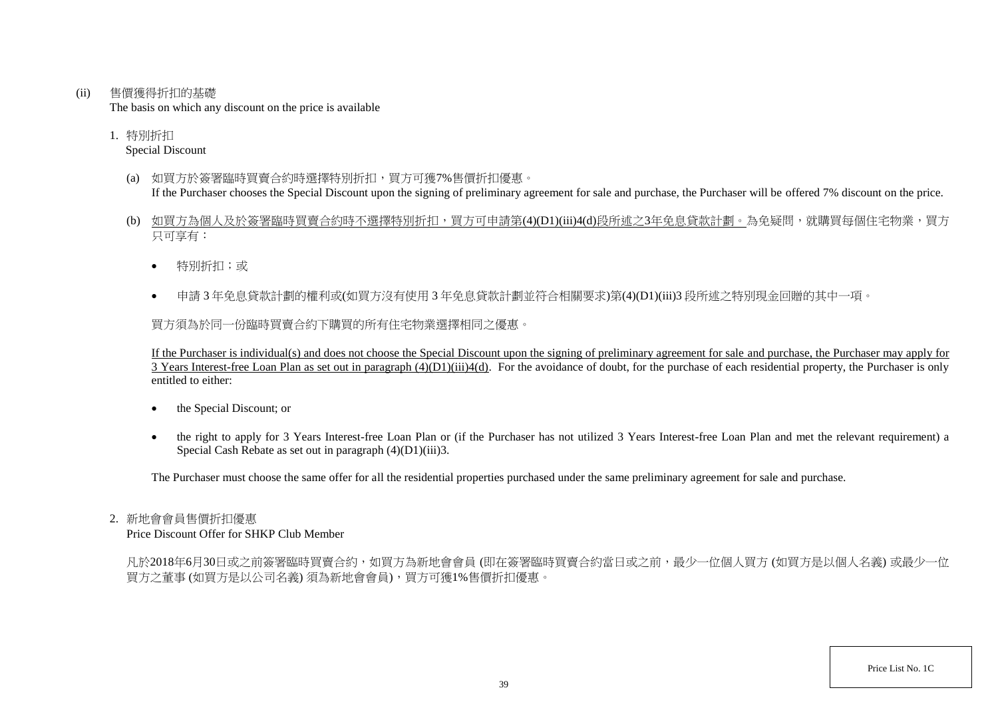(ii) 售價獲得折扣的基礎

The basis on which any discount on the price is available

1. 特別折扣 Special Discount

- (a) 如買方於簽署臨時買賣合約時選擇特別折扣,買方可獲7%售價折扣優惠。 If the Purchaser chooses the Special Discount upon the signing of preliminary agreement for sale and purchase, the Purchaser will be offered 7% discount on the price.
- (b) 如買方為個人及於簽署臨時買賣合約時不選擇特別折扣,買方可申請第(4)(D1)(iii)4(d)段所述之3年免息貸款計劃。為免疑問,就購買每個住宅物業,買方 只可享有:
	- 特別折扣;或
	- 申請 3 年免息貸款計劃的權利或(如買方沒有使用 3 年免息貸款計劃並符合相關要求)第(4)(D1)(iii)3 段所述之特別現金回贈的其中一項。

買方須為於同一份臨時買賣合約下購買的所有住宅物業選擇相同之優惠。

If the Purchaser is individual(s) and does not choose the Special Discount upon the signing of preliminary agreement for sale and purchase, the Purchaser may apply for  $\overline{3}$  Years Interest-free Loan Plan as set out in paragraph  $(4)(D1)(iii)4(d)$ . For the avoidance of doubt, for the purchase of each residential property, the Purchaser is only entitled to either:

- the Special Discount; or
- the right to apply for 3 Years Interest-free Loan Plan or (if the Purchaser has not utilized 3 Years Interest-free Loan Plan and met the relevant requirement) a Special Cash Rebate as set out in paragraph (4)(D1)(iii)3.

The Purchaser must choose the same offer for all the residential properties purchased under the same preliminary agreement for sale and purchase.

#### 2. 新地會會員售價折扣優惠

Price Discount Offer for SHKP Club Member

凡於2018年6月30日或之前簽署臨時買賣合約,如買方為新地會會員 (即在簽署臨時買賣合約當日或之前,最少一位個人買方 (如買方是以個人名義) 或最少一位 買方之董事 (如買方是以公司名義) 須為新地會會員),買方可獲1%售價折扣優惠。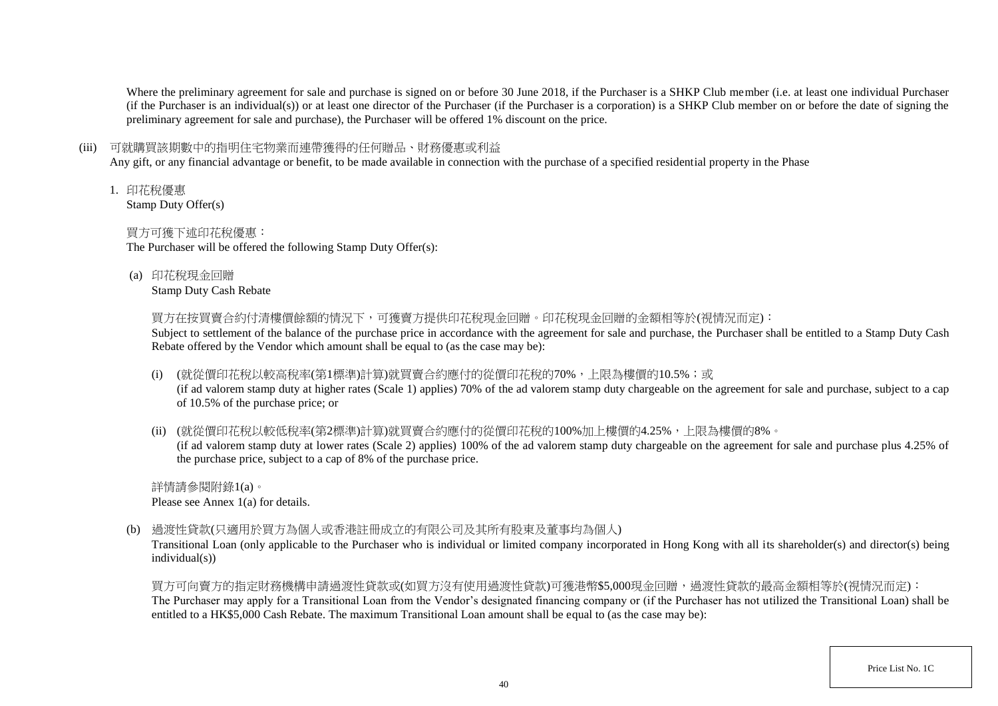Where the preliminary agreement for sale and purchase is signed on or before 30 June 2018, if the Purchaser is a SHKP Club member (i.e. at least one individual Purchaser (if the Purchaser is an individual(s)) or at least one director of the Purchaser (if the Purchaser is a corporation) is a SHKP Club member on or before the date of signing the preliminary agreement for sale and purchase), the Purchaser will be offered 1% discount on the price.

## (iii) 可就購買該期數中的指明住宅物業而連帶獲得的任何贈品、財務優惠或利益

Any gift, or any financial advantage or benefit, to be made available in connection with the purchase of a specified residential property in the Phase

1. 印花稅優惠

Stamp Duty Offer(s)

# 買方可獲下述印花稅優惠:

The Purchaser will be offered the following Stamp Duty Offer(s):

(a) 印花稅現金回贈

Stamp Duty Cash Rebate

買方在按買賣合約付清樓價餘額的情況下,可獲賣方提供印花稅現金回贈。印花稅現金回贈的金額相等於(視情況而定):

Subject to settlement of the balance of the purchase price in accordance with the agreement for sale and purchase, the Purchaser shall be entitled to a Stamp Duty Cash Rebate offered by the Vendor which amount shall be equal to (as the case may be):

(i) (就從價印花稅以較高稅率(第1標準)計算)就買賣合約應付的從價印花稅的70%,上限為樓價的10.5%;或

(if ad valorem stamp duty at higher rates (Scale 1) applies) 70% of the ad valorem stamp duty chargeable on the agreement for sale and purchase, subject to a cap of 10.5% of the purchase price; or

(ii) (就從價印花稅以較低稅率(第2標準)計算)就買賣合約應付的從價印花稅的100%加上樓價的4.25%,上限為樓價的8%。

(if ad valorem stamp duty at lower rates (Scale 2) applies) 100% of the ad valorem stamp duty chargeable on the agreement for sale and purchase plus 4.25% of the purchase price, subject to a cap of 8% of the purchase price.

詳情請參閱附錄1(a)。 Please see Annex 1(a) for details.

(b) 過渡性貸款(只適用於買方為個人或香港註冊成立的有限公司及其所有股東及董事均為個人)

Transitional Loan (only applicable to the Purchaser who is individual or limited company incorporated in Hong Kong with all its shareholder(s) and director(s) being individual(s))

買方可向賣方的指定財務機構申請過渡性貸款或(如買方沒有使用過渡性貸款)可獲港幣\$5,000現金回贈,過渡性貸款的最高金額相等於(視情況而定): The Purchaser may apply for a Transitional Loan from the Vendor's designated financing company or (if the Purchaser has not utilized the Transitional Loan) shall be entitled to a HK\$5,000 Cash Rebate. The maximum Transitional Loan amount shall be equal to (as the case may be):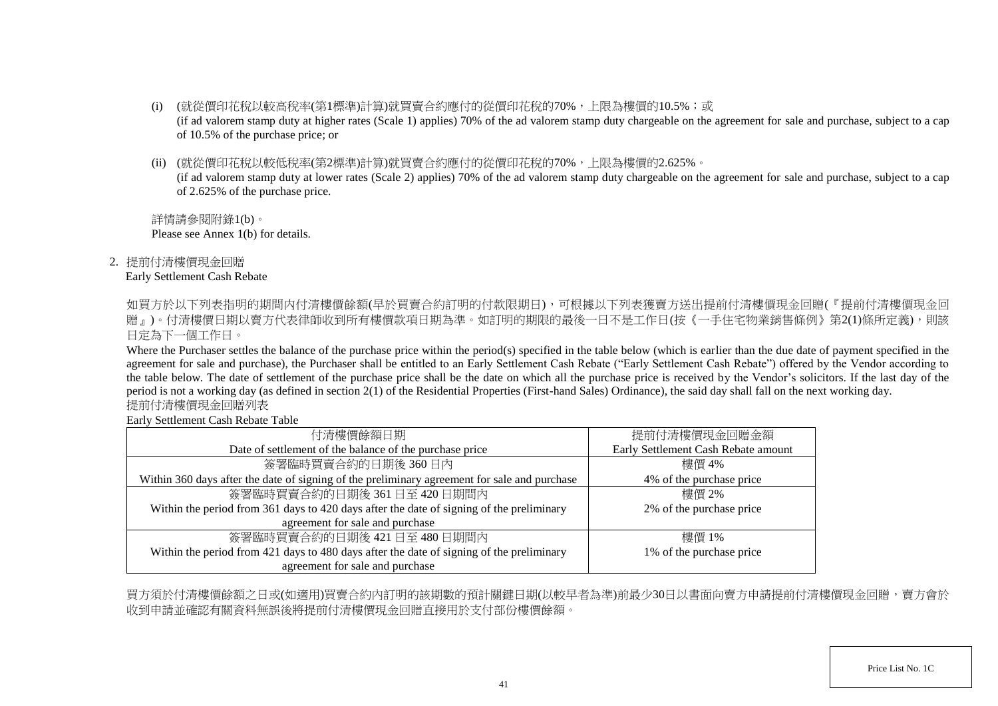- (i) (就從價印花稅以較高稅率(第1標準)計算)就買賣合約應付的從價印花稅的70%,上限為樓價的10.5%;或 (if ad valorem stamp duty at higher rates (Scale 1) applies) 70% of the ad valorem stamp duty chargeable on the agreement for sale and purchase, subject to a cap of 10.5% of the purchase price; or
- (ii) (就從價印花稅以較低稅率(第2標準)計算)就買賣合約應付的從價印花稅的70%,上限為樓價的2.625%。

(if ad valorem stamp duty at lower rates (Scale 2) applies) 70% of the ad valorem stamp duty chargeable on the agreement for sale and purchase, subject to a cap of 2.625% of the purchase price.

詳情請參閱附錄1(b)。 Please see Annex 1(b) for details.

2. 提前付清樓價現金回贈

## Early Settlement Cash Rebate

如買方於以下列表指明的期間内付清樓價餘額(早於買賣合約訂明的付款限期日),可根據以下列表獲賣方送出提前付清樓價現金回贈(『提前付清樓價現金回 贈」)。付清樓價日期以賣方代表律師收到所有樓價款項日期為準。如訂明的期限的最後一日不是工作日(按《一手住宅物業銷售條例》第2(1)條所定義),則該 日定為下一個工作日。

Where the Purchaser settles the balance of the purchase price within the period(s) specified in the table below (which is earlier than the due date of payment specified in the agreement for sale and purchase), the Purchaser shall be entitled to an Early Settlement Cash Rebate ("Early Settlement Cash Rebate") offered by the Vendor according to the table below. The date of settlement of the purchase price shall be the date on which all the purchase price is received by the Vendor's solicitors. If the last day of the period is not a working day (as defined in section 2(1) of the Residential Properties (First-hand Sales) Ordinance), the said day shall fall on the next working day. 提前付清樓價現金回贈列表

Early Settlement Cash Rebate Table

| 付清樓價餘額日期                                                                                     | 提前付清樓價現金回贈金額                        |
|----------------------------------------------------------------------------------------------|-------------------------------------|
| Date of settlement of the balance of the purchase price                                      | Early Settlement Cash Rebate amount |
| 簽署臨時買賣合約的日期後360日內                                                                            | 樓價 4%                               |
| Within 360 days after the date of signing of the preliminary agreement for sale and purchase | 4% of the purchase price            |
| 簽署臨時買賣合約的日期後 361日至 420日期間内                                                                   | 樓價 2%                               |
| Within the period from 361 days to 420 days after the date of signing of the preliminary     | 2% of the purchase price            |
| agreement for sale and purchase                                                              |                                     |
| 簽署臨時買賣合約的日期後 421日至 480日期間内                                                                   | 樓價 1%                               |
| Within the period from 421 days to 480 days after the date of signing of the preliminary     | 1% of the purchase price            |
| agreement for sale and purchase                                                              |                                     |

買方須於付清樓價餘額之日或(如適用)買賣合約內訂明的該期數的預計關鍵日期(以較早者為準)前最少30日以書面向賣方申請提前付清樓價現金回贈,賣方會於 收到申請並確認有關資料無誤後將提前付清樓價現金回贈直接用於支付部份樓價餘額。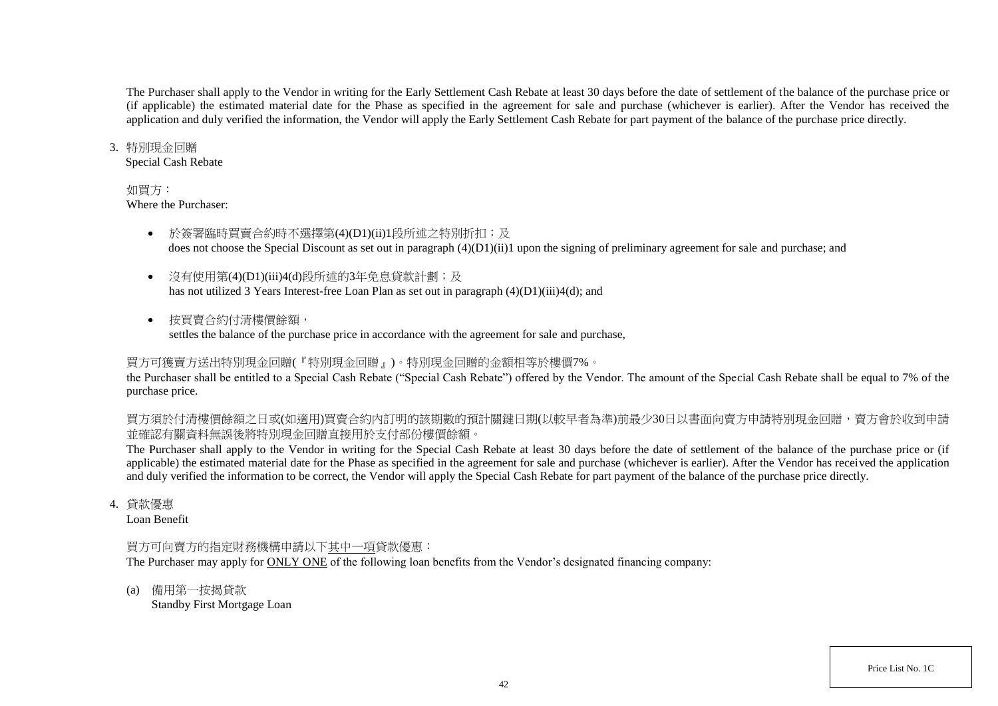The Purchaser shall apply to the Vendor in writing for the Early Settlement Cash Rebate at least 30 days before the date of settlement of the balance of the purchase price or (if applicable) the estimated material date for the Phase as specified in the agreement for sale and purchase (whichever is earlier). After the Vendor has received the application and duly verified the information, the Vendor will apply the Early Settlement Cash Rebate for part payment of the balance of the purchase price directly.

#### 3. 特別現金回贈

Special Cash Rebate

## 如買方:

Where the Purchaser:

- 於簽署臨時買賣合約時不選擇第(4)(D1)(ii)1段所述之特別折扣;及 does not choose the Special Discount as set out in paragraph (4)(D1)(ii)1 upon the signing of preliminary agreement for sale and purchase; and
- 沒有使用第(4)(D1)(iii)4(d)段所述的3年免息貸款計劃;及 has not utilized 3 Years Interest-free Loan Plan as set out in paragraph (4)(D1)(iii)4(d); and
- 按買賣合約付清樓價餘額, settles the balance of the purchase price in accordance with the agreement for sale and purchase,

# 買方可獲賣方送出特別現金回贈(『特別現金回贈』)。特別現金回贈的金額相等於樓價7%。

the Purchaser shall be entitled to a Special Cash Rebate ("Special Cash Rebate") offered by the Vendor. The amount of the Special Cash Rebate shall be equal to 7% of the purchase price.

買方須於付清樓價餘額之日或(如適用)買賣合約內訂明的該期數的預計關鍵日期(以較早者為準)前最少30日以書面向賣方申請特別現金回贈,賣方會於收到申請 並確認有關資料無誤後將特別現金回贈直接用於支付部份樓價餘額。

The Purchaser shall apply to the Vendor in writing for the Special Cash Rebate at least 30 days before the date of settlement of the balance of the purchase price or (if applicable) the estimated material date for the Phase as specified in the agreement for sale and purchase (whichever is earlier). After the Vendor has received the application and duly verified the information to be correct, the Vendor will apply the Special Cash Rebate for part payment of the balance of the purchase price directly.

4. 貸款優惠

Loan Benefit

# 買方可向賣方的指定財務機構申請以下其中一項貸款優惠:

The Purchaser may apply for ONLY ONE of the following loan benefits from the Vendor's designated financing company:

(a) 備用第一按揭貸款

Standby First Mortgage Loan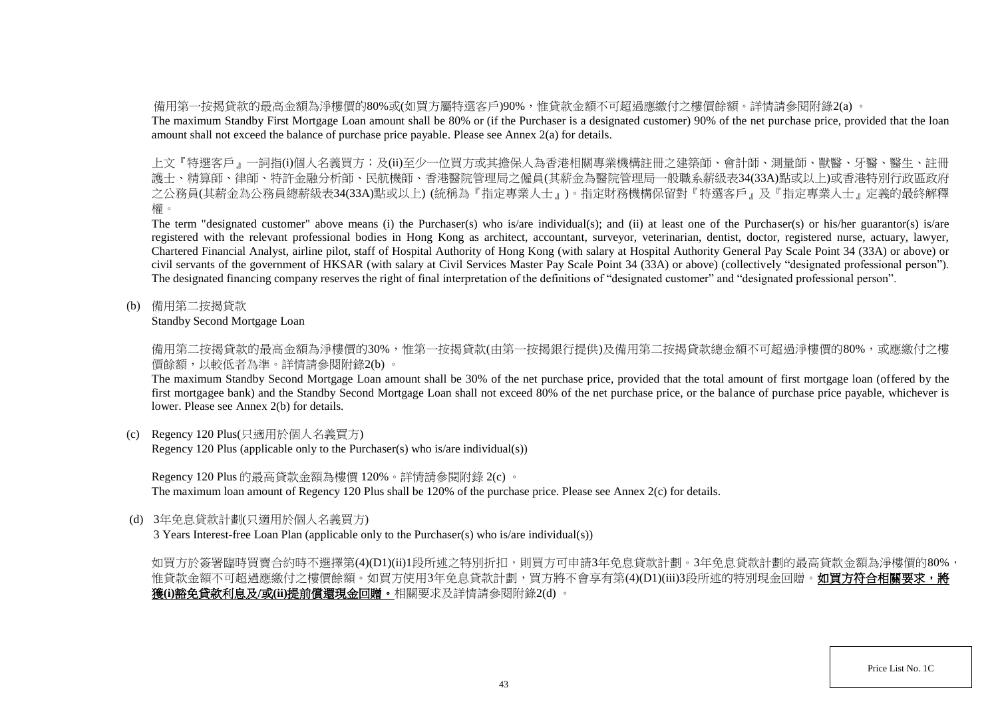備用第一按揭貸款的最高金額為淨樓價的80%或(如買方屬特選客戶)90%,惟貸款金額不可超過應繳付之樓價餘額。詳情請參閱附錄2(a) 。

The maximum Standby First Mortgage Loan amount shall be 80% or (if the Purchaser is a designated customer) 90% of the net purchase price, provided that the loan amount shall not exceed the balance of purchase price payable. Please see Annex 2(a) for details.

上文『特選客戶』一詞指(i)個人名義買方;及(ii)至少一位買方或其擔保人為香港相關專業機構註冊之建築師、會計師、測量師、獸醫、牙醫、醫生、註冊 護士、精算師、律師、特許金融分析師、民航機師、香港醫院管理局之僱員(其薪金為醫院管理局一般職系薪級表34(33A)點或以上)或香港特別行政區政府 之公務員(其薪金為公務員總薪級表34(33A)點或以上) (統稱為『指定專業人士』)。指定財務機構保留對『特選客戶』及『指定專業人士』定義的最終解釋 權。

The term "designated customer" above means (i) the Purchaser(s) who is/are individual(s); and (ii) at least one of the Purchaser(s) or his/her guarantor(s) is/are registered with the relevant professional bodies in Hong Kong as architect, accountant, surveyor, veterinarian, dentist, doctor, registered nurse, actuary, lawyer, Chartered Financial Analyst, airline pilot, staff of Hospital Authority of Hong Kong (with salary at Hospital Authority General Pay Scale Point 34 (33A) or above) or civil servants of the government of HKSAR (with salary at Civil Services Master Pay Scale Point 34 (33A) or above) (collectively "designated professional person"). The designated financing company reserves the right of final interpretation of the definitions of "designated customer" and "designated professional person".

(b) 備用第二按揭貸款

Standby Second Mortgage Loan

備用第二按揭貸款的最高金額為淨樓價的30%,惟第一按揭貸款(由第一按揭銀行提供)及備用第二按揭貸款總金額不可超過淨樓價的80%,或應繳付之樓 價餘額,以較低者為準。詳情請參閱附錄2(b) 。

The maximum Standby Second Mortgage Loan amount shall be 30% of the net purchase price, provided that the total amount of first mortgage loan (offered by the first mortgagee bank) and the Standby Second Mortgage Loan shall not exceed 80% of the net purchase price, or the balance of purchase price payable, whichever is lower. Please see Annex 2(b) for details.

(c) Regency 120 Plus(只適用於個人名義買方)

Regency 120 Plus (applicable only to the Purchaser(s) who is/are individual(s))

Regency 120 Plus 的最高貸款金額為樓價 120%。詳情請參閱附錄 2(c) 。

The maximum loan amount of Regency 120 Plus shall be 120% of the purchase price. Please see Annex 2(c) for details.

(d) 3年免息貸款計劃(只適用於個人名義買方)

3 Years Interest-free Loan Plan (applicable only to the Purchaser(s) who is/are individual(s))

如買方於簽署臨時買賣合約時不選擇第(4)(D1)(ii)1段所述之特別折扣,則買方可申請3年免息貸款計劃。3年免息貸款計劃的最高貸款金額為淨樓價的80%, 惟貸款金額不可超過應繳付之樓價餘額。如買方使用3年免息貸款計劃,買方將不會享有第(4)(D1)(iii)3段所述的特別現金回贈。**如買方符合相關要求,將** 獲**(i)**豁免貸款利息及**/**或**(ii)**提前償還現金回贈。相關要求及詳情請參閱附錄2(d) 。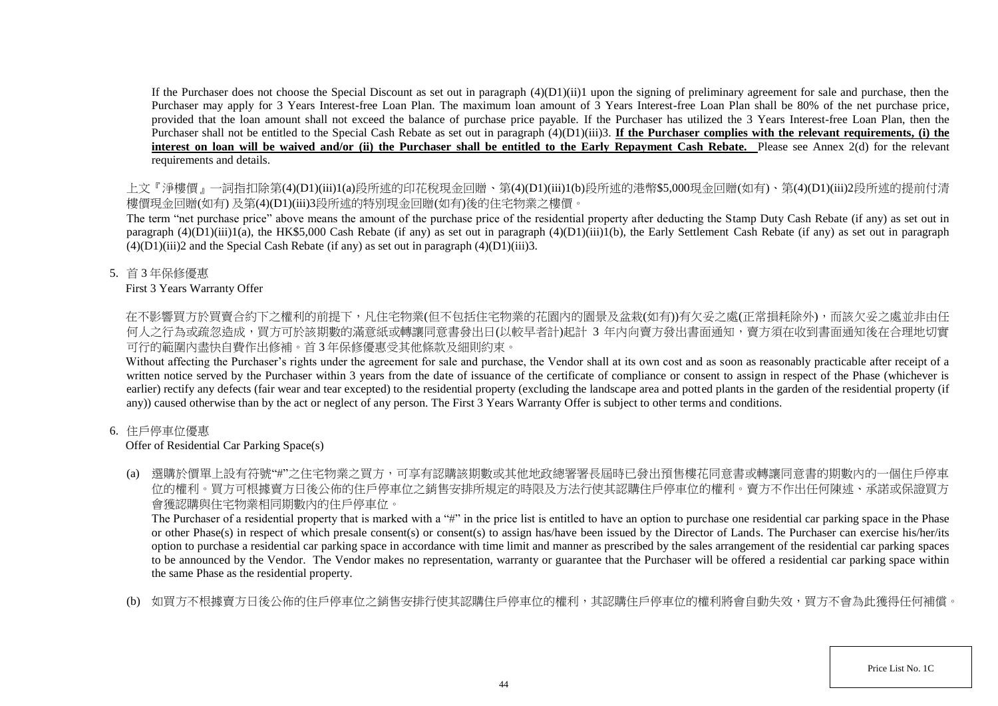If the Purchaser does not choose the Special Discount as set out in paragraph  $(4)(D1)(ii)1$  upon the signing of preliminary agreement for sale and purchase, then the Purchaser may apply for 3 Years Interest-free Loan Plan. The maximum loan amount of 3 Years Interest-free Loan Plan shall be 80% of the net purchase price, provided that the loan amount shall not exceed the balance of purchase price payable. If the Purchaser has utilized the 3 Years Interest-free Loan Plan, then the Purchaser shall not be entitled to the Special Cash Rebate as set out in paragraph (4)(D1)(iii)3. **If the Purchaser complies with the relevant requirements, (i) the** interest on loan will be waived and/or (ii) the Purchaser shall be entitled to the Early Repayment Cash Rebate. Please see Annex 2(d) for the relevant requirements and details.

上文『淨樓價』一詞指扣除第(4)(D1)(iii)1(a)段所述的印花稅現金回贈、第(4)(D1)(iii)1(b)段所述的港幣\$5,000現金回贈(如有)、第(4)(D1)(iii)2段所述的提前付清 樓價現金回贈(如有) 及第(4)(D1)(iii)3段所述的特別現金回贈(如有)後的住宅物業之樓價。

The term "net purchase price" above means the amount of the purchase price of the residential property after deducting the Stamp Duty Cash Rebate (if any) as set out in paragraph  $(4)(D1)(iii)1(a)$ , the HK\$5,000 Cash Rebate (if any) as set out in paragraph  $(4)(D1)(iii)1(b)$ , the Early Settlement Cash Rebate (if any) as set out in paragraph  $(4)(D1)(iii)2$  and the Special Cash Rebate (if any) as set out in paragraph  $(4)(D1)(iii)3$ .

5. 首 3 年保修優惠

# First 3 Years Warranty Offer

在不影響買方於買賣合約下之權利的前提下,凡住宅物業(但不包括住宅物業的花園内的園景及盆栽(如有))有欠妥之處(正常損耗除外),而該欠妥之處並非由任 何人之行為或疏忽造成,買方可於該期數的滿意紙或轉讓同意書發出日(以較早者計)起計 3 年内向賣方發出書面通知,賣方須在收到書面通知後在合理地切實 可行的範圍內盡快自費作出修補。首 3 年保修優惠受其他條款及細則約束。

Without affecting the Purchaser's rights under the agreement for sale and purchase, the Vendor shall at its own cost and as soon as reasonably practicable after receipt of a written notice served by the Purchaser within 3 years from the date of issuance of the certificate of compliance or consent to assign in respect of the Phase (whichever is earlier) rectify any defects (fair wear and tear excepted) to the residential property (excluding the landscape area and potted plants in the garden of the residential property (if any)) caused otherwise than by the act or neglect of any person. The First 3 Years Warranty Offer is subject to other terms and conditions.

# 6. 住戶停車位優惠

# Offer of Residential Car Parking Space(s)

(a) 選購於價單上設有符號"#"之住宅物業之買方,可享有認購該期數或其他地政總署署長屆時已發出預售樓花同意書或轉讓同意書的期數內的一個住戶停車 位的權利。買方可根據賣方日後公佈的住戶停車位之銷售安排所規定的時限及方法行使其認購住戶停車位的權利。賣方不作出任何陳述、承諾或保證買方 會獲認購與住宅物業相同期數內的住戶停車位。

The Purchaser of a residential property that is marked with a "#" in the price list is entitled to have an option to purchase one residential car parking space in the Phase or other Phase(s) in respect of which presale consent(s) or consent(s) to assign has/have been issued by the Director of Lands. The Purchaser can exercise his/her/its option to purchase a residential car parking space in accordance with time limit and manner as prescribed by the sales arrangement of the residential car parking spaces to be announced by the Vendor. The Vendor makes no representation, warranty or guarantee that the Purchaser will be offered a residential car parking space within the same Phase as the residential property.

(b) 如買方不根據賣方日後公佈的住戶停車位之銷售安排行使其認購住戶停車位的權利,其認購住戶停車位的權利將會自動失效,買方不會為此獲得任何補償。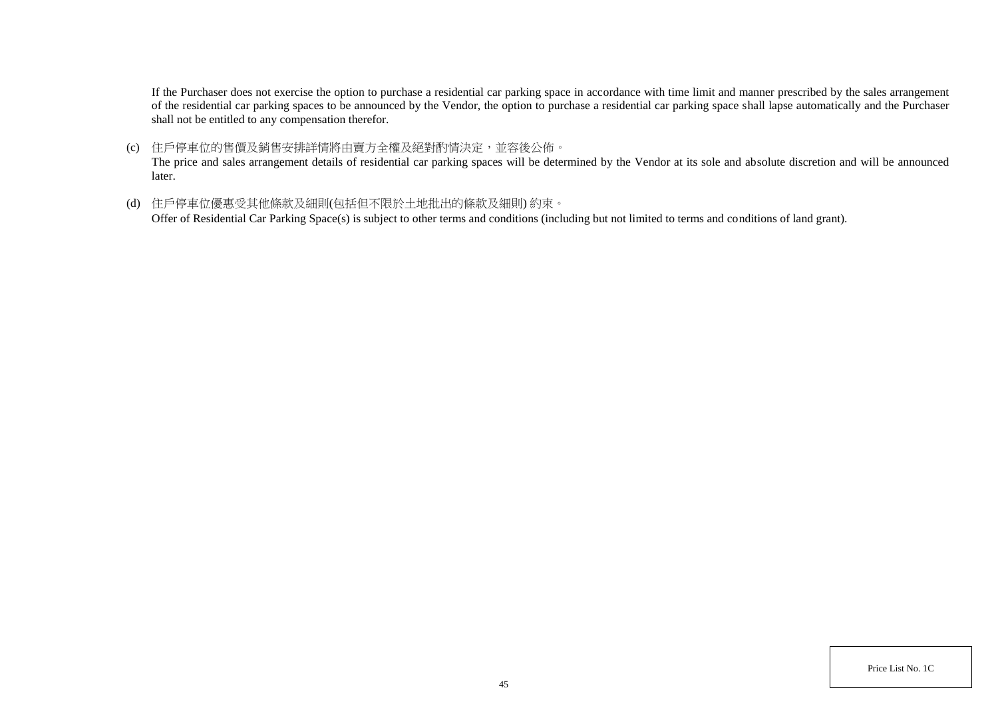If the Purchaser does not exercise the option to purchase a residential car parking space in accordance with time limit and manner prescribed by the sales arrangement of the residential car parking spaces to be announced by the Vendor, the option to purchase a residential car parking space shall lapse automatically and the Purchaser shall not be entitled to any compensation therefor.

(c) 住戶停車位的售價及銷售安排詳情將由賣方全權及絕對酌情決定,並容後公佈。

The price and sales arrangement details of residential car parking spaces will be determined by the Vendor at its sole and absolute discretion and will be announced later.

(d) 住戶停車位優惠受其他條款及細則(包括但不限於土地批出的條款及細則) 約束。

Offer of Residential Car Parking Space(s) is subject to other terms and conditions (including but not limited to terms and conditions of land grant).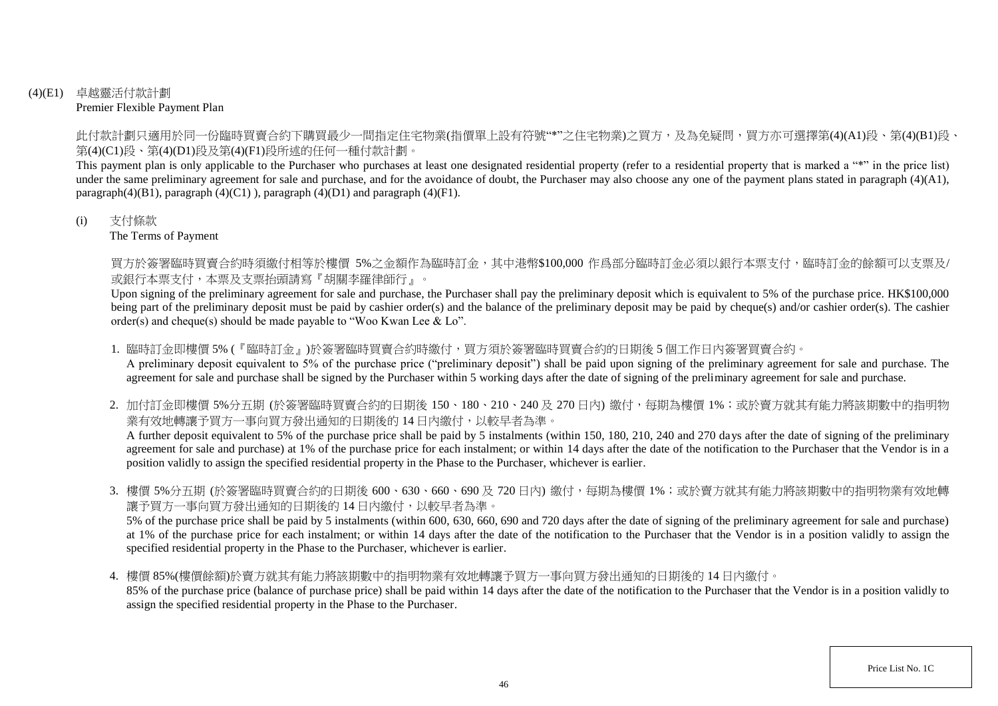## (4)(E1) 卓越靈活付款計劃 Premier Flexible Payment Plan

此付款計劃只適用於同一份臨時買賣合約下購買最少一間指定住宅物業(指價單上設有符號"\*"之住宅物業)之買方,及為免疑問,買方亦可選擇第(4)(A1)段、第(4)(B1)段、 第(4)(C1)段、第(4)(D1)段及第(4)(F1)段所述的任何一種付款計劃。

This payment plan is only applicable to the Purchaser who purchases at least one designated residential property (refer to a residential property that is marked a "\*" in the price list) under the same preliminary agreement for sale and purchase, and for the avoidance of doubt, the Purchaser may also choose any one of the payment plans stated in paragraph (4)(A1), paragraph $(4)(B1)$ , paragraph  $(4)(C1)$ ), paragraph  $(4)(D1)$  and paragraph  $(4)(F1)$ .

## (i) 支付條款

The Terms of Payment

買方於簽署臨時買賣合約時須繳付相等於樓價 5%之金額作為臨時訂金,其中港幣\$100,000 作爲部分臨時訂金必須以銀行本票支付,臨時訂金的餘額可以支票及/ 或銀行本票支付,本票及支票抬頭請寫『胡關李羅律師行』。

Upon signing of the preliminary agreement for sale and purchase, the Purchaser shall pay the preliminary deposit which is equivalent to 5% of the purchase price. HK\$100,000 being part of the preliminary deposit must be paid by cashier order(s) and the balance of the preliminary deposit may be paid by cheque(s) and/or cashier order(s). The cashier order(s) and cheque(s) should be made payable to "Woo Kwan Lee & Lo".

1. 臨時訂金即樓價 5% (『臨時訂金』)於簽署臨時買賣合約時繳付,買方須於簽署臨時買賣合約的日期後 5 個工作日内簽署買賣合約。

A preliminary deposit equivalent to 5% of the purchase price ("preliminary deposit") shall be paid upon signing of the preliminary agreement for sale and purchase. The agreement for sale and purchase shall be signed by the Purchaser within 5 working days after the date of signing of the preliminary agreement for sale and purchase.

2. 加付訂金即樓價 5%分五期 (於簽署臨時買賣合約的日期後 150、180、210、240及 270日內) 繳付,每期為樓價 1%;或於賣方就其有能力將該期數中的指明物 業有效地轉讓予買方一事向買方發出通知的日期後的 14 日内繳付,以較早者為準。

A further deposit equivalent to 5% of the purchase price shall be paid by 5 instalments (within 150, 180, 210, 240 and 270 days after the date of signing of the preliminary agreement for sale and purchase) at 1% of the purchase price for each instalment; or within 14 days after the date of the notification to the Purchaser that the Vendor is in a position validly to assign the specified residential property in the Phase to the Purchaser, whichever is earlier.

3. 樓價 5%分五期 (於簽署臨時買賣合約的日期後 600、630、660、690 及 720 日內) 繳付,每期為樓價 1%;或於賣方就其有能力將該期數中的指明物業有效地轉 讓予買方一事向買方發出通知的日期後的 14 日內繳付,以較早者為準。

5% of the purchase price shall be paid by 5 instalments (within 600, 630, 660, 690 and 720 days after the date of signing of the preliminary agreement for sale and purchase) at 1% of the purchase price for each instalment; or within 14 days after the date of the notification to the Purchaser that the Vendor is in a position validly to assign the specified residential property in the Phase to the Purchaser, whichever is earlier.

4. 樓價 85%(樓價餘額)於賣方就其有能力將該期數中的指明物業有效地轉讓予買方一事向買方發出通知的日期後的 14 日內繳付。

85% of the purchase price (balance of purchase price) shall be paid within 14 days after the date of the notification to the Purchaser that the Vendor is in a position validly to assign the specified residential property in the Phase to the Purchaser.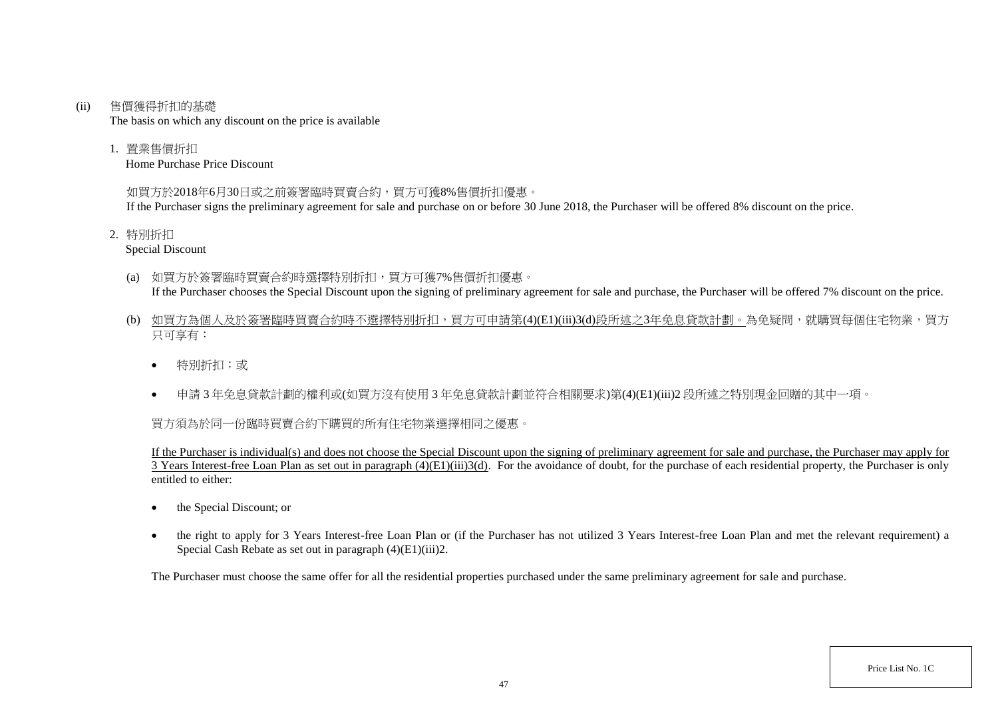#### (ii) 售價獲得折扣的基礎

The basis on which any discount on the price is available

1. 置業售價折扣

Home Purchase Price Discount

# 如買方於2018年6月30日或之前簽署臨時買賣合約,買方可獲8%售價折扣優惠。

If the Purchaser signs the preliminary agreement for sale and purchase on or before 30 June 2018, the Purchaser will be offered 8% discount on the price.

2. 特別折扣

Special Discount

- (a) 如買方於簽署臨時買賣合約時選擇特別折扣,買方可獲7%售價折扣優惠。 If the Purchaser chooses the Special Discount upon the signing of preliminary agreement for sale and purchase, the Purchaser will be offered 7% discount on the price.
- (b) 如買方為個人及於簽署臨時買賣合約時不選擇特別折扣,買方可申請第(4)(E1)(iii)3(d)段所述之3年免息貸款計劃。為免疑問,就購買每個住宅物業,買方 只可享有:
	- 特別折扣;或
	- 申請 3 年免息貸款計劃的權利或(如買方沒有使用 3 年免息貸款計劃並符合相關要求)第(4)(E1)(iii)2 段所述之特別現金回贈的其中一項。

# 買方須為於同一份臨時買賣合約下購買的所有住宅物業選擇相同之優惠。

If the Purchaser is individual(s) and does not choose the Special Discount upon the signing of preliminary agreement for sale and purchase, the Purchaser may apply for  $\overline{3}$  Years Interest-free Loan Plan as set out in paragraph (4)(E1)(iii)3(d). For the avoidance of doubt, for the purchase of each residential property, the Purchaser is only entitled to either:

- the Special Discount: or
- the right to apply for 3 Years Interest-free Loan Plan or (if the Purchaser has not utilized 3 Years Interest-free Loan Plan and met the relevant requirement) a Special Cash Rebate as set out in paragraph (4)(E1)(iii)2.

The Purchaser must choose the same offer for all the residential properties purchased under the same preliminary agreement for sale and purchase.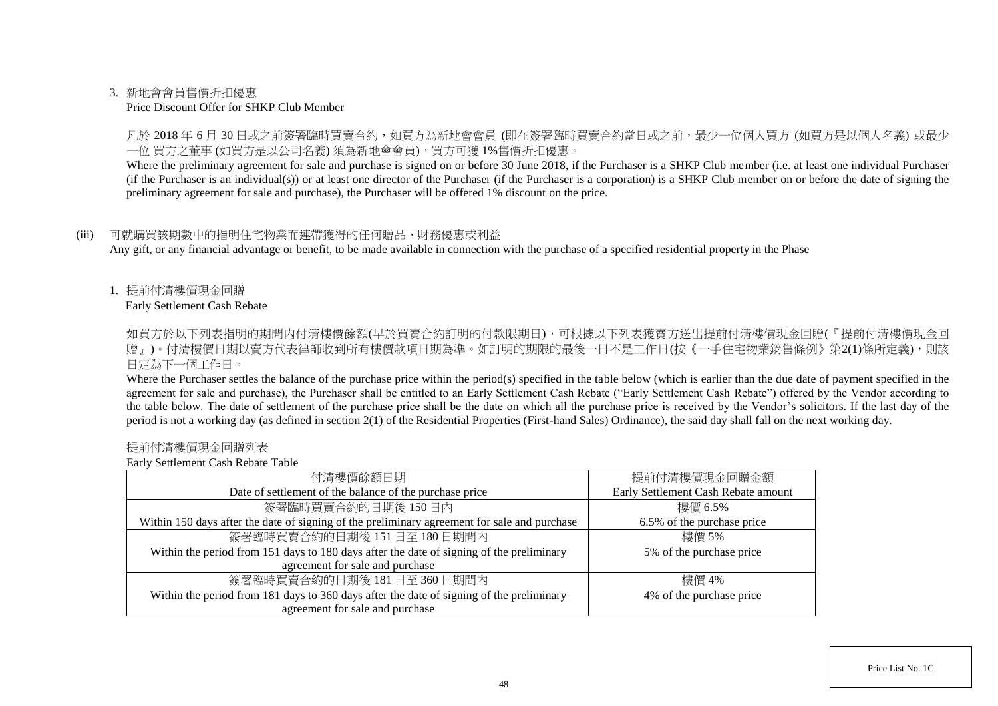## 3. 新地會會員售價折扣優惠

#### Price Discount Offer for SHKP Club Member

凡於 2018 年 6 月 30 日或之前簽署臨時買賣合約,如買方為新地會會員 (即在簽署臨時買賣合約當日或之前,最少一位個人買方 (如買方是以個人名義) 或最少 一位 買方之董事 (如買方是以公司名義) 須為新地會會員),買方可獲 1%售價折扣優惠。

Where the preliminary agreement for sale and purchase is signed on or before 30 June 2018, if the Purchaser is a SHKP Club member (i.e. at least one individual Purchaser (if the Purchaser is an individual(s)) or at least one director of the Purchaser (if the Purchaser is a corporation) is a SHKP Club member on or before the date of signing the preliminary agreement for sale and purchase), the Purchaser will be offered 1% discount on the price.

## (iii) 可就購買該期數中的指明住宅物業而連帶獲得的任何贈品、財務優惠或利益

Any gift, or any financial advantage or benefit, to be made available in connection with the purchase of a specified residential property in the Phase

1. 提前付清樓價現金回贈

Early Settlement Cash Rebate

如買方於以下列表指明的期間内付清樓價餘額(早於買賣合約訂明的付款限期日),可根據以下列表獲賣方送出提前付清樓價現金回贈(『提前付清樓價現金回 贈』)。付清樓價日期以賣方代表律師收到所有樓價款項日期為準。如訂明的期限的最後一日不是工作日(按《一手住宅物業銷售條例》第2(1)條所定義),則該 日定為下一個工作日。

Where the Purchaser settles the balance of the purchase price within the period(s) specified in the table below (which is earlier than the due date of payment specified in the agreement for sale and purchase), the Purchaser shall be entitled to an Early Settlement Cash Rebate ("Early Settlement Cash Rebate") offered by the Vendor according to the table below. The date of settlement of the purchase price shall be the date on which all the purchase price is received by the Vendor's solicitors. If the last day of the period is not a working day (as defined in section 2(1) of the Residential Properties (First-hand Sales) Ordinance), the said day shall fall on the next working day.

#### 提前付清樓價現金回贈列表

Early Settlement Cash Rebate Table

| 付清樓價餘額日期                                                                                     | 提前付清樓價現金回贈金額                        |  |
|----------------------------------------------------------------------------------------------|-------------------------------------|--|
| Date of settlement of the balance of the purchase price                                      | Early Settlement Cash Rebate amount |  |
| 簽署臨時買賣合約的日期後150日內                                                                            | 樓價 6.5%                             |  |
| Within 150 days after the date of signing of the preliminary agreement for sale and purchase | 6.5% of the purchase price          |  |
| 簽署臨時買賣合約的日期後 151日至 180日期間內                                                                   | 樓價 5%                               |  |
| Within the period from 151 days to 180 days after the date of signing of the preliminary     | 5% of the purchase price            |  |
| agreement for sale and purchase                                                              |                                     |  |
| 簽署臨時買賣合約的日期後 181日至 360日期間內                                                                   | 樓價 4%                               |  |
| Within the period from 181 days to 360 days after the date of signing of the preliminary     | 4% of the purchase price            |  |
| agreement for sale and purchase                                                              |                                     |  |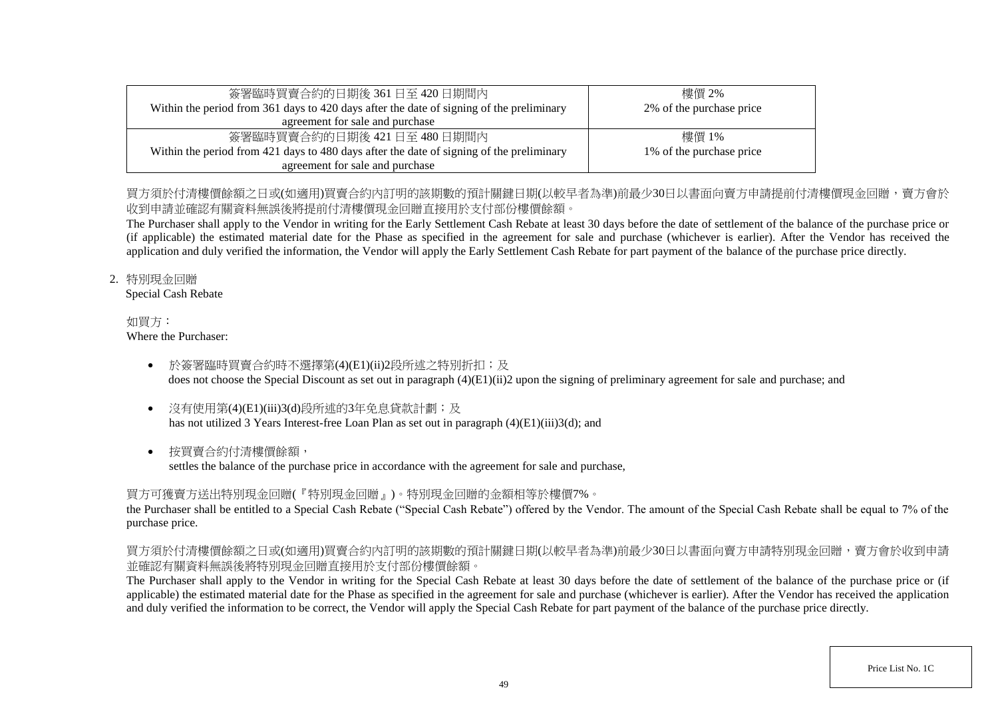| 簽署臨時買賣合約的日期後 361 日至 420 日期間內                                                             | 樓價 2%                    |
|------------------------------------------------------------------------------------------|--------------------------|
| Within the period from 361 days to 420 days after the date of signing of the preliminary | 2% of the purchase price |
| agreement for sale and purchase                                                          |                          |
| 簽署臨時買賣合約的日期後 421日至 480日期間内                                                               | 樓價 1%                    |
| Within the period from 421 days to 480 days after the date of signing of the preliminary | 1% of the purchase price |
| agreement for sale and purchase                                                          |                          |

# 買方須於付清樓價餘額之日或(如適用)買賣合約內訂明的該期數的預計關鍵日期(以較早者為進)前最少30日以書面向賣方申請提前付清樓價現金回贈,賣方會於 收到申請並確認有關資料無誤後將提前付清樓價現金回贈直接用於支付部份樓價餘額。

The Purchaser shall apply to the Vendor in writing for the Early Settlement Cash Rebate at least 30 days before the date of settlement of the balance of the purchase price or (if applicable) the estimated material date for the Phase as specified in the agreement for sale and purchase (whichever is earlier). After the Vendor has received the application and duly verified the information, the Vendor will apply the Early Settlement Cash Rebate for part payment of the balance of the purchase price directly.

# 2. 特別現金回贈

Special Cash Rebate

#### 如買方: Where the Purchaser:

- 於簽署臨時買賣合約時不選擇第(4)(E1)(ii)2段所述之特別折扣;及 does not choose the Special Discount as set out in paragraph (4)(E1)(ii)2 upon the signing of preliminary agreement for sale and purchase; and
- 沒有使用第(4)(E1)(iii)3(d)段所述的3年免息貸款計劃;及 has not utilized 3 Years Interest-free Loan Plan as set out in paragraph (4)(E1)(iii)3(d); and
- 按買賣合約付清樓價餘額,

settles the balance of the purchase price in accordance with the agreement for sale and purchase,

# 買方可獲賣方送出特別現金回贈(『特別現金回贈』)。特別現金回贈的金額相等於樓價7%。

the Purchaser shall be entitled to a Special Cash Rebate ("Special Cash Rebate") offered by the Vendor. The amount of the Special Cash Rebate shall be equal to 7% of the purchase price.

# 買方須於付清樓價餘額之日或(如適用)買賣合約內訂明的該期數的預計關鍵日期(以較早者為準)前最少30日以書面向賣方申請特別現金回贈,賣方會於收到申請 並確認有關資料無誤後將特別現金回贈直接用於支付部份樓價餘額。

The Purchaser shall apply to the Vendor in writing for the Special Cash Rebate at least 30 days before the date of settlement of the balance of the purchase price or (if applicable) the estimated material date for the Phase as specified in the agreement for sale and purchase (whichever is earlier). After the Vendor has received the application and duly verified the information to be correct, the Vendor will apply the Special Cash Rebate for part payment of the balance of the purchase price directly.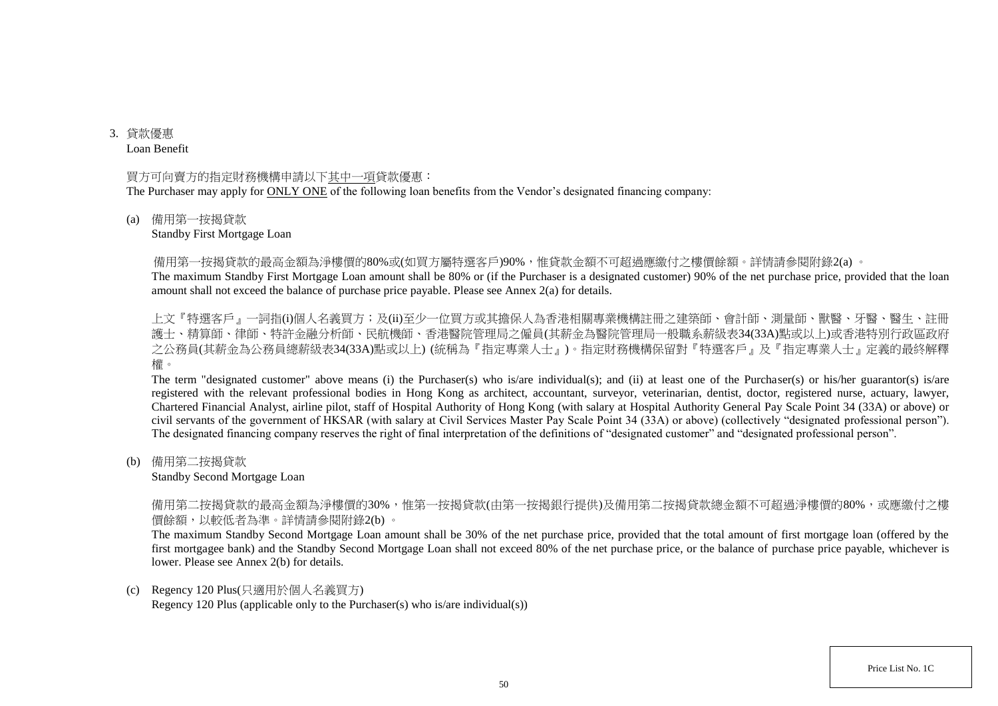3. 貸款優惠 Loan Benefit

#### 買方可向賣方的指定財務機構申請以下其中一項貸款優惠:

The Purchaser may apply for ONLY ONE of the following loan benefits from the Vendor's designated financing company:

#### (a) 備用第一按揭貸款

#### Standby First Mortgage Loan

備用第一按揭貸款的最高金額為淨樓價的80%或(如買方屬特選客戶)90%,惟貸款金額不可超過應繳付之樓價餘額。詳情請參閱附錄2(a) 。

The maximum Standby First Mortgage Loan amount shall be 80% or (if the Purchaser is a designated customer) 90% of the net purchase price, provided that the loan amount shall not exceed the balance of purchase price payable. Please see Annex 2(a) for details.

上文『特選客戶』一詞指(i)個人名義買方;及(ii)至少一位買方或其擔保人為香港相關專業機構註冊之建築師、會計師、測量師、獸醫、牙醫、醫生、註冊 護士、精算師、律師、特許金融分析師、民航機師、香港醫院管理局之僱員(其薪金為醫院管理局一般職系薪級表34(33A)點或以上)或香港特別行政區政府 之公務員(其薪金為公務員總薪級表34(33A)點或以上) (統稱為『指定專業人士』)。指定財務機構保留對『特選客戶』及『指定專業人士』定義的最終解釋 權。

The term "designated customer" above means (i) the Purchaser(s) who is/are individual(s); and (ii) at least one of the Purchaser(s) or his/her guarantor(s) is/are registered with the relevant professional bodies in Hong Kong as architect, accountant, surveyor, veterinarian, dentist, doctor, registered nurse, actuary, lawyer, Chartered Financial Analyst, airline pilot, staff of Hospital Authority of Hong Kong (with salary at Hospital Authority General Pay Scale Point 34 (33A) or above) or civil servants of the government of HKSAR (with salary at Civil Services Master Pay Scale Point 34 (33A) or above) (collectively "designated professional person"). The designated financing company reserves the right of final interpretation of the definitions of "designated customer" and "designated professional person".

(b) 備用第二按揭貸款

#### Standby Second Mortgage Loan

備用第二按揭貸款的最高金額為淨樓價的30%,惟第一按揭貸款(由第一按揭銀行提供)及備用第二按揭貸款總金額不可超過淨樓價的80%,或應繳付之樓 價餘額,以較低者為準。詳情請參閱附錄2(b) 。

The maximum Standby Second Mortgage Loan amount shall be 30% of the net purchase price, provided that the total amount of first mortgage loan (offered by the first mortgagee bank) and the Standby Second Mortgage Loan shall not exceed 80% of the net purchase price, or the balance of purchase price payable, whichever is lower. Please see Annex 2(b) for details.

#### (c) Regency 120 Plus(只適用於個人名義買方)

Regency 120 Plus (applicable only to the Purchaser(s) who is/are individual(s))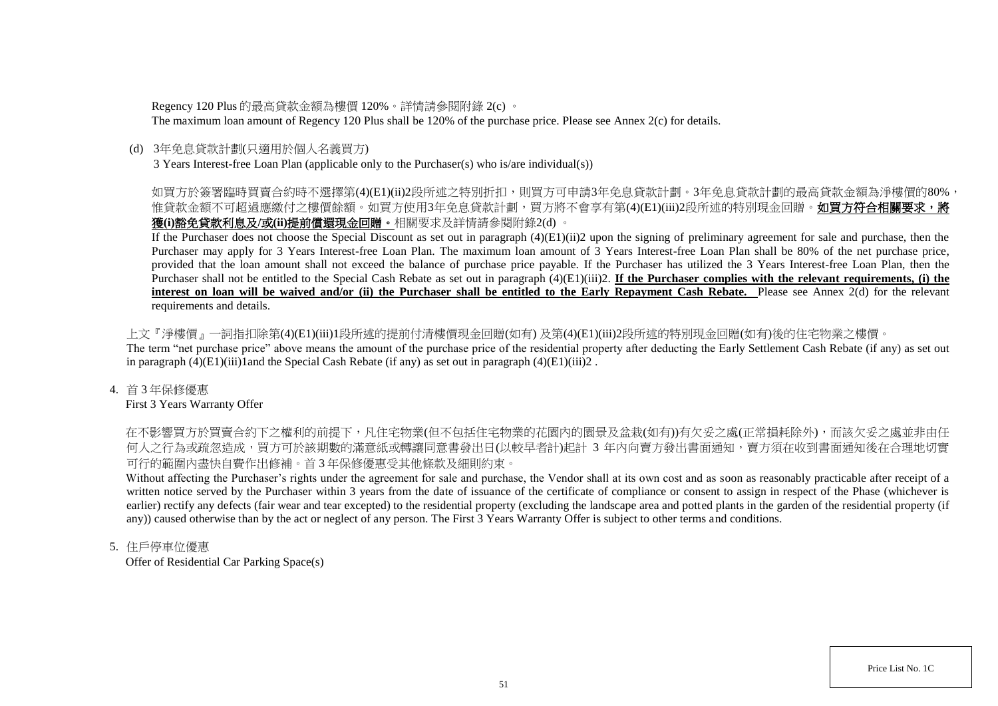Regency 120 Plus 的最高貸款金額為樓價 120%。詳情請參閱附錄 2(c) 。

The maximum loan amount of Regency 120 Plus shall be 120% of the purchase price. Please see Annex 2(c) for details.

# (d) 3年免息貸款計劃(只適用於個人名義買方)

3 Years Interest-free Loan Plan (applicable only to the Purchaser(s) who is/are individual(s))

# 如買方於簽署臨時買賣合約時不選擇第(4)(E1)(ii)2段所述之特別折扣,則買方可申請3年免息貸款計劃。3年免息貸款計劃的最高貸款金額為淨樓價的80%, 惟貸款金額不可超過應繳付之樓價餘額。如買方使用3年免息貸款計劃,買方將不會享有第(4)(E1)(iii)2段所述的特別現金回贈。**如買方符合相關要求,將** 獲**(i)**豁免貸款利息及**/**或**(ii)**提前償還現金回贈。相關要求及詳情請參閱附錄2(d) 。

If the Purchaser does not choose the Special Discount as set out in paragraph (4)(E1)(ii)2 upon the signing of preliminary agreement for sale and purchase, then the Purchaser may apply for 3 Years Interest-free Loan Plan. The maximum loan amount of 3 Years Interest-free Loan Plan shall be 80% of the net purchase price, provided that the loan amount shall not exceed the balance of purchase price payable. If the Purchaser has utilized the 3 Years Interest-free Loan Plan, then the Purchaser shall not be entitled to the Special Cash Rebate as set out in paragraph  $(4)(E1)(iii)2$ . **If the Purchaser complies with the relevant requirements, (i) the interest on loan will be waived and/or (ii) the Purchaser shall be entitled to the Early Repayment Cash Rebate.** Please see Annex 2(d) for the relevant requirements and details.

上文『淨樓價』一詞指扣除第(4)(E1)(iii)1段所述的提前付清樓價現金回贈(如有) 及第(4)(E1)(iii)2段所述的特別現金回贈(如有)後的住宅物業之樓價。 The term "net purchase price" above means the amount of the purchase price of the residential property after deducting the Early Settlement Cash Rebate (if any) as set out in paragraph  $(4)(E1)(iii)1$  and the Special Cash Rebate (if any) as set out in paragraph  $(4)(E1)(iii)2$ .

# 4. 首 3 年保修優惠

First 3 Years Warranty Offer

在不影響買方於買賣合約下之權利的前提下,凡住宅物業(但不包括住宅物業的花園內的園景及盆栽(如有))有欠妥之處(正常損耗除外),而該欠妥之處並非由任 何人之行為或疏忽造成,買方可於該期數的滿意紙或轉讓同意書發出日(以較早者計)起計 3 年内向賣方發出書面通知,賣方須在收到書面通知後在合理地切實 可行的範圍內盡快自費作出修補。首 3 年保修優惠受其他條款及細則約束。

Without affecting the Purchaser's rights under the agreement for sale and purchase, the Vendor shall at its own cost and as soon as reasonably practicable after receipt of a written notice served by the Purchaser within 3 years from the date of issuance of the certificate of compliance or consent to assign in respect of the Phase (whichever is earlier) rectify any defects (fair wear and tear excepted) to the residential property (excluding the landscape area and potted plants in the garden of the residential property (if any)) caused otherwise than by the act or neglect of any person. The First 3 Years Warranty Offer is subject to other terms and conditions.

# 5. 住戶停車位優惠

Offer of Residential Car Parking Space(s)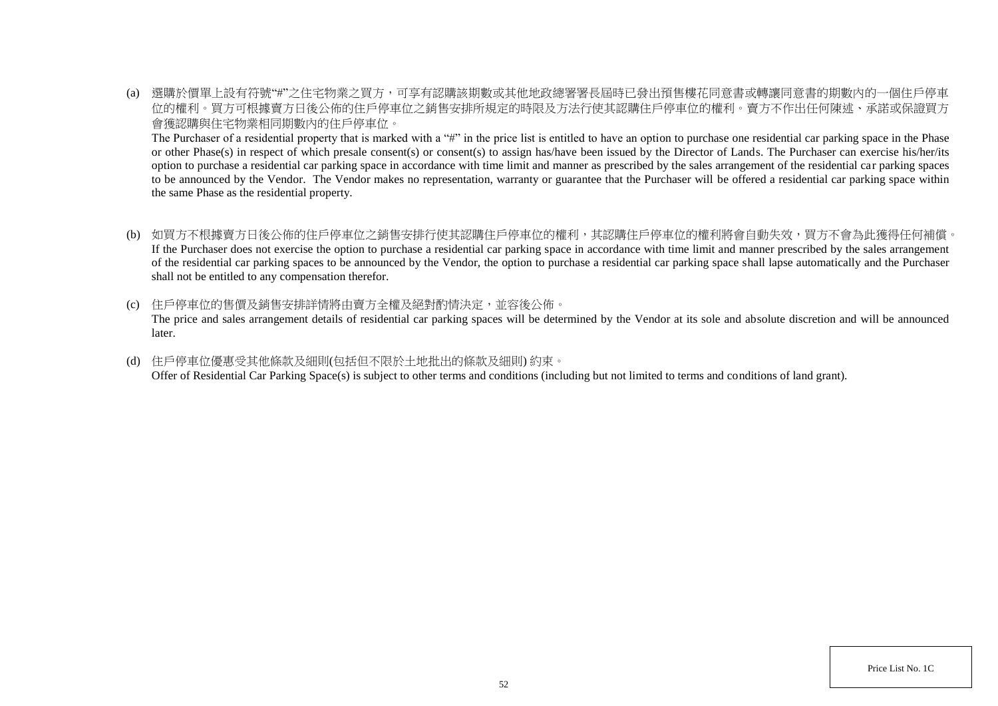(a) 選購於價單上設有符號"#"之住宅物業之買方,可享有認購該期數或其他地政總署署長屆時已發出預售樓花同意書或轉讓同意書的期數內的一個住戶停車 位的權利。買方可根據賣方日後公佈的住戶停車位之銷售安排所規定的時限及方法行使其認購住戶停車位的權利。賣方不作出任何陳述、承諾或保證買方 會獲認購與住宅物業相同期數內的住戶停車位。

The Purchaser of a residential property that is marked with a "#" in the price list is entitled to have an option to purchase one residential car parking space in the Phase or other Phase(s) in respect of which presale consent(s) or consent(s) to assign has/have been issued by the Director of Lands. The Purchaser can exercise his/her/its option to purchase a residential car parking space in accordance with time limit and manner as prescribed by the sales arrangement of the residential car parking spaces to be announced by the Vendor. The Vendor makes no representation, warranty or guarantee that the Purchaser will be offered a residential car parking space within the same Phase as the residential property.

- (b) 如買方不根據賣方日後公佈的住戶停車位之銷售安排行使其認購住戶停車位的權利,其認購住戶停車位的權利將會自動失效,買方不會為此獲得任何補償。 If the Purchaser does not exercise the option to purchase a residential car parking space in accordance with time limit and manner prescribed by the sales arrangement of the residential car parking spaces to be announced by the Vendor, the option to purchase a residential car parking space shall lapse automatically and the Purchaser shall not be entitled to any compensation therefor.
- (c) 住戶停車位的售價及銷售安排詳情將由賣方全權及絕對酌情決定,並容後公佈。

The price and sales arrangement details of residential car parking spaces will be determined by the Vendor at its sole and absolute discretion and will be announced later.

(d) 住戶停車位優惠受其他條款及細則(包括但不限於土地批出的條款及細則) 約束。 Offer of Residential Car Parking Space(s) is subject to other terms and conditions (including but not limited to terms and conditions of land grant).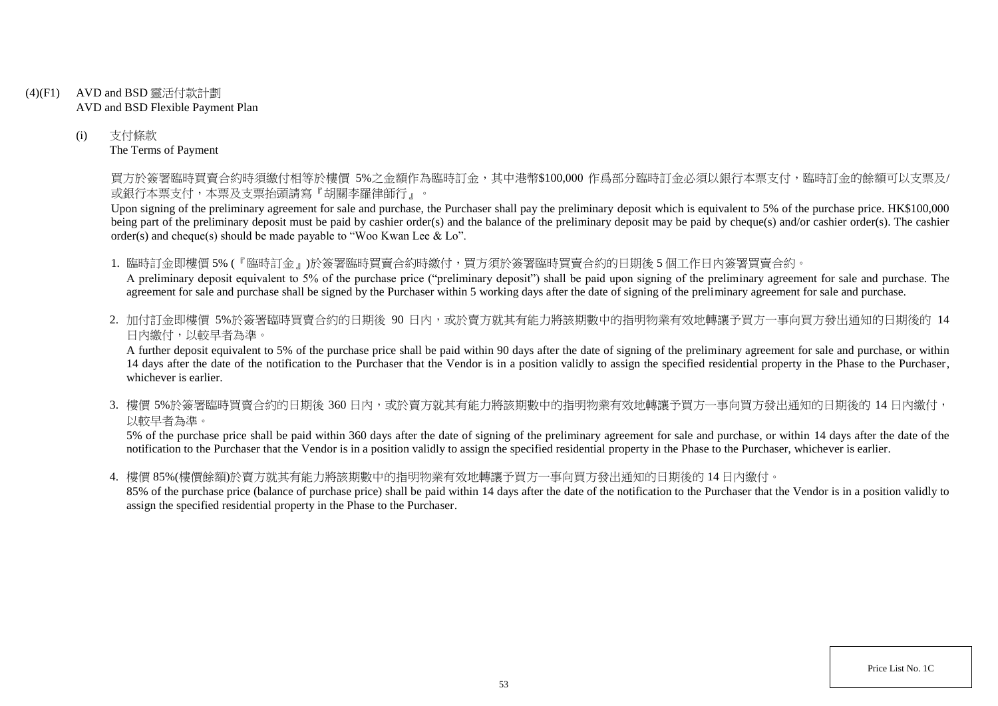- (4)(F1) AVD and BSD 靈活付款計劃 AVD and BSD Flexible Payment Plan
	- (i) 支付條款 The Terms of Payment

買方於簽署臨時買賣合約時須繳付相等於樓價 5%之金額作為臨時訂金,其中港幣\$100,000 作爲部分臨時訂金必須以銀行本票支付,臨時訂金的餘額可以支票及/ 或銀行本票支付,本票及支票抬頭請寫『胡關李羅律師行』。

Upon signing of the preliminary agreement for sale and purchase, the Purchaser shall pay the preliminary deposit which is equivalent to 5% of the purchase price. HK\$100,000 being part of the preliminary deposit must be paid by cashier order(s) and the balance of the preliminary deposit may be paid by cheque(s) and/or cashier order(s). The cashier order(s) and cheque(s) should be made payable to "Woo Kwan Lee & Lo".

1. 臨時訂金即樓價 5% (『臨時訂金』)於簽署臨時買賣合約時繳付,買方須於簽署臨時買賣合約的日期後 5 個工作日內簽署買賣合約。

A preliminary deposit equivalent to 5% of the purchase price ("preliminary deposit") shall be paid upon signing of the preliminary agreement for sale and purchase. The agreement for sale and purchase shall be signed by the Purchaser within 5 working days after the date of signing of the preliminary agreement for sale and purchase.

2. 加付訂金即樓價 5%於簽署臨時買賣合約的日期後 90 日内,或於賣方就其有能力將該期數中的指明物業有效地轉讓予買方一事向買方發出通知的日期後的 14 日內繳付,以較早者為準。

A further deposit equivalent to 5% of the purchase price shall be paid within 90 days after the date of signing of the preliminary agreement for sale and purchase, or within 14 days after the date of the notification to the Purchaser that the Vendor is in a position validly to assign the specified residential property in the Phase to the Purchaser, whichever is earlier.

3. 樓價 5%於簽署臨時買賣合約的日期後 360 日内,或於賣方就其有能力將該期數中的指明物業有效地轉讓予買方一事向買方發出通知的日期後的 14 日內繳付, 以較早者為準。

5% of the purchase price shall be paid within 360 days after the date of signing of the preliminary agreement for sale and purchase, or within 14 days after the date of the notification to the Purchaser that the Vendor is in a position validly to assign the specified residential property in the Phase to the Purchaser, whichever is earlier.

4. 樓價 85%(樓價餘額)於賣方就其有能力將該期數中的指明物業有效地轉讓予買方一事向買方發出通知的日期後的 14 日內繳付。

85% of the purchase price (balance of purchase price) shall be paid within 14 days after the date of the notification to the Purchaser that the Vendor is in a position validly to assign the specified residential property in the Phase to the Purchaser.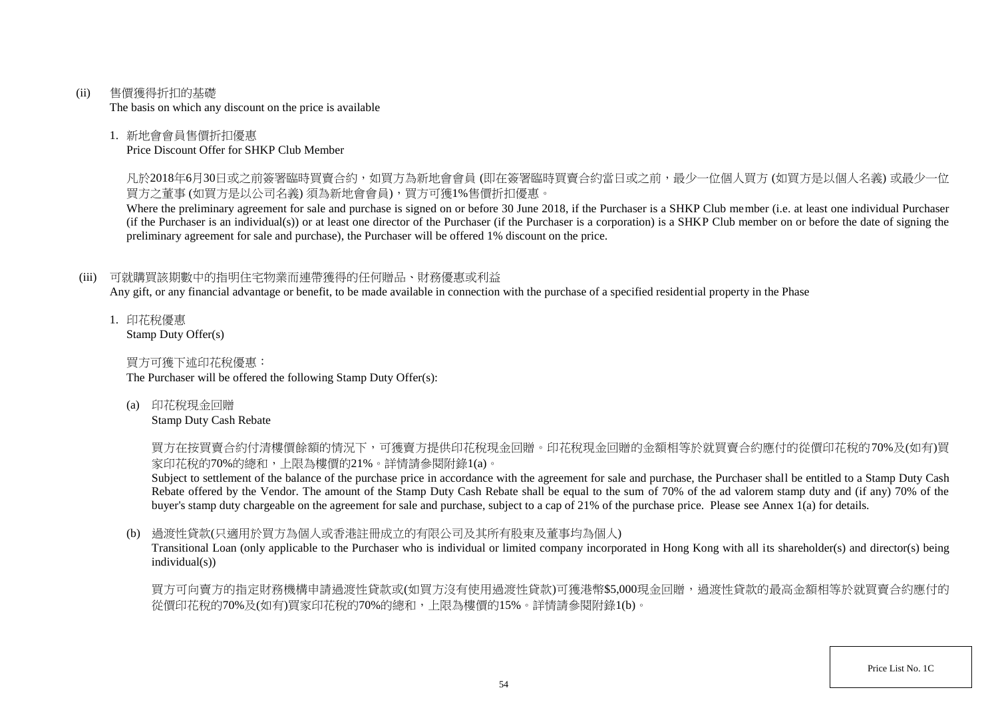(ii) 售價獲得折扣的基礎

The basis on which any discount on the price is available

## 1. 新地會會員售價折扣優惠

Price Discount Offer for SHKP Club Member

凡於2018年6月30日或之前簽署臨時買賣合約,如買方為新地會會員 (即在簽署臨時買賣合約當日或之前,最少一位個人買方 (如買方是以個人名義) 或最少一位 買方之董事 (如買方是以公司名義) 須為新地會會員),買方可獲1%售價折扣優惠。

Where the preliminary agreement for sale and purchase is signed on or before 30 June 2018, if the Purchaser is a SHKP Club member (i.e. at least one individual Purchaser (if the Purchaser is an individual(s)) or at least one director of the Purchaser (if the Purchaser is a corporation) is a SHKP Club member on or before the date of signing the preliminary agreement for sale and purchase), the Purchaser will be offered 1% discount on the price.

# (iii) 可就購買該期數中的指明住宅物業而連帶獲得的任何贈品、財務優惠或利益

Any gift, or any financial advantage or benefit, to be made available in connection with the purchase of a specified residential property in the Phase

1. 印花稅優惠 Stamp Duty Offer(s)

買方可獲下述印花稅優惠:

The Purchaser will be offered the following Stamp Duty Offer(s):

(a) 印花稅現金回贈

Stamp Duty Cash Rebate

買方在按買賣合約付清樓價餘額的情況下,可獲賣方提供印花稅現金回贈。印花稅現金回贈的金額相等於就買賣合約應付的從價印花稅的70%及(如有)買 家印花稅的70%的總和,上限為樓價的21%。詳情請參閱附錄1(a)。

Subject to settlement of the balance of the purchase price in accordance with the agreement for sale and purchase, the Purchaser shall be entitled to a Stamp Duty Cash Rebate offered by the Vendor. The amount of the Stamp Duty Cash Rebate shall be equal to the sum of 70% of the ad valorem stamp duty and (if any) 70% of the buyer's stamp duty chargeable on the agreement for sale and purchase, subject to a cap of 21% of the purchase price. Please see Annex 1(a) for details.

# (b) 過渡性貸款(只適用於買方為個人或香港註冊成立的有限公司及其所有股東及董事均為個人)

Transitional Loan (only applicable to the Purchaser who is individual or limited company incorporated in Hong Kong with all its shareholder(s) and director(s) being individual(s))

買方可向賣方的指定財務機構申請過渡性貸款或(如買方沒有使用過渡性貸款)可獲港幣\$5,000現金回贈,過渡性貸款的最高金額相等於就買賣合約應付的 從價印花稅的70%及(如有)買家印花稅的70%的總和,上限為樓價的15%。詳情請參閱附錄1(b)。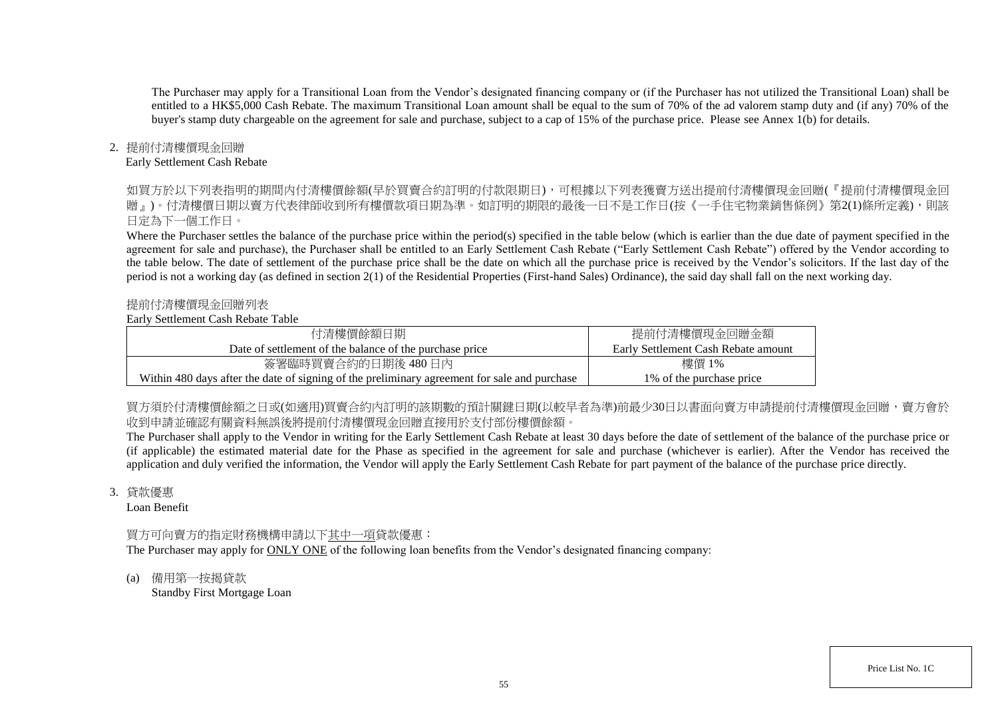The Purchaser may apply for a Transitional Loan from the Vendor's designated financing company or (if the Purchaser has not utilized the Transitional Loan) shall be entitled to a HK\$5,000 Cash Rebate. The maximum Transitional Loan amount shall be equal to the sum of 70% of the ad valorem stamp duty and (if any) 70% of the buyer's stamp duty chargeable on the agreement for sale and purchase, subject to a cap of 15% of the purchase price. Please see Annex 1(b) for details.

# 2. 提前付清樓價現金回贈

#### Early Settlement Cash Rebate

如買方於以下列表指明的期間内付清樓價餘額(早於買賣合約訂明的付款限期日),可根據以下列表獲賣方送出提前付清樓價現金回贈(『提前付清樓價現金回 贈』)。付清樓價日期以賣方代表律師收到所有樓價款項日期為進。如訂明的期限的最後一日不是工作日(按《一手住宅物業銷售條例》第2(1)條所定義),則該 日定為下一個工作日。

Where the Purchaser settles the balance of the purchase price within the period(s) specified in the table below (which is earlier than the due date of payment specified in the agreement for sale and purchase), the Purchaser shall be entitled to an Early Settlement Cash Rebate ("Early Settlement Cash Rebate") offered by the Vendor according to the table below. The date of settlement of the purchase price shall be the date on which all the purchase price is received by the Vendor's solicitors. If the last day of the period is not a working day (as defined in section 2(1) of the Residential Properties (First-hand Sales) Ordinance), the said day shall fall on the next working day.

## 提前付清樓價現金回贈列表

## Early Settlement Cash Rebate Table

| 付清樓價餘額日期                                                                                     | 提前付清樓價現金回贈金額                        |
|----------------------------------------------------------------------------------------------|-------------------------------------|
| Date of settlement of the balance of the purchase price                                      | Early Settlement Cash Rebate amount |
| 簽署臨時買賣合約的日期後 480日內                                                                           | 樓價 1%                               |
| Within 480 days after the date of signing of the preliminary agreement for sale and purchase | 1\% of the purchase price           |

買方須於付清樓價餘額之日或(如適用)買賣合約内訂明的該期數的預計關鍵日期(以較早者為準)前最少30日以書面向賣方申請提前付清樓價現金回贈,賣方會於 收到申請並確認有關資料無誤後將提前付清樓價現金回贈直接用於支付部份樓價餘額。

The Purchaser shall apply to the Vendor in writing for the Early Settlement Cash Rebate at least 30 days before the date of settlement of the balance of the purchase price or (if applicable) the estimated material date for the Phase as specified in the agreement for sale and purchase (whichever is earlier). After the Vendor has received the application and duly verified the information, the Vendor will apply the Early Settlement Cash Rebate for part payment of the balance of the purchase price directly.

#### 3. 貸款優惠

Loan Benefit

# 買方可向賣方的指定財務機構申請以下其中一項貸款優惠:

The Purchaser may apply for ONLY ONE of the following loan benefits from the Vendor's designated financing company:

(a) 備用第一按揭貸款 Standby First Mortgage Loan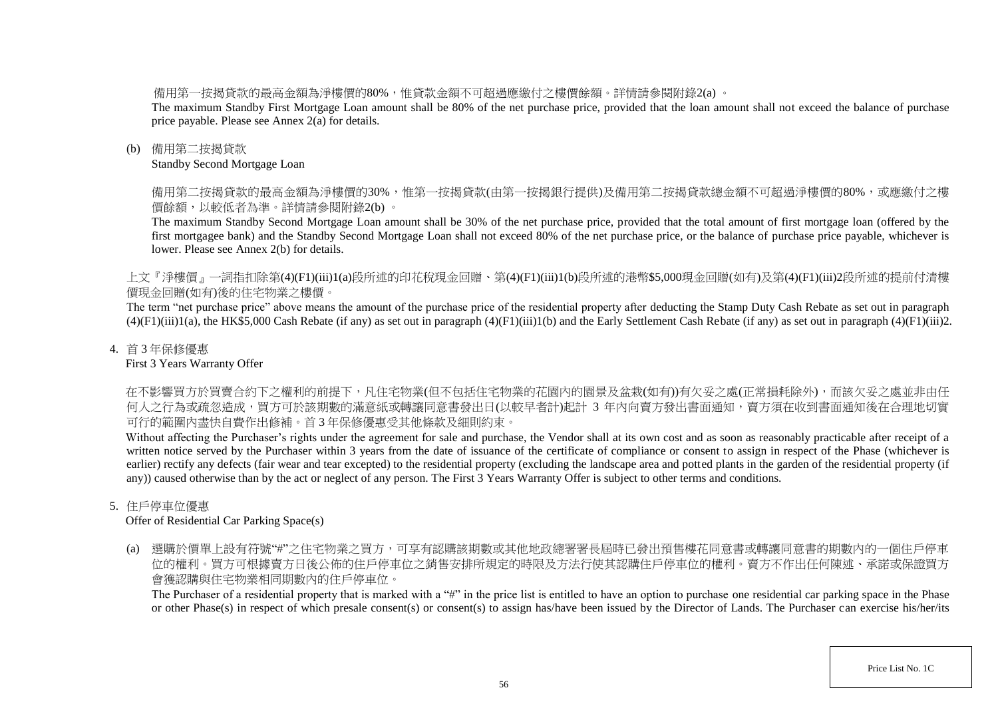備用第一按揭貸款的最高金額為淨樓價的80%,惟貸款金額不可超過應繳付之樓價餘額。詳情請參閱附錄2(a) 。

The maximum Standby First Mortgage Loan amount shall be 80% of the net purchase price, provided that the loan amount shall not exceed the balance of purchase price payable. Please see Annex 2(a) for details.

## (b) 備用第二按揭貸款

Standby Second Mortgage Loan

備用第二按揭貸款的最高金額為淨樓價的30%,惟第一按揭貸款(由第一按揭銀行提供)及備用第二按揭貸款總金額不可超過淨樓價的80%,或應繳付之樓 價餘額,以較低者為準。詳情請參閱附錄2(b) 。

The maximum Standby Second Mortgage Loan amount shall be 30% of the net purchase price, provided that the total amount of first mortgage loan (offered by the first mortgagee bank) and the Standby Second Mortgage Loan shall not exceed 80% of the net purchase price, or the balance of purchase price payable, whichever is lower. Please see Annex 2(b) for details.

上文『淨樓價』一詞指扣除第(4)(F1)(iii)1(a)段所述的印花稅現金回贈、第(4)(F1)(iii)1(b)段所述的港幣\$5,000現金回贈(如有)及第(4)(F1)(iii)2段所述的提前付清樓 價現金回贈(如有)後的住宅物業之樓價。

The term "net purchase price" above means the amount of the purchase price of the residential property after deducting the Stamp Duty Cash Rebate as set out in paragraph  $(4)(F1)(iii)1(a)$ , the HK\$5,000 Cash Rebate (if any) as set out in paragraph  $(4)(F1)(iii)1(b)$  and the Early Settlement Cash Rebate (if any) as set out in paragraph  $(4)(F1)(iii)2$ .

# 4. 首 3 年保修優惠

First 3 Years Warranty Offer

在不影響買方於買賣合約下之權利的前提下,凡住宅物業(但不包括住宅物業的花園內的園景及盆栽(如有))有欠妥之處(正常損耗除外),而該欠妥之處並非由任 何人之行為或疏忽造成,買方可於該期數的滿意紙或轉讓同意書發出日(以較早者計)起計 3 年内向賣方發出書面通知,賣方須在收到書面通知後在合理地切實 可行的範圍內盡快自費作出修補。首 3 年保修優惠受其他條款及細則約束。

Without affecting the Purchaser's rights under the agreement for sale and purchase, the Vendor shall at its own cost and as soon as reasonably practicable after receipt of a written notice served by the Purchaser within 3 years from the date of issuance of the certificate of compliance or consent to assign in respect of the Phase (whichever is earlier) rectify any defects (fair wear and tear excepted) to the residential property (excluding the landscape area and potted plants in the garden of the residential property (if any)) caused otherwise than by the act or neglect of any person. The First 3 Years Warranty Offer is subject to other terms and conditions.

# 5. 住戶停車位優惠

Offer of Residential Car Parking Space(s)

(a) 選購於價單上設有符號"#"之住宅物業之買方,可享有認購該期數或其他地政總署署長屆時已發出預售樓花同意書或轉讓同意書的期數內的一個住戶停車 位的權利。買方可根據賣方日後公佈的住戶停車位之銷售安排所規定的時限及方法行使其認購住戶停車位的權利。賣方不作出任何陳述、承諾或保證買方 會獲認購與住宅物業相同期數內的住戶停車位。

The Purchaser of a residential property that is marked with a "#" in the price list is entitled to have an option to purchase one residential car parking space in the Phase or other Phase(s) in respect of which presale consent(s) or consent(s) to assign has/have been issued by the Director of Lands. The Purchaser can exercise his/her/its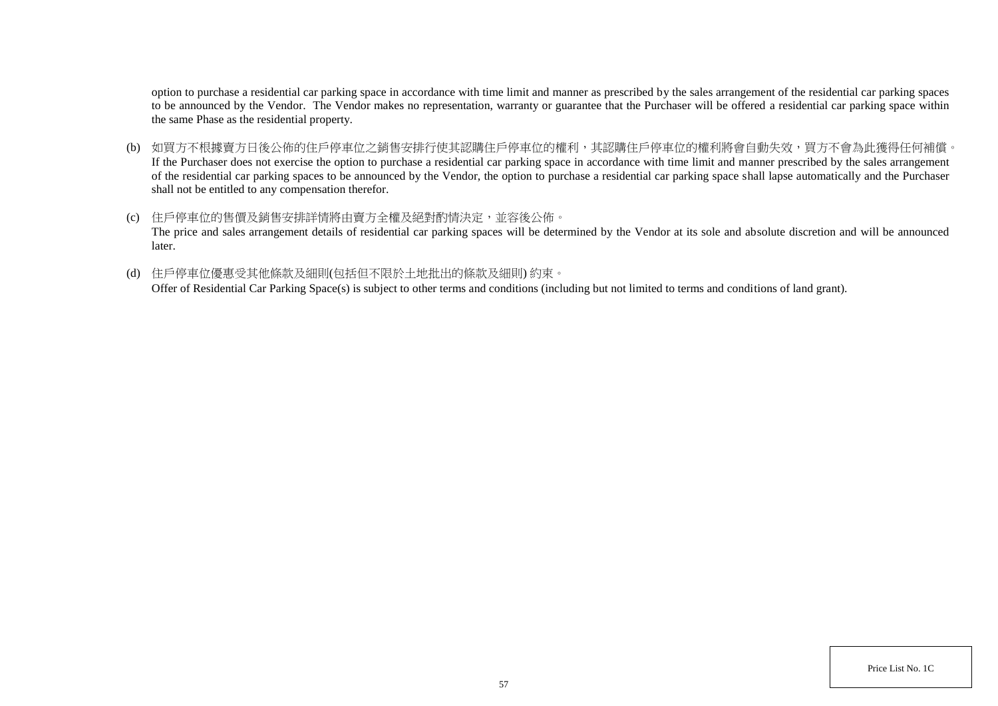option to purchase a residential car parking space in accordance with time limit and manner as prescribed by the sales arrangement of the residential car parking spaces to be announced by the Vendor. The Vendor makes no representation, warranty or guarantee that the Purchaser will be offered a residential car parking space within the same Phase as the residential property.

- (b) 如買方不根據賣方日後公佈的住戶停車位之銷售安排行使其認購住戶停車位的權利,其認購住戶停車位的權利將會自動失效,買方不會為此獲得任何補償。 If the Purchaser does not exercise the option to purchase a residential car parking space in accordance with time limit and manner prescribed by the sales arrangement of the residential car parking spaces to be announced by the Vendor, the option to purchase a residential car parking space shall lapse automatically and the Purchaser shall not be entitled to any compensation therefor.
- (c) 住戶停車位的售價及銷售安排詳情將由賣方全權及絕對酌情決定,並容後公佈。 The price and sales arrangement details of residential car parking spaces will be determined by the Vendor at its sole and absolute discretion and will be announced later.
- (d) 住戶停車位優惠受其他條款及細則(包括但不限於土地批出的條款及細則) 約束。

Offer of Residential Car Parking Space(s) is subject to other terms and conditions (including but not limited to terms and conditions of land grant).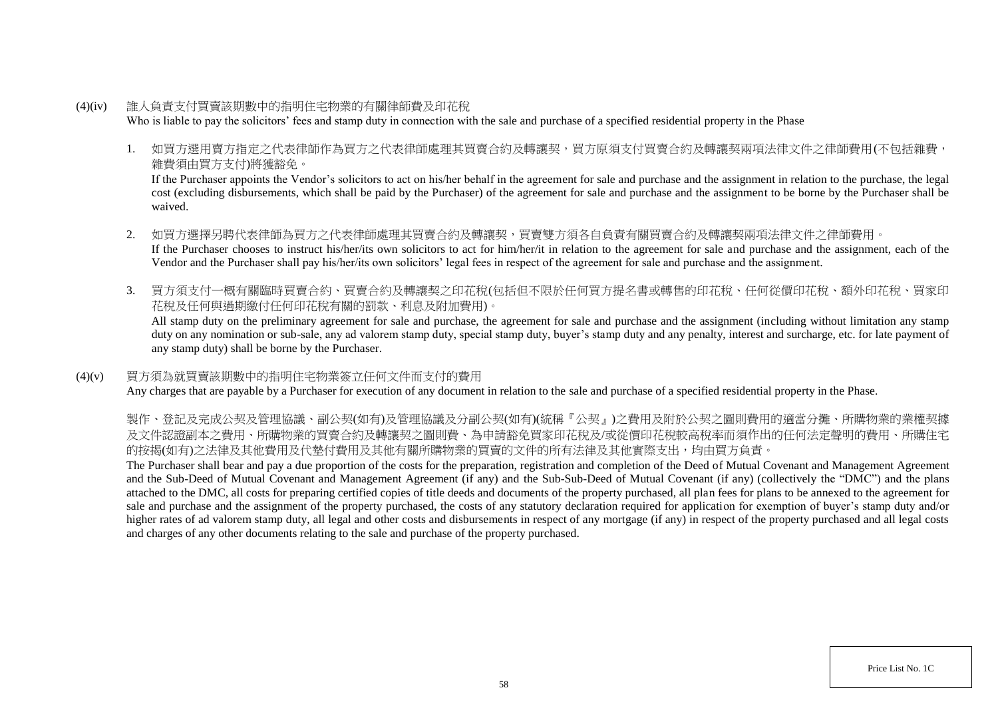- (4)(iv) 誰人負責支付買賣該期數中的指明住宅物業的有關律師費及印花稅 Who is liable to pay the solicitors' fees and stamp duty in connection with the sale and purchase of a specified residential property in the Phase
	- 1. 如買方選用賣方指定之代表律師作為買方之代表律師處理其買賣合約及轉讓契,買方原須支付買賣合約及轉讓契兩項法律文件之律師費用(不包括雜費, 雜費須由買方支付)將獲豁免。

If the Purchaser appoints the Vendor's solicitors to act on his/her behalf in the agreement for sale and purchase and the assignment in relation to the purchase, the legal cost (excluding disbursements, which shall be paid by the Purchaser) of the agreement for sale and purchase and the assignment to be borne by the Purchaser shall be waived.

- 2. 如買方選擇另聘代表律師為買方之代表律師處理其買賣合約及轉讓契,買賣雙方須各自負責有關買賣合約及轉讓契兩項法律文件之律師費用。 If the Purchaser chooses to instruct his/her/its own solicitors to act for him/her/it in relation to the agreement for sale and purchase and the assignment, each of the Vendor and the Purchaser shall pay his/her/its own solicitors' legal fees in respect of the agreement for sale and purchase and the assignment.
- 3. 買方須支付一概有關臨時買賣合約、買賣合約及轉讓契之印花稅(包括但不限於任何買方提名書或轉售的印花稅、任何從價印花稅、額外印花稅、買家印 花稅及任何與過期繳付任何印花稅有關的罰款、利息及附加費用)。

All stamp duty on the preliminary agreement for sale and purchase, the agreement for sale and purchase and the assignment (including without limitation any stamp duty on any nomination or sub-sale, any ad valorem stamp duty, special stamp duty, buyer's stamp duty and any penalty, interest and surcharge, etc. for late payment of any stamp duty) shall be borne by the Purchaser.

# (4)(v) 買方須為就買賣該期數中的指明住宅物業簽立任何文件而支付的費用

Any charges that are payable by a Purchaser for execution of any document in relation to the sale and purchase of a specified residential property in the Phase.

製作、登記及完成公契及管理協議、副公契(如有)及管理協議及分副公契(如有)(統稱『公契』)之費用及附於公契之圖則費用的適當分攤、所購物業的業權契據 及文件認證副本之費用、所購物業的買賣合約及轉讓契之圖則費、為申請豁免買家印花稅及/或從價印花稅較高稅率而須作出的任何法定聲明的費用、所購住宅 的按揭(如有)之法律及其他費用及代墊付費用及其他有關所購物業的買賣的文件的所有法律及其他實際支出,均由買方負責。

The Purchaser shall bear and pay a due proportion of the costs for the preparation, registration and completion of the Deed of Mutual Covenant and Management Agreement and the Sub-Deed of Mutual Covenant and Management Agreement (if any) and the Sub-Sub-Deed of Mutual Covenant (if any) (collectively the "DMC") and the plans attached to the DMC, all costs for preparing certified copies of title deeds and documents of the property purchased, all plan fees for plans to be annexed to the agreement for sale and purchase and the assignment of the property purchased, the costs of any statutory declaration required for application for exemption of buyer's stamp duty and/or higher rates of ad valorem stamp duty, all legal and other costs and disbursements in respect of any mortgage (if any) in respect of the property purchased and all legal costs and charges of any other documents relating to the sale and purchase of the property purchased.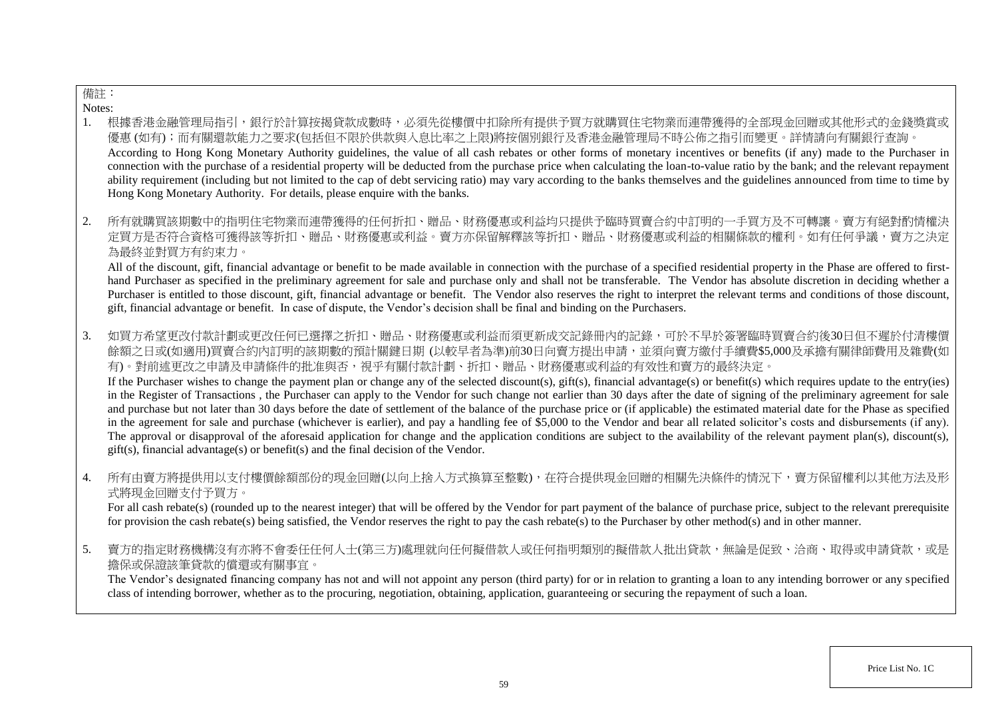# 備註:

Notes:

- 1. 根據香港金融管理局指引,銀行於計算按揭貸款成數時,必須先從樓價中扣除所有提供予買方就購買住宅物業而連帶獲得的全部現金回贈或其他形式的金錢獎賞或 優惠 (如有);而有關還款能力之要求(包括但不限於供款與入息比率之上限)將按個別銀行及香港金融管理局不時公佈之指引而變更。詳情請向有關銀行查詢。 According to Hong Kong Monetary Authority guidelines, the value of all cash rebates or other forms of monetary incentives or benefits (if any) made to the Purchaser in connection with the purchase of a residential property will be deducted from the purchase price when calculating the loan-to-value ratio by the bank; and the relevant repayment ability requirement (including but not limited to the cap of debt servicing ratio) may vary according to the banks themselves and the guidelines announced from time to time by Hong Kong Monetary Authority. For details, please enquire with the banks.
- 2. 所有就購買該期數中的指明住宅物業而連帶獲得的任何折扣、贈品、財務優惠或利益均只提供予臨時買賣合約中訂明的一手買方及不可轉讓。賣方有絕對酌情權決 定買方是否符合資格可獲得該等折扣、贈品、財務優惠或利益。賣方亦保留解釋該等折扣、贈品、財務優惠或利益的相關條款的權利。如有任何爭議,賣方之決定 為最終並對買方有約束力。

All of the discount, gift, financial advantage or benefit to be made available in connection with the purchase of a specified residential property in the Phase are offered to firsthand Purchaser as specified in the preliminary agreement for sale and purchase only and shall not be transferable. The Vendor has absolute discretion in deciding whether a Purchaser is entitled to those discount, gift, financial advantage or benefit. The Vendor also reserves the right to interpret the relevant terms and conditions of those discount, gift, financial advantage or benefit. In case of dispute, the Vendor's decision shall be final and binding on the Purchasers.

3. 如買方希望更改付款計劃或更改任何已選擇之折扣、贈品、財務優惠或利益而須更新成交記錄冊內的記錄,可於不早於簽署臨時買賣合約後30日但不遲於付清樓價 餘額之日或(如適用)買賣合約內訂明的該期數的預計關鍵日期 (以較早者為準)前30日向賣方提出申請,並須向賣方繳付手續費\$5,000及承擔有關律師費用及雜費(如 有)。對前述更改之申請及申請條件的批准與否,視乎有關付款計劃、折扣、贈品、財務優惠或利益的有效性和賣方的最終決定。

If the Purchaser wishes to change the payment plan or change any of the selected discount(s), gift(s), financial advantage(s) or benefit(s) which requires update to the entry(ies) in the Register of Transactions , the Purchaser can apply to the Vendor for such change not earlier than 30 days after the date of signing of the preliminary agreement for sale and purchase but not later than 30 days before the date of settlement of the balance of the purchase price or (if applicable) the estimated material date for the Phase as specified in the agreement for sale and purchase (whichever is earlier), and pay a handling fee of \$5,000 to the Vendor and bear all related solicitor's costs and disbursements (if any). The approval or disapproval of the aforesaid application for change and the application conditions are subject to the availability of the relevant payment plan(s), discount(s), gift(s), financial advantage(s) or benefit(s) and the final decision of the Vendor.

4. 所有由賣方將提供用以支付樓價餘額部份的現金回贈(以向上捨入方式換算至整數),在符合提供現金回贈的相關先決條件的情況下,賣方保留權利以其他方法及形 式將現金回贈支付予買方。

For all cash rebate(s) (rounded up to the nearest integer) that will be offered by the Vendor for part payment of the balance of purchase price, subject to the relevant prerequisite for provision the cash rebate(s) being satisfied, the Vendor reserves the right to pay the cash rebate(s) to the Purchaser by other method(s) and in other manner.

5. 賣方的指定財務機構沒有亦將不會委任任何人士(第三方)處理就向任何擬借款人或任何指明類別的擬借款人批出貸款,無論是促致、洽商、取得或申請貸款,或是 擔保或保證該筆貸款的償還或有關事宜。

The Vendor's designated financing company has not and will not appoint any person (third party) for or in relation to granting a loan to any intending borrower or any specified class of intending borrower, whether as to the procuring, negotiation, obtaining, application, guaranteeing or securing the repayment of such a loan.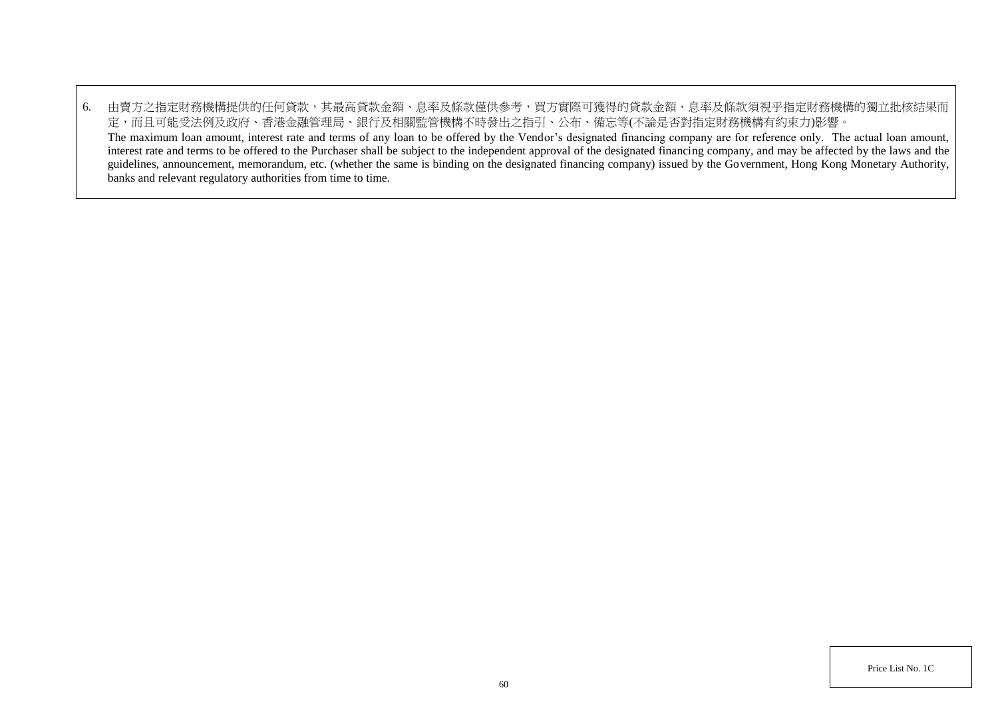6. 由賣方之指定財務機構提供的任何貸款,其最高貸款金額、息率及條款僅供參考,買方實際可獲得的貸款金額、息率及條款須視乎指定財務機構的獨立批核結果而 定,而且可能受法例及政府、香港金融管理局、銀行及相關監管機構不時發出之指引、公布、備忘等(不論是否對指定財務機構有約束力)影響。 The maximum loan amount, interest rate and terms of any loan to be offered by the Vendor's designated financing company are for reference only. The actual loan amount, interest rate and terms to be offered to the Purchaser shall be subject to the independent approval of the designated financing company, and may be affected by the laws and the guidelines, announcement, memorandum, etc. (whether the same is binding on the designated financing company) issued by the Government, Hong Kong Monetary Authority, banks and relevant regulatory authorities from time to time.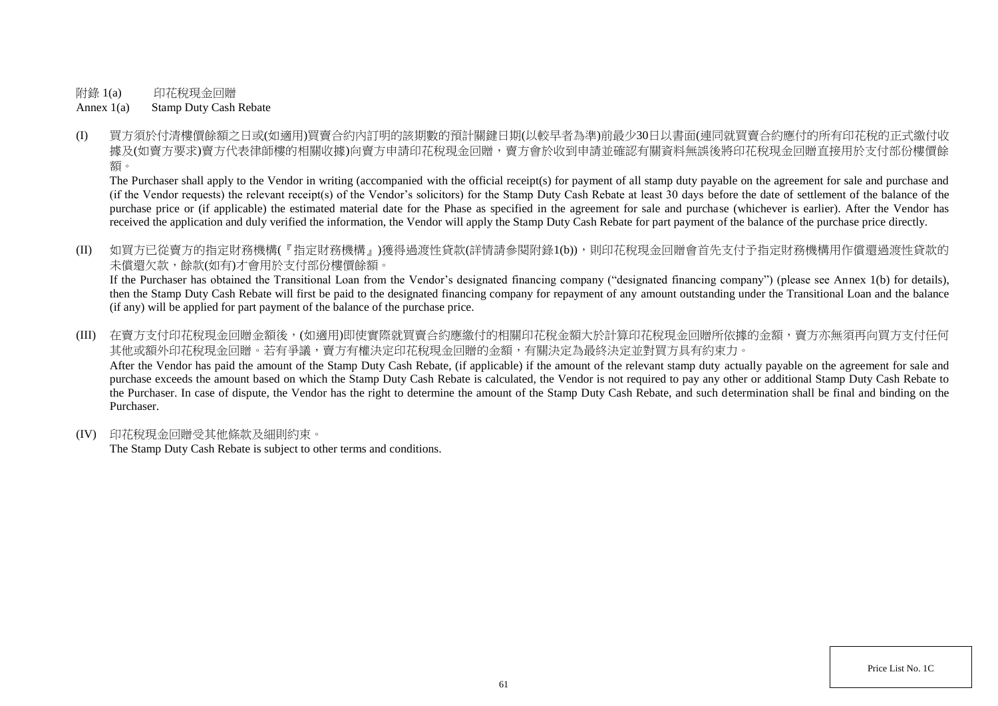附錄 1(a) 印花稅現金回贈

Annex 1(a) Stamp Duty Cash Rebate

(I) 買方須於付清樓價餘額之日或(如適用)買賣合約內訂明的該期數的預計關鍵日期(以較早者為準)前最少30日以書面(連同就買賣合約應付的所有印花稅的正式繳付收 據及(如賣方要求)賣方代表律師樓的相關收樓)向賣方申請印花稅現金回贈,賣方會於收到申請並確認有關資料無誤後將印花稅現金回贈直接用於支付部份樓價餘 額。

The Purchaser shall apply to the Vendor in writing (accompanied with the official receipt(s) for payment of all stamp duty payable on the agreement for sale and purchase and (if the Vendor requests) the relevant receipt(s) of the Vendor's solicitors) for the Stamp Duty Cash Rebate at least 30 days before the date of settlement of the balance of the purchase price or (if applicable) the estimated material date for the Phase as specified in the agreement for sale and purchase (whichever is earlier). After the Vendor has received the application and duly verified the information, the Vendor will apply the Stamp Duty Cash Rebate for part payment of the balance of the purchase price directly.

(II) 如買方已從賣方的指定財務機構(『指定財務機構』)獲得過渡性貸款(詳情請參閱附錄1(b)),則印花稅現金回贈會首先支付予指定財務機構用作償還過渡性貸款的 未償還欠款,餘款(如有)才會用於支付部份樓價餘額。

If the Purchaser has obtained the Transitional Loan from the Vendor's designated financing company ("designated financing company") (please see Annex 1(b) for details), then the Stamp Duty Cash Rebate will first be paid to the designated financing company for repayment of any amount outstanding under the Transitional Loan and the balance (if any) will be applied for part payment of the balance of the purchase price.

(III) 在賣方支付印花稅現金回贈金額後,(如適用)即使實際就買賣合約應繳付的相關印花稅金額大於計算印花稅現金回贈所依據的金額,賣方亦無須再向買方支付任何 其他或額外印花稅現金回贈。若有爭議,賣方有權決定印花稅現金回贈的金額,有關決定為最終決定並對買方具有約束力。 After the Vendor has paid the amount of the Stamp Duty Cash Rebate, (if applicable) if the amount of the relevant stamp duty actually payable on the agreement for sale and purchase exceeds the amount based on which the Stamp Duty Cash Rebate is calculated, the Vendor is not required to pay any other or additional Stamp Duty Cash Rebate to the Purchaser. In case of dispute, the Vendor has the right to determine the amount of the Stamp Duty Cash Rebate, and such determination shall be final and binding on the Purchaser.

(IV) 印花稅現金回贈受其他條款及細則約束。

The Stamp Duty Cash Rebate is subject to other terms and conditions.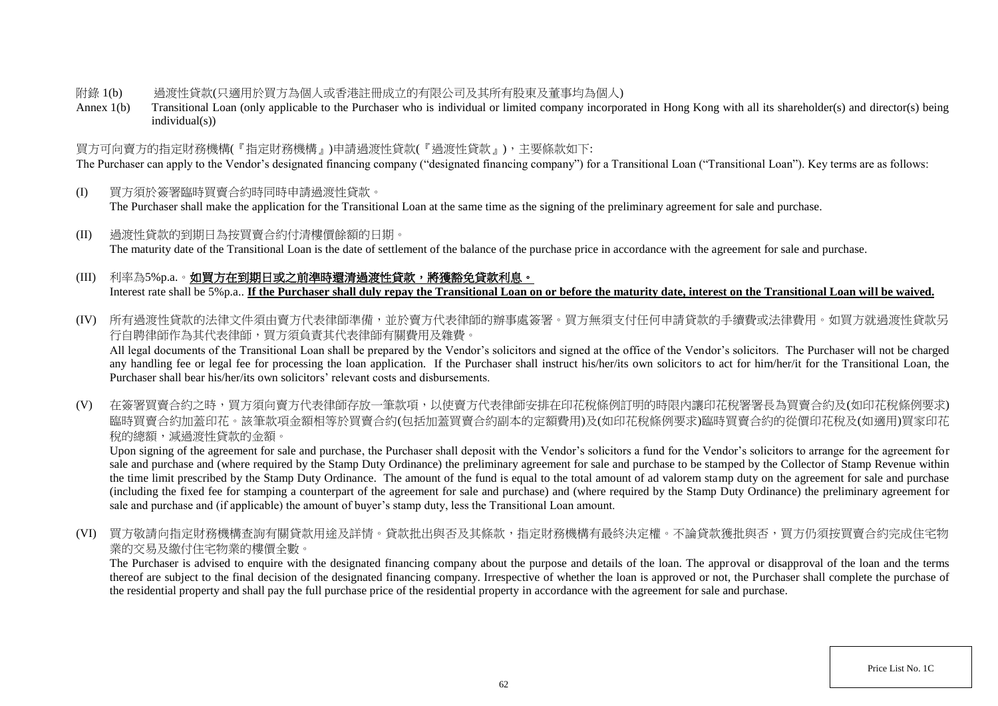## 附錄 1(b) 過渡性貸款(只適用於買方為個人或香港註冊成立的有限公司及其所有股東及董事均為個人)

Annex 1(b) Transitional Loan (only applicable to the Purchaser who is individual or limited company incorporated in Hong Kong with all its shareholder(s) and director(s) being individual(s))

# 買方可向賣方的指定財務機構(『指定財務機構』)申請過渡性貸款(『過渡性貸款』),主要條款如下:

The Purchaser can apply to the Vendor's designated financing company ("designated financing company") for a Transitional Loan ("Transitional Loan"). Key terms are as follows:

- (I) 買方須於簽署臨時買賣合約時同時申請過渡性貸款。 The Purchaser shall make the application for the Transitional Loan at the same time as the signing of the preliminary agreement for sale and purchase.
- (II) 過渡性貸款的到期日為按買賣合約付清樓價餘額的日期。 The maturity date of the Transitional Loan is the date of settlement of the balance of the purchase price in accordance with the agreement for sale and purchase.

# (III) 利率為5%p.a.。如買方在到期日或之前準時還清過渡性貸款,將獲豁免貸款利息。 Interest rate shall be 5%p.a.. **If the Purchaser shall duly repay the Transitional Loan on or before the maturity date, interest on the Transitional Loan will be waived.**

(IV) 所有過渡性貸款的法律文件須由賣方代表律師準備,並於賣方代表律師的辦事處簽署。買方無須支付任何申請貸款的手續費或法律費用。如買方就過渡性貸款另 行自聘律師作為其代表律師,買方須負責其代表律師有關費用及雜費。

All legal documents of the Transitional Loan shall be prepared by the Vendor's solicitors and signed at the office of the Vendor's solicitors. The Purchaser will not be charged any handling fee or legal fee for processing the loan application. If the Purchaser shall instruct his/her/its own solicitors to act for him/her/it for the Transitional Loan, the Purchaser shall bear his/her/its own solicitors' relevant costs and disbursements.

(V) 在簽署買賣合約之時,買方須向賣方代表律師存放一筆款項,以使賣方代表律師安排在印花稅條例訂明的時限內讓印花稅署署長為買賣合約及(如印花稅條例要求) 臨時買賣合約加蓋印花。該筆款項金額相等於買賣合約(包括加蓋買賣合約副本的定額費用)及(如印花稅條例要求)臨時買賣合約的從價印花稅及(如適用)買家印花 稅的總額,減過渡性貸款的金額。

Upon signing of the agreement for sale and purchase, the Purchaser shall deposit with the Vendor's solicitors a fund for the Vendor's solicitors to arrange for the agreement for sale and purchase and (where required by the Stamp Duty Ordinance) the preliminary agreement for sale and purchase to be stamped by the Collector of Stamp Revenue within the time limit prescribed by the Stamp Duty Ordinance. The amount of the fund is equal to the total amount of ad valorem stamp duty on the agreement for sale and purchase (including the fixed fee for stamping a counterpart of the agreement for sale and purchase) and (where required by the Stamp Duty Ordinance) the preliminary agreement for sale and purchase and (if applicable) the amount of buyer's stamp duty, less the Transitional Loan amount.

(VI) 買方敬請向指定財務機構查詢有關貸款用途及詳情。貸款批出與否及其條款,指定財務機構有最終決定權。不論貸款獲批與否,買方仍須按買賣合約完成住宅物 業的交易及繳付住宅物業的樓價全數。

The Purchaser is advised to enquire with the designated financing company about the purpose and details of the loan. The approval or disapproval of the loan and the terms thereof are subject to the final decision of the designated financing company. Irrespective of whether the loan is approved or not, the Purchaser shall complete the purchase of the residential property and shall pay the full purchase price of the residential property in accordance with the agreement for sale and purchase.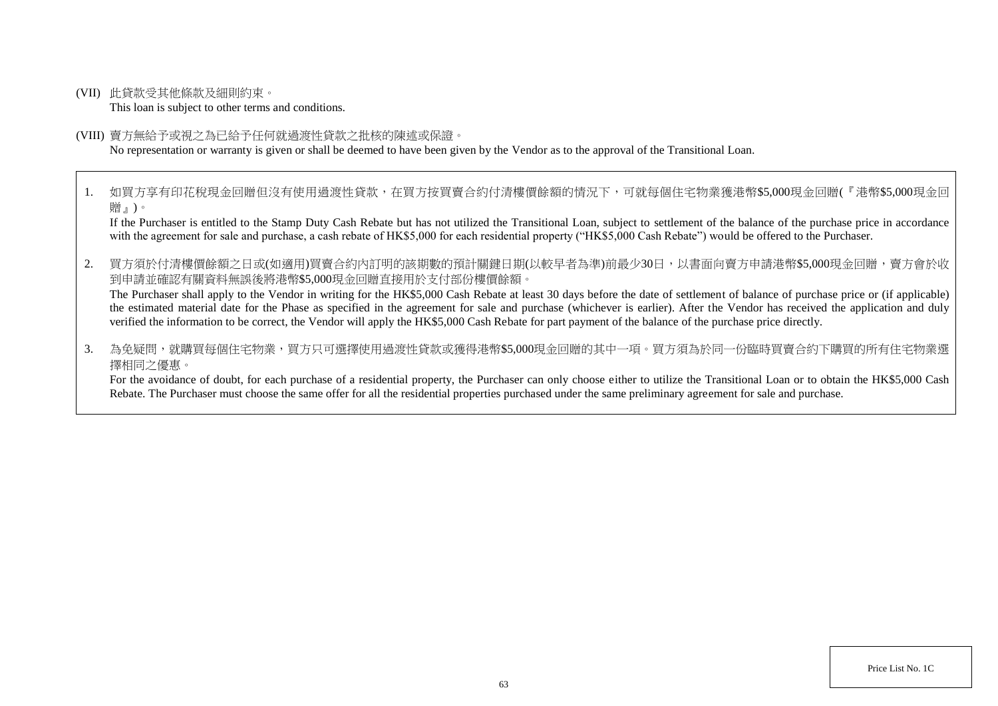(VII) 此貸款受其他條款及細則約束。

This loan is subject to other terms and conditions.

(VIII) 賣方無給予或視之為已給予任何就過渡性貸款之批核的陳述或保證。

No representation or warranty is given or shall be deemed to have been given by the Vendor as to the approval of the Transitional Loan.

1. 如買方享有印花稅現金回贈但沒有使用過渡性貸款,在買方按買賣合約付清樓價餘額的情況下,可就每個住宅物業獲港幣\$5,000現金回贈(『港幣\$5,000現金回 贈』)。

If the Purchaser is entitled to the Stamp Duty Cash Rebate but has not utilized the Transitional Loan, subject to settlement of the balance of the purchase price in accordance with the agreement for sale and purchase, a cash rebate of HK\$5,000 for each residential property ("HK\$5,000 Cash Rebate") would be offered to the Purchaser.

2. 買方須於付清樓價餘額之日或(如適用)買賣合約內訂明的該期數的預計關鍵日期(以較早者為準)前最少30日,以書面向賣方申請港幣\$5,000現金回贈,賣方會於收 到申請並確認有關資料無誤後將港幣\$5,000現金回贈直接用於支付部份樓價餘額。

The Purchaser shall apply to the Vendor in writing for the HK\$5,000 Cash Rebate at least 30 days before the date of settlement of balance of purchase price or (if applicable) the estimated material date for the Phase as specified in the agreement for sale and purchase (whichever is earlier). After the Vendor has received the application and duly verified the information to be correct, the Vendor will apply the HK\$5,000 Cash Rebate for part payment of the balance of the purchase price directly.

3. 為免疑問,就購買每個住宅物業,買方只可選擇使用過渡性貸款或獲得港幣\$5.000現金回贈的其中一項。買方須為於同一份臨時買賣合約下購買的所有住宅物業選 擇相同之優惠。

For the avoidance of doubt, for each purchase of a residential property, the Purchaser can only choose either to utilize the Transitional Loan or to obtain the HK\$5,000 Cash Rebate. The Purchaser must choose the same offer for all the residential properties purchased under the same preliminary agreement for sale and purchase.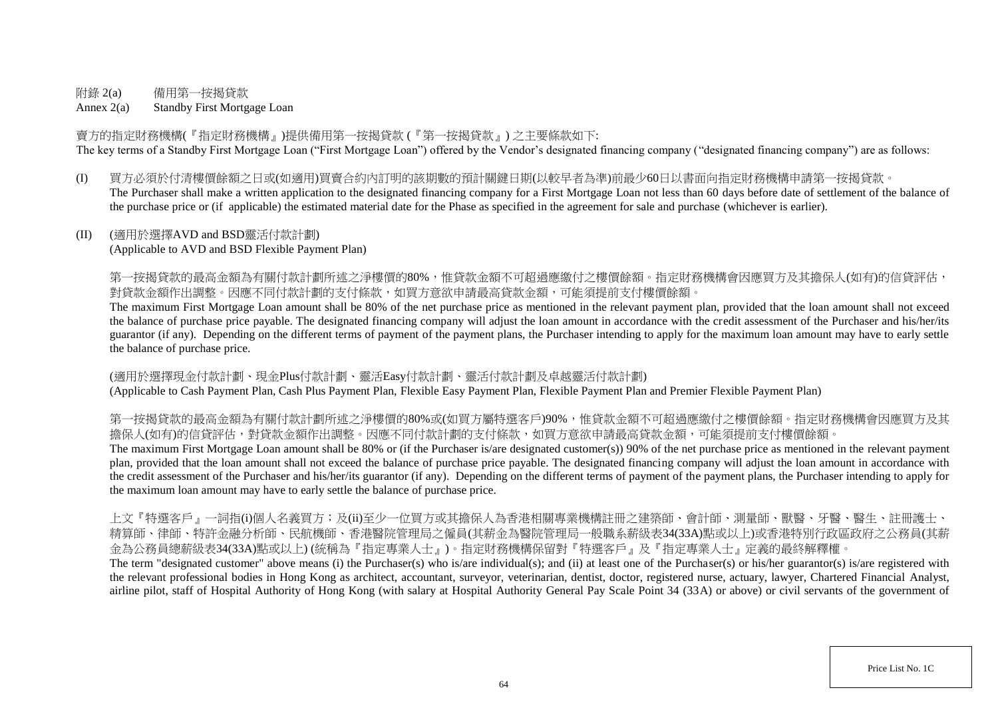# 附錄 2(a) 備用第一按揭貸款

Annex 2(a) Standby First Mortgage Loan

賣方的指定財務機構(『指定財務機構』)提供備用第一按揭貸款 (『第一按揭貸款』) 之主要條款如下: The key terms of a Standby First Mortgage Loan ("First Mortgage Loan") offered by the Vendor's designated financing company ("designated financing company") are as follows:

(I) 買方必須於付清樓價餘額之日或(如適用)買賣合約內訂明的該期數的預計關鍵日期(以較早者為準)前最少60日以書面向指定財務機構申請第一按揭貸款。 The Purchaser shall make a written application to the designated financing company for a First Mortgage Loan not less than 60 days before date of settlement of the balance of the purchase price or (if applicable) the estimated material date for the Phase as specified in the agreement for sale and purchase (whichever is earlier).

# (II) (適用於選擇AVD and BSD靈活付款計劃)

(Applicable to AVD and BSD Flexible Payment Plan)

第一按揭貸款的最高金額為有關付款計劃所述之淨樓價的80%,惟貸款金額不可超過應繳付之樓價餘額。指定財務機構會因應買方及其擔保人(如有)的信貸評估, 對貸款金額作出調整。因應不同付款計劃的支付條款,如買方意欲申請最高貸款金額,可能須提前支付樓價餘額。

The maximum First Mortgage Loan amount shall be 80% of the net purchase price as mentioned in the relevant payment plan, provided that the loan amount shall not exceed the balance of purchase price payable. The designated financing company will adjust the loan amount in accordance with the credit assessment of the Purchaser and his/her/its guarantor (if any). Depending on the different terms of payment of the payment plans, the Purchaser intending to apply for the maximum loan amount may have to early settle the balance of purchase price.

(適用於選擇現金付款計劃、現金Plus付款計劃、靈活Easy付款計劃、靈活付款計劃及卓越靈活付款計劃) (Applicable to Cash Payment Plan, Cash Plus Payment Plan, Flexible Easy Payment Plan, Flexible Payment Plan and Premier Flexible Payment Plan)

第一按揭貸款的最高金額為有關付款計劃所述之淨樓價的80%或(如買方屬特選客戶)90%,惟貸款金額不可超過應繳付之樓價餘額。指定財務機構會因應買方及其 擔保人(如有)的信貸評估,對貸款金額作出調整。因應不同付款計劃的支付條款,如買方意欲申請最高貸款金額,可能須提前支付樓價餘額。

The maximum First Mortgage Loan amount shall be 80% or (if the Purchaser is/are designated customer(s)) 90% of the net purchase price as mentioned in the relevant payment plan, provided that the loan amount shall not exceed the balance of purchase price payable. The designated financing company will adjust the loan amount in accordance with the credit assessment of the Purchaser and his/her/its guarantor (if any). Depending on the different terms of payment of the payment plans, the Purchaser intending to apply for the maximum loan amount may have to early settle the balance of purchase price.

上文『特選客戶』一詞指(i)個人名義買方;及(ii)至少一位買方或其擔保人為香港相關專業機構註冊之建築師、會計師、測量師、獸醫、牙醫、醫生、註冊護士、 精算師、律師、特許金融分析師、民航機師、香港醫院管理局之僱員(其薪金為醫院管理局一般職系薪級表34(33A)點或以上)或香港特別行政區政府之公務員(其薪 金為公務員總薪級表34(33A)點或以上) (統稱為『指定專業人士』)。指定財務機構保留對『特選客戶』及『指定專業人士』定義的最終解釋權。

The term "designated customer" above means (i) the Purchaser(s) who is/are individual(s); and (ii) at least one of the Purchaser(s) or his/her guarantor(s) is/are registered with the relevant professional bodies in Hong Kong as architect, accountant, surveyor, veterinarian, dentist, doctor, registered nurse, actuary, lawyer, Chartered Financial Analyst, airline pilot, staff of Hospital Authority of Hong Kong (with salary at Hospital Authority General Pay Scale Point 34 (33A) or above) or civil servants of the government of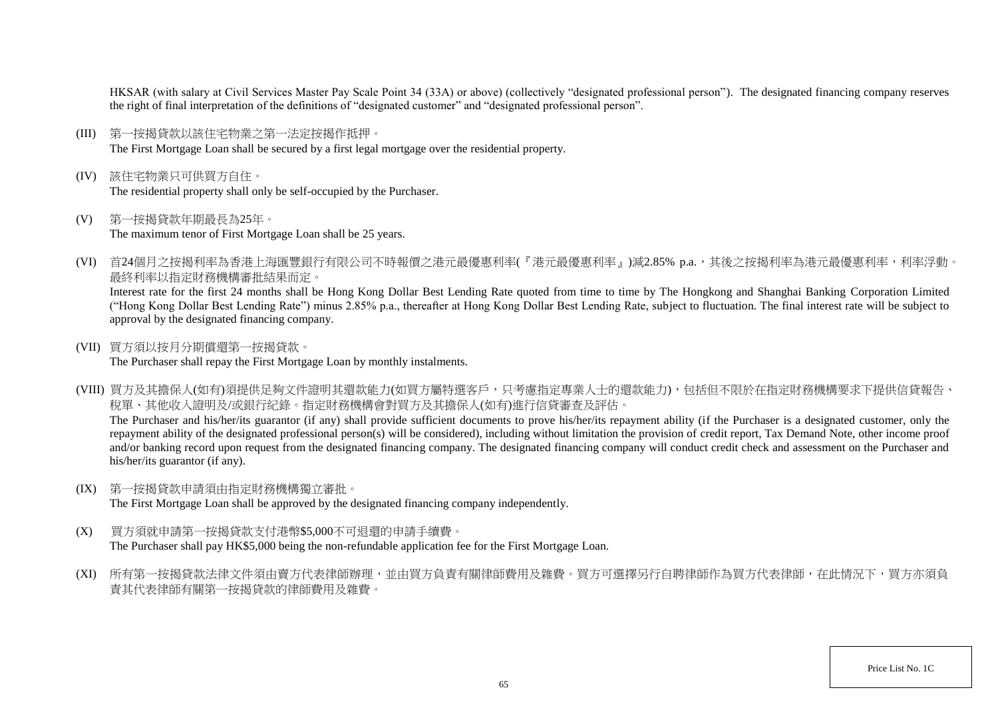HKSAR (with salary at Civil Services Master Pay Scale Point 34 (33A) or above) (collectively "designated professional person"). The designated financing company reserves the right of final interpretation of the definitions of "designated customer" and "designated professional person".

- (III) 第一按揭貸款以該住宅物業之第一法定按揭作抵押。 The First Mortgage Loan shall be secured by a first legal mortgage over the residential property.
- (IV) 該住宅物業只可供買方自住。 The residential property shall only be self-occupied by the Purchaser.
- (V) 第一按揭貸款年期最長為25年。 The maximum tenor of First Mortgage Loan shall be 25 years.
- (VI) 首24個月之按揭利率為香港上海匯豐銀行有限公司不時報價之港元最優惠利率(『港元最優惠利率』)減2.85% p.a.,其後之按揭利率為港元最優惠利率,利率浮動。 最終利率以指定財務機構審批結果而定。

Interest rate for the first 24 months shall be Hong Kong Dollar Best Lending Rate quoted from time to time by The Hongkong and Shanghai Banking Corporation Limited ("Hong Kong Dollar Best Lending Rate") minus 2.85% p.a., thereafter at Hong Kong Dollar Best Lending Rate, subject to fluctuation. The final interest rate will be subject to approval by the designated financing company.

(VII) 買方須以按月分期償還第一按揭貸款。

The Purchaser shall repay the First Mortgage Loan by monthly instalments.

(VIII) 買方及其擔保人(如有)須提供足夠文件證明其還款能力(如買方屬特選客戶,只考慮指定專業人士的還款能力),包括但不限於在指定財務機構要求下提供信貸報告、 稅單、其他收入證明及/或銀行紀錄。指定財務機構會對買方及其擔保人(如有)進行信貸審查及評估。 The Purchaser and his/her/its guarantor (if any) shall provide sufficient documents to prove his/her/its repayment ability (if the Purchaser is a designated customer, only the

repayment ability of the designated professional person(s) will be considered), including without limitation the provision of credit report, Tax Demand Note, other income proof and/or banking record upon request from the designated financing company. The designated financing company will conduct credit check and assessment on the Purchaser and his/her/its guarantor (if any).

(IX) 第一按揭貸款申請須由指定財務機構獨立審批。

The First Mortgage Loan shall be approved by the designated financing company independently.

- (X) 買方須就申請第一按揭貸款支付港幣\$5,000不可退還的申請手續費。 The Purchaser shall pay HK\$5,000 being the non-refundable application fee for the First Mortgage Loan.
- (XI) 所有第一按揭貸款法律文件須由賣方代表律師辦理,並由買方負責有關律師費用及雜費。買方可選擇另行自聘律師作為買方代表律師,在此情況下,買方亦須負 責其代表律師有關第一按揭貸款的律師費用及雜費。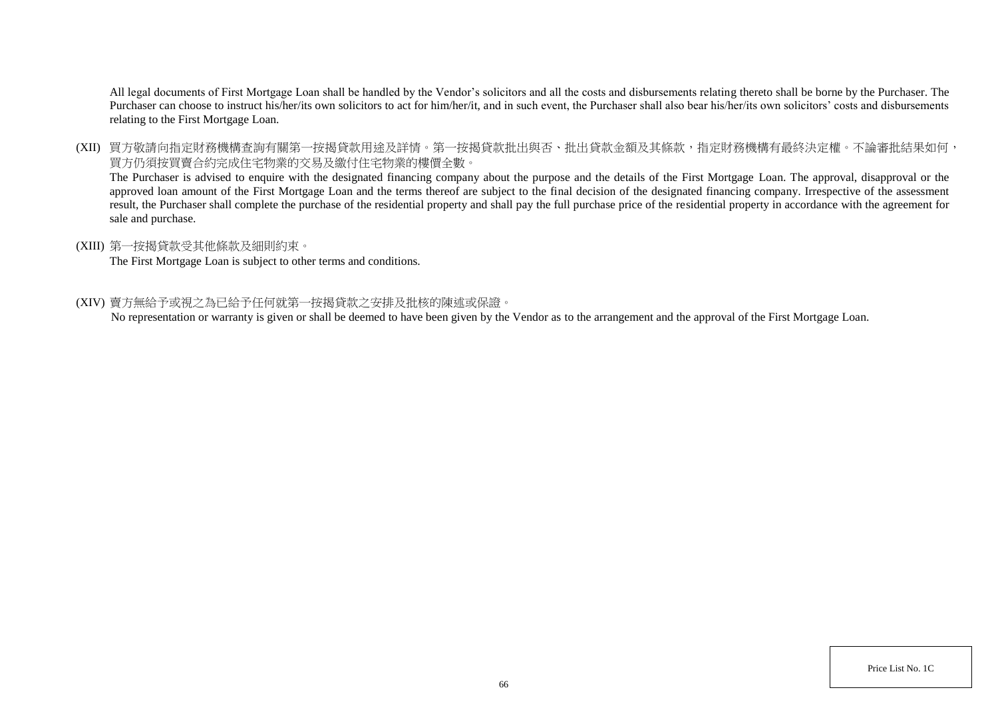All legal documents of First Mortgage Loan shall be handled by the Vendor's solicitors and all the costs and disbursements relating thereto shall be borne by the Purchaser. The Purchaser can choose to instruct his/her/its own solicitors to act for him/her/it, and in such event, the Purchaser shall also bear his/her/its own solicitors' costs and disbursements relating to the First Mortgage Loan.

(XII) 買方敬請向指定財務機構查詢有關第一按揭貸款用途及詳情。第一按揭貸款批出與否、批出貸款金額及其條款,指定財務機構有最終決定權。不論審批結果如何, 買方仍須按買賣合約完成住宅物業的交易及繳付住宅物業的樓價全數。

The Purchaser is advised to enquire with the designated financing company about the purpose and the details of the First Mortgage Loan. The approval, disapproval or the approved loan amount of the First Mortgage Loan and the terms thereof are subject to the final decision of the designated financing company. Irrespective of the assessment result, the Purchaser shall complete the purchase of the residential property and shall pay the full purchase price of the residential property in accordance with the agreement for sale and purchase.

## (XIII) 第一按揭貸款受其他條款及細則約束。

The First Mortgage Loan is subject to other terms and conditions.

## (XIV) 賣方無給予或視之為已給予任何就第一按揭貸款之安排及批核的陳述或保證。

No representation or warranty is given or shall be deemed to have been given by the Vendor as to the arrangement and the approval of the First Mortgage Loan.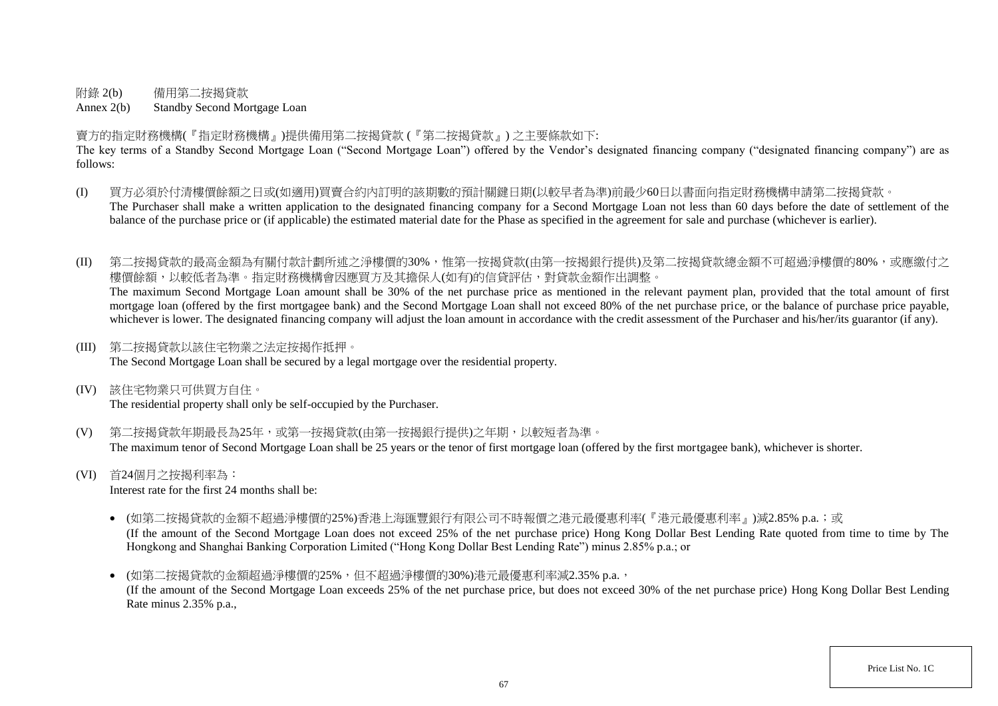附錄 2(b) 備用第二按揭貸款

Annex 2(b) Standby Second Mortgage Loan

賣方的指定財務機構(『指定財務機構』)提供備用第二按揭貸款 (『第二按揭貸款』) 之主要條款如下:

The key terms of a Standby Second Mortgage Loan ("Second Mortgage Loan") offered by the Vendor's designated financing company ("designated financing company") are as follows:

- (I) 買方必須於付清樓價餘額之日或(如適用)買賣合約內訂明的該期數的預計關鍵日期(以較早者為準)前最少60日以書面向指定財務機構申請第二按揭貸款。 The Purchaser shall make a written application to the designated financing company for a Second Mortgage Loan not less than 60 days before the date of settlement of the balance of the purchase price or (if applicable) the estimated material date for the Phase as specified in the agreement for sale and purchase (whichever is earlier).
- (II) 第二按揭貸款的最高金額為有關付款計劃所述之淨樓價的30%,惟第一按揭貸款(由第一按揭銀行提供)及第二按揭貸款總金額不可超過淨樓價的80%,或應繳付之 樓價餘額,以較低者為準。指定財務機構會因應買方及其擔保人(如有)的信貸評估,對貸款金額作出調整。 The maximum Second Mortgage Loan amount shall be 30% of the net purchase price as mentioned in the relevant payment plan, provided that the total amount of first

mortgage loan (offered by the first mortgagee bank) and the Second Mortgage Loan shall not exceed 80% of the net purchase price, or the balance of purchase price payable, whichever is lower. The designated financing company will adjust the loan amount in accordance with the credit assessment of the Purchaser and his/her/its guarantor (if any).

(III) 第二按揭貸款以該住宅物業之法定按揭作抵押。

The Second Mortgage Loan shall be secured by a legal mortgage over the residential property.

(IV) 該住宅物業只可供買方自住。

The residential property shall only be self-occupied by the Purchaser.

- (V) 第二按揭貸款年期最長為25年,或第一按揭貸款(由第一按揭銀行提供)之年期,以較短者為準。 The maximum tenor of Second Mortgage Loan shall be 25 years or the tenor of first mortgage loan (offered by the first mortgagee bank), whichever is shorter.
- (VI) 首24個月之按揭利率為:

Interest rate for the first 24 months shall be:

- (如第二按揭貸款的金額不超過淨樓價的25%)香港上海匯豐銀行有限公司不時報價之港元最優惠利率(『港元最優惠利率』)減2.85% p.a.;或 (If the amount of the Second Mortgage Loan does not exceed 25% of the net purchase price) Hong Kong Dollar Best Lending Rate quoted from time to time by The Hongkong and Shanghai Banking Corporation Limited ("Hong Kong Dollar Best Lending Rate") minus 2.85% p.a.; or
- (如第二按揭貸款的金額超過淨樓價的25%,但不超過淨樓價的30%)港元最優惠利率減2.35% p.a., (If the amount of the Second Mortgage Loan exceeds 25% of the net purchase price, but does not exceed 30% of the net purchase price) Hong Kong Dollar Best Lending Rate minus 2.35% p.a.,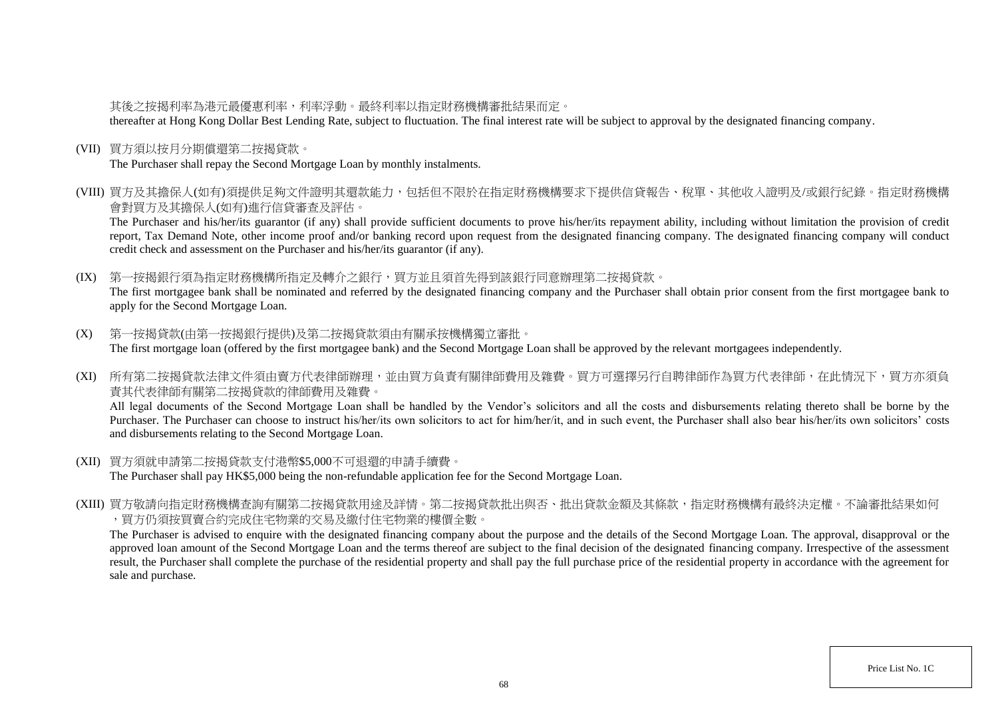# 其後之按揭利率為港元最優惠利率,利率浮動。最終利率以指定財務機構審批結果而定。

thereafter at Hong Kong Dollar Best Lending Rate, subject to fluctuation. The final interest rate will be subject to approval by the designated financing company.

(VII) 買方須以按月分期償還第二按揭貸款。

The Purchaser shall repay the Second Mortgage Loan by monthly instalments.

(VIII) 買方及其擔保人(如有)須提供足夠文件證明其還款能力,包括但不限於在指定財務機構要求下提供信貸報告、稅單、其他收入證明及/或銀行紀錄。指定財務機構 會對買方及其擔保人(如有)進行信貸審查及評估。

The Purchaser and his/her/its guarantor (if any) shall provide sufficient documents to prove his/her/its repayment ability, including without limitation the provision of credit report, Tax Demand Note, other income proof and/or banking record upon request from the designated financing company. The designated financing company will conduct credit check and assessment on the Purchaser and his/her/its guarantor (if any).

(IX) 第一按揭銀行須為指定財務機構所指定及轉介之銀行,買方並且須首先得到該銀行同意辦理第二按揭貸款。 The first mortgagee bank shall be nominated and referred by the designated financing company and the Purchaser shall obtain prior consent from the first mortgagee bank to apply for the Second Mortgage Loan.

- (X) 第一按揭貸款(由第一按揭銀行提供)及第二按揭貸款須由有關承按機構獨立審批。 The first mortgage loan (offered by the first mortgagee bank) and the Second Mortgage Loan shall be approved by the relevant mortgagees independently.
- (XI) 所有第二按揭貸款法律文件須由賣方代表律師辦理,並由買方負責有關律師費用及雜費。買方可選擇另行自聘律師作為買方代表律師,在此情況下,買方亦須負 責其代表律師有關第二按揭貸款的律師費用及雜費。

All legal documents of the Second Mortgage Loan shall be handled by the Vendor's solicitors and all the costs and disbursements relating thereto shall be borne by the Purchaser. The Purchaser can choose to instruct his/her/its own solicitors to act for him/her/it, and in such event, the Purchaser shall also bear his/her/its own solicitors' costs and disbursements relating to the Second Mortgage Loan.

- (XII) 買方須就申請第二按揭貸款支付港幣\$5,000不可退還的申請手續費。 The Purchaser shall pay HK\$5,000 being the non-refundable application fee for the Second Mortgage Loan.
- (XIII) 買方敬請向指定財務機構查詢有關第二按揭貸款用途及詳情。第二按揭貸款批出與否、批出貸款金額及其條款,指定財務機構有最終決定權。不論審批結果如何 ,買方仍須按買賣合約完成住宅物業的交易及繳付住宅物業的樓價全數。

The Purchaser is advised to enquire with the designated financing company about the purpose and the details of the Second Mortgage Loan. The approval, disapproval or the approved loan amount of the Second Mortgage Loan and the terms thereof are subject to the final decision of the designated financing company. Irrespective of the assessment result, the Purchaser shall complete the purchase of the residential property and shall pay the full purchase price of the residential property in accordance with the agreement for sale and purchase.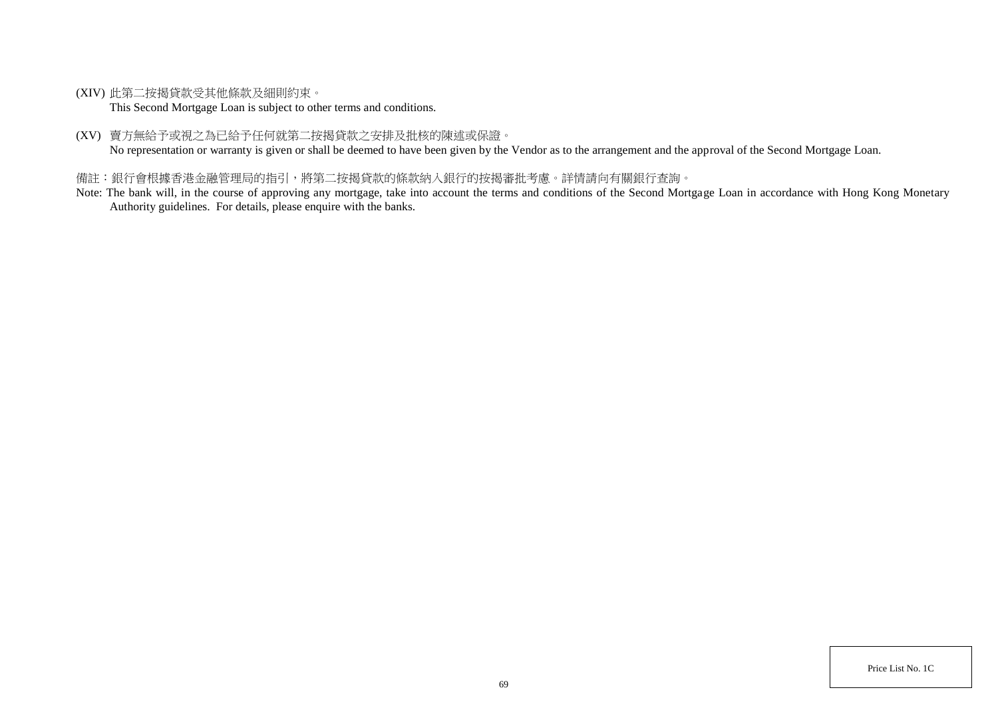(XIV) 此第二按揭貸款受其他條款及細則約束。

This Second Mortgage Loan is subject to other terms and conditions.

(XV) 賣方無給予或視之為已給予任何就第二按揭貸款之安排及批核的陳述或保證。

No representation or warranty is given or shall be deemed to have been given by the Vendor as to the arrangement and the approval of the Second Mortgage Loan.

# 備註:銀行會根據香港金融管理局的指引,將第二按揭貸款的條款納入銀行的按揭審批考慮。詳情請向有關銀行查詢。

Note: The bank will, in the course of approving any mortgage, take into account the terms and conditions of the Second Mortgage Loan in accordance with Hong Kong Monetary Authority guidelines. For details, please enquire with the banks.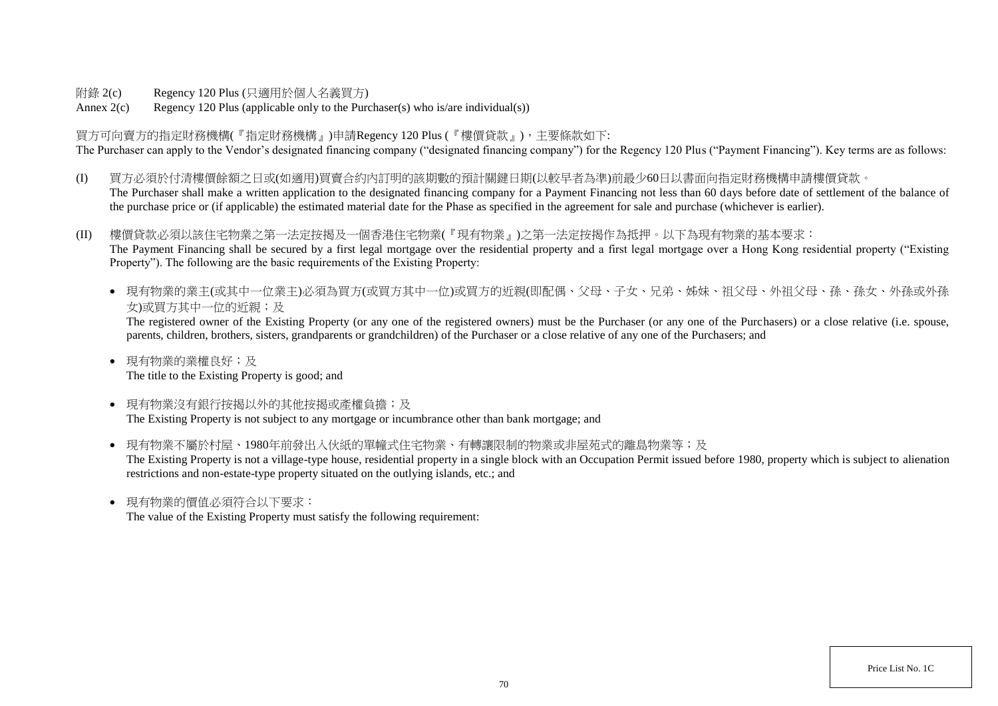附錄 2(c) Regency 120 Plus (只適用於個人名義買方)

Annex  $2(c)$  Regency 120 Plus (applicable only to the Purchaser(s) who is/are individual(s))

買方可向賣方的指定財務機構(『指定財務機構』)申請Regency 120 Plus (『樓價貸款』),主要條款如下: The Purchaser can apply to the Vendor's designated financing company ("designated financing company") for the Regency 120 Plus ("Payment Financing"). Key terms are as follows:

- (I) 買方必須於付清樓價餘額之日或(如適用)買賣合約內訂明的該期數的預計關鍵日期(以較早者為準)前最少60日以書面向指定財務機構申請樓價貸款。 The Purchaser shall make a written application to the designated financing company for a Payment Financing not less than 60 days before date of settlement of the balance of the purchase price or (if applicable) the estimated material date for the Phase as specified in the agreement for sale and purchase (whichever is earlier).
- (II) 樓價貸款必須以該住宅物業之第一法定按揭及一個香港住宅物業(『現有物業』)之第一法定按揭作為抵押。以下為現有物業的基本要求: The Payment Financing shall be secured by a first legal mortgage over the residential property and a first legal mortgage over a Hong Kong residential property ("Existing Property"). The following are the basic requirements of the Existing Property:
	- 現有物業的業主(或其中一位業主)必須為買方(或買方其中一位)或買方的近親(即配偶、父母、子女、兄弟、姊妹、祖父母、外祖父母、孫、孫女、外孫或外孫 女)或買方其中一位的近親;及

The registered owner of the Existing Property (or any one of the registered owners) must be the Purchaser (or any one of the Purchasers) or a close relative (i.e. spouse, parents, children, brothers, sisters, grandparents or grandchildren) of the Purchaser or a close relative of any one of the Purchasers; and

- 現有物業的業權良好;及 The title to the Existing Property is good; and
- 現有物業沒有銀行按揭以外的其他按揭或產權負擔;及 The Existing Property is not subject to any mortgage or incumbrance other than bank mortgage; and
- 現有物業不屬於村屋、1980年前發出入伙紙的單幢式住宅物業、有轉讓限制的物業或非屋苑式的離島物業等;及 The Existing Property is not a village-type house, residential property in a single block with an Occupation Permit issued before 1980, property which is subject to alienation restrictions and non-estate-type property situated on the outlying islands, etc.; and
- 現有物業的價值必須符合以下要求:

The value of the Existing Property must satisfy the following requirement: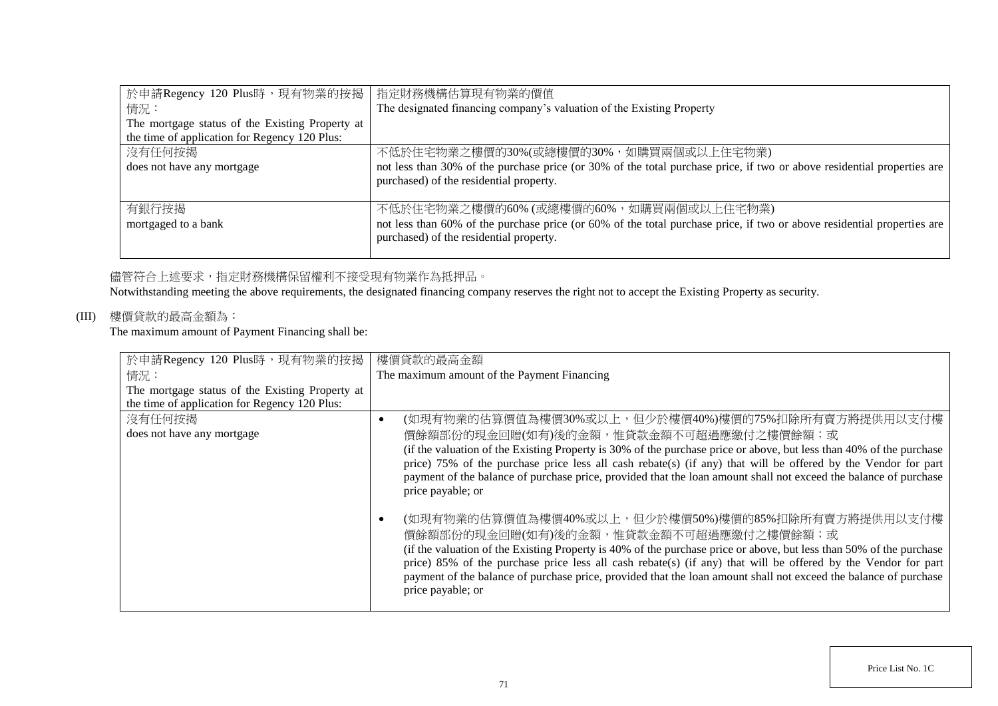| 於申請Regency 120 Plus時,現有物業的按揭                    | 指定財務機構估算現有物業的價值                                                                                                         |
|-------------------------------------------------|-------------------------------------------------------------------------------------------------------------------------|
| 情況:                                             | The designated financing company's valuation of the Existing Property                                                   |
| The mortgage status of the Existing Property at |                                                                                                                         |
| the time of application for Regency 120 Plus:   |                                                                                                                         |
| 沒有任何按揭                                          | 不低於住宅物業之樓價的30%(或總樓價的30%,如購買兩個或以上住宅物業)                                                                                   |
| does not have any mortgage                      | not less than 30% of the purchase price (or 30% of the total purchase price, if two or above residential properties are |
|                                                 | purchased) of the residential property.                                                                                 |
|                                                 |                                                                                                                         |
| 有銀行按揭                                           | 不低於住宅物業之樓價的60% (或總樓價的60%, 如購買兩個或以上住宅物業)                                                                                 |
| mortgaged to a bank                             | not less than 60% of the purchase price (or 60% of the total purchase price, if two or above residential properties are |
|                                                 | purchased) of the residential property.                                                                                 |
|                                                 |                                                                                                                         |

# 儘管符合上述要求,指定財務機構保留權利不接受現有物業作為抵押品。

Notwithstanding meeting the above requirements, the designated financing company reserves the right not to accept the Existing Property as security.

# (III) 樓價貸款的最高金額為:

The maximum amount of Payment Financing shall be:

| 於申請Regency 120 Plus時,現有物業的按揭                    | 樓價貸款的最高金額                                                                                                                                                                                                                                                                                                                                                                                                                                                                     |
|-------------------------------------------------|-------------------------------------------------------------------------------------------------------------------------------------------------------------------------------------------------------------------------------------------------------------------------------------------------------------------------------------------------------------------------------------------------------------------------------------------------------------------------------|
| 情況:                                             | The maximum amount of the Payment Financing                                                                                                                                                                                                                                                                                                                                                                                                                                   |
| The mortgage status of the Existing Property at |                                                                                                                                                                                                                                                                                                                                                                                                                                                                               |
| the time of application for Regency 120 Plus:   |                                                                                                                                                                                                                                                                                                                                                                                                                                                                               |
| 沒有任何按揭                                          | (如現有物業的估算價值為樓價30%或以上,但少於樓價40%)樓價的75%扣除所有賣方將提供用以支付樓                                                                                                                                                                                                                                                                                                                                                                                                                            |
| does not have any mortgage                      | 價餘額部份的現金回贈(如有)後的金額,惟貸款金額不可超過應繳付之樓價餘額;或                                                                                                                                                                                                                                                                                                                                                                                                                                        |
|                                                 | (if the valuation of the Existing Property is 30% of the purchase price or above, but less than 40% of the purchase<br>price) 75% of the purchase price less all cash rebate(s) (if any) that will be offered by the Vendor for part<br>payment of the balance of purchase price, provided that the loan amount shall not exceed the balance of purchase<br>price payable; or                                                                                                 |
|                                                 | (如現有物業的估算價值為樓價40%或以上,但少於樓價50%)樓價的85%扣除所有賣方將提供用以支付樓<br>價餘額部份的現金回贈(如有)後的金額,惟貸款金額不可超過應繳付之樓價餘額;或<br>(if the valuation of the Existing Property is 40% of the purchase price or above, but less than 50% of the purchase<br>price) 85% of the purchase price less all cash rebate(s) (if any) that will be offered by the Vendor for part<br>payment of the balance of purchase price, provided that the loan amount shall not exceed the balance of purchase<br>price payable; or |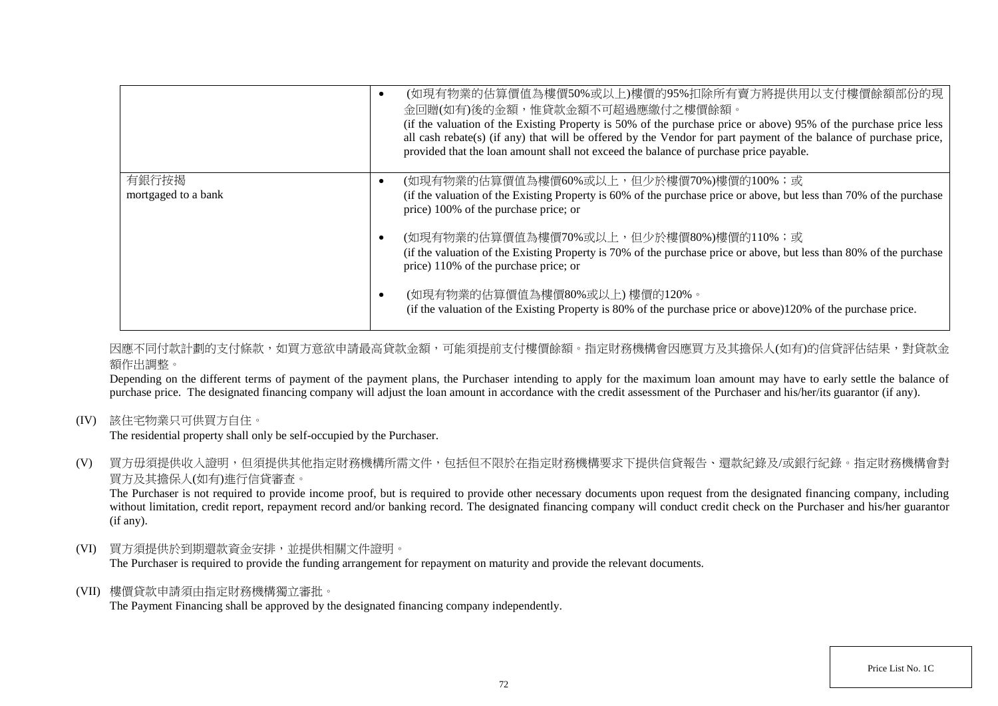|                     | (如現有物業的估算價值為樓價50%或以上)樓價的95%扣除所有賣方將提供用以支付樓價餘額部份的現<br>金回贈(如有)後的金額,惟貸款金額不可超過應繳付之樓價餘額。<br>(if the valuation of the Existing Property is 50% of the purchase price or above) 95% of the purchase price less<br>all cash rebate(s) (if any) that will be offered by the Vendor for part payment of the balance of purchase price,<br>provided that the loan amount shall not exceed the balance of purchase price payable. |
|---------------------|----------------------------------------------------------------------------------------------------------------------------------------------------------------------------------------------------------------------------------------------------------------------------------------------------------------------------------------------------------------------------------------------------------------------|
| 有銀行按揭               | (如現有物業的估算價值為樓價60%或以上,但少於樓價70%)樓價的100%;或                                                                                                                                                                                                                                                                                                                                                                              |
| mortgaged to a bank | (if the valuation of the Existing Property is 60% of the purchase price or above, but less than 70% of the purchase<br>price) 100% of the purchase price; or                                                                                                                                                                                                                                                         |
|                     | (如現有物業的估算價值為樓價70%或以上,但少於樓價80%)樓價的110%;或                                                                                                                                                                                                                                                                                                                                                                              |
|                     | (if the valuation of the Existing Property is 70% of the purchase price or above, but less than 80% of the purchase<br>price) 110% of the purchase price; or                                                                                                                                                                                                                                                         |
|                     | (如現有物業的估算價值為樓價80%或以上)樓價的120%。<br>(if the valuation of the Existing Property is 80% of the purchase price or above)120% of the purchase price.                                                                                                                                                                                                                                                                        |

因應不同付款計劃的支付條款,如買方意欲申請最高貸款金額,可能須提前支付樓價餘額。指定財務機構會因應買方及其擔保人(如有)的信貸評估結果,對貸款金 額作出調整。

Depending on the different terms of payment of the payment plans, the Purchaser intending to apply for the maximum loan amount may have to early settle the balance of purchase price. The designated financing company will adjust the loan amount in accordance with the credit assessment of the Purchaser and his/her/its guarantor (if any).

(IV) 該住宅物業只可供買方自住。

The residential property shall only be self-occupied by the Purchaser.

(V) 買方毋須提供收入證明,但須提供其他指定財務機構所需文件,包括但不限於在指定財務機構要求下提供信貸報告、還款紀錄及/或銀行紀錄。指定財務機構會對 買方及其擔保人(如有)進行信貸審查。

The Purchaser is not required to provide income proof, but is required to provide other necessary documents upon request from the designated financing company, including without limitation, credit report, repayment record and/or banking record. The designated financing company will conduct credit check on the Purchaser and his/her guarantor (if any).

(VI) 買方須提供於到期還款資金安排,並提供相關文件證明。

The Purchaser is required to provide the funding arrangement for repayment on maturity and provide the relevant documents.

(VII) 樓價貸款申請須由指定財務機構獨立審批。

The Payment Financing shall be approved by the designated financing company independently.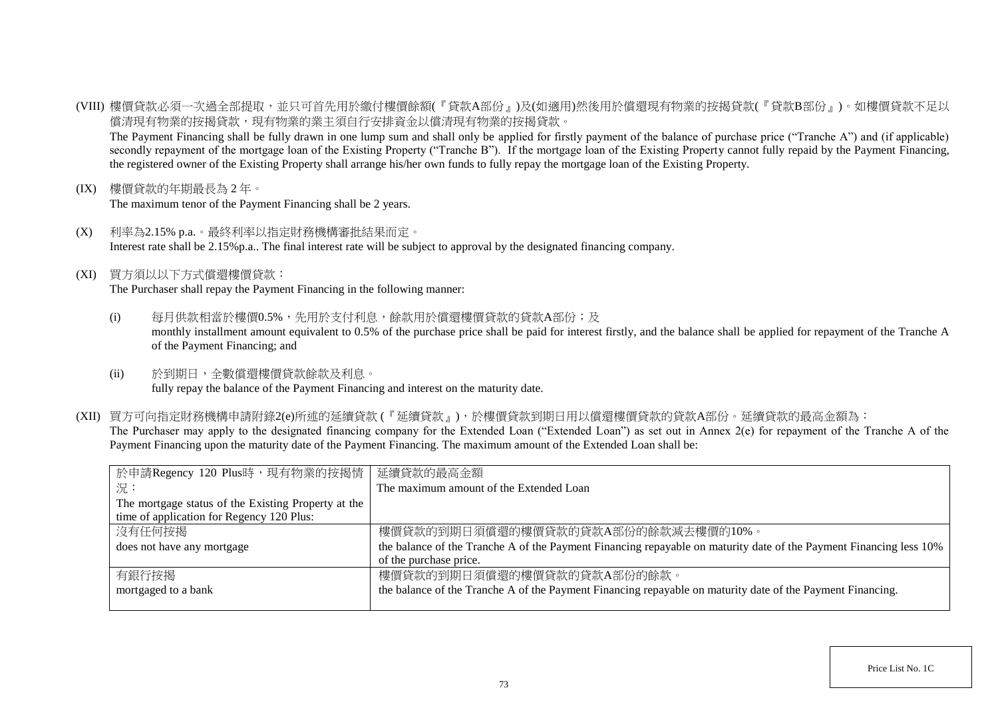(VIII) 樓價貸款必須一次過全部提取,並只可首先用於繳付樓價餘額(『貸款A部份』)及(如適用)然後用於償還現有物業的按揭貸款(『貸款B部份』)。如樓價貸款不足以 償清現有物業的按揭貸款,現有物業的業主須自行安排資金以償清現有物業的按揭貸款。

The Payment Financing shall be fully drawn in one lump sum and shall only be applied for firstly payment of the balance of purchase price ("Tranche A") and (if applicable) secondly repayment of the mortgage loan of the Existing Property ("Tranche B"). If the mortgage loan of the Existing Property cannot fully repaid by the Payment Financing, the registered owner of the Existing Property shall arrange his/her own funds to fully repay the mortgage loan of the Existing Property.

(IX) 樓價貸款的年期最長為 2 年。

The maximum tenor of the Payment Financing shall be 2 years.

- (X) 利率為2.15% p.a.。最終利率以指定財務機構審批結果而定。 Interest rate shall be 2.15%p.a.. The final interest rate will be subject to approval by the designated financing company.
- (XI) 買方須以以下方式償還樓價貸款:

The Purchaser shall repay the Payment Financing in the following manner:

- (i) 每月供款相當於樓價0.5%,先用於支付利息,餘款用於償還樓價貸款的貸款A部份;及 monthly installment amount equivalent to 0.5% of the purchase price shall be paid for interest firstly, and the balance shall be applied for repayment of the Tranche A of the Payment Financing; and
- (ii) 於到期日,全數償還樓價貸款餘款及利息。 fully repay the balance of the Payment Financing and interest on the maturity date.
- (XII) 買方可向指定財務機構申請附錄2(e)所述的延續貸款 (『延續貸款』),於樓價貸款到期日用以償還樓價貸款的貸款A部份。延續貸款的最高金額為: The Purchaser may apply to the designated financing company for the Extended Loan ("Extended Loan") as set out in Annex 2(e) for repayment of the Tranche A of the Payment Financing upon the maturity date of the Payment Financing. The maximum amount of the Extended Loan shall be:

| 於申請Regency 120 Plus時,現有物業的按揭情                       | 延續貸款的最高金額                                                                                                          |
|-----------------------------------------------------|--------------------------------------------------------------------------------------------------------------------|
| 一況:                                                 | The maximum amount of the Extended Loan                                                                            |
| The mortgage status of the Existing Property at the |                                                                                                                    |
| time of application for Regency 120 Plus:           |                                                                                                                    |
| 沒有任何按揭                                              | 樓價貸款的到期日須償還的樓價貸款的貸款A部份的餘款減去樓價的10%。                                                                                 |
| does not have any mortgage                          | the balance of the Tranche A of the Payment Financing repayable on maturity date of the Payment Financing less 10% |
|                                                     | of the purchase price.                                                                                             |
| 有銀行按揭                                               | 樓價貸款的到期日須償還的樓價貸款的貸款A部份的餘款。                                                                                         |
| mortgaged to a bank                                 | the balance of the Tranche A of the Payment Financing repayable on maturity date of the Payment Financing.         |
|                                                     |                                                                                                                    |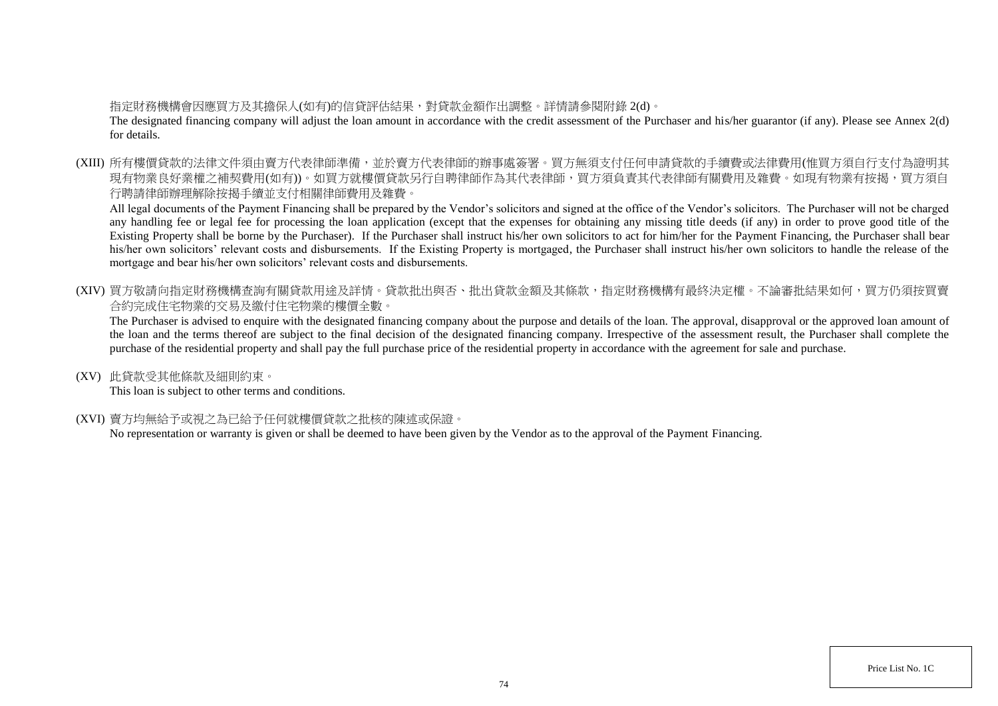## 指定財務機構會因應買方及其擔保人(如有)的信貸評估結果,對貸款金額作出調整。詳情請參閱附錄 2(d)。

The designated financing company will adjust the loan amount in accordance with the credit assessment of the Purchaser and his/her guarantor (if any). Please see Annex 2(d) for details.

(XIII) 所有樓價貸款的法律文件須由賣方代表律師準備,並於賣方代表律師的辦事處簽署。買方無須支付任何申請貸款的手續費或法律費用(惟買方須自行支付為證明其 現有物業良好業權之補契費用(如有))。如買方就樓價貸款另行自聘律師作為其代表律師,買方須負責其代表律師有關費用及雜費。如現有物業有按揭,買方須自 行聘請律師辦理解除按揭手續並支付相關律師費用及雜費。

All legal documents of the Payment Financing shall be prepared by the Vendor's solicitors and signed at the office of the Vendor's solicitors. The Purchaser will not be charged any handling fee or legal fee for processing the loan application (except that the expenses for obtaining any missing title deeds (if any) in order to prove good title of the Existing Property shall be borne by the Purchaser). If the Purchaser shall instruct his/her own solicitors to act for him/her for the Payment Financing, the Purchaser shall bear his/her own solicitors' relevant costs and disbursements. If the Existing Property is mortgaged, the Purchaser shall instruct his/her own solicitors to handle the release of the mortgage and bear his/her own solicitors' relevant costs and disbursements.

(XIV) 買方敬請向指定財務機構查詢有關貸款用途及詳情。貸款批出與否、批出貸款金額及其條款,指定財務機構有最終決定權。不論審批結果如何,買方仍須按買賣 合約完成住宅物業的交易及繳付住宅物業的樓價全數。

The Purchaser is advised to enquire with the designated financing company about the purpose and details of the loan. The approval, disapproval or the approved loan amount of the loan and the terms thereof are subject to the final decision of the designated financing company. Irrespective of the assessment result, the Purchaser shall complete the purchase of the residential property and shall pay the full purchase price of the residential property in accordance with the agreement for sale and purchase.

(XV) 此貸款受其他條款及細則約束。

This loan is subject to other terms and conditions.

(XVI) 賣方均無給予或視之為已給予任何就樓價貸款之批核的陳述或保證。

No representation or warranty is given or shall be deemed to have been given by the Vendor as to the approval of the Payment Financing.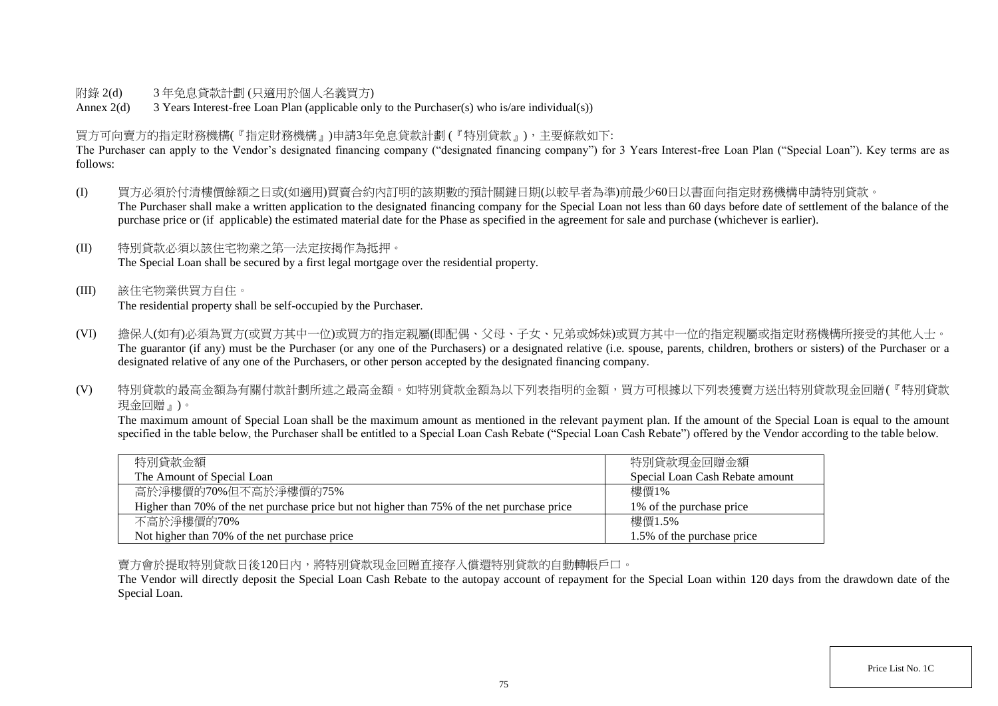## 附錄 2(d) 3 年免息貸款計劃 (只適用於個人名義買方)

Annex 2(d) 3 Years Interest-free Loan Plan (applicable only to the Purchaser(s) who is/are individual(s))

## 買方可向賣方的指定財務機構(『指定財務機構』)申請3年免息貸款計劃 (『特別貸款』),主要條款如下:

The Purchaser can apply to the Vendor's designated financing company ("designated financing company") for 3 Years Interest-free Loan Plan ("Special Loan"). Key terms are as follows:

- (I) 買方必須於付清樓價餘額之日或(如適用)買賣合約內訂明的該期數的預計關鍵日期(以較早者為準)前最少60日以書面向指定財務機構申請特別貸款。 The Purchaser shall make a written application to the designated financing company for the Special Loan not less than 60 days before date of settlement of the balance of the purchase price or (if applicable) the estimated material date for the Phase as specified in the agreement for sale and purchase (whichever is earlier).
- (II) 特別貸款必須以該住宅物業之第一法定按揭作為抵押。 The Special Loan shall be secured by a first legal mortgage over the residential property.
- (III) 該住宅物業供買方自住。 The residential property shall be self-occupied by the Purchaser.
- (VI) 擔保人(如有)必須為買方(或買方其中一位)或買方的指定親屬(即配偶、父母、子女、兄弟或姊妹)或買方其中一位的指定親屬或指定財務機構所接受的其他人士。 The guarantor (if any) must be the Purchaser (or any one of the Purchasers) or a designated relative (i.e. spouse, parents, children, brothers or sisters) of the Purchaser or a designated relative of any one of the Purchasers, or other person accepted by the designated financing company.
- (V) 特別貸款的最高金額為有關付款計劃所述之最高金額。如特別貸款金額為以下列表指明的金額,買方可根據以下列表獲賣方送出特別貸款現金回贈(『特別貸款 現金回贈』)。

The maximum amount of Special Loan shall be the maximum amount as mentioned in the relevant payment plan. If the amount of the Special Loan is equal to the amount specified in the table below, the Purchaser shall be entitled to a Special Loan Cash Rebate ("Special Loan Cash Rebate") offered by the Vendor according to the table below.

| 特別貸款金額                                                                                      | 特別貸款現金回贈金額                      |
|---------------------------------------------------------------------------------------------|---------------------------------|
| The Amount of Special Loan                                                                  | Special Loan Cash Rebate amount |
| 高於淨樓價的70%但不高於淨樓價的75%                                                                        | 樓價1%                            |
| Higher than 70% of the net purchase price but not higher than 75% of the net purchase price | 1\% of the purchase price       |
| 不高於淨樓價的70%                                                                                  | 樓價1.5%                          |
| Not higher than 70% of the net purchase price                                               | 1.5% of the purchase price      |

賣方會於提取特別貸款日後120日內,將特別貸款現金回贈直接存入償還特別貸款的自動轉帳戶口。

The Vendor will directly deposit the Special Loan Cash Rebate to the autopay account of repayment for the Special Loan within 120 days from the drawdown date of the Special Loan.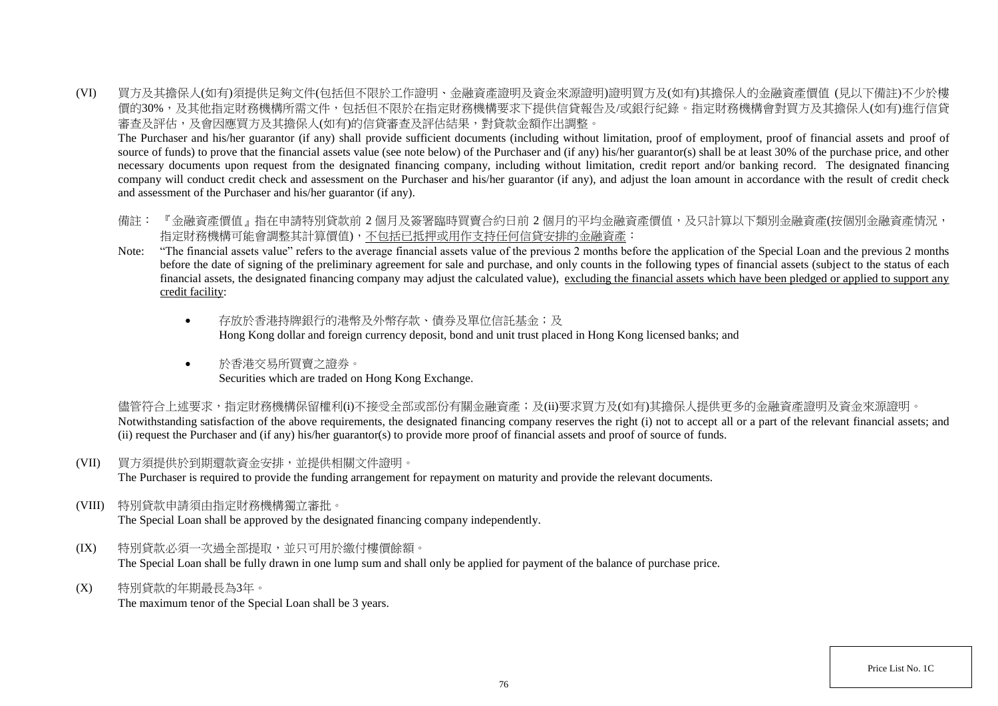(VI) 買方及其擔保人(如有)須提供足夠文件(包括但不限於工作證明、金融資產證明及資金來源證明)證明買方及(如有)其擔保人的金融資產價值 (見以下備註)不少於樓 價的30%,及其他指定財務機構所需文件,包括但不限於在指定財務機構要求下提供信貸報告及/或銀行紀錄。指定財務機構會對買方及其擔保人(如有)進行信貸 審查及評估,及會因應買方及其擔保人(如有)的信貸審查及評估結果,對貸款金額作出調整。

The Purchaser and his/her guarantor (if any) shall provide sufficient documents (including without limitation, proof of employment, proof of financial assets and proof of source of funds) to prove that the financial assets value (see note below) of the Purchaser and (if any) his/her guarantor(s) shall be at least 30% of the purchase price, and other necessary documents upon request from the designated financing company, including without limitation, credit report and/or banking record. The designated financing company will conduct credit check and assessment on the Purchaser and his/her guarantor (if any), and adjust the loan amount in accordance with the result of credit check and assessment of the Purchaser and his/her guarantor (if any).

- 備註: 『金融資產價值』指在申請特別貸款前 2 個月及簽署臨時買賣合約日前 2 個月的平均金融資產價值,及只計算以下類別金融資產(按個別金融資產情況, 指定財務機構可能會調整其計算價值),不包括已抵押或用作支持任何信貸安排的金融資產:
- Note: "The financial assets value" refers to the average financial assets value of the previous 2 months before the application of the Special Loan and the previous 2 months before the date of signing of the preliminary agreement for sale and purchase, and only counts in the following types of financial assets (subject to the status of each financial assets, the designated financing company may adjust the calculated value), excluding the financial assets which have been pledged or applied to support any credit facility:
	- 存放於香港特牌銀行的港幣及外幣存款、債券及單位信託基金;及 Hong Kong dollar and foreign currency deposit, bond and unit trust placed in Hong Kong licensed banks; and
	- 於香港交易所買賣之證券。 Securities which are traded on Hong Kong Exchange.

儘管符合上述要求,指定財務機構保留權利(i)不接受全部或部份有關金融資產;及(ii)要求買方及(如有)其擔保人提供更多的金融資產證明及資金來源證明。 Notwithstanding satisfaction of the above requirements, the designated financing company reserves the right (i) not to accept all or a part of the relevant financial assets; and (ii) request the Purchaser and (if any) his/her guarantor(s) to provide more proof of financial assets and proof of source of funds.

(VII) 買方須提供於到期還款資金安排,並提供相關文件證明。

The Purchaser is required to provide the funding arrangement for repayment on maturity and provide the relevant documents.

(VIII) 特別貸款申請須由指定財務機構獨立審批。

The Special Loan shall be approved by the designated financing company independently.

- (IX) 特別貸款必須一次過全部提取,並只可用於繳付樓價餘額。 The Special Loan shall be fully drawn in one lump sum and shall only be applied for payment of the balance of purchase price.
- (X) 特別貸款的年期最長為3年。

The maximum tenor of the Special Loan shall be 3 years.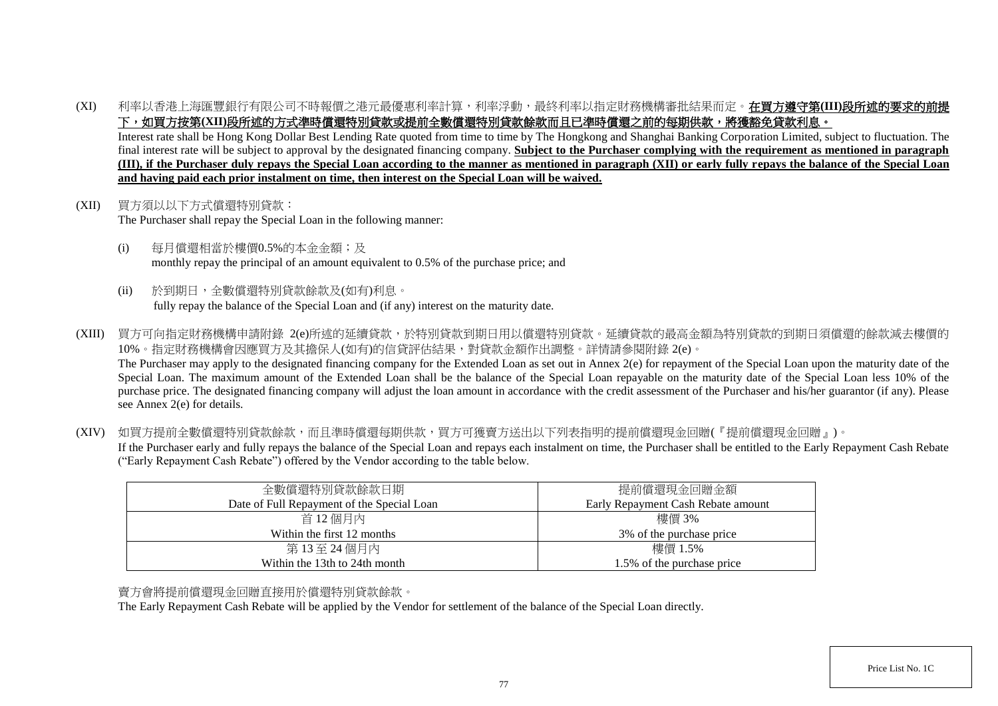(XI) 利率以香港上海匯豐銀行有限公司不時報價之港元最優惠利率計算,利率浮動,最終利率以指定財務機構審批結果而定。在買方遵守第**(III)**段所述的要求的前提 下,如買方按第(XII)段所述的方式準時償還特別貸款或提前全數償還特別貸款餘款而且已準時償還之前的每期供款,將獲豁免貸款利息。

Interest rate shall be Hong Kong Dollar Best Lending Rate quoted from time to time by The Hongkong and Shanghai Banking Corporation Limited, subject to fluctuation. The final interest rate will be subject to approval by the designated financing company. **Subject to the Purchaser complying with the requirement as mentioned in paragraph (III), if the Purchaser duly repays the Special Loan according to the manner as mentioned in paragraph (XII) or early fully repays the balance of the Special Loan and having paid each prior instalment on time, then interest on the Special Loan will be waived.**

- (XII) 買方須以以下方式償還特別貸款: The Purchaser shall repay the Special Loan in the following manner:
	- (i) 每月償還相當於樓價0.5%的本金金額;及 monthly repay the principal of an amount equivalent to 0.5% of the purchase price; and
	- (ii) 於到期日,全數償還特別貸款餘款及(如有)利息。 fully repay the balance of the Special Loan and (if any) interest on the maturity date.
- (XIII) 買方可向指定財務機構申請附錄 2(e)所述的延續貸款,於特別貸款到期日用以償還特別貸款。延續貸款的最高金額為特別貸款的到期日須償還的餘款減去樓價的 10%。指定財務機構會因應買方及其擔保人(如有)的信貸評估結果,對貸款金額作出調整。詳情請參閱附錄 2(e)。 The Purchaser may apply to the designated financing company for the Extended Loan as set out in Annex 2(e) for repayment of the Special Loan upon the maturity date of the Special Loan. The maximum amount of the Extended Loan shall be the balance of the Special Loan repayable on the maturity date of the Special Loan less 10% of the purchase price. The designated financing company will adjust the loan amount in accordance with the credit assessment of the Purchaser and his/her guarantor (if any). Please see Annex 2(e) for details.
- (XIV) 如買方提前全數償還特別貸款餘款,而且準時償還每期供款,買方可獲賣方送出以下列表指明的提前償還現金回贈(『提前償還現金回贈』)。 If the Purchaser early and fully repays the balance of the Special Loan and repays each instalment on time, the Purchaser shall be entitled to the Early Repayment Cash Rebate ("Early Repayment Cash Rebate") offered by the Vendor according to the table below.

| 全數償還特別貸款餘款日期                               | 提前償還現金回贈金額                         |
|--------------------------------------------|------------------------------------|
| Date of Full Repayment of the Special Loan | Early Repayment Cash Rebate amount |
| 首 12個月內                                    | 樓價 3%                              |
| Within the first 12 months                 | 3\% of the purchase price          |
| 第13至24個月內                                  | 樓價 1.5%                            |
| Within the 13th to 24th month              | 1.5% of the purchase price         |

## 賣方會將提前償還現金回贈直接用於償還特別貸款餘款。

The Early Repayment Cash Rebate will be applied by the Vendor for settlement of the balance of the Special Loan directly.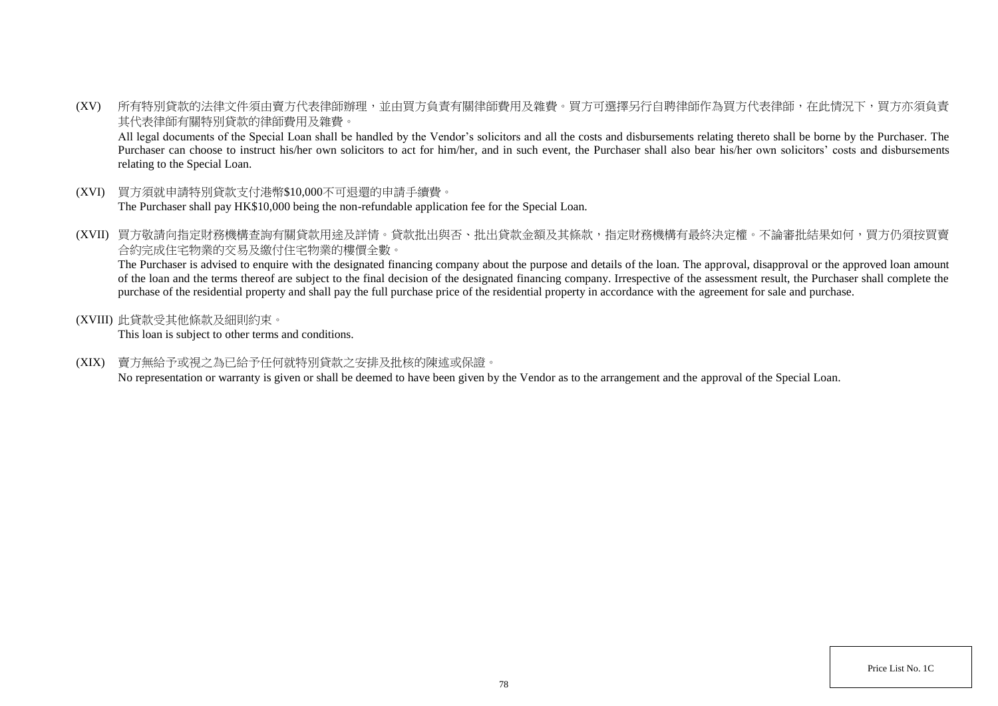(XV) 所有特別貸款的法律文件須由賣方代表律師辦理,並由買方負責有關律師費用及雜費。買方可選擇另行自聘律師作為買方代表律師,在此情況下,買方亦須負責 其代表律師有關特別貸款的律師費用及雜費。

All legal documents of the Special Loan shall be handled by the Vendor's solicitors and all the costs and disbursements relating thereto shall be borne by the Purchaser. The Purchaser can choose to instruct his/her own solicitors to act for him/her, and in such event, the Purchaser shall also bear his/her own solicitors' costs and disbursements relating to the Special Loan.

- (XVI) 買方須就申請特別貸款支付港幣\$10,000不可退還的申請手續費。 The Purchaser shall pay HK\$10,000 being the non-refundable application fee for the Special Loan.
- (XVII) 買方敬請向指定財務機構查詢有關貸款用途及詳情。貸款批出與否、批出貸款金額及其條款,指定財務機構有最終決定權。不論審批結果如何,買方仍須按買賣 合約完成住宅物業的交易及繳付住宅物業的樓價全數。

The Purchaser is advised to enquire with the designated financing company about the purpose and details of the loan. The approval, disapproval or the approved loan amount of the loan and the terms thereof are subject to the final decision of the designated financing company. Irrespective of the assessment result, the Purchaser shall complete the purchase of the residential property and shall pay the full purchase price of the residential property in accordance with the agreement for sale and purchase.

(XVIII) 此貸款受其他條款及細則約束。

This loan is subject to other terms and conditions.

(XIX) 賣方無給予或視之為已給予任何就特別貸款之安排及批核的陳述或保證。

No representation or warranty is given or shall be deemed to have been given by the Vendor as to the arrangement and the approval of the Special Loan.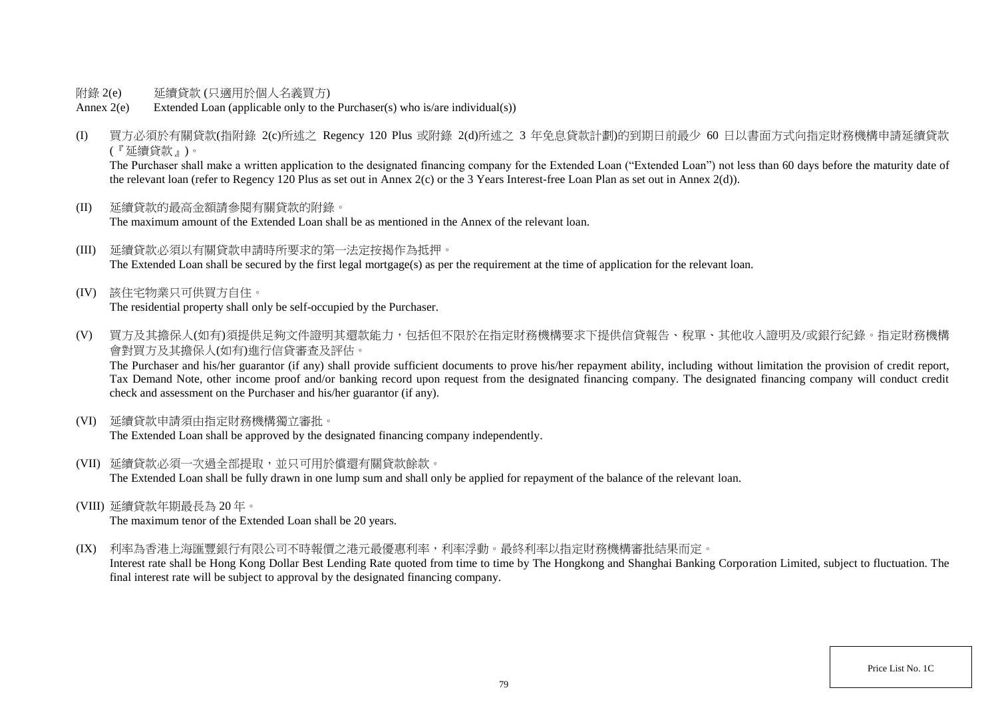- 附錄 2(e) 延續貸款 (只適用於個人名義買方)
- Annex 2(e) Extended Loan (applicable only to the Purchaser(s) who is/are individual(s))
- (I) 買方必須於有關貸款(指附錄 2(c)所述之 Regency 120 Plus 或附錄 2(d)所述之 3 年免息貸款計劃)的到期日前最少 60 日以書面方式向指定財務機構申請延續貸款 (『延續貸款』)。

The Purchaser shall make a written application to the designated financing company for the Extended Loan "Extended Loan") not less than 60 days before the maturity date of the relevant loan (refer to Regency 120 Plus as set out in Annex 2(c) or the 3 Years Interest-free Loan Plan as set out in Annex 2(d)).

- (II) 延續貸款的最高金額請參閱有關貸款的附錄。 The maximum amount of the Extended Loan shall be as mentioned in the Annex of the relevant loan.
- (III) 延續貸款必須以有關貸款申請時所要求的第一法定按揭作為抵押。 The Extended Loan shall be secured by the first legal mortgage(s) as per the requirement at the time of application for the relevant loan.
- (IV) 該住宅物業只可供買方自住。 The residential property shall only be self-occupied by the Purchaser.
- (V) 買方及其擔保人(如有)須提供足夠文件證明其還款能力,包括但不限於在指定財務機構要求下提供信貸報告、稅單、其他收入證明及/或銀行紀錄。指定財務機構 會對買方及其擔保人(如有)進行信貸審查及評估。

The Purchaser and his/her guarantor (if any) shall provide sufficient documents to prove his/her repayment ability, including without limitation the provision of credit report, Tax Demand Note, other income proof and/or banking record upon request from the designated financing company. The designated financing company will conduct credit check and assessment on the Purchaser and his/her guarantor (if any).

(VI) 延續貸款申請須由指定財務機構獨立審批。

The Extended Loan shall be approved by the designated financing company independently.

- (VII) 延續貸款必須一次過全部提取,並只可用於償還有關貸款餘款。 The Extended Loan shall be fully drawn in one lump sum and shall only be applied for repayment of the balance of the relevant loan.
- (VIII) 延續貸款年期最長為 20 年。

The maximum tenor of the Extended Loan shall be 20 years.

(IX) 利率為香港上海匯豐銀行有限公司不時報價之港元最優惠利率,利率浮動。最終利率以指定財務機構審批結果而定。

Interest rate shall be Hong Kong Dollar Best Lending Rate quoted from time to time by The Hongkong and Shanghai Banking Corporation Limited, subject to fluctuation. The final interest rate will be subject to approval by the designated financing company.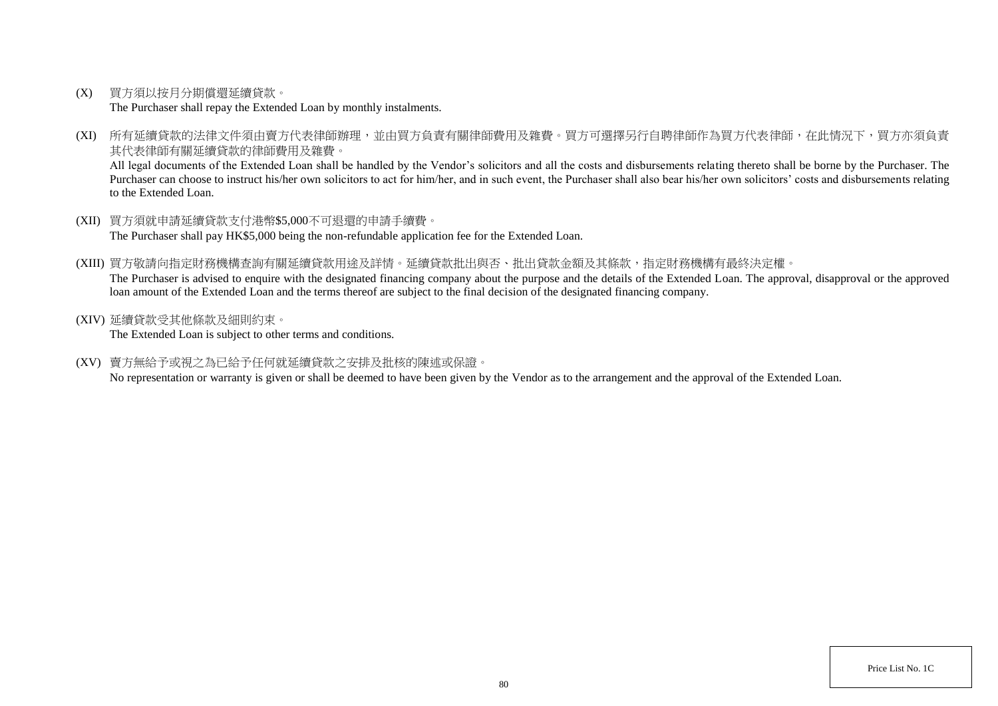(X) 買方須以按月分期償還延續貸款。

The Purchaser shall repay the Extended Loan by monthly instalments.

(XI) 所有延續貸款的法律文件須由賣方代表律師辦理,並由買方負責有關律師費用及雜費。買方可選擇另行自聘律師作為買方代表律師,在此情況下,買方亦須負責 其代表律師有關延續貸款的律師費用及雜費。

All legal documents of the Extended Loan shall be handled by the Vendor's solicitors and all the costs and disbursements relating thereto shall be borne by the Purchaser. The Purchaser can choose to instruct his/her own solicitors to act for him/her, and in such event, the Purchaser shall also bear his/her own solicitors' costs and disbursements relating to the Extended Loan.

- (XII) 買方須就申請延續貸款支付港幣\$5,000不可退還的申請手續費。 The Purchaser shall pay HK\$5,000 being the non-refundable application fee for the Extended Loan.
- (XIII) 買方敬請向指定財務機構查詢有關延續貸款用途及詳情。延續貸款批出與否、批出貸款金額及其條款,指定財務機構有最終決定權。 The Purchaser is advised to enquire with the designated financing company about the purpose and the details of the Extended Loan. The approval, disapproval or the approved loan amount of the Extended Loan and the terms thereof are subject to the final decision of the designated financing company.
- (XIV) 延續貸款受其他條款及細則約束。

The Extended Loan is subject to other terms and conditions.

(XV) 賣方無給予或視之為已給予任何就延續貸款之安排及批核的陳述或保證。

No representation or warranty is given or shall be deemed to have been given by the Vendor as to the arrangement and the approval of the Extended Loan.